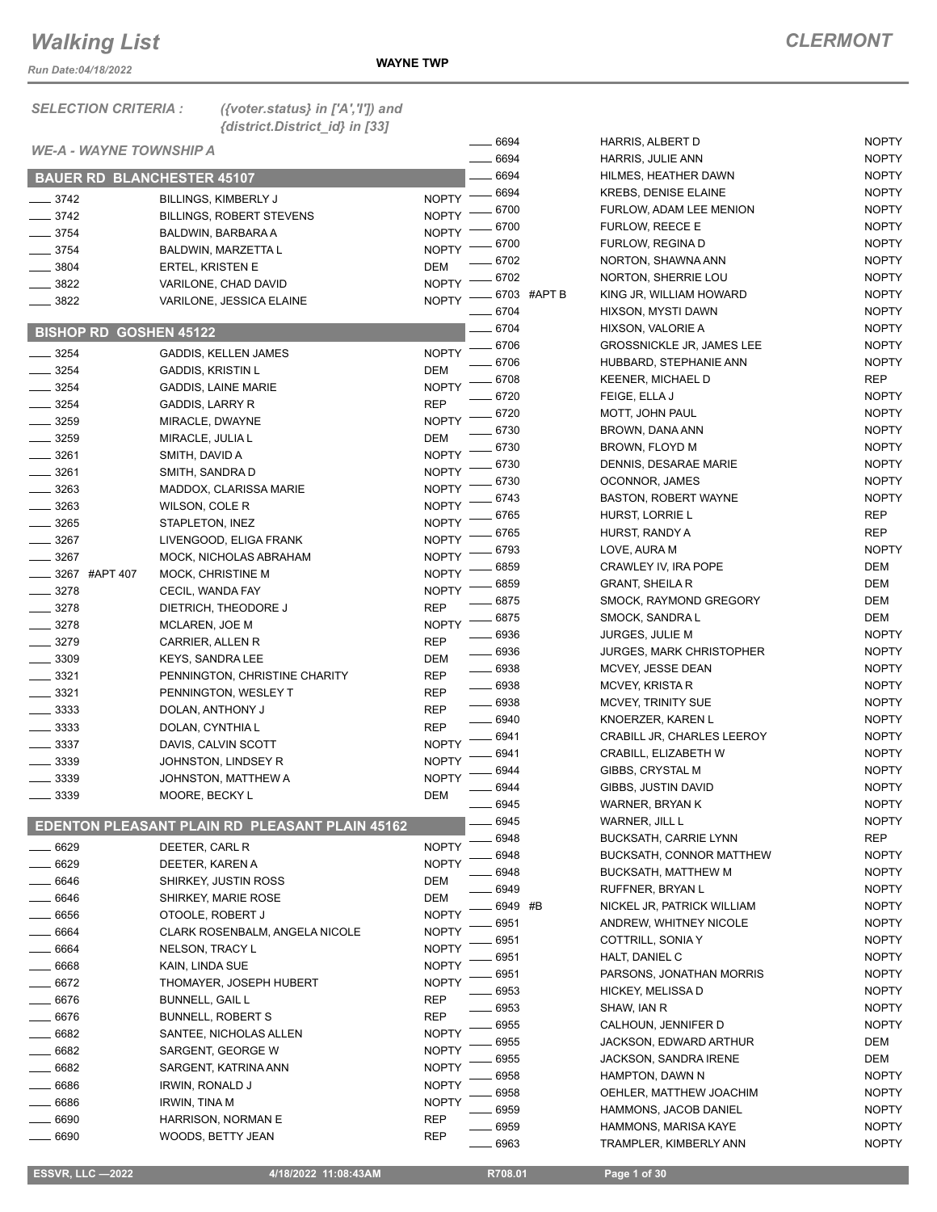*Run Date:04/18/2022*

| <b>SELECTION CRITERIA:</b>        | ({voter.status} in $['A', 'T']$ ) and<br>{district.District_id} in [33] |              |                    |                                  |              |
|-----------------------------------|-------------------------------------------------------------------------|--------------|--------------------|----------------------------------|--------------|
|                                   |                                                                         |              | 6694               | HARRIS, ALBERT D                 | <b>NOPTY</b> |
| <b>WE-A - WAYNE TOWNSHIP A</b>    |                                                                         |              | 6694               | HARRIS, JULIE ANN                | <b>NOPTY</b> |
| <b>BAUER RD BLANCHESTER 45107</b> |                                                                         |              | 6694               | HILMES, HEATHER DAWN             | <b>NOPTY</b> |
| $-3742$                           | <b>BILLINGS, KIMBERLY J</b>                                             | <b>NOPTY</b> | 6694               | <b>KREBS, DENISE ELAINE</b>      | <b>NOPTY</b> |
| $-3742$                           | <b>BILLINGS, ROBERT STEVENS</b>                                         | <b>NOPTY</b> | 6700               | FURLOW, ADAM LEE MENION          | <b>NOPTY</b> |
| $- 3754$                          | BALDWIN, BARBARA A                                                      | <b>NOPTY</b> | 6700               | FURLOW, REECE E                  | <b>NOPTY</b> |
| $\frac{1}{2}$ 3754                | BALDWIN, MARZETTA L                                                     | <b>NOPTY</b> | 6700               | FURLOW, REGINA D                 | <b>NOPTY</b> |
| $- 3804$                          | <b>ERTEL, KRISTEN E</b>                                                 | DEM          | 6702               | NORTON, SHAWNA ANN               | <b>NOPTY</b> |
| $- 3822$                          | VARILONE, CHAD DAVID                                                    | <b>NOPTY</b> | 6702               | NORTON, SHERRIE LOU              | <b>NOPTY</b> |
| 3822                              |                                                                         | <b>NOPTY</b> | 6703 #APT B        | KING JR, WILLIAM HOWARD          | <b>NOPTY</b> |
|                                   | VARILONE, JESSICA ELAINE                                                |              | 6704               | HIXSON, MYSTI DAWN               | <b>NOPTY</b> |
| <b>BISHOP RD GOSHEN 45122</b>     |                                                                         |              | 6704               | HIXSON, VALORIE A                | <b>NOPTY</b> |
|                                   |                                                                         | <b>NOPTY</b> | 6706               | <b>GROSSNICKLE JR, JAMES LEE</b> | <b>NOPTY</b> |
| $- 3254$                          | <b>GADDIS, KELLEN JAMES</b>                                             |              | 6706               | HUBBARD, STEPHANIE ANN           | <b>NOPTY</b> |
| $- 3254$                          | <b>GADDIS, KRISTIN L</b>                                                | <b>DEM</b>   | 6708               | <b>KEENER, MICHAEL D</b>         | <b>REP</b>   |
| $- 3254$                          | <b>GADDIS, LAINE MARIE</b>                                              | <b>NOPTY</b> | 6720               | FEIGE, ELLA J                    | <b>NOPTY</b> |
| $\frac{1}{2}$ 3254                | <b>GADDIS, LARRY R</b>                                                  | <b>REP</b>   | 6720               | MOTT, JOHN PAUL                  | <b>NOPTY</b> |
| 3259                              | MIRACLE, DWAYNE                                                         | <b>NOPTY</b> | 6730               | BROWN, DANA ANN                  | <b>NOPTY</b> |
| $-3259$                           | MIRACLE, JULIA L                                                        | <b>DEM</b>   | 6730               | BROWN, FLOYD M                   | <b>NOPTY</b> |
| $-3261$                           | SMITH, DAVID A                                                          | <b>NOPTY</b> | 6730               | DENNIS, DESARAE MARIE            | <b>NOPTY</b> |
| $\frac{1}{2}$ 3261                | SMITH, SANDRA D                                                         | <b>NOPTY</b> | 6730               | OCONNOR, JAMES                   | <b>NOPTY</b> |
| $\frac{1}{2}$ 3263                | MADDOX, CLARISSA MARIE                                                  | <b>NOPTY</b> | 6743               | <b>BASTON, ROBERT WAYNE</b>      | <b>NOPTY</b> |
| $\frac{1}{2}$ 3263                | WILSON, COLE R                                                          | <b>NOPTY</b> | 6765               | HURST, LORRIE L                  | <b>REP</b>   |
| $- 3265$                          | STAPLETON, INEZ                                                         | <b>NOPTY</b> | 6765               | HURST, RANDY A                   | <b>REP</b>   |
| $- 3267$                          | LIVENGOOD, ELIGA FRANK                                                  | <b>NOPTY</b> | 6793               | LOVE, AURA M                     | <b>NOPTY</b> |
| $-3267$                           | MOCK, NICHOLAS ABRAHAM                                                  | <b>NOPTY</b> | 6859               | CRAWLEY IV, IRA POPE             | DEM          |
| _____ 3267 #APT 407               | MOCK, CHRISTINE M                                                       | <b>NOPTY</b> | 6859               | <b>GRANT, SHEILA R</b>           | DEM          |
| $\frac{3278}{ }$                  | CECIL, WANDA FAY                                                        | <b>NOPTY</b> | 6875               | SMOCK, RAYMOND GREGORY           | <b>DEM</b>   |
| $- 3278$                          | DIETRICH, THEODORE J                                                    | <b>REP</b>   | 6875               | SMOCK, SANDRA L                  | <b>DEM</b>   |
| $- 3278$                          | MCLAREN, JOE M                                                          | <b>NOPTY</b> | 6936               | JURGES, JULIE M                  | <b>NOPTY</b> |
| $- 3279$                          | CARRIER, ALLEN R                                                        | <b>REP</b>   | 6936               | <b>JURGES, MARK CHRISTOPHER</b>  | <b>NOPTY</b> |
| $- 3309$                          | <b>KEYS, SANDRA LEE</b>                                                 | DEM          | $- 6938$           | MCVEY, JESSE DEAN                | <b>NOPTY</b> |
| $-3321$                           | PENNINGTON, CHRISTINE CHARITY                                           | <b>REP</b>   | 6938               | MCVEY, KRISTA R                  | <b>NOPTY</b> |
| $\frac{1}{2}$ 3321                | PENNINGTON, WESLEY T                                                    | <b>REP</b>   | $\frac{1}{2}$ 6938 | MCVEY, TRINITY SUE               | <b>NOPTY</b> |
| $\frac{1}{2}$ 3333                | DOLAN, ANTHONY J                                                        | <b>REP</b>   | 6940               | KNOERZER, KAREN L                | <b>NOPTY</b> |
| $\frac{1}{2}$ 3333                | DOLAN, CYNTHIA L                                                        | <b>REP</b>   | 6941               | CRABILL JR, CHARLES LEEROY       | <b>NOPTY</b> |
| 3337                              | DAVIS, CALVIN SCOTT                                                     | <b>NOPTY</b> | 6941               | CRABILL, ELIZABETH W             | <b>NOPTY</b> |
| 3339                              | JOHNSTON, LINDSEY R                                                     | <b>NOPTY</b> | 6944               | GIBBS, CRYSTAL M                 | <b>NOPTY</b> |
| $-3339$                           | JOHNSTON, MATTHEW A                                                     | <b>NOPTY</b> | 6944               | GIBBS, JUSTIN DAVID              | <b>NOPTY</b> |
| 3339                              | MOORE, BECKY L                                                          | DEM          | 6945               | <b>WARNER, BRYAN K</b>           | <b>NOPTY</b> |
|                                   |                                                                         |              | 6945               | WARNER, JILL L                   | <b>NOPTY</b> |
|                                   | EDENTON PLEASANT PLAIN RD PLEASANT PLAIN 45162                          |              | 6948               | <b>BUCKSATH, CARRIE LYNN</b>     | REP          |
| $-6629$                           | DEETER, CARL R                                                          | <b>NOPTY</b> | 6948               | <b>BUCKSATH, CONNOR MATTHEW</b>  | <b>NOPTY</b> |
| 6629                              | DEETER, KAREN A                                                         | <b>NOPTY</b> | 6948               | <b>BUCKSATH, MATTHEW M</b>       | <b>NOPTY</b> |
| 6646                              | SHIRKEY, JUSTIN ROSS                                                    | DEM          | 6949               | RUFFNER, BRYAN L                 | <b>NOPTY</b> |
| 6646                              | SHIRKEY, MARIE ROSE                                                     | DEM          | 6949 #B            | NICKEL JR, PATRICK WILLIAM       | <b>NOPTY</b> |
| _ 6656                            | OTOOLE, ROBERT J                                                        | <b>NOPTY</b> | 6951               | ANDREW, WHITNEY NICOLE           | <b>NOPTY</b> |
| $- 6664$                          | CLARK ROSENBALM, ANGELA NICOLE                                          | <b>NOPTY</b> | 6951               | COTTRILL, SONIA Y                | <b>NOPTY</b> |
| 6664                              | NELSON, TRACY L                                                         | <b>NOPTY</b> | 6951               | HALT, DANIEL C                   | <b>NOPTY</b> |
| 6668                              | KAIN, LINDA SUE                                                         | <b>NOPTY</b> | 6951               | PARSONS, JONATHAN MORRIS         | <b>NOPTY</b> |
| 6672                              | THOMAYER, JOSEPH HUBERT                                                 | <b>NOPTY</b> | 6953               | HICKEY, MELISSA D                | <b>NOPTY</b> |
| 6676                              | <b>BUNNELL, GAIL L</b>                                                  | <b>REP</b>   | 6953               | SHAW, IAN R                      | <b>NOPTY</b> |
| 6676                              | <b>BUNNELL, ROBERT S</b>                                                | <b>REP</b>   | 6955               | CALHOUN, JENNIFER D              | <b>NOPTY</b> |
| 6682                              | SANTEE, NICHOLAS ALLEN                                                  | <b>NOPTY</b> | 6955               | JACKSON, EDWARD ARTHUR           | DEM          |
| $- 6682$                          | SARGENT, GEORGE W                                                       | <b>NOPTY</b> | 6955               | JACKSON, SANDRA IRENE            | DEM          |
| 6682                              | SARGENT, KATRINA ANN                                                    | <b>NOPTY</b> | 6958               | HAMPTON, DAWN N                  | <b>NOPTY</b> |
| 6686                              | IRWIN, RONALD J                                                         | <b>NOPTY</b> | 6958               | OEHLER, MATTHEW JOACHIM          | <b>NOPTY</b> |
| 6686                              | IRWIN, TINA M                                                           | <b>NOPTY</b> | 6959               | HAMMONS, JACOB DANIEL            | <b>NOPTY</b> |
| 6690                              | HARRISON, NORMAN E                                                      | <b>REP</b>   | 6959               | HAMMONS, MARISA KAYE             | <b>NOPTY</b> |

6690 WOODS, BETTY JEAN REP

\_6963 TRAMPLER, KIMBERLY ANN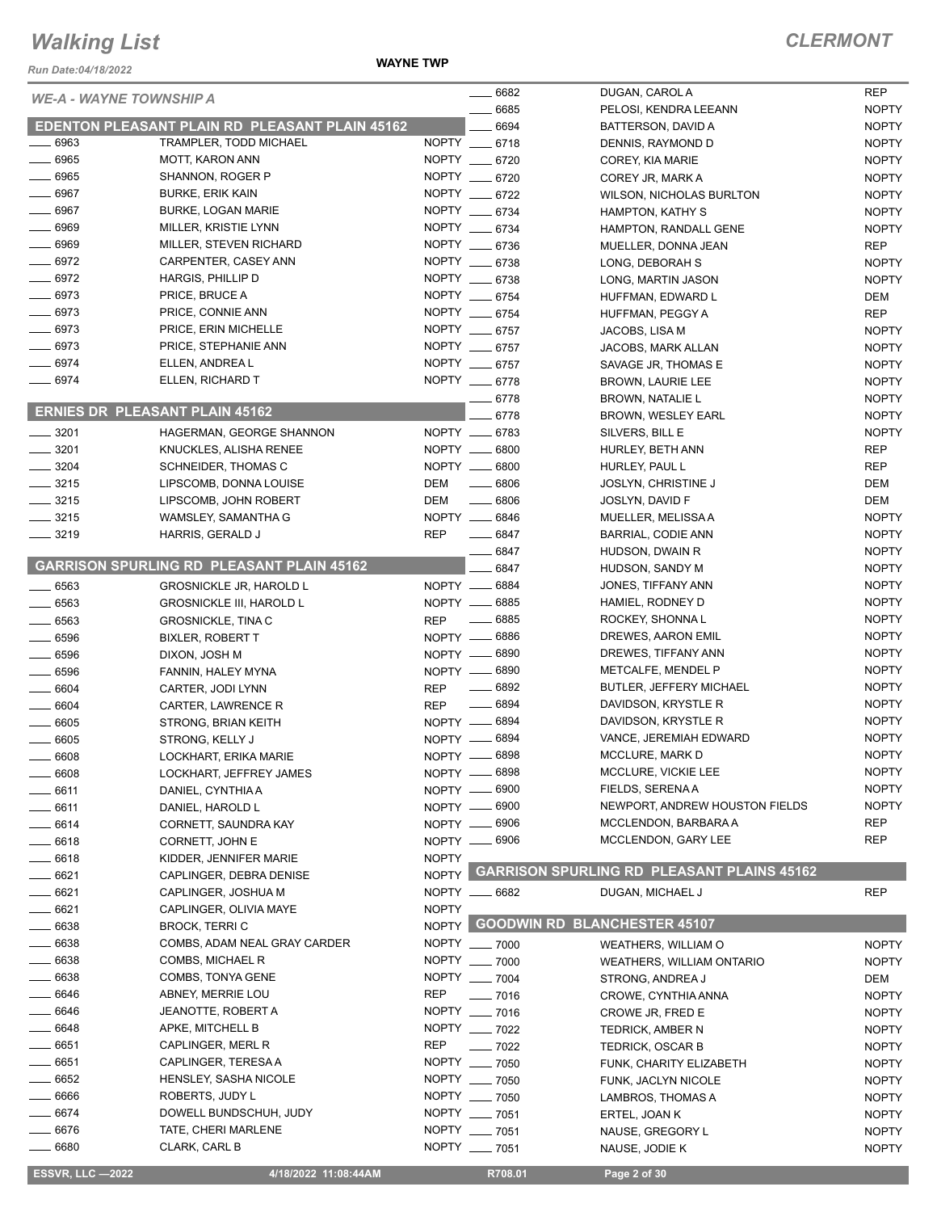**WAYNE TWP**

| Run Date:04/18/2022                   | <b>WAYNE TWP</b>                                             |              |                                    |                                                  |                              |
|---------------------------------------|--------------------------------------------------------------|--------------|------------------------------------|--------------------------------------------------|------------------------------|
|                                       |                                                              |              | $-6682$                            | DUGAN, CAROL A                                   | <b>REP</b>                   |
| <b>WE-A - WAYNE TOWNSHIP A</b>        |                                                              |              | 6685                               | PELOSI, KENDRA LEEANN                            | <b>NOPTY</b>                 |
|                                       | EDENTON PLEASANT PLAIN RD PLEASANT PLAIN 45162               |              | 6694                               | BATTERSON, DAVID A                               | <b>NOPTY</b>                 |
| $\frac{1}{2}$ 6963                    | TRAMPLER, TODD MICHAEL                                       |              | NOPTY __ 6718                      | DENNIS, RAYMOND D                                | <b>NOPTY</b>                 |
| $- 6965$                              | <b>MOTT, KARON ANN</b>                                       |              | NOPTY __ 6720                      | COREY, KIA MARIE                                 | <b>NOPTY</b>                 |
| $- 6965$                              | SHANNON, ROGER P                                             |              | NOPTY __ 6720                      | COREY JR, MARK A                                 | <b>NOPTY</b>                 |
| $- 6967$                              | <b>BURKE, ERIK KAIN</b>                                      |              | NOPTY __ 6722                      | <b>WILSON, NICHOLAS BURLTON</b>                  | <b>NOPTY</b>                 |
| $- 6967$                              | <b>BURKE, LOGAN MARIE</b>                                    |              | NOPTY __ 6734                      | <b>HAMPTON, KATHY S</b>                          | <b>NOPTY</b>                 |
| $- 6969$                              | MILLER, KRISTIE LYNN                                         |              | NOPTY __ 6734                      | HAMPTON, RANDALL GENE                            | <b>NOPTY</b>                 |
| 6969                                  | MILLER, STEVEN RICHARD                                       |              | NOPTY __ 6736                      | MUELLER, DONNA JEAN                              | <b>REP</b>                   |
| $-6972$                               | CARPENTER, CASEY ANN                                         |              | NOPTY __ 6738                      | LONG, DEBORAH S                                  | <b>NOPTY</b>                 |
| $- 6972$                              | HARGIS, PHILLIP D                                            |              | NOPTY __ 6738                      | LONG, MARTIN JASON                               | <b>NOPTY</b>                 |
| $- 6973$                              | PRICE, BRUCE A                                               |              | NOPTY __ 6754                      | HUFFMAN, EDWARD L                                | DEM                          |
| $-6973$                               | PRICE, CONNIE ANN                                            |              | NOPTY __ 6754                      | HUFFMAN, PEGGY A                                 | <b>REP</b>                   |
| $\frac{1}{2}$ 6973                    | PRICE, ERIN MICHELLE                                         |              | NOPTY __ 6757                      | JACOBS, LISA M                                   | <b>NOPTY</b>                 |
| $- 6973$                              | PRICE, STEPHANIE ANN                                         |              | NOPTY __ 6757                      | JACOBS, MARK ALLAN                               | <b>NOPTY</b>                 |
| 6974                                  | ELLEN, ANDREA L                                              |              | NOPTY __ 6757                      | SAVAGE JR, THOMAS E                              | <b>NOPTY</b>                 |
| $-6974$                               | ELLEN, RICHARD T                                             |              | NOPTY __ 6778                      | <b>BROWN, LAURIE LEE</b>                         | <b>NOPTY</b>                 |
| <b>ERNIES DR PLEASANT PLAIN 45162</b> |                                                              |              | $-6778$                            | <b>BROWN, NATALIE L</b>                          | <b>NOPTY</b>                 |
|                                       |                                                              |              | 6778                               | BROWN, WESLEY EARL                               | <b>NOPTY</b>                 |
| $\frac{1}{2}$ 3201                    | HAGERMAN, GEORGE SHANNON                                     |              | NOPTY __ 6783                      | SILVERS, BILL E                                  | <b>NOPTY</b>                 |
| $\frac{1}{2}$ 3201                    | KNUCKLES, ALISHA RENEE                                       |              | NOPTY __ 6800                      | HURLEY, BETH ANN                                 | <b>REP</b>                   |
| $- 3204$                              | SCHNEIDER, THOMAS C                                          |              | NOPTY __ 6800                      | HURLEY, PAUL L                                   | <b>REP</b>                   |
| $-3215$                               | LIPSCOMB, DONNA LOUISE                                       | <b>DEM</b>   | $- 6806$                           | <b>JOSLYN, CHRISTINE J</b>                       | <b>DEM</b>                   |
| $- 3215$                              | LIPSCOMB, JOHN ROBERT                                        | <b>DEM</b>   | $- 6806$                           | JOSLYN, DAVID F                                  | <b>DEM</b>                   |
| $- 3215$                              | WAMSLEY, SAMANTHA G                                          |              | NOPTY __ 6846                      | MUELLER, MELISSA A                               | <b>NOPTY</b>                 |
| $- 3219$                              | HARRIS, GERALD J                                             | <b>REP</b>   | $- 6847$                           | BARRIAL, CODIE ANN                               | <b>NOPTY</b>                 |
|                                       | <b>GARRISON SPURLING RD PLEASANT PLAIN 45162</b>             |              | $- 6847$                           | HUDSON, DWAIN R                                  | <b>NOPTY</b>                 |
|                                       |                                                              |              | 6847                               | HUDSON, SANDY M<br>JONES, TIFFANY ANN            | <b>NOPTY</b><br><b>NOPTY</b> |
| $- 6563$                              | <b>GROSNICKLE JR, HAROLD L</b>                               |              | NOPTY __ 6884<br>NOPTY __ 6885     | HAMIEL, RODNEY D                                 | <b>NOPTY</b>                 |
| $- 6563$<br>6563                      | <b>GROSNICKLE III, HAROLD L</b><br><b>GROSNICKLE, TINA C</b> | <b>REP</b>   | $\frac{1}{2}$ 6885                 | ROCKEY, SHONNA L                                 | <b>NOPTY</b>                 |
| $- 6596$                              | <b>BIXLER, ROBERT T</b>                                      |              | NOPTY __ 6886                      | DREWES, AARON EMIL                               | <b>NOPTY</b>                 |
| $- 6596$                              | DIXON, JOSH M                                                |              | NOPTY -6890                        | DREWES, TIFFANY ANN                              | <b>NOPTY</b>                 |
| 6596                                  | FANNIN, HALEY MYNA                                           |              | NOPTY __ 6890                      | METCALFE, MENDEL P                               | <b>NOPTY</b>                 |
| $- 6604$                              | CARTER, JODI LYNN                                            | <b>REP</b>   | $- 6892$                           | <b>BUTLER, JEFFERY MICHAEL</b>                   | <b>NOPTY</b>                 |
| 6604                                  | CARTER, LAWRENCE R                                           | <b>REP</b>   | 6894                               | DAVIDSON, KRYSTLE R                              | <b>NOPTY</b>                 |
| 6605                                  | STRONG, BRIAN KEITH                                          |              | NOPTY __ 6894                      | DAVIDSON, KRYSTLE R                              | <b>NOPTY</b>                 |
| 6605                                  | STRONG, KELLY J                                              |              | NOPTY __ 6894                      | VANCE, JEREMIAH EDWARD                           | <b>NOPTY</b>                 |
| 6608                                  | LOCKHART, ERIKA MARIE                                        |              | NOPTY __ 6898                      | MCCLURE, MARK D                                  | <b>NOPTY</b>                 |
| 6608                                  | LOCKHART, JEFFREY JAMES                                      |              | NOPTY -6898                        | MCCLURE, VICKIE LEE                              | <b>NOPTY</b>                 |
| 6611                                  | DANIEL, CYNTHIA A                                            |              | NOPTY __ 6900                      | FIELDS, SERENA A                                 | <b>NOPTY</b>                 |
| __ 6611                               | DANIEL, HAROLD L                                             |              | NOPTY __ 6900                      | NEWPORT, ANDREW HOUSTON FIELDS                   | <b>NOPTY</b>                 |
| $-6614$                               | CORNETT, SAUNDRA KAY                                         |              | NOPTY __ 6906                      | MCCLENDON, BARBARA A                             | REP                          |
| 6618                                  | CORNETT, JOHN E                                              |              | NOPTY __ 6906                      | MCCLENDON, GARY LEE                              | <b>REP</b>                   |
| $-6618$                               | KIDDER, JENNIFER MARIE                                       | <b>NOPTY</b> |                                    |                                                  |                              |
| $- 6621$                              | CAPLINGER, DEBRA DENISE                                      |              |                                    | NOPTY GARRISON SPURLING RD PLEASANT PLAINS 45162 |                              |
| __ 6621                               | CAPLINGER, JOSHUA M                                          |              | NOPTY __ 6682                      | DUGAN, MICHAEL J                                 | <b>REP</b>                   |
| $- 6621$                              | CAPLINGER, OLIVIA MAYE                                       | <b>NOPTY</b> |                                    |                                                  |                              |
| 6638                                  | <b>BROCK, TERRI C</b>                                        |              | NOPTY GOODWIN RD BLANCHESTER 45107 |                                                  |                              |
| $- 6638$                              | COMBS, ADAM NEAL GRAY CARDER                                 |              | NOPTY __ 7000                      | WEATHERS, WILLIAM O                              | <b>NOPTY</b>                 |
| 6638                                  | COMBS, MICHAEL R                                             |              | NOPTY __ 7000                      | WEATHERS, WILLIAM ONTARIO                        | <b>NOPTY</b>                 |
| 6638                                  | COMBS, TONYA GENE                                            |              | NOPTY __ 7004                      | STRONG, ANDREA J                                 | DEM                          |
| 6646                                  | ABNEY, MERRIE LOU                                            | <b>REP</b>   | $- 7016$                           | CROWE, CYNTHIA ANNA                              | <b>NOPTY</b>                 |
| 6646                                  | JEANOTTE, ROBERT A                                           |              | NOPTY __ 7016                      | CROWE JR, FRED E                                 | <b>NOPTY</b>                 |
| 6648                                  | APKE, MITCHELL B                                             |              | NOPTY __ 7022                      | <b>TEDRICK, AMBER N</b>                          | <b>NOPTY</b>                 |
| 6651                                  | CAPLINGER, MERL R                                            | REP          | $- 7022$                           | <b>TEDRICK, OSCAR B</b>                          | <b>NOPTY</b>                 |
| 6651                                  | CAPLINGER, TERESA A                                          |              | NOPTY __ 7050                      | FUNK, CHARITY ELIZABETH                          | <b>NOPTY</b>                 |
| 6652                                  | HENSLEY, SASHA NICOLE                                        |              | NOPTY __ 7050                      | FUNK, JACLYN NICOLE                              | <b>NOPTY</b>                 |
| $-6666$                               | ROBERTS, JUDY L                                              |              | NOPTY __ 7050<br>NOPTY __ 7051     | LAMBROS, THOMAS A                                | <b>NOPTY</b>                 |
| $-6674$<br>6676                       | DOWELL BUNDSCHUH, JUDY<br>TATE, CHERI MARLENE                |              | NOPTY __ 7051                      | ERTEL, JOAN K                                    | <b>NOPTY</b>                 |
| __ 6680                               | CLARK, CARL B                                                |              | NOPTY __ 7051                      | NAUSE, GREGORY L                                 | <b>NOPTY</b>                 |
|                                       |                                                              |              |                                    | NAUSE, JODIE K                                   | <b>NOPTY</b>                 |
| <b>ESSVR, LLC -2022</b>               | 4/18/2022 11:08:44AM                                         |              | R708.01                            | Page 2 of 30                                     |                              |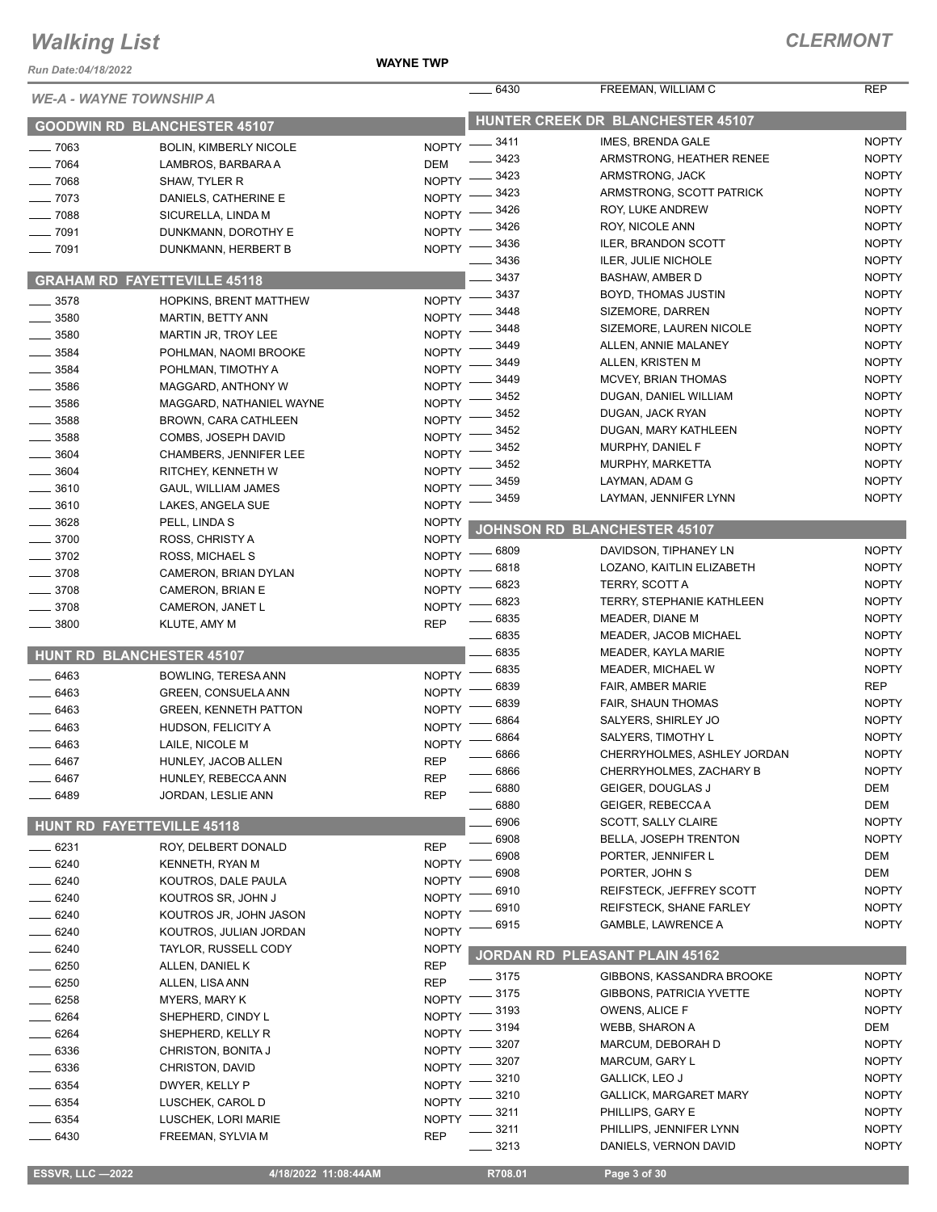*Run Date:04/18/2022*

#### **WAYNE TWP**

| <b>WE-A - WAYNE TOWNSHIP A</b> |                                     |              | 6430             | FREEMAN, WILLIAM C                | REP          |
|--------------------------------|-------------------------------------|--------------|------------------|-----------------------------------|--------------|
|                                | <b>GOODWIN RD BLANCHESTER 45107</b> |              |                  | HUNTER CREEK DR BLANCHESTER 45107 |              |
| $-7063$                        | <b>BOLIN, KIMBERLY NICOLE</b>       | <b>NOPTY</b> | 3411             | IMES, BRENDA GALE                 | <b>NOPTY</b> |
| 7064                           | LAMBROS, BARBARA A                  | <b>DEM</b>   | 3423             | ARMSTRONG, HEATHER RENEE          | <b>NOPTY</b> |
| 7068                           | SHAW, TYLER R                       | <b>NOPTY</b> | 3423             | ARMSTRONG, JACK                   | <b>NOPTY</b> |
| $-7073$                        | DANIELS, CATHERINE E                | <b>NOPTY</b> | 3423             | ARMSTRONG, SCOTT PATRICK          | <b>NOPTY</b> |
| 7088                           |                                     | <b>NOPTY</b> | 3426             | ROY, LUKE ANDREW                  | <b>NOPTY</b> |
|                                | SICURELLA, LINDA M                  |              | 3426             | ROY, NICOLE ANN                   | <b>NOPTY</b> |
| 7091                           | DUNKMANN, DOROTHY E                 | <b>NOPTY</b> | 3436             | <b>ILER, BRANDON SCOTT</b>        | <b>NOPTY</b> |
| 7091                           | DUNKMANN, HERBERT B                 | <b>NOPTY</b> | 3436             | <b>ILER, JULIE NICHOLE</b>        | <b>NOPTY</b> |
|                                | <b>GRAHAM RD FAYETTEVILLE 45118</b> |              | 3437             | <b>BASHAW, AMBER D</b>            | <b>NOPTY</b> |
| .3578                          | <b>HOPKINS, BRENT MATTHEW</b>       | <b>NOPTY</b> | 3437             | BOYD, THOMAS JUSTIN               | <b>NOPTY</b> |
| 3580                           |                                     | <b>NOPTY</b> | 3448             | SIZEMORE, DARREN                  | <b>NOPTY</b> |
|                                | MARTIN, BETTY ANN                   |              | 3448             | SIZEMORE, LAUREN NICOLE           | <b>NOPTY</b> |
| 3580                           | MARTIN JR, TROY LEE                 | <b>NOPTY</b> | 3449             | ALLEN, ANNIE MALANEY              | <b>NOPTY</b> |
| 3584                           | POHLMAN, NAOMI BROOKE               | <b>NOPTY</b> | 3449             | ALLEN, KRISTEN M                  | <b>NOPTY</b> |
| 3584                           | POHLMAN, TIMOTHY A                  | <b>NOPTY</b> | 3449             | <b>MCVEY, BRIAN THOMAS</b>        | <b>NOPTY</b> |
| 3586                           | MAGGARD, ANTHONY W                  | <b>NOPTY</b> | 3452             | DUGAN, DANIEL WILLIAM             | <b>NOPTY</b> |
| 3586                           | MAGGARD, NATHANIEL WAYNE            | <b>NOPTY</b> | 3452             | DUGAN, JACK RYAN                  | <b>NOPTY</b> |
| 3588                           | BROWN, CARA CATHLEEN                | <b>NOPTY</b> | 3452             | DUGAN, MARY KATHLEEN              | <b>NOPTY</b> |
| 3588                           | COMBS, JOSEPH DAVID                 | <b>NOPTY</b> | 3452             | MURPHY, DANIEL F                  | <b>NOPTY</b> |
| 3604                           | CHAMBERS, JENNIFER LEE              | <b>NOPTY</b> | 3452             | MURPHY, MARKETTA                  | <b>NOPTY</b> |
| $-3604$                        | RITCHEY, KENNETH W                  | <b>NOPTY</b> | 3459             | LAYMAN, ADAM G                    | <b>NOPTY</b> |
| _ 3610                         | <b>GAUL, WILLIAM JAMES</b>          | <b>NOPTY</b> |                  | LAYMAN, JENNIFER LYNN             |              |
| 3610                           | LAKES, ANGELA SUE                   | <b>NOPTY</b> | 3459             |                                   | <b>NOPTY</b> |
| $= 3628$                       | PELL, LINDA S                       | <b>NOPTY</b> |                  | JOHNSON RD BLANCHESTER 45107      |              |
| $-3700$                        | ROSS, CHRISTY A                     | <b>NOPTY</b> |                  |                                   |              |
| 3702                           | ROSS, MICHAEL S                     | <b>NOPTY</b> | 6809             | DAVIDSON, TIPHANEY LN             | <b>NOPTY</b> |
| .3708                          | CAMERON, BRIAN DYLAN                | <b>NOPTY</b> | 6818             | LOZANO, KAITLIN ELIZABETH         | <b>NOPTY</b> |
| 3708                           | CAMERON, BRIAN E                    | <b>NOPTY</b> | 6823             | TERRY, SCOTT A                    | <b>NOPTY</b> |
| 3708                           | CAMERON, JANET L                    | <b>NOPTY</b> | 6823             | <b>TERRY, STEPHANIE KATHLEEN</b>  | <b>NOPTY</b> |
| 3800                           | KLUTE, AMY M                        | <b>REP</b>   | 6835             | MEADER, DIANE M                   | <b>NOPTY</b> |
|                                |                                     |              | 6835             | <b>MEADER, JACOB MICHAEL</b>      | <b>NOPTY</b> |
| <b>HUNT RD</b>                 | <b>BLANCHESTER 45107</b>            |              | 6835             | MEADER, KAYLA MARIE               | <b>NOPTY</b> |
| 6463                           | BOWLING, TERESA ANN                 | <b>NOPTY</b> | 6835             | <b>MEADER, MICHAEL W</b>          | <b>NOPTY</b> |
| 6463                           | GREEN, CONSUELA ANN                 | <b>NOPTY</b> | 6839             | FAIR, AMBER MARIE                 | <b>REP</b>   |
| _ 6463                         | <b>GREEN, KENNETH PATTON</b>        | <b>NOPTY</b> | 6839             | <b>FAIR, SHAUN THOMAS</b>         | <b>NOPTY</b> |
| 6463                           | HUDSON, FELICITY A                  | <b>NOPTY</b> | 6864             | SALYERS, SHIRLEY JO               | <b>NOPTY</b> |
| 6463                           | LAILE, NICOLE M                     | <b>NOPTY</b> | 6864             | SALYERS, TIMOTHY L                | <b>NOPTY</b> |
| $-6467$                        | HUNLEY, JACOB ALLEN                 | <b>REP</b>   | 6866             | CHERRYHOLMES, ASHLEY JORDAN       | <b>NOPTY</b> |
| 6467                           | HUNLEY, REBECCA ANN                 | <b>REP</b>   | 6866             | CHERRYHOLMES, ZACHARY B           | <b>NOPTY</b> |
|                                |                                     |              | 6880             | GEIGER, DOUGLAS J                 | DEM          |
| 6489                           | JORDAN, LESLIE ANN                  | <b>REP</b>   | 6880             | GEIGER, REBECCAA                  | DEM          |
| <b>HUNT RD</b>                 | <b>FAYETTEVILLE 45118</b>           |              | 6906             | <b>SCOTT, SALLY CLAIRE</b>        | <b>NOPTY</b> |
|                                |                                     |              | 6908             | <b>BELLA, JOSEPH TRENTON</b>      | <b>NOPTY</b> |
| _ 6231                         | ROY, DELBERT DONALD                 | <b>REP</b>   | 6908             | PORTER, JENNIFER L                | DEM          |
| $-6240$                        | KENNETH, RYAN M                     | <b>NOPTY</b> | 6908             | PORTER, JOHN S                    | DEM          |
| $-6240$                        | KOUTROS, DALE PAULA                 | <b>NOPTY</b> | 6910             | REIFSTECK, JEFFREY SCOTT          | <b>NOPTY</b> |
| $-6240$                        | KOUTROS SR, JOHN J                  | <b>NOPTY</b> | 6910             | REIFSTECK, SHANE FARLEY           | <b>NOPTY</b> |
| $-6240$                        | KOUTROS JR, JOHN JASON              | <b>NOPTY</b> | 6915             | <b>GAMBLE, LAWRENCE A</b>         | <b>NOPTY</b> |
| 6240                           | KOUTROS, JULIAN JORDAN              | <b>NOPTY</b> |                  |                                   |              |
| 6240                           | <b>TAYLOR, RUSSELL CODY</b>         | <b>NOPTY</b> | <b>JORDAN RD</b> | PLEASANT PLAIN 45162              |              |
| 6250                           | ALLEN, DANIEL K                     | <b>REP</b>   |                  |                                   |              |
| 6250                           | ALLEN, LISA ANN                     | <b>REP</b>   | _ 3175           | GIBBONS, KASSANDRA BROOKE         | <b>NOPTY</b> |
| 6258                           | <b>MYERS, MARY K</b>                | <b>NOPTY</b> | 3175             | <b>GIBBONS, PATRICIA YVETTE</b>   | <b>NOPTY</b> |
| 6264                           | SHEPHERD, CINDY L                   | <b>NOPTY</b> | 3193             | OWENS, ALICE F                    | <b>NOPTY</b> |
| 6264                           | SHEPHERD, KELLY R                   | <b>NOPTY</b> | 3194             | WEBB, SHARON A                    | DEM          |
| 6336                           | CHRISTON, BONITA J                  | <b>NOPTY</b> | 3207             | MARCUM, DEBORAH D                 | <b>NOPTY</b> |
| _ 6336                         | CHRISTON, DAVID                     | <b>NOPTY</b> | 3207             | <b>MARCUM, GARY L</b>             | <b>NOPTY</b> |
| $-6354$                        | DWYER, KELLY P                      | <b>NOPTY</b> | 3210             | <b>GALLICK, LEO J</b>             | <b>NOPTY</b> |
| - 6354                         | LUSCHEK, CAROL D                    | <b>NOPTY</b> | 3210             | <b>GALLICK, MARGARET MARY</b>     | <b>NOPTY</b> |
| 6354                           | LUSCHEK, LORI MARIE                 | <b>NOPTY</b> | 3211             | PHILLIPS, GARY E                  | <b>NOPTY</b> |
| 6430                           | FREEMAN, SYLVIA M                   | <b>REP</b>   | 3211             | PHILLIPS, JENNIFER LYNN           | <b>NOPTY</b> |
|                                |                                     |              | $-3213$          | DANIELS, VERNON DAVID             | <b>NOPTY</b> |
|                                |                                     |              |                  |                                   |              |
| <b>ESSVR, LLC -2022</b>        | 4/18/2022 11:08:44AM                |              | R708.01          | Page 3 of 30                      |              |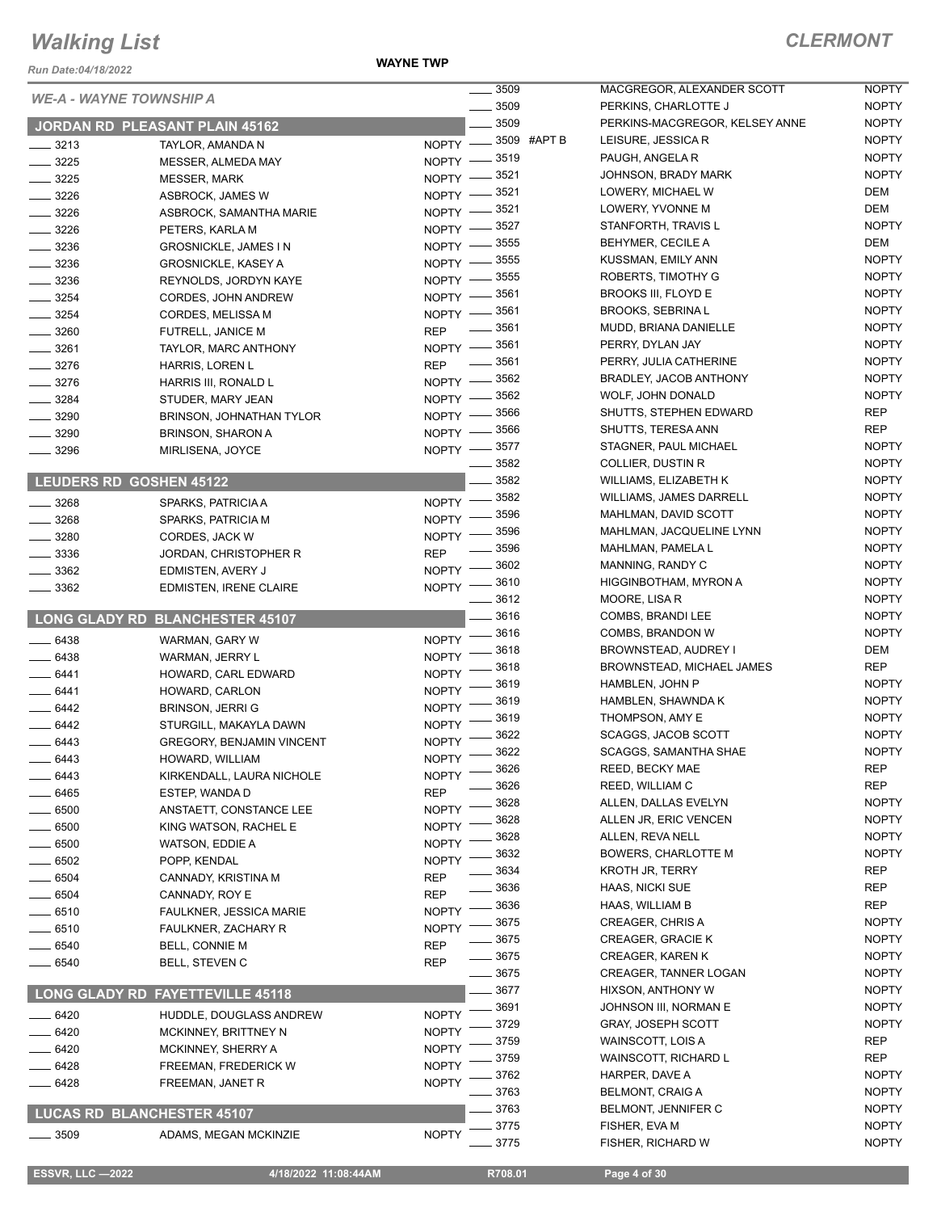**WAYNE TWP**

|                      | <b>WE-A - WAYNE TOWNSHIP A</b>    |                              | $=$ 3509           | MA                                 |
|----------------------|-----------------------------------|------------------------------|--------------------|------------------------------------|
|                      |                                   |                              | $=$ 3509           | PEF                                |
|                      | JORDAN RD PLEASANT PLAIN 45162    |                              | $-3509$            | PEF                                |
| ___ 3213             | TAYLOR, AMANDA N                  |                              | NOPTY -8509 #APT B | LEI:                               |
| $- 3225$             | MESSER, ALMEDA MAY                | NOPTY -8519                  |                    | <b>PAL</b>                         |
| $-3225$              | <b>MESSER, MARK</b>               | NOPTY -8521                  |                    | <b>JOH</b>                         |
| $-3226$              | ASBROCK, JAMES W                  | $N$ OPTY $-$                 | _ 3521             | LOV                                |
| ___ 3226             | ASBROCK, SAMANTHA MARIE           | $N$ OPTY $-$                 | _ 3521             | LOV                                |
| $-3226$              | PETERS, KARLA M                   | NOPTY -                      | $-3527$            | STA                                |
| __ 3236              | <b>GROSNICKLE, JAMES IN</b>       | NOPTY -                      | - 3555             | <b>BEH</b>                         |
| $-3236$              | <b>GROSNICKLE, KASEY A</b>        | $NOPTY$ —                    | 3555               | <b>KUS</b>                         |
| $-3236$              | REYNOLDS, JORDYN KAYE             | NOPTY -                      | 3555               | ROI                                |
| $-3254$              | CORDES, JOHN ANDREW               | NOPTY -8561                  |                    | BR <sub>C</sub><br>BR <sub>C</sub> |
| $- 3254$             | CORDES, MELISSA M                 | $N$ OPTY $-$                 | _ 3561<br>$=$ 3561 | <b>MU</b>                          |
| ___ 3260             | FUTRELL, JANICE M                 | <b>REP</b>                   |                    | PEF                                |
| __ 3261              | TAYLOR, MARC ANTHONY              | NOPTY -8561                  | _ 3561             | PEF                                |
| __ 3276              | HARRIS, LOREN L                   | REP                          |                    | BR/                                |
| $- 3276$             | HARRIS III, RONALD L              | NOPTY -8562                  | $-3562$            | <b>WO</b>                          |
| $-3284$              | STUDER, MARY JEAN                 | $NOPTY =$                    | $-3566$            | SHI                                |
| $- 3290$             | <b>BRINSON, JOHNATHAN TYLOR</b>   | $N$ OPTY $-$                 | _ 3566             | SHI                                |
| $-3290$              | <b>BRINSON, SHARON A</b>          | $N$ OPTY $-$                 | _ 3577             | STA                                |
| __ 3296              | MIRLISENA, JOYCE                  | NOPTY -                      | _ 3582             | COI                                |
|                      | LEUDERS RD GOSHEN 45122           |                              | 3582               | <b>WIL</b>                         |
|                      |                                   |                              | 3582               | <b>WIL</b>                         |
| $- 3268$             | SPARKS, PATRICIA A                | <b>NOPTY</b>                 | 3596               | MAI                                |
| __ 3268              | SPARKS, PATRICIA M                | <b>NOPTY</b>                 | 3596               | MAI                                |
| $-3280$              | CORDES, JACK W                    | <b>NOPTY</b>                 | $-3596$            | MAI                                |
| $- 3336$             | JORDAN, CHRISTOPHER R             | REP                          | 3602               | MAI                                |
| $-3362$<br>$-3362$   | EDMISTEN, AVERY J                 | <b>NOPTY</b><br><b>NOPTY</b> | 3610               | HIG                                |
|                      | <b>EDMISTEN, IRENE CLAIRE</b>     |                              | 3612               | МO                                 |
|                      | LONG GLADY RD BLANCHESTER 45107   |                              | 3616               | COI                                |
| $-6438$              | WARMAN, GARY W                    | <b>NOPTY</b>                 | __ 3616            | COI                                |
| $-6438$              | WARMAN, JERRY L                   | <b>NOPTY</b>                 | 3618               | BR <sub>(</sub>                    |
| $-6441$              | HOWARD, CARL EDWARD               | <b>NOPTY</b>                 | $-3618$            | BR <sub>0</sub>                    |
| ____ 6441            | HOWARD, CARLON                    | <b>NOPTY</b>                 | 3619               | HAI                                |
| $-6442$              | <b>BRINSON, JERRI G</b>           | NOPTY                        | - 3619             | HAI                                |
| $-6442$              | STURGILL, MAKAYLA DAWN            | NOPTY                        | 3619               | TH(                                |
| - 6443               | <b>GREGORY, BENJAMIN VINCENT</b>  | <b>NOPTY</b>                 | 3622               | SC/                                |
| $-6443$              | HOWARD, WILLIAM                   | NOPTY '                      | 3622               | SC/                                |
| _ 6443               | KIRKENDALL, LAURA NICHOLE         | <b>NOPTY</b>                 | 3626               | <b>REE</b>                         |
| 6465                 | ESTEP, WANDA D                    | <b>REP</b>                   | 3626               | <b>REE</b>                         |
| - 6500               | ANSTAETT, CONSTANCE LEE           | <b>NOPTY</b>                 | 3628               | <b>ALL</b>                         |
| 6500                 | KING WATSON, RACHEL E             | <b>NOPTY</b>                 | 3628               | <b>ALL</b>                         |
| . 6500               | WATSON, EDDIE A                   | <b>NOPTY</b>                 | 3628               | ALL                                |
| - 6502               | POPP, KENDAL                      | <b>NOPTY</b>                 | 3632               | <b>BO</b>                          |
| $-6504$              | CANNADY, KRISTINA M               | REP                          | 3634               | KR <sub></sub>                     |
| - 6504               | CANNADY, ROY E                    | REP                          | 3636<br>3636       | HA/<br>HA/                         |
| 6510                 | FAULKNER, JESSICA MARIE           | <b>NOPTY</b>                 | 3675               | CRI                                |
| - 6510               | FAULKNER, ZACHARY R               | <b>NOPTY</b>                 | 3675               | CRI                                |
| 6540                 | <b>BELL, CONNIE M</b>             | <b>REP</b>                   | 3675               | CRI                                |
| 6540                 | <b>BELL, STEVEN C</b>             | REP                          | 3675               | <b>CRI</b>                         |
|                      |                                   |                              | 3677               | <b>HIX</b>                         |
| <b>LONG GLADY RD</b> | <b>FAYETTEVILLE 45118</b>         |                              | 3691               | JOF                                |
| 6420                 | HUDDLE, DOUGLASS ANDREW           | <b>NOPTY</b>                 | 3729               | GR,                                |
| 6420                 | MCKINNEY, BRITTNEY N              | <b>NOPTY</b>                 | 3759               | <b>WA</b>                          |
| 6420                 | MCKINNEY, SHERRY A                | <b>NOPTY</b>                 | 3759               | <b>WA</b>                          |
| 6428                 | FREEMAN, FREDERICK W              | <b>NOPTY</b>                 | 3762               | HAI                                |
| 6428                 | FREEMAN, JANET R                  | <b>NOPTY</b>                 | 3763               | <b>BEL</b>                         |
|                      | <b>LUCAS RD BLANCHESTER 45107</b> |                              | 3763               | <b>BEL</b>                         |
|                      |                                   |                              | 3775               | <b>FIS</b>                         |
| 3509                 | ADAMS, MEGAN MCKINZIE             | <b>NOPTY</b>                 | 3775               | <b>FIS</b>                         |

| 3509 |        | MACGREGOR, ALEXANDER SCOTT     | <b>NOPTY</b> |
|------|--------|--------------------------------|--------------|
| 3509 |        | PERKINS, CHARLOTTE J           | <b>NOPTY</b> |
| 3509 |        | PERKINS-MACGREGOR, KELSEY ANNE | <b>NOPTY</b> |
| 3509 | #APT B | LEISURE, JESSICA R             | <b>NOPTY</b> |
| 3519 |        | PAUGH, ANGELA R                | <b>NOPTY</b> |
| 3521 |        | JOHNSON, BRADY MARK            | <b>NOPTY</b> |
| 3521 |        | LOWERY, MICHAEL W              | <b>DEM</b>   |
| 3521 |        | LOWERY, YVONNE M               | DEM          |
| 3527 |        | STANFORTH, TRAVIS L            | <b>NOPTY</b> |
| 3555 |        | <b>BEHYMER, CECILE A</b>       | DEM          |
| 3555 |        | KUSSMAN, EMILY ANN             | <b>NOPTY</b> |
| 3555 |        | ROBERTS, TIMOTHY G             | <b>NOPTY</b> |
| 3561 |        | <b>BROOKS III, FLOYD E</b>     | <b>NOPTY</b> |
| 3561 |        | <b>BROOKS, SEBRINAL</b>        | <b>NOPTY</b> |
| 3561 |        | MUDD, BRIANA DANIELLE          | <b>NOPTY</b> |
| 3561 |        | PERRY, DYLAN JAY               | <b>NOPTY</b> |
| 3561 |        | PERRY, JULIA CATHERINE         | <b>NOPTY</b> |
| 3562 |        | BRADLEY, JACOB ANTHONY         | <b>NOPTY</b> |
| 3562 |        | WOLF, JOHN DONALD              | <b>NOPTY</b> |
| 3566 |        | SHUTTS, STEPHEN EDWARD         | REP          |
| 3566 |        | SHUTTS, TERESA ANN             | REP          |
| 3577 |        | STAGNER, PAUL MICHAEL          | <b>NOPTY</b> |
| 3582 |        | <b>COLLIER, DUSTIN R</b>       | <b>NOPTY</b> |
| 3582 |        | WILLIAMS, ELIZABETH K          | <b>NOPTY</b> |
| 3582 |        | <b>WILLIAMS, JAMES DARRELL</b> | <b>NOPTY</b> |
| 3596 |        | MAHLMAN, DAVID SCOTT           | <b>NOPTY</b> |
| 3596 |        | MAHLMAN, JACQUELINE LYNN       | <b>NOPTY</b> |
| 3596 |        | MAHLMAN, PAMELA L              | <b>NOPTY</b> |
| 3602 |        | MANNING, RANDY C               | <b>NOPTY</b> |
| 3610 |        | HIGGINBOTHAM, MYRON A          | <b>NOPTY</b> |
| 3612 |        | MOORE, LISA R                  | <b>NOPTY</b> |
| 3616 |        | COMBS, BRANDI LEE              | <b>NOPTY</b> |
| 3616 |        | COMBS, BRANDON W               | <b>NOPTY</b> |
| 3618 |        | BROWNSTEAD, AUDREY I           | DEM          |
| 3618 |        | BROWNSTEAD, MICHAEL JAMES      | REP          |
| 3619 |        | HAMBLEN, JOHN P                | <b>NOPTY</b> |
| 3619 |        | HAMBLEN, SHAWNDA K             | <b>NOPTY</b> |
| 3619 |        | THOMPSON, AMY E                | <b>NOPTY</b> |
| 3622 |        | <b>SCAGGS, JACOB SCOTT</b>     | <b>NOPTY</b> |
| 3622 |        | <b>SCAGGS, SAMANTHA SHAE</b>   | <b>NOPTY</b> |
| 3626 |        | REED, BECKY MAE                | REP          |
| 3626 |        | REED, WILLIAM C                | REP          |
| 3628 |        | ALLEN, DALLAS EVELYN           | <b>NOPTY</b> |
| 3628 |        | ALLEN JR, ERIC VENCEN          | <b>NOPTY</b> |
| 3628 |        | ALLEN, REVA NELL               | <b>NOPTY</b> |
| 3632 |        | <b>BOWERS, CHARLOTTE M</b>     | <b>NOPTY</b> |
| 3634 |        | <b>KROTH JR, TERRY</b>         | REP          |
| 3636 |        | HAAS, NICKI SUE                | <b>REP</b>   |
| 3636 |        | <b>HAAS, WILLIAM B</b>         | <b>REP</b>   |
|      |        | <b>CREAGER, CHRIS A</b>        | <b>NOPTY</b> |
| 3675 |        |                                |              |
| 3675 |        | <b>CREAGER, GRACIE K</b>       | <b>NOPTY</b> |
| 3675 |        | <b>CREAGER, KAREN K</b>        | <b>NOPTY</b> |
| 3675 |        | <b>CREAGER, TANNER LOGAN</b>   | <b>NOPTY</b> |
| 3677 |        | HIXSON, ANTHONY W              | <b>NOPTY</b> |
| 3691 |        | JOHNSON III, NORMAN E          | <b>NOPTY</b> |
| 3729 |        | <b>GRAY, JOSEPH SCOTT</b>      | NOPTY        |
| 3759 |        | WAINSCOTT, LOIS A              | <b>REP</b>   |
| 3759 |        | <b>WAINSCOTT, RICHARD L</b>    | REP          |
| 3762 |        | HARPER, DAVE A                 | <b>NOPTY</b> |
| 3763 |        | <b>BELMONT, CRAIG A</b>        | <b>NOPTY</b> |
| 3763 |        | BELMONT, JENNIFER C            | <b>NOPTY</b> |
| 3775 |        | FISHER, EVA M                  | NOPTY        |
| 3775 |        | FISHER, RICHARD W              | NOPTY        |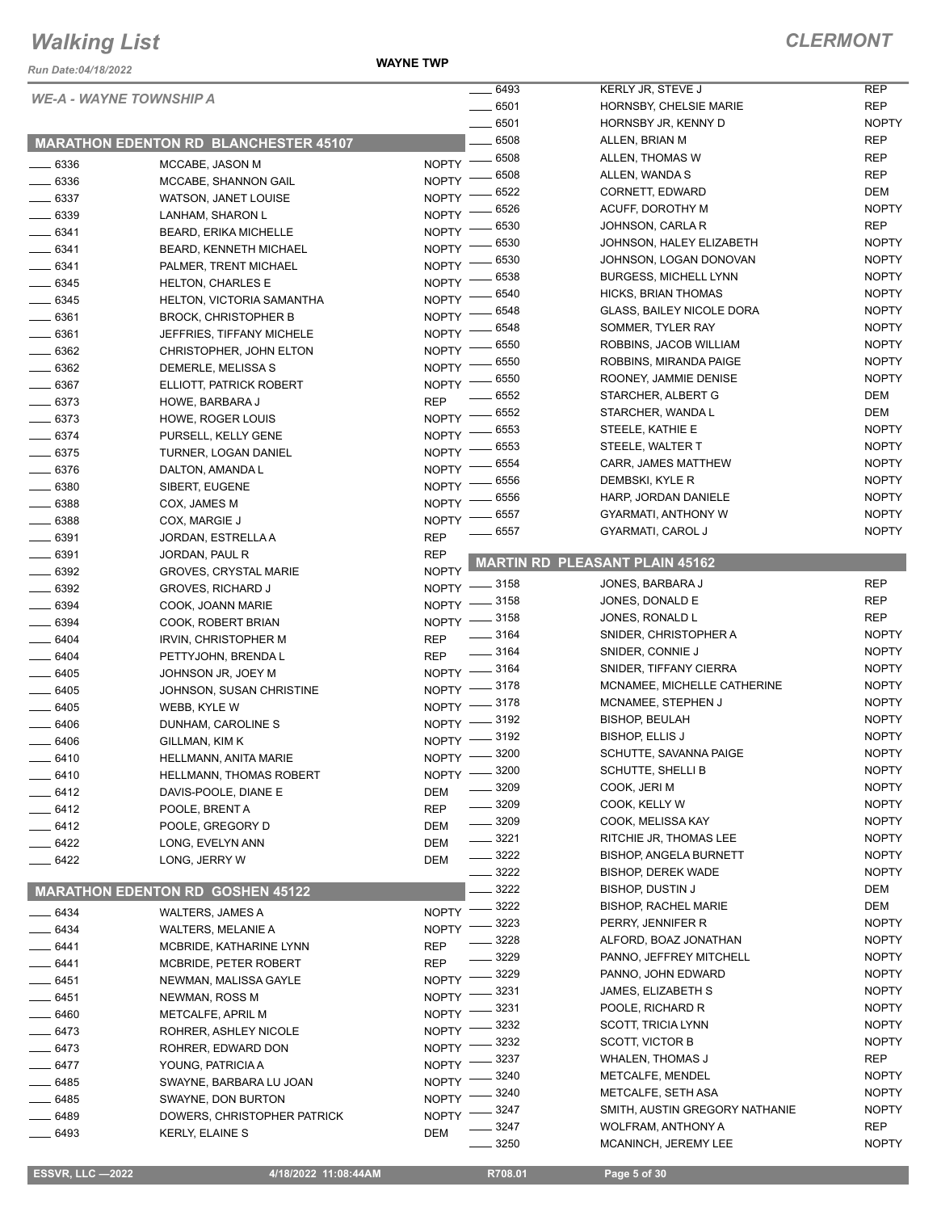**WAYNE TWP**

| <b>WE-A - WAYNE TOWNSHIP A</b> |                                              |                            | 6493<br>KERLY JR, STEVE J                                         | <b>REP</b>                 |
|--------------------------------|----------------------------------------------|----------------------------|-------------------------------------------------------------------|----------------------------|
|                                |                                              |                            | 6501<br><b>HORNSBY, CHELSIE MARIE</b>                             | <b>REP</b>                 |
|                                |                                              |                            | 6501<br>HORNSBY JR, KENNY D                                       | <b>NOPTY</b>               |
|                                | <b>MARATHON EDENTON RD BLANCHESTER 45107</b> |                            | 6508<br>ALLEN, BRIAN M                                            | <b>REP</b>                 |
| $-6336$                        | MCCABE, JASON M                              | <b>NOPTY</b>               | 6508<br>ALLEN, THOMAS W                                           | <b>REP</b>                 |
| $- 6336$                       | MCCABE, SHANNON GAIL                         | <b>NOPTY</b>               | 6508<br>ALLEN, WANDA S                                            | <b>REP</b>                 |
| $\frac{1}{2}$ 6337             | WATSON, JANET LOUISE                         | <b>NOPTY</b>               | 6522<br>CORNETT, EDWARD                                           | DEM                        |
| $- 6339$                       | LANHAM, SHARON L                             | <b>NOPTY</b>               | 6526<br>ACUFF, DOROTHY M                                          | <b>NOPTY</b>               |
| $- 6341$                       | <b>BEARD, ERIKA MICHELLE</b>                 | <b>NOPTY</b>               | 6530<br>JOHNSON, CARLA R                                          | <b>REP</b>                 |
| $-6341$                        | <b>BEARD, KENNETH MICHAEL</b>                | <b>NOPTY</b>               | 6530<br>JOHNSON, HALEY ELIZABETH                                  | <b>NOPTY</b>               |
| $- 6341$                       | PALMER, TRENT MICHAEL                        | <b>NOPTY</b>               | 6530<br>JOHNSON, LOGAN DONOVAN                                    | <b>NOPTY</b>               |
| - 6345                         | <b>HELTON, CHARLES E</b>                     | <b>NOPTY</b>               | 6538<br><b>BURGESS, MICHELL LYNN</b>                              | <b>NOPTY</b>               |
| $- 6345$                       | HELTON, VICTORIA SAMANTHA                    | <b>NOPTY</b>               | 6540<br>HICKS, BRIAN THOMAS                                       | <b>NOPTY</b>               |
| $- 6361$                       | <b>BROCK, CHRISTOPHER B</b>                  | <b>NOPTY</b>               | 6548<br><b>GLASS, BAILEY NICOLE DORA</b>                          | <b>NOPTY</b>               |
| $= 6361$                       | JEFFRIES, TIFFANY MICHELE                    | <b>NOPTY</b>               | 6548<br>SOMMER, TYLER RAY                                         | <b>NOPTY</b>               |
| 6362                           | CHRISTOPHER, JOHN ELTON                      | <b>NOPTY</b>               | 6550<br>ROBBINS, JACOB WILLIAM                                    | <b>NOPTY</b>               |
| 6362                           | DEMERLE, MELISSA S                           | <b>NOPTY</b>               | 6550<br>ROBBINS, MIRANDA PAIGE                                    | <b>NOPTY</b>               |
| _ 6367                         | ELLIOTT, PATRICK ROBERT                      | <b>NOPTY</b>               | 6550<br>ROONEY, JAMMIE DENISE                                     | <b>NOPTY</b>               |
| $-6373$                        | HOWE, BARBARA J                              | <b>REP</b>                 | 6552<br>STARCHER, ALBERT G                                        | DEM                        |
| $- 6373$                       |                                              | <b>NOPTY</b>               | 6552<br>STARCHER, WANDA L                                         | DEM                        |
| $-6374$                        | HOWE, ROGER LOUIS                            | <b>NOPTY</b>               | 6553<br>STEELE, KATHIE E                                          | <b>NOPTY</b>               |
| $-6375$                        | PURSELL, KELLY GENE                          | <b>NOPTY</b>               | 6553<br>STEELE, WALTER T                                          | <b>NOPTY</b>               |
|                                | TURNER, LOGAN DANIEL                         | <b>NOPTY</b>               | 6554<br>CARR, JAMES MATTHEW                                       | <b>NOPTY</b>               |
| $- 6376$                       | DALTON, AMANDA L                             | <b>NOPTY</b>               | 6556<br>DEMBSKI, KYLE R                                           | <b>NOPTY</b>               |
| 6380                           | SIBERT, EUGENE                               |                            | 6556<br>HARP, JORDAN DANIELE                                      | <b>NOPTY</b>               |
| - 6388                         | COX, JAMES M                                 | <b>NOPTY</b>               | 6557<br>GYARMATI, ANTHONY W                                       | <b>NOPTY</b>               |
| $- 6388$                       | COX, MARGIE J                                | <b>NOPTY</b><br><b>REP</b> | 6557<br>GYARMATI, CAROL J                                         | <b>NOPTY</b>               |
| $\frac{1}{2}6391$              | JORDAN, ESTRELLA A                           |                            |                                                                   |                            |
| $- 6391$                       | JORDAN, PAUL R                               | <b>REP</b><br><b>NOPTY</b> | <b>MARTIN RD PLEASANT PLAIN 45162</b>                             |                            |
| $- 6392$                       | <b>GROVES, CRYSTAL MARIE</b>                 | $-3158$<br><b>NOPTY</b>    | JONES, BARBARA J                                                  | <b>REP</b>                 |
| $- 6392$<br>$- 6394$           | <b>GROVES, RICHARD J</b>                     | <b>NOPTY</b>               | 3158<br>JONES, DONALD E                                           | <b>REP</b>                 |
| 6394                           | COOK, JOANN MARIE                            | <b>NOPTY</b>               | 3158<br>JONES, RONALD L                                           | <b>REP</b>                 |
| $-6404$                        | COOK, ROBERT BRIAN<br>IRVIN, CHRISTOPHER M   | <b>REP</b>                 | 3164<br>SNIDER, CHRISTOPHER A                                     | <b>NOPTY</b>               |
| 6404                           | PETTYJOHN, BRENDA L                          | <b>REP</b>                 | 3164<br>SNIDER, CONNIE J                                          | <b>NOPTY</b>               |
| $- 6405$                       | JOHNSON JR, JOEY M                           | _ 3164<br>NOPTY -          | SNIDER, TIFFANY CIERRA                                            | <b>NOPTY</b>               |
| $- 6405$                       | JOHNSON, SUSAN CHRISTINE                     | _ 3178<br>NOPTY $-$        | MCNAMEE, MICHELLE CATHERINE                                       | <b>NOPTY</b>               |
| 6405                           | WEBB, KYLE W                                 | $-3178$<br>$N$ OPTY -      | MCNAMEE, STEPHEN J                                                | <b>NOPTY</b>               |
| 6406                           | DUNHAM, CAROLINE S                           | NOPTY -                    | 3192<br><b>BISHOP, BEULAH</b>                                     | <b>NOPTY</b>               |
| 6406                           | GILLMAN, KIM K                               | NOPTY -                    | 3192<br><b>BISHOP, ELLIS J</b>                                    | <b>NOPTY</b>               |
| - 6410                         | HELLMANN, ANITA MARIE                        | <b>NOPTY</b>               | 3200<br>SCHUTTE, SAVANNA PAIGE                                    | <b>NOPTY</b>               |
| 6410                           | <b>HELLMANN, THOMAS ROBERT</b>               | $-3200$<br><b>NOPTY</b>    | SCHUTTE, SHELLI B                                                 | <b>NOPTY</b>               |
| 6412                           | DAVIS-POOLE, DIANE E                         | DEM                        | 3209<br>COOK, JERI M                                              | <b>NOPTY</b>               |
| - 6412                         | POOLE, BRENT A                               | <b>REP</b>                 | 3209<br>COOK, KELLY W                                             | <b>NOPTY</b>               |
| 6412                           | POOLE, GREGORY D                             | DEM                        | 3209<br>COOK, MELISSA KAY                                         | <b>NOPTY</b>               |
| - 6422                         | LONG, EVELYN ANN                             | DEM                        | 3221<br>RITCHIE JR, THOMAS LEE                                    | <b>NOPTY</b>               |
| - 6422                         | LONG, JERRY W                                | <b>DEM</b>                 | 3222<br><b>BISHOP, ANGELA BURNETT</b>                             | <b>NOPTY</b>               |
|                                |                                              |                            | 3222<br><b>BISHOP, DEREK WADE</b>                                 | <b>NOPTY</b>               |
|                                | <b>MARATHON EDENTON RD GOSHEN 45122</b>      |                            | 3222<br><b>BISHOP, DUSTIN J</b>                                   | DEM                        |
|                                |                                              | <b>NOPTY</b>               | 3222<br><b>BISHOP, RACHEL MARIE</b>                               | DEM                        |
| 6434                           | <b>WALTERS, JAMES A</b>                      |                            | 3223<br>PERRY, JENNIFER R                                         | <b>NOPTY</b>               |
| 6434                           | <b>WALTERS, MELANIE A</b>                    | <b>NOPTY</b>               | 3228<br>ALFORD, BOAZ JONATHAN                                     | <b>NOPTY</b>               |
| 6441                           | MCBRIDE, KATHARINE LYNN                      | <b>REP</b>                 | 3229<br>PANNO, JEFFREY MITCHELL                                   | <b>NOPTY</b>               |
| 6441                           | <b>MCBRIDE, PETER ROBERT</b>                 | <b>REP</b>                 | 3229<br>PANNO, JOHN EDWARD                                        | <b>NOPTY</b>               |
| - 6451                         | NEWMAN, MALISSA GAYLE                        | <b>NOPTY</b>               | 3231<br>JAMES, ELIZABETH S                                        | <b>NOPTY</b>               |
| _ 6451                         | NEWMAN, ROSS M                               | <b>NOPTY</b>               | 3231<br>POOLE, RICHARD R                                          | <b>NOPTY</b>               |
| 6460                           | METCALFE, APRIL M                            | <b>NOPTY</b>               | 3232<br>SCOTT, TRICIA LYNN                                        | <b>NOPTY</b>               |
| 6473                           | ROHRER, ASHLEY NICOLE                        | <b>NOPTY</b>               | 3232<br>SCOTT, VICTOR B                                           | <b>NOPTY</b>               |
| 6473                           | ROHRER, EDWARD DON                           | <b>NOPTY</b>               | 3237<br><b>WHALEN, THOMAS J</b>                                   | <b>REP</b>                 |
| 6477                           | YOUNG, PATRICIA A                            | <b>NOPTY</b>               | 3240<br>METCALFE, MENDEL                                          | <b>NOPTY</b>               |
| 6485                           | SWAYNE, BARBARA LU JOAN                      | <b>NOPTY</b>               | 3240<br><b>METCALFE, SETH ASA</b>                                 | <b>NOPTY</b>               |
| - 6485                         | SWAYNE, DON BURTON                           | <b>NOPTY</b>               | 3247<br>SMITH, AUSTIN GREGORY NATHANIE                            | <b>NOPTY</b>               |
| - 6489                         | DOWERS, CHRISTOPHER PATRICK                  | <b>NOPTY</b>               |                                                                   |                            |
|                                |                                              |                            |                                                                   |                            |
| $-6493$                        | <b>KERLY, ELAINE S</b>                       | DEM                        | 3247<br><b>WOLFRAM, ANTHONY A</b><br>3250<br>MCANINCH, JEREMY LEE | <b>REP</b><br><b>NOPTY</b> |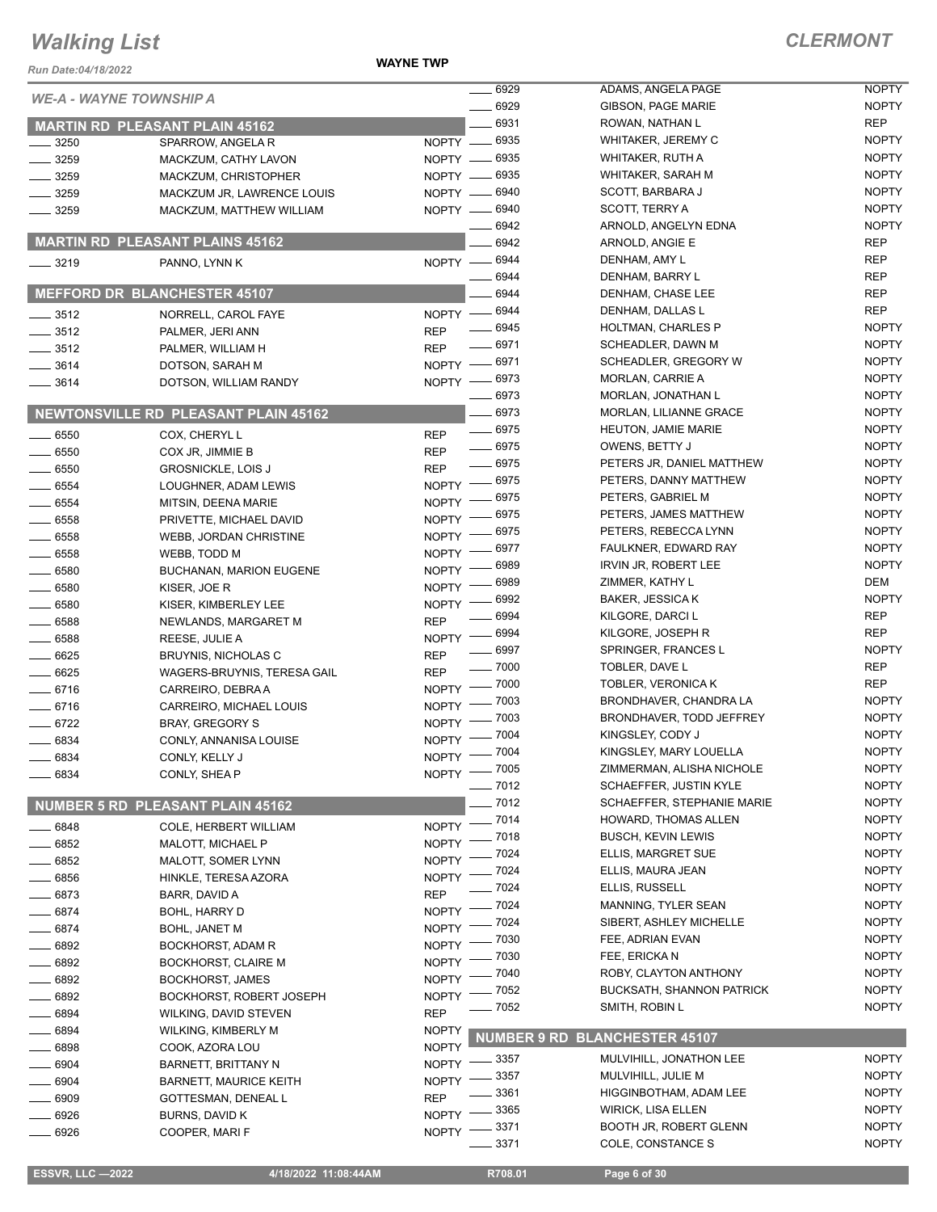**WAYNE TWP**

| Run Date:04/18/2022 |                                             | <b>WAYNE TWP</b> |                    |                                  |              |
|---------------------|---------------------------------------------|------------------|--------------------|----------------------------------|--------------|
|                     | <b>WE-A - WAYNE TOWNSHIP A</b>              |                  | 6929               | ADAMS, ANGELA PAGE               | <b>NOPTY</b> |
|                     |                                             |                  | 6929               | GIBSON, PAGE MARIE               | <b>NOPTY</b> |
|                     | <b>MARTIN RD PLEASANT PLAIN 45162</b>       |                  | 6931               | ROWAN, NATHAN L                  | <b>REP</b>   |
| 3250                | SPARROW, ANGELA R                           |                  | NOPTY - 6935       | WHITAKER, JEREMY C               | <b>NOPTY</b> |
| $-3259$             | MACKZUM, CATHY LAVON                        |                  | NOPTY -6935        | WHITAKER, RUTH A                 | <b>NOPTY</b> |
| $-3259$             | MACKZUM, CHRISTOPHER                        |                  | NOPTY - 6935       | WHITAKER, SARAH M                | <b>NOPTY</b> |
| $-3259$             | MACKZUM JR, LAWRENCE LOUIS                  |                  | NOPTY -6940        | SCOTT, BARBARA J                 | <b>NOPTY</b> |
| $- 3259$            | MACKZUM, MATTHEW WILLIAM                    |                  | NOPTY - 6940       | SCOTT, TERRY A                   | <b>NOPTY</b> |
|                     |                                             |                  | 6942               | ARNOLD, ANGELYN EDNA             | <b>NOPTY</b> |
|                     | <b>MARTIN RD PLEASANT PLAINS 45162</b>      |                  | 6942               | ARNOLD, ANGIE E                  | <b>REP</b>   |
| $- 3219$            | PANNO, LYNN K                               |                  | NOPTY - 6944       | DENHAM, AMY L                    | <b>REP</b>   |
|                     |                                             |                  | $-6944$            | DENHAM, BARRY L                  | <b>REP</b>   |
|                     | <b>MEFFORD DR BLANCHESTER 45107</b>         |                  | 6944               | DENHAM, CHASE LEE                | <b>REP</b>   |
| $\frac{1}{2}$ 3512  | NORRELL, CAROL FAYE                         |                  | NOPTY -8944        | DENHAM, DALLAS L                 | <b>REP</b>   |
| $\frac{1}{2}$ 3512  | PALMER, JERI ANN                            | <b>REP</b>       | $- 6945$           | <b>HOLTMAN, CHARLES P</b>        | <b>NOPTY</b> |
| $\frac{1}{2}$ 3512  | PALMER, WILLIAM H                           | <b>REP</b>       | 6971               | SCHEADLER, DAWN M                | <b>NOPTY</b> |
| $\frac{1}{2}$ 3614  | DOTSON, SARAH M                             |                  | NOPTY -8971        | SCHEADLER, GREGORY W             | <b>NOPTY</b> |
| $- 3614$            | DOTSON, WILLIAM RANDY                       |                  | NOPTY -8973        | <b>MORLAN, CARRIE A</b>          | <b>NOPTY</b> |
|                     |                                             |                  | _ 6973             | MORLAN, JONATHAN L               | <b>NOPTY</b> |
|                     | <b>NEWTONSVILLE RD PLEASANT PLAIN 45162</b> |                  | $-6973$            | <b>MORLAN, LILIANNE GRACE</b>    | <b>NOPTY</b> |
| $\frac{1}{2}$ 6550  | COX, CHERYL L                               | <b>REP</b>       | $- 6975$           | <b>HEUTON, JAMIE MARIE</b>       | <b>NOPTY</b> |
| $- 6550$            | COX JR, JIMMIE B                            | <b>REP</b>       | $- 6975$           | OWENS, BETTY J                   | <b>NOPTY</b> |
| $\frac{1}{2}$ 6550  | <b>GROSNICKLE, LOIS J</b>                   | <b>REP</b>       | $- 6975$           | PETERS JR, DANIEL MATTHEW        | <b>NOPTY</b> |
| $- 6554$            | LOUGHNER, ADAM LEWIS                        | NOPTY $-$        | $-6975$            | PETERS, DANNY MATTHEW            | <b>NOPTY</b> |
| 6554                | MITSIN, DEENA MARIE                         | NOPTY -          | $-6975$            | PETERS, GABRIEL M                | <b>NOPTY</b> |
| $\frac{1}{2}$ 6558  | PRIVETTE, MICHAEL DAVID                     | NOPTY -          | 6975               | PETERS, JAMES MATTHEW            | <b>NOPTY</b> |
| $- 6558$            | WEBB, JORDAN CHRISTINE                      | $NOPTY =$        | 6975               | PETERS, REBECCA LYNN             | <b>NOPTY</b> |
| $\frac{1}{2}$ 6558  | WEBB, TODD M                                | $N$ OPTY $-$     | 6977               | FAULKNER, EDWARD RAY             | <b>NOPTY</b> |
| $- 6580$            | <b>BUCHANAN, MARION EUGENE</b>              | NOPTY -          | 6989               | <b>IRVIN JR, ROBERT LEE</b>      | <b>NOPTY</b> |
| 6580                | KISER, JOE R                                | NOPTY -          | 6989               | ZIMMER, KATHY L                  | DEM          |
| $- 6580$            | KISER, KIMBERLEY LEE                        | <b>NOPTY</b>     | 6992               | <b>BAKER, JESSICA K</b>          | <b>NOPTY</b> |
| $\frac{1}{2}$ 6588  | NEWLANDS, MARGARET M                        | <b>REP</b>       | 6994               | KILGORE, DARCI L                 | <b>REP</b>   |
| $\frac{1}{2}$ 6588  | REESE, JULIE A                              | $NOPTY =$        | 6994               | KILGORE, JOSEPH R                | <b>REP</b>   |
| $- 6625$            | <b>BRUYNIS, NICHOLAS C</b>                  | <b>REP</b>       | ____ 6997          | SPRINGER, FRANCES L              | <b>NOPTY</b> |
| 6625                | WAGERS-BRUYNIS, TERESA GAIL                 | <b>REP</b>       | $- 7000$           | TOBLER, DAVE L                   | <b>REP</b>   |
| $- 6716$            | CARREIRO, DEBRA A                           | $NOPTY =$        | $-7000$            | TOBLER, VERONICA K               | <b>REP</b>   |
| $- 6716$            | CARREIRO, MICHAEL LOUIS                     | <b>NOPTY</b>     | - 7003             | BRONDHAVER, CHANDRA LA           | <b>NOPTY</b> |
| $-6722$             | <b>BRAY, GREGORY S</b>                      | <b>NOPTY</b>     | 7003               | BRONDHAVER, TODD JEFFREY         | <b>NOPTY</b> |
| 6834                | CONLY, ANNANISA LOUISE                      |                  | NOPTY - 7004       | KINGSLEY, CODY J                 | <b>NOPTY</b> |
| 6834                | CONLY, KELLY J                              |                  | NOPTY - 7004       | KINGSLEY, MARY LOUELLA           | <b>NOPTY</b> |
| 6834                | CONLY, SHEA P                               | NOPTY -          | $-7005$            | ZIMMERMAN, ALISHA NICHOLE        | <b>NOPTY</b> |
|                     |                                             |                  | $- 7012$           | SCHAEFFER, JUSTIN KYLE           | <b>NOPTY</b> |
|                     | NUMBER 5 RD PLEASANT PLAIN 45162            |                  | $-7012$            | SCHAEFFER, STEPHANIE MARIE       | <b>NOPTY</b> |
| $-6848$             | COLE, HERBERT WILLIAM                       | <b>NOPTY</b>     | $-7014$            | HOWARD, THOMAS ALLEN             | <b>NOPTY</b> |
| 6852                | MALOTT, MICHAEL P                           | <b>NOPTY</b>     | $-7018$            | <b>BUSCH, KEVIN LEWIS</b>        | <b>NOPTY</b> |
| 6852                | MALOTT, SOMER LYNN                          | <b>NOPTY</b>     | .7024              | ELLIS, MARGRET SUE               | <b>NOPTY</b> |
| $- 6856$            | HINKLE, TERESA AZORA                        | NOPTY -          | - 7024             | ELLIS, MAURA JEAN                | <b>NOPTY</b> |
| 6873                | BARR, DAVID A                               | <b>REP</b>       | $-7024$            | ELLIS, RUSSELL                   | <b>NOPTY</b> |
| $-6874$             | <b>BOHL, HARRY D</b>                        | <b>NOPTY</b>     | _ 7024             | MANNING, TYLER SEAN              | <b>NOPTY</b> |
| $-6874$             | <b>BOHL, JANET M</b>                        | <b>NOPTY</b>     | . 7024             | SIBERT, ASHLEY MICHELLE          | <b>NOPTY</b> |
| 6892                | BOCKHORST, ADAM R                           | <b>NOPTY</b>     | 7030               | FEE, ADRIAN EVAN                 | <b>NOPTY</b> |
| 6892                | <b>BOCKHORST, CLAIRE M</b>                  | <b>NOPTY</b>     | 7030               | FEE, ERICKA N                    | <b>NOPTY</b> |
| 6892                | <b>BOCKHORST, JAMES</b>                     | <b>NOPTY</b>     | 7040               | ROBY, CLAYTON ANTHONY            | <b>NOPTY</b> |
| 6892                | BOCKHORST, ROBERT JOSEPH                    | <b>NOPTY</b>     | 7052               | <b>BUCKSATH, SHANNON PATRICK</b> | <b>NOPTY</b> |
| 6894                | WILKING, DAVID STEVEN                       | <b>REP</b>       | .7052              | SMITH, ROBIN L                   | <b>NOPTY</b> |
| 6894                | WILKING, KIMBERLY M                         | <b>NOPTY</b>     |                    |                                  |              |
| $-6898$             | COOK, AZORA LOU                             | <b>NOPTY</b>     | <b>NUMBER 9 RD</b> | <b>BLANCHESTER 45107</b>         |              |
| 6904                | BARNETT, BRITTANY N                         | <b>NOPTY</b>     | _ 3357             | MULVIHILL, JONATHON LEE          | <b>NOPTY</b> |
| 6904                | <b>BARNETT, MAURICE KEITH</b>               | <b>NOPTY</b>     | _ 3357             | MULVIHILL, JULIE M               | <b>NOPTY</b> |
| 6909                | GOTTESMAN, DENEAL L                         | <b>REP</b>       | 3361               | HIGGINBOTHAM, ADAM LEE           | <b>NOPTY</b> |
| 6926                | BURNS, DAVID K                              | NOPTY $-$        | - 3365             | <b>WIRICK, LISA ELLEN</b>        | <b>NOPTY</b> |
| 6926                | COOPER, MARI F                              | NOPTY -          | 3371               | <b>BOOTH JR, ROBERT GLENN</b>    | <b>NOPTY</b> |
|                     |                                             |                  | $- 3371$           | COLE, CONSTANCE S                | <b>NOPTY</b> |
|                     |                                             |                  |                    |                                  |              |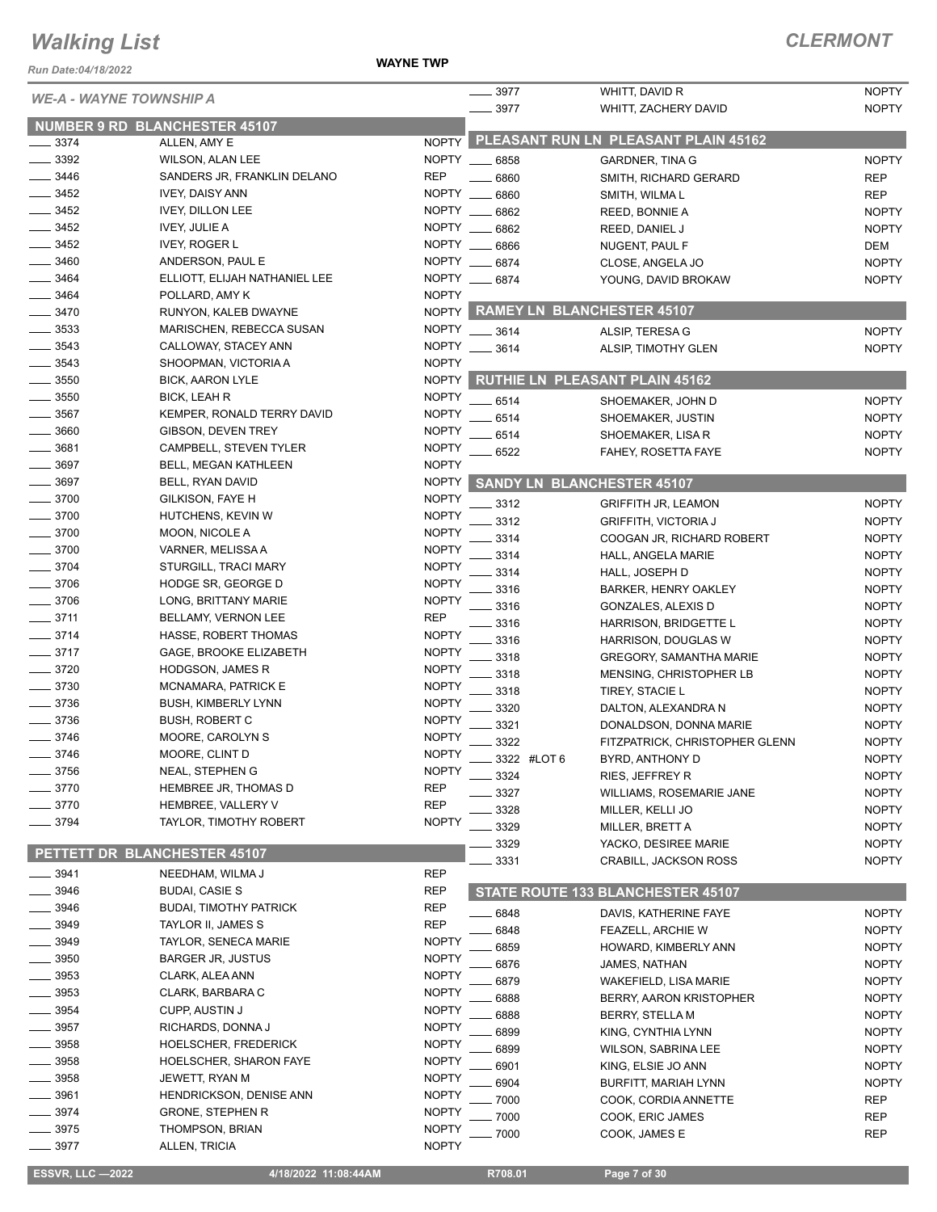**WAYNE TWP**

| Run Date:04/18/2022            |                                           | <b>WAYNE TWP</b>             |               |                                                   |                              |
|--------------------------------|-------------------------------------------|------------------------------|---------------|---------------------------------------------------|------------------------------|
| <b>WE-A - WAYNE TOWNSHIP A</b> |                                           |                              | 3977          | WHITT, DAVID R                                    | <b>NOPTY</b>                 |
|                                |                                           |                              | .3977         | WHITT, ZACHERY DAVID                              | <b>NOPTY</b>                 |
|                                | <b>NUMBER 9 RD BLANCHESTER 45107</b>      |                              |               | PLEASANT RUN LN PLEASANT PLAIN 45162              |                              |
| $-3374$<br>3392                | ALLEN, AMY E<br>WILSON, ALAN LEE          | <b>NOPTY</b><br><b>NOPTY</b> | $- 6858$      | GARDNER, TINA G                                   | <b>NOPTY</b>                 |
| 3446                           | SANDERS JR, FRANKLIN DELANO               | <b>REP</b>                   | 6860          | SMITH, RICHARD GERARD                             | <b>REP</b>                   |
| $-3452$                        | <b>IVEY, DAISY ANN</b>                    | <b>NOPTY</b>                 | 6860          | SMITH, WILMAL                                     | <b>REP</b>                   |
| 3452                           | <b>IVEY, DILLON LEE</b>                   | NOPTY _                      | 6862          | REED, BONNIE A                                    | <b>NOPTY</b>                 |
| 3452                           | <b>IVEY, JULIE A</b>                      | NOPTY                        | 6862          | REED, DANIEL J                                    | <b>NOPTY</b>                 |
| 3452                           | <b>IVEY, ROGER L</b>                      | NOPTY __                     | 6866          | NUGENT, PAUL F                                    | DEM                          |
| 3460                           | ANDERSON, PAUL E                          | <b>NOPTY</b>                 | 6874          | CLOSE, ANGELA JO                                  | <b>NOPTY</b>                 |
| 3464                           | ELLIOTT, ELIJAH NATHANIEL LEE             |                              | NOPTY __ 6874 | YOUNG, DAVID BROKAW                               | <b>NOPTY</b>                 |
| 3464                           | POLLARD, AMY K                            | <b>NOPTY</b>                 |               |                                                   |                              |
| 3470                           | RUNYON, KALEB DWAYNE                      |                              |               | NOPTY RAMEY LN BLANCHESTER 45107                  |                              |
| 3533                           | MARISCHEN, REBECCA SUSAN                  | <b>NOPTY</b>                 | . 3614        | ALSIP, TERESA G                                   | <b>NOPTY</b>                 |
| 3543                           | CALLOWAY, STACEY ANN                      | <b>NOPTY</b>                 | $-3614$       | ALSIP, TIMOTHY GLEN                               | <b>NOPTY</b>                 |
| $-3543$                        | SHOOPMAN, VICTORIA A                      | <b>NOPTY</b>                 |               |                                                   |                              |
| 3550                           | <b>BICK, AARON LYLE</b>                   | <b>NOPTY</b>                 |               | <b>RUTHIE LN PLEASANT PLAIN 45162</b>             |                              |
| 3550                           | <b>BICK, LEAH R</b>                       | <b>NOPTY</b>                 | 6514          | SHOEMAKER, JOHN D                                 | <b>NOPTY</b>                 |
| 3567                           | KEMPER, RONALD TERRY DAVID                | <b>NOPTY</b>                 | 6514          | SHOEMAKER, JUSTIN                                 | <b>NOPTY</b>                 |
| 3660                           | GIBSON, DEVEN TREY                        | <b>NOPTY</b>                 | 6514          | SHOEMAKER, LISA R                                 | <b>NOPTY</b>                 |
| 3681                           | CAMPBELL, STEVEN TYLER                    | <b>NOPTY</b>                 | 6522          | FAHEY, ROSETTA FAYE                               | <b>NOPTY</b>                 |
| 3697                           | BELL, MEGAN KATHLEEN                      | <b>NOPTY</b>                 |               |                                                   |                              |
| 3697<br>3700                   | BELL, RYAN DAVID<br>GILKISON, FAYE H      | <b>NOPTY</b><br><b>NOPTY</b> |               | <b>SANDY LN BLANCHESTER 45107</b>                 |                              |
| $-3700$                        | HUTCHENS, KEVIN W                         | <b>NOPTY</b>                 | 3312          | <b>GRIFFITH JR, LEAMON</b>                        | <b>NOPTY</b>                 |
| $-3700$                        | MOON, NICOLE A                            | <b>NOPTY</b>                 | 3312          | <b>GRIFFITH, VICTORIA J</b>                       | <b>NOPTY</b>                 |
| 3700                           | VARNER, MELISSA A                         | <b>NOPTY</b>                 | 3314          | COOGAN JR, RICHARD ROBERT                         | <b>NOPTY</b>                 |
| 3704                           | STURGILL, TRACI MARY                      | <b>NOPTY</b>                 | 3314          | HALL, ANGELA MARIE                                | <b>NOPTY</b>                 |
| 3706                           | HODGE SR, GEORGE D                        | <b>NOPTY</b>                 | 3314          | HALL, JOSEPH D                                    | <b>NOPTY</b>                 |
| 3706                           | LONG, BRITTANY MARIE                      | <b>NOPTY</b>                 | 3316<br>3316  | <b>BARKER, HENRY OAKLEY</b><br>GONZALES, ALEXIS D | <b>NOPTY</b><br><b>NOPTY</b> |
| 3711                           | BELLAMY, VERNON LEE                       | <b>REP</b>                   | 3316          | HARRISON, BRIDGETTE L                             | <b>NOPTY</b>                 |
| 3714                           | HASSE, ROBERT THOMAS                      | <b>NOPTY</b>                 | 3316          | HARRISON, DOUGLAS W                               | <b>NOPTY</b>                 |
| $-3717$                        | GAGE, BROOKE ELIZABETH                    | <b>NOPTY</b>                 | 3318          | <b>GREGORY, SAMANTHA MARIE</b>                    | <b>NOPTY</b>                 |
| 3720                           | <b>HODGSON, JAMES R</b>                   | <b>NOPTY</b>                 | 3318          | MENSING, CHRISTOPHER LB                           | <b>NOPTY</b>                 |
| 3730                           | MCNAMARA, PATRICK E                       | <b>NOPTY</b>                 | 3318          | TIREY, STACIE L                                   | <b>NOPTY</b>                 |
| $= 3736$                       | <b>BUSH, KIMBERLY LYNN</b>                | <b>NOPTY</b>                 | 3320          | DALTON, ALEXANDRA N                               | <b>NOPTY</b>                 |
| 3736                           | <b>BUSH, ROBERT C</b>                     | <b>NOPTY</b>                 | 3321          | DONALDSON, DONNA MARIE                            | <b>NOPTY</b>                 |
| 3746                           | MOORE, CAROLYN S                          | <b>NOPTY</b>                 | 3322          | FITZPATRICK, CHRISTOPHER GLENN                    | <b>NOPTY</b>                 |
| 3746                           | MOORE, CLINT D                            | <b>NOPTY</b>                 | 3322 #LOT 6   | BYRD, ANTHONY D                                   | <b>NOPTY</b>                 |
| 3756                           | NEAL, STEPHEN G                           | <b>NOPTY</b>                 | 3324          | <b>RIES, JEFFREY R</b>                            | <b>NOPTY</b>                 |
| 3770                           | HEMBREE JR, THOMAS D                      | <b>REP</b>                   | 3327          | WILLIAMS, ROSEMARIE JANE                          | <b>NOPTY</b>                 |
| 3770                           | HEMBREE, VALLERY V                        | <b>REP</b>                   | 3328          | MILLER, KELLI JO                                  | <b>NOPTY</b>                 |
| 3794                           | <b>TAYLOR, TIMOTHY ROBERT</b>             | <b>NOPTY</b>                 | 3329          | MILLER, BRETT A                                   | <b>NOPTY</b>                 |
| PETTETT DR BLANCHESTER 45107   |                                           |                              | 3329          | YACKO, DESIREE MARIE                              | <b>NOPTY</b>                 |
|                                |                                           |                              | 3331          | CRABILL, JACKSON ROSS                             | <b>NOPTY</b>                 |
| 3941<br>3946                   | NEEDHAM, WILMA J<br><b>BUDAI, CASIE S</b> | <b>REP</b><br><b>REP</b>     |               |                                                   |                              |
| 3946                           | <b>BUDAI, TIMOTHY PATRICK</b>             | <b>REP</b>                   |               | STATE ROUTE 133 BLANCHESTER 45107                 |                              |
| 3949                           | TAYLOR II, JAMES S                        | <b>REP</b>                   | 6848          | DAVIS, KATHERINE FAYE                             | <b>NOPTY</b>                 |
| 3949                           | TAYLOR, SENECA MARIE                      | <b>NOPTY</b>                 | 6848          | <b>FEAZELL, ARCHIE W</b>                          | <b>NOPTY</b>                 |
| 3950                           | <b>BARGER JR, JUSTUS</b>                  | <b>NOPTY</b>                 | 6859          | HOWARD, KIMBERLY ANN                              | <b>NOPTY</b>                 |
| 3953                           | CLARK, ALEA ANN                           | <b>NOPTY</b>                 | 6876          | JAMES, NATHAN                                     | <b>NOPTY</b>                 |
| 3953                           | CLARK, BARBARA C                          | <b>NOPTY</b>                 | 6879          | WAKEFIELD, LISA MARIE                             | <b>NOPTY</b>                 |
| 3954                           | <b>CUPP, AUSTIN J</b>                     | <b>NOPTY</b>                 | 6888<br>6888  | BERRY, AARON KRISTOPHER<br><b>BERRY, STELLA M</b> | <b>NOPTY</b><br><b>NOPTY</b> |
| 3957                           | RICHARDS, DONNA J                         | <b>NOPTY</b>                 | 6899          | KING, CYNTHIA LYNN                                | <b>NOPTY</b>                 |
| 3958                           | HOELSCHER, FREDERICK                      | <b>NOPTY</b>                 | 6899          | <b>WILSON, SABRINA LEE</b>                        | <b>NOPTY</b>                 |
| 3958                           | <b>HOELSCHER, SHARON FAYE</b>             | <b>NOPTY</b>                 | 6901          | KING, ELSIE JO ANN                                | <b>NOPTY</b>                 |
| 3958                           | JEWETT, RYAN M                            | <b>NOPTY</b>                 | 6904          | <b>BURFITT, MARIAH LYNN</b>                       | <b>NOPTY</b>                 |
| 3961                           | <b>HENDRICKSON, DENISE ANN</b>            | <b>NOPTY</b>                 | 7000          | COOK, CORDIA ANNETTE                              | <b>REP</b>                   |
| 3974                           | <b>GRONE, STEPHEN R</b>                   | <b>NOPTY</b>                 | 7000          | COOK, ERIC JAMES                                  | <b>REP</b>                   |
| 3975                           | THOMPSON, BRIAN                           | <b>NOPTY</b>                 | 7000          | COOK, JAMES E                                     | <b>REP</b>                   |
| $-3977$                        | ALLEN, TRICIA                             | <b>NOPTY</b>                 |               |                                                   |                              |
| <b>ESSVR, LLC -2022</b>        | 4/18/2022 11:08:44AM                      |                              | R708.01       | Page 7 of 30                                      |                              |
|                                |                                           |                              |               |                                                   |                              |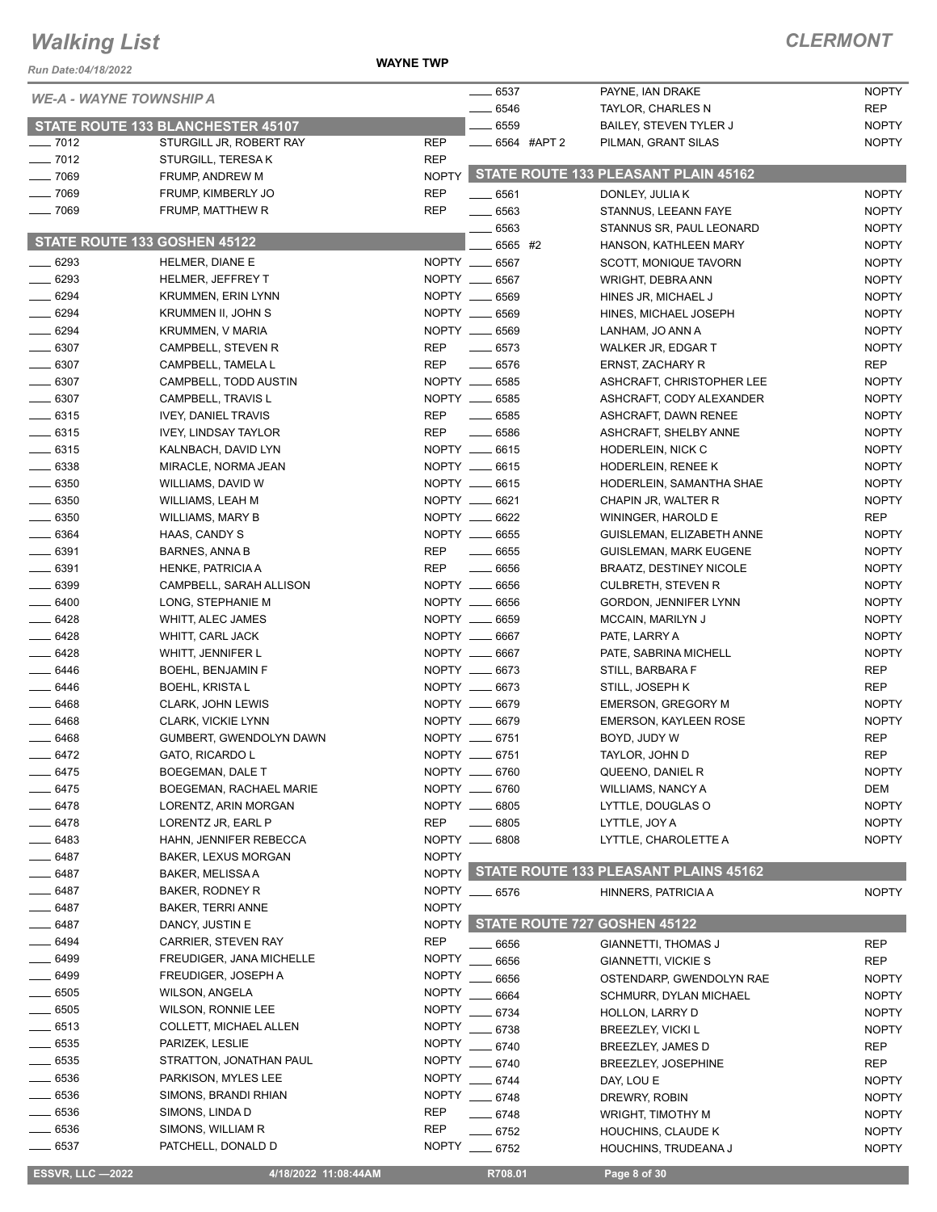#### *Run Date:04/18/2022*

**WAYNE TWP**

| KUII DAIE.04/10/ZUZZ<br><b>WE-A - WAYNE TOWNSHIP A</b> |                                                              |              | $- 6537$              | PAYNE, IAN DRAKE                                | <b>NOPTY</b>                 |
|--------------------------------------------------------|--------------------------------------------------------------|--------------|-----------------------|-------------------------------------------------|------------------------------|
|                                                        |                                                              |              | 6546<br>6559          | TAYLOR, CHARLES N                               | REP                          |
| $- 7012$                                               | STATE ROUTE 133 BLANCHESTER 45107<br>STURGILL JR, ROBERT RAY | <b>REP</b>   | 6564 #APT 2           | BAILEY, STEVEN TYLER J<br>PILMAN, GRANT SILAS   | <b>NOPTY</b><br><b>NOPTY</b> |
| $- 7012$                                               | STURGILL, TERESA K                                           | <b>REP</b>   |                       |                                                 |                              |
| $- 7069$                                               | FRUMP, ANDREW M                                              | <b>NOPTY</b> |                       | STATE ROUTE 133 PLEASANT PLAIN 45162            |                              |
| $- 7069$                                               | FRUMP, KIMBERLY JO                                           | <b>REP</b>   | $- 6561$              | DONLEY, JULIA K                                 | <b>NOPTY</b>                 |
| $- 7069$                                               | FRUMP, MATTHEW R                                             | <b>REP</b>   | $- 6563$              | STANNUS, LEEANN FAYE                            | <b>NOPTY</b>                 |
|                                                        |                                                              |              | 6563                  | STANNUS SR, PAUL LEONARD                        | <b>NOPTY</b>                 |
| STATE ROUTE 133 GOSHEN 45122                           |                                                              |              | 6565 #2               | HANSON, KATHLEEN MARY                           | <b>NOPTY</b>                 |
| $- 6293$                                               | HELMER, DIANE E                                              |              | NOPTY __ 6567         | SCOTT, MONIQUE TAVORN                           | <b>NOPTY</b>                 |
| $- 6293$                                               | HELMER, JEFFREY T                                            |              | NOPTY __ 6567         | WRIGHT, DEBRA ANN                               | <b>NOPTY</b>                 |
| $- 6294$                                               | <b>KRUMMEN, ERIN LYNN</b>                                    |              | NOPTY __ 6569         | HINES JR, MICHAEL J                             | <b>NOPTY</b>                 |
| 6294                                                   | KRUMMEN II, JOHN S                                           |              | NOPTY __ 6569         | HINES, MICHAEL JOSEPH                           | <b>NOPTY</b>                 |
| $- 6294$                                               | KRUMMEN, V MARIA                                             |              | NOPTY __ 6569         | LANHAM, JO ANN A                                | <b>NOPTY</b>                 |
| $- 6307$                                               | CAMPBELL, STEVEN R                                           | <b>REP</b>   | $- 6573$              | WALKER JR, EDGAR T                              | <b>NOPTY</b>                 |
| $\frac{1}{2}$ 6307                                     | CAMPBELL, TAMELA L                                           | <b>REP</b>   | $- 6576$              | ERNST, ZACHARY R                                | REP                          |
| $- 6307$                                               | CAMPBELL, TODD AUSTIN                                        |              | NOPTY __ 6585         | ASHCRAFT, CHRISTOPHER LEE                       | <b>NOPTY</b>                 |
| $-6307$                                                | CAMPBELL, TRAVIS L                                           |              | NOPTY __ 6585         | ASHCRAFT, CODY ALEXANDER                        | <b>NOPTY</b>                 |
| $- 6315$                                               | <b>IVEY, DANIEL TRAVIS</b>                                   | <b>REP</b>   | $\frac{1}{2}$ 6585    | ASHCRAFT, DAWN RENEE                            | <b>NOPTY</b>                 |
| $- 6315$                                               | <b>IVEY, LINDSAY TAYLOR</b>                                  | <b>REP</b>   | $- 6586$              | ASHCRAFT, SHELBY ANNE                           | <b>NOPTY</b>                 |
| $\frac{1}{2}$ 6315                                     | KALNBACH, DAVID LYN                                          |              | NOPTY __ 6615         | HODERLEIN, NICK C                               | <b>NOPTY</b>                 |
| $- 6338$                                               | MIRACLE, NORMA JEAN                                          |              | NOPTY __ 6615         | HODERLEIN, RENEE K                              | <b>NOPTY</b>                 |
| .6350                                                  | WILLIAMS, DAVID W                                            |              | NOPTY __ 6615         | HODERLEIN, SAMANTHA SHAE                        | <b>NOPTY</b>                 |
| $\frac{1}{2}$ 6350                                     | WILLIAMS, LEAH M                                             |              | NOPTY __ 6621         | CHAPIN JR, WALTER R                             | <b>NOPTY</b>                 |
| $- 6350$                                               | WILLIAMS, MARY B                                             |              | NOPTY __ 6622         | WININGER, HAROLD E                              | <b>REP</b>                   |
| $\frac{1}{2}$ 6364                                     | HAAS, CANDY S                                                |              | NOPTY __ 6655         | GUISLEMAN, ELIZABETH ANNE                       | <b>NOPTY</b>                 |
| $- 6391$                                               | <b>BARNES, ANNA B</b>                                        | <b>REP</b>   | $- 6655$              | <b>GUISLEMAN, MARK EUGENE</b>                   | <b>NOPTY</b>                 |
| 6391                                                   | HENKE, PATRICIA A                                            | <b>REP</b>   | 6656                  | <b>BRAATZ, DESTINEY NICOLE</b>                  | <b>NOPTY</b>                 |
| $\frac{1}{2}$ 6399                                     | CAMPBELL, SARAH ALLISON                                      |              | NOPTY __ 6656         | <b>CULBRETH, STEVEN R</b>                       | <b>NOPTY</b>                 |
| $-6400$                                                | LONG, STEPHANIE M                                            |              | NOPTY __ 6656         | GORDON, JENNIFER LYNN                           | <b>NOPTY</b>                 |
| $- 6428$                                               | WHITT, ALEC JAMES                                            |              | NOPTY __ 6659         | <b>MCCAIN, MARILYN J</b>                        | <b>NOPTY</b>                 |
| $- 6428$                                               | WHITT, CARL JACK                                             |              | NOPTY __ 6667         | PATE, LARRY A                                   | <b>NOPTY</b>                 |
| 6428                                                   | WHITT, JENNIFER L                                            |              | NOPTY __ 6667         | PATE, SABRINA MICHELL                           | <b>NOPTY</b>                 |
| $-6446$                                                | <b>BOEHL, BENJAMIN F</b>                                     |              | NOPTY __ 6673         | STILL, BARBARA F                                | <b>REP</b>                   |
| $- 6446$                                               | <b>BOEHL, KRISTA L</b>                                       |              | NOPTY __ 6673         | STILL, JOSEPH K                                 | <b>REP</b>                   |
| $-6468$                                                | CLARK, JOHN LEWIS                                            |              | NOPTY __ 6679         | <b>EMERSON, GREGORY M</b>                       | <b>NOPTY</b>                 |
| $- 6468$                                               | <b>CLARK, VICKIE LYNN</b>                                    |              | NOPTY __ 6679         | <b>EMERSON, KAYLEEN ROSE</b>                    | <b>NOPTY</b>                 |
| 6468                                                   | GUMBERT, GWENDOLYN DAWN                                      |              | NOPTY __ 6751         | BOYD, JUDY W                                    | <b>REP</b>                   |
| 6472                                                   | GATO, RICARDO L                                              | NOPTY __     | 6751                  | TAYLOR, JOHN D                                  | <b>REP</b>                   |
| _ 6475                                                 | <b>BOEGEMAN, DALE T</b>                                      |              | NOPTY __ 6760         | QUEENO, DANIEL R                                | <b>NOPTY</b>                 |
| $-6475$                                                | BOEGEMAN, RACHAEL MARIE                                      |              | NOPTY __ 6760         | <b>WILLIAMS, NANCY A</b>                        | DEM                          |
| - 6478                                                 | LORENTZ, ARIN MORGAN                                         |              | NOPTY __ 6805         | LYTTLE, DOUGLAS O                               | <b>NOPTY</b>                 |
| 6478                                                   | LORENTZ JR, EARL P                                           | <b>REP</b>   | 6805                  | LYTTLE, JOY A                                   | <b>NOPTY</b>                 |
| $-6483$                                                | HAHN, JENNIFER REBECCA                                       | <b>NOPTY</b> | NOPTY __ 6808         | LYTTLE, CHAROLETTE A                            | <b>NOPTY</b>                 |
| 6487<br>_ 6487                                         | <b>BAKER, LEXUS MORGAN</b><br><b>BAKER, MELISSA A</b>        |              |                       | NOPTY STATE ROUTE 133 PLEASANT PLAINS 45162     |                              |
| $-6487$                                                | BAKER, RODNEY R                                              |              | NOPTY __ 6576         |                                                 |                              |
| _ 6487                                                 | BAKER, TERRI ANNE                                            | <b>NOPTY</b> |                       | HINNERS, PATRICIA A                             | <b>NOPTY</b>                 |
| __ 6487                                                | DANCY, JUSTIN E                                              | NOPTY        |                       | STATE ROUTE 727 GOSHEN 45122                    |                              |
| $-6494$                                                | CARRIER, STEVEN RAY                                          | <b>REP</b>   |                       |                                                 |                              |
| __ 6499                                                | FREUDIGER, JANA MICHELLE                                     | <b>NOPTY</b> | 6656                  | GIANNETTI, THOMAS J                             | REP                          |
| $-6499$                                                | FREUDIGER, JOSEPH A                                          |              | 6656<br>NOPTY __ 6656 | GIANNETTI, VICKIE S<br>OSTENDARP, GWENDOLYN RAE | <b>REP</b><br><b>NOPTY</b>   |
| .6505                                                  | <b>WILSON, ANGELA</b>                                        |              | NOPTY __ 6664         | <b>SCHMURR, DYLAN MICHAEL</b>                   | <b>NOPTY</b>                 |
| $-6505$                                                | <b>WILSON, RONNIE LEE</b>                                    |              | NOPTY __ 6734         | HOLLON, LARRY D                                 | <b>NOPTY</b>                 |
| $-6513$                                                | COLLETT, MICHAEL ALLEN                                       |              | NOPTY __ 6738         | <b>BREEZLEY, VICKI L</b>                        | <b>NOPTY</b>                 |
| $-6535$                                                | PARIZEK, LESLIE                                              |              | NOPTY __ 6740         | BREEZLEY, JAMES D                               | <b>REP</b>                   |
| $-6535$                                                | STRATTON, JONATHAN PAUL                                      |              | NOPTY __ 6740         | BREEZLEY, JOSEPHINE                             | <b>REP</b>                   |
| 6536                                                   | PARKISON, MYLES LEE                                          |              | NOPTY __ 6744         | DAY, LOU E                                      | <b>NOPTY</b>                 |
| $= 6536$                                               | SIMONS, BRANDI RHIAN                                         |              | NOPTY __ 6748         | DREWRY, ROBIN                                   | <b>NOPTY</b>                 |
| $-6536$                                                | SIMONS, LINDA D                                              | <b>REP</b>   | $- 6748$              | WRIGHT, TIMOTHY M                               | <b>NOPTY</b>                 |
| _ 6536                                                 | SIMONS, WILLIAM R                                            | <b>REP</b>   | $- 6752$              | <b>HOUCHINS, CLAUDE K</b>                       | <b>NOPTY</b>                 |
| 6537                                                   | PATCHELL, DONALD D                                           |              | NOPTY __ 6752         | HOUCHINS, TRUDEANA J                            | <b>NOPTY</b>                 |
|                                                        |                                                              |              |                       |                                                 |                              |
| <b>ESSVR, LLC -2022</b>                                | 4/18/2022 11:08:44AM                                         |              | R708.01               | Page 8 of 30                                    |                              |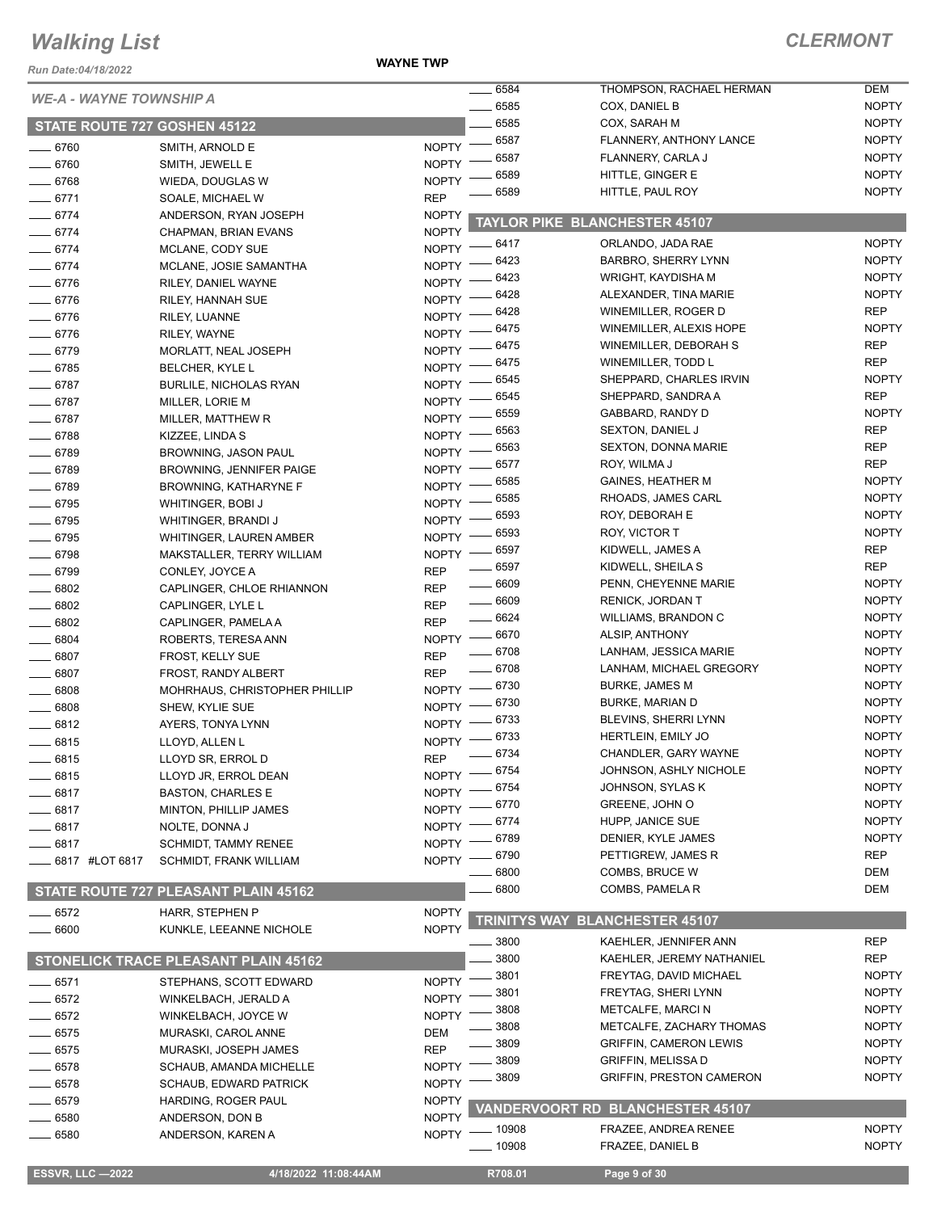*Run Date:04/18/2022*

**WAYNE TWP**

|                                |                                             |                              | 6584                          | THOMPSON, RACHAEL HERMAN                         | <b>DEM</b>                   |
|--------------------------------|---------------------------------------------|------------------------------|-------------------------------|--------------------------------------------------|------------------------------|
| <b>WE-A - WAYNE TOWNSHIP A</b> |                                             |                              | 6585                          | COX, DANIEL B                                    | <b>NOPTY</b>                 |
| STATE ROUTE 727 GOSHEN 45122   |                                             |                              | 6585                          | COX, SARAH M                                     | <b>NOPTY</b>                 |
| $- 6760$                       | SMITH, ARNOLD E                             | <b>NOPTY</b>                 | 6587                          | FLANNERY, ANTHONY LANCE                          | <b>NOPTY</b>                 |
| $- 6760$                       | SMITH, JEWELL E                             | <b>NOPTY</b>                 | 6587                          | FLANNERY, CARLA J                                | <b>NOPTY</b>                 |
| $- 6768$                       | WIEDA, DOUGLAS W                            | <b>NOPTY</b>                 | 6589                          | HITTLE, GINGER E                                 | <b>NOPTY</b>                 |
| $-6771$                        | SOALE, MICHAEL W                            | <b>REP</b>                   | 6589                          | HITTLE, PAUL ROY                                 | <b>NOPTY</b>                 |
| $- 6774$                       | ANDERSON, RYAN JOSEPH                       | <b>NOPTY</b>                 |                               |                                                  |                              |
| $-6774$                        | CHAPMAN, BRIAN EVANS                        | <b>NOPTY</b>                 |                               | <b>TAYLOR PIKE BLANCHESTER 45107</b>             |                              |
| $-6774$                        | MCLANE, CODY SUE                            | NOPTY -                      | 6417                          | ORLANDO, JADA RAE                                | <b>NOPTY</b>                 |
| $-6774$                        | MCLANE, JOSIE SAMANTHA                      | <b>NOPTY</b>                 | 6423                          | <b>BARBRO, SHERRY LYNN</b>                       | <b>NOPTY</b>                 |
| 6776                           | RILEY, DANIEL WAYNE                         | NOPTY -                      | 6423                          | WRIGHT, KAYDISHA M                               | <b>NOPTY</b>                 |
| $- 6776$                       | RILEY, HANNAH SUE                           | <b>NOPTY</b>                 | 6428                          | ALEXANDER, TINA MARIE                            | <b>NOPTY</b>                 |
| $- 6776$                       | RILEY, LUANNE                               | <b>NOPTY</b>                 | 6428                          | WINEMILLER, ROGER D                              | <b>REP</b>                   |
| $- 6776$                       | RILEY, WAYNE                                | NOPTY -                      | 6475                          | WINEMILLER, ALEXIS HOPE                          | <b>NOPTY</b>                 |
| $- 6779$                       | MORLATT, NEAL JOSEPH                        | $N$ OPTY $-$                 | 6475                          | WINEMILLER, DEBORAH S                            | <b>REP</b>                   |
| $-6785$                        | BELCHER, KYLE L                             |                              | NOPTY -6475                   | WINEMILLER, TODD L                               | <b>REP</b>                   |
| $- 6787$                       | <b>BURLILE, NICHOLAS RYAN</b>               | $N$ OPTY -                   | 6545                          | SHEPPARD, CHARLES IRVIN                          | <b>NOPTY</b>                 |
| $- 6787$                       | MILLER, LORIE M                             | NOPTY -                      | 6545                          | SHEPPARD, SANDRA A                               | <b>REP</b>                   |
| $- 6787$                       | MILLER, MATTHEW R                           | NOPTY -                      | 6559                          | GABBARD, RANDY D                                 | <b>NOPTY</b>                 |
| $- 6788$                       | KIZZEE, LINDA S                             | <b>NOPTY</b>                 | 6563                          | <b>SEXTON, DANIEL J</b>                          | <b>REP</b>                   |
| 6789                           | BROWNING, JASON PAUL                        | NOPTY -                      | 6563                          | <b>SEXTON, DONNA MARIE</b>                       | <b>REP</b>                   |
| $- 6789$                       | <b>BROWNING, JENNIFER PAIGE</b>             | NOPTY -                      | 6577                          | ROY, WILMA J                                     | <b>REP</b>                   |
| $-6789$                        | <b>BROWNING, KATHARYNE F</b>                | NOPTY -                      | 6585                          | <b>GAINES, HEATHER M</b>                         | <b>NOPTY</b>                 |
| $- 6795$                       | <b>WHITINGER, BOBI J</b>                    | NOPTY =                      | 6585                          | RHOADS, JAMES CARL                               | <b>NOPTY</b>                 |
| $- 6795$                       | WHITINGER, BRANDI J                         | NOPTY -                      | 6593                          | ROY, DEBORAH E                                   | <b>NOPTY</b>                 |
| $-6795$                        | WHITINGER, LAUREN AMBER                     | $NOPTY$ -                    | $-6593$                       | ROY, VICTOR T                                    | <b>NOPTY</b>                 |
| $- 6798$                       | MAKSTALLER, TERRY WILLIAM                   | $NOPTY =$                    | - 6597                        | KIDWELL, JAMES A                                 | <b>REP</b>                   |
| 6799                           | CONLEY, JOYCE A                             | <b>REP</b>                   | $- 6597$                      | KIDWELL, SHEILA S                                | <b>REP</b>                   |
| $\frac{1}{2}$ 6802             | CAPLINGER, CHLOE RHIANNON                   | <b>REP</b>                   | $- 6609$                      | PENN, CHEYENNE MARIE                             | <b>NOPTY</b>                 |
| 6802                           | CAPLINGER, LYLE L                           | <b>REP</b>                   | $\frac{1}{2}$ 6609<br>$-6624$ | <b>RENICK, JORDAN T</b>                          | <b>NOPTY</b>                 |
| 6802                           | CAPLINGER, PAMELA A                         | <b>REP</b>                   |                               | <b>WILLIAMS, BRANDON C</b>                       | <b>NOPTY</b>                 |
| 6804                           | ROBERTS, TERESA ANN                         |                              | NOPTY - 6670<br>$- 6708$      | ALSIP, ANTHONY                                   | <b>NOPTY</b><br><b>NOPTY</b> |
| 6807                           | FROST, KELLY SUE                            | <b>REP</b>                   | $- 6708$                      | LANHAM, JESSICA MARIE<br>LANHAM, MICHAEL GREGORY | <b>NOPTY</b>                 |
| 6807                           | FROST, RANDY ALBERT                         | <b>REP</b>                   |                               | <b>BURKE, JAMES M</b>                            | <b>NOPTY</b>                 |
| 6808                           | MOHRHAUS, CHRISTOPHER PHILLIP               |                              | NOPTY -8730<br>$-6730$        | <b>BURKE, MARIAN D</b>                           | <b>NOPTY</b>                 |
| 6808                           | SHEW, KYLIE SUE                             | $N$ OPTY $-$                 | 6733                          | BLEVINS, SHERRI LYNN                             | <b>NOPTY</b>                 |
| $-6812$                        | AYERS, TONYA LYNN                           | <b>NOPTY</b>                 | 6733                          | HERTLEIN, EMILY JO                               | <b>NOPTY</b>                 |
| 6815                           | LLOYD, ALLEN L                              | <b>NOPTY</b>                 | 6734                          | CHANDLER, GARY WAYNE                             | <b>NOPTY</b>                 |
| 6815                           | LLOYD SR, ERROL D                           | <b>REP</b>                   |                               | JOHNSON, ASHLY NICHOLE                           | <b>NOPTY</b>                 |
| $-6815$                        | LLOYD JR, ERROL DEAN                        |                              | NOPTY -8754<br>6754           | JOHNSON, SYLAS K                                 | <b>NOPTY</b>                 |
| 6817                           | <b>BASTON, CHARLES E</b>                    | NOPTY                        | 6770                          | GREENE, JOHN O                                   | <b>NOPTY</b>                 |
| 6817                           | MINTON, PHILLIP JAMES                       | <b>NOPTY</b>                 | 6774                          | HUPP, JANICE SUE                                 | <b>NOPTY</b>                 |
| 6817                           | NOLTE, DONNA J                              | <b>NOPTY</b>                 | 6789                          | DENIER, KYLE JAMES                               | <b>NOPTY</b>                 |
| 6817                           | <b>SCHMIDT, TAMMY RENEE</b>                 | <b>NOPTY</b>                 | 6790                          | PETTIGREW, JAMES R                               | <b>REP</b>                   |
| _ 6817 #LOT 6817               | <b>SCHMIDT, FRANK WILLIAM</b>               | <b>NOPTY</b>                 | 6800                          | <b>COMBS, BRUCE W</b>                            | <b>DEM</b>                   |
|                                | STATE ROUTE 727 PLEASANT PLAIN 45162        |                              | 6800                          | COMBS, PAMELA R                                  | DEM                          |
|                                |                                             |                              |                               |                                                  |                              |
| $= 6572$<br>6600               | HARR, STEPHEN P<br>KUNKLE, LEEANNE NICHOLE  | <b>NOPTY</b><br><b>NOPTY</b> | <b>TRINITYS WAY</b>           | <b>BLANCHESTER 45107</b>                         |                              |
|                                |                                             |                              | 3800                          | KAEHLER, JENNIFER ANN                            | <b>REP</b>                   |
|                                | <b>STONELICK TRACE PLEASANT PLAIN 45162</b> |                              | 3800                          | KAEHLER, JEREMY NATHANIEL                        | <b>REP</b>                   |
|                                |                                             | <b>NOPTY</b>                 | 3801                          | FREYTAG, DAVID MICHAEL                           | <b>NOPTY</b>                 |
| $\equiv$ 6571                  | STEPHANS, SCOTT EDWARD                      |                              | 3801                          | FREYTAG, SHERI LYNN                              | <b>NOPTY</b>                 |
| 6572                           | WINKELBACH, JERALD A                        | <b>NOPTY</b><br><b>NOPTY</b> | 3808                          | <b>METCALFE, MARCI N</b>                         | <b>NOPTY</b>                 |
| 6572<br>$-6575$                | WINKELBACH, JOYCE W<br>MURASKI, CAROL ANNE  | DEM                          | 3808                          | METCALFE, ZACHARY THOMAS                         | <b>NOPTY</b>                 |
| 6575                           | MURASKI, JOSEPH JAMES                       | <b>REP</b>                   | 3809                          | <b>GRIFFIN, CAMERON LEWIS</b>                    | <b>NOPTY</b>                 |
| 6578                           | SCHAUB, AMANDA MICHELLE                     | <b>NOPTY</b>                 | 3809                          | <b>GRIFFIN, MELISSA D</b>                        | <b>NOPTY</b>                 |
| 6578                           | <b>SCHAUB, EDWARD PATRICK</b>               | <b>NOPTY</b>                 | 3809                          | <b>GRIFFIN, PRESTON CAMERON</b>                  | <b>NOPTY</b>                 |
| 6579                           | HARDING, ROGER PAUL                         | <b>NOPTY</b>                 |                               |                                                  |                              |
| 6580                           | ANDERSON, DON B                             | <b>NOPTY</b>                 |                               | VANDERVOORT RD BLANCHESTER 45107                 |                              |
| 6580                           | ANDERSON, KAREN A                           | <b>NOPTY</b>                 | $-10908$                      | FRAZEE, ANDREA RENEE                             | <b>NOPTY</b>                 |
|                                |                                             |                              | _ 10908                       | FRAZEE, DANIEL B                                 | <b>NOPTY</b>                 |
|                                |                                             |                              |                               |                                                  |                              |
| <b>ESSVR, LLC -2022</b>        | 4/18/2022 11:08:44AM                        |                              | R708.01                       | Page 9 of 30                                     |                              |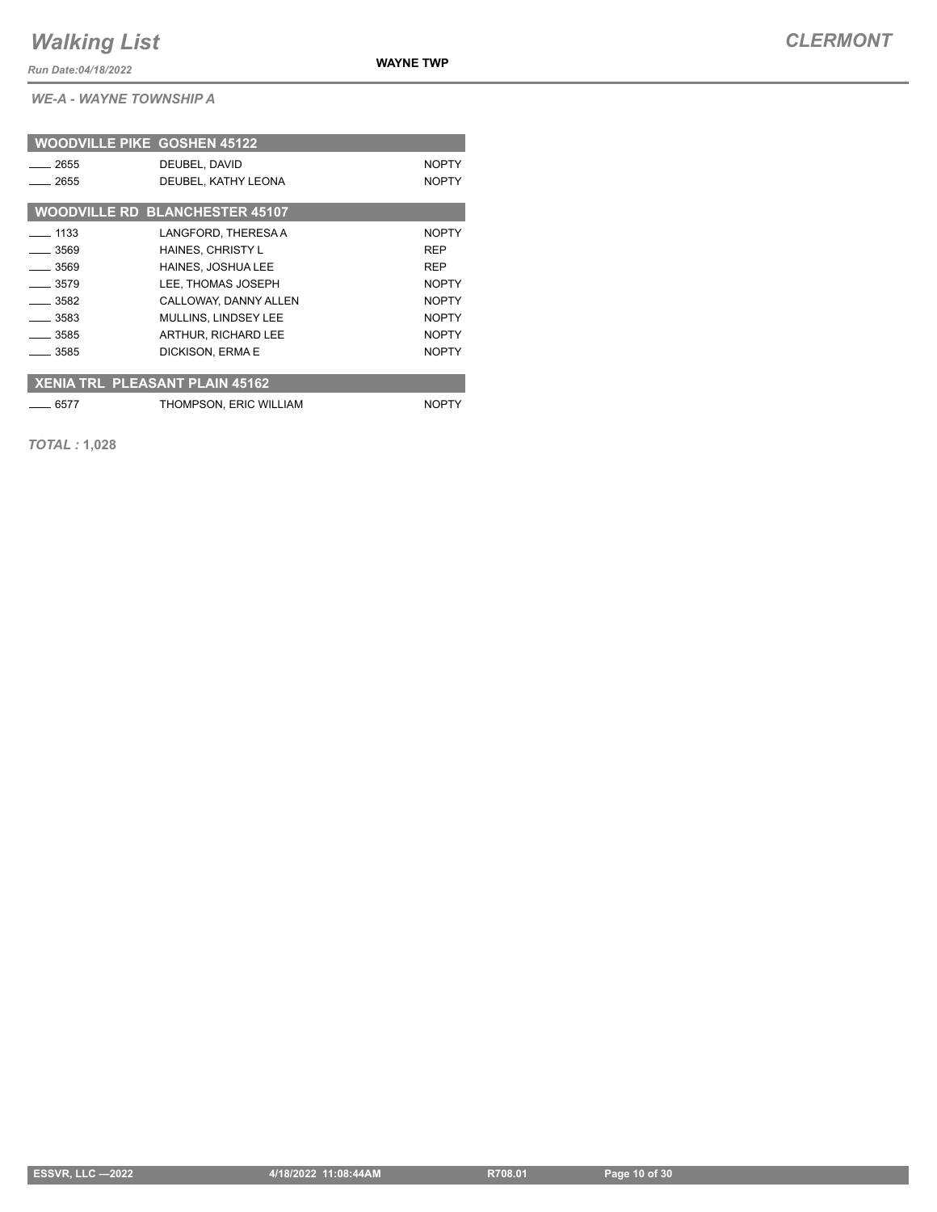*Run Date:04/18/2022*

**WAYNE TWP**

*WE-A - WAYNE TOWNSHIP A*

| <b>WOODVILLE PIKE GOSHEN 45122</b>    |                                       |              |
|---------------------------------------|---------------------------------------|--------------|
| 2655                                  | DEUBEL, DAVID                         | <b>NOPTY</b> |
| 2655                                  | DEUBEL, KATHY LEONA                   | <b>NOPTY</b> |
|                                       | <b>WOODVILLE RD BLANCHESTER 45107</b> |              |
| $-1133$                               | LANGFORD, THERESA A                   | <b>NOPTY</b> |
| $-3569$                               | <b>HAINES, CHRISTY L</b>              | <b>REP</b>   |
| $-3569$                               | <b>HAINES, JOSHUA LEE</b>             | <b>REP</b>   |
| _ 3579                                | LEE, THOMAS JOSEPH                    | <b>NOPTY</b> |
| $-3582$                               | CALLOWAY, DANNY ALLEN                 | <b>NOPTY</b> |
| $-3583$                               | MULLINS, LINDSEY LEE                  | <b>NOPTY</b> |
| $-3585$                               | ARTHUR, RICHARD LEE                   | <b>NOPTY</b> |
| - 3585                                | DICKISON, ERMA E                      | <b>NOPTY</b> |
|                                       |                                       |              |
| <b>XENIA TRL PLEASANT PLAIN 45162</b> |                                       |              |
| 6577                                  | THOMPSON, ERIC WILLIAM                | <b>NOPTY</b> |

*TOTAL :* **1,028**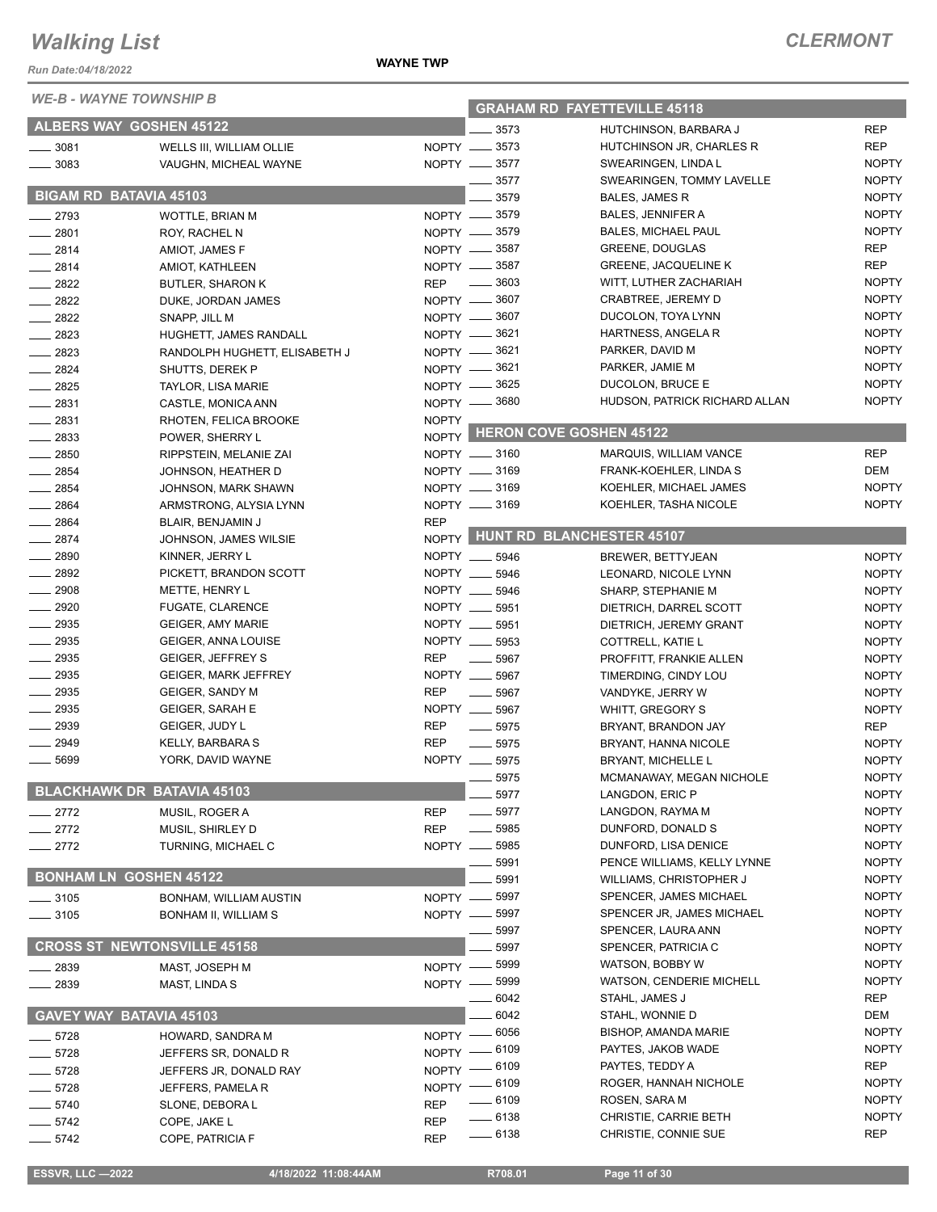| <i>WE-B - WAYNE TOWNSHIP B</i> |                                    |              | <b>GRAHAM RD FAYETTEVILLE 45118</b> |                                               |                              |  |
|--------------------------------|------------------------------------|--------------|-------------------------------------|-----------------------------------------------|------------------------------|--|
|                                | <b>ALBERS WAY GOSHEN 45122</b>     |              | 3573                                | HUTCHINSON, BARBARA J                         | <b>REP</b>                   |  |
| $- 3081$                       | WELLS III, WILLIAM OLLIE           |              | NOPTY __ 3573                       | HUTCHINSON JR, CHARLES R                      | <b>REP</b>                   |  |
| $- 3083$                       | VAUGHN, MICHEAL WAYNE              |              | NOPTY __ 3577                       | SWEARINGEN, LINDA L                           | <b>NOPTY</b>                 |  |
|                                |                                    |              | 3577                                | SWEARINGEN, TOMMY LAVELLE                     | <b>NOPTY</b>                 |  |
|                                | <b>BIGAM RD BATAVIA 45103</b>      |              | 3579                                | <b>BALES, JAMES R</b>                         | <b>NOPTY</b>                 |  |
| $\equiv$ 2793                  | WOTTLE, BRIAN M                    |              | NOPTY - 3579                        | <b>BALES, JENNIFER A</b>                      | <b>NOPTY</b>                 |  |
| $-2801$                        | ROY, RACHEL N                      |              | NOPTY -8579                         | <b>BALES, MICHAEL PAUL</b>                    | <b>NOPTY</b>                 |  |
| $-2814$                        | AMIOT, JAMES F                     |              | NOPTY -8587                         | <b>GREENE, DOUGLAS</b>                        | <b>REP</b>                   |  |
| $-2814$                        | AMIOT, KATHLEEN                    |              | NOPTY -8587                         | <b>GREENE, JACQUELINE K</b>                   | <b>REP</b>                   |  |
| $-2822$                        | <b>BUTLER, SHARON K</b>            | <b>REP</b>   | $\overline{\phantom{0}}$<br>3603    | WITT, LUTHER ZACHARIAH                        | <b>NOPTY</b>                 |  |
| $-2822$                        | DUKE, JORDAN JAMES                 |              | NOPTY -8607                         | <b>CRABTREE, JEREMY D</b>                     | <b>NOPTY</b>                 |  |
| $-2822$                        | SNAPP, JILL M                      |              | NOPTY -8607                         | DUCOLON, TOYA LYNN                            | <b>NOPTY</b>                 |  |
| 2823                           | HUGHETT, JAMES RANDALL             |              | NOPTY -8621                         | HARTNESS, ANGELA R                            | <b>NOPTY</b>                 |  |
| $-2823$                        | RANDOLPH HUGHETT, ELISABETH J      |              | NOPTY -8621                         | PARKER, DAVID M                               | <b>NOPTY</b>                 |  |
| $-2824$                        | SHUTTS, DEREK P                    |              | NOPTY -8621                         | PARKER, JAMIE M                               | <b>NOPTY</b>                 |  |
| $-2825$                        | TAYLOR, LISA MARIE                 |              | NOPTY -8625                         | DUCOLON, BRUCE E                              | <b>NOPTY</b>                 |  |
| $-2831$                        | CASTLE, MONICA ANN                 |              | NOPTY -8680                         | HUDSON, PATRICK RICHARD ALLAN                 | <b>NOPTY</b>                 |  |
| $-2831$                        | RHOTEN, FELICA BROOKE              | <b>NOPTY</b> |                                     |                                               |                              |  |
| $-2833$                        | POWER, SHERRY L                    |              |                                     | NOPTY HERON COVE GOSHEN 45122                 |                              |  |
| 2850                           | RIPPSTEIN, MELANIE ZAI             |              | NOPTY __ 3160                       | MARQUIS, WILLIAM VANCE                        | <b>REP</b>                   |  |
| 2854                           | JOHNSON, HEATHER D                 |              | NOPTY __ 3169                       | FRANK-KOEHLER, LINDA S                        | DEM                          |  |
| $-2854$                        | JOHNSON, MARK SHAWN                |              | NOPTY __ 3169                       | KOEHLER, MICHAEL JAMES                        | <b>NOPTY</b>                 |  |
| 2864                           | ARMSTRONG, ALYSIA LYNN             |              | NOPTY __ 3169                       | KOEHLER, TASHA NICOLE                         | <b>NOPTY</b>                 |  |
| $- 2864$                       | BLAIR, BENJAMIN J                  | <b>REP</b>   |                                     |                                               |                              |  |
| $-2874$                        | JOHNSON, JAMES WILSIE              |              |                                     | NOPTY HUNT RD BLANCHESTER 45107               |                              |  |
| 2890                           | KINNER, JERRY L                    |              | NOPTY __ 5946                       | BREWER, BETTYJEAN                             | <b>NOPTY</b>                 |  |
| 2892                           | PICKETT, BRANDON SCOTT             | NOPTY __     | 5946                                | LEONARD, NICOLE LYNN                          | <b>NOPTY</b>                 |  |
| 2908                           | METTE, HENRY L                     | NOPTY __     | 5946                                | SHARP, STEPHANIE M                            | <b>NOPTY</b>                 |  |
| - 2920                         | <b>FUGATE, CLARENCE</b>            |              | NOPTY __ 5951                       | DIETRICH, DARREL SCOTT                        | <b>NOPTY</b>                 |  |
| $-2935$                        | <b>GEIGER, AMY MARIE</b>           | NOPTY __     | 5951                                | DIETRICH, JEREMY GRANT                        | <b>NOPTY</b>                 |  |
| $-2935$                        | GEIGER, ANNA LOUISE                | NOPTY __     | 5953                                | COTTRELL, KATIE L                             | <b>NOPTY</b>                 |  |
| $-2935$                        | <b>GEIGER, JEFFREY S</b>           | <b>REP</b>   | 5967                                | PROFFITT, FRANKIE ALLEN                       | <b>NOPTY</b>                 |  |
| 2935                           | <b>GEIGER, MARK JEFFREY</b>        | NOPTY __     | 5967                                | TIMERDING, CINDY LOU                          | <b>NOPTY</b>                 |  |
| $- 2935$                       | <b>GEIGER, SANDY M</b>             | <b>REP</b>   | 5967                                | VANDYKE, JERRY W                              | <b>NOPTY</b>                 |  |
| $-2935$                        | <b>GEIGER, SARAH E</b>             | NOPTY __     | 5967                                | WHITT, GREGORY S                              | <b>NOPTY</b>                 |  |
| 2939                           | GEIGER, JUDY L                     | <b>REP</b>   | 5975                                | BRYANT, BRANDON JAY                           | <b>REP</b>                   |  |
| $-2949$                        | KELLY, BARBARA S                   | <b>REP</b>   | 5975                                | BRYANT, HANNA NICOLE                          | <b>NOPTY</b>                 |  |
| 5699                           | YORK, DAVID WAYNE                  | NOPTY __     | 5975                                | <b>BRYANT, MICHELLE L</b>                     | <b>NOPTY</b>                 |  |
|                                |                                    |              | 5975                                | MCMANAWAY, MEGAN NICHOLE                      | <b>NOPTY</b>                 |  |
|                                | <b>BLACKHAWK DR BATAVIA 45103</b>  |              | 5977                                | LANGDON, ERIC P                               | <b>NOPTY</b>                 |  |
| $-2772$                        | MUSIL, ROGER A                     | <b>REP</b>   | 5977                                | LANGDON, RAYMA M                              | <b>NOPTY</b>                 |  |
| $-2772$                        | MUSIL, SHIRLEY D                   | <b>REP</b>   | 5985                                | DUNFORD, DONALD S                             | <b>NOPTY</b>                 |  |
| $-2772$                        | TURNING, MICHAEL C                 | NOPTY __     | 5985                                | DUNFORD, LISA DENICE                          | <b>NOPTY</b>                 |  |
|                                |                                    |              | 5991                                | PENCE WILLIAMS, KELLY LYNNE                   | <b>NOPTY</b>                 |  |
|                                | <b>BONHAM LN GOSHEN 45122</b>      |              | 5991                                | WILLIAMS, CHRISTOPHER J                       | <b>NOPTY</b>                 |  |
| $-3105$                        | BONHAM, WILLIAM AUSTIN             | NOPTY -      | 5997                                | SPENCER, JAMES MICHAEL                        | <b>NOPTY</b>                 |  |
| $- 3105$                       | BONHAM II, WILLIAM S               | NOPTY -      | 5997                                | SPENCER JR, JAMES MICHAEL                     | <b>NOPTY</b>                 |  |
|                                |                                    |              | 5997                                | SPENCER, LAURA ANN                            | <b>NOPTY</b>                 |  |
|                                | <b>CROSS ST NEWTONSVILLE 45158</b> |              | 5997                                | SPENCER, PATRICIA C                           | <b>NOPTY</b>                 |  |
| _ 2839                         | MAST, JOSEPH M                     | NOPTY -      | 5999                                | WATSON, BOBBY W                               | <b>NOPTY</b>                 |  |
| $-2839$                        | MAST, LINDA S                      | $NOPTY$ —    | 5999                                | <b>WATSON, CENDERIE MICHELL</b>               | <b>NOPTY</b>                 |  |
|                                |                                    |              | 6042                                | STAHL, JAMES J                                | <b>REP</b>                   |  |
|                                | GAVEY WAY BATAVIA 45103            |              | 6042                                | STAHL, WONNIE D                               | DEM                          |  |
| $-5728$                        | HOWARD, SANDRA M                   | $NOPTY$ -    | 6056                                | <b>BISHOP, AMANDA MARIE</b>                   | <b>NOPTY</b>                 |  |
| $-5728$                        | JEFFERS SR, DONALD R               | $NOPTY =$    | 6109                                | PAYTES, JAKOB WADE                            | <b>NOPTY</b>                 |  |
| $-5728$                        | JEFFERS JR, DONALD RAY             | $N$ OPTY $-$ | _ 6109                              | PAYTES, TEDDY A                               | <b>REP</b>                   |  |
| $-5728$                        | JEFFERS, PAMELA R                  |              | NOPTY - 6109                        | ROGER, HANNAH NICHOLE                         | <b>NOPTY</b><br><b>NOPTY</b> |  |
| $-5740$                        | SLONE, DEBORA L                    | <b>REP</b>   | 6109<br>$- 6138$                    | ROSEN, SARA M<br><b>CHRISTIE, CARRIE BETH</b> | <b>NOPTY</b>                 |  |
| $-5742$                        | COPE, JAKE L                       | REP          | $- 6138$                            | CHRISTIE, CONNIE SUE                          | <b>REP</b>                   |  |
| $-5742$                        | COPE, PATRICIA F                   | <b>REP</b>   |                                     |                                               |                              |  |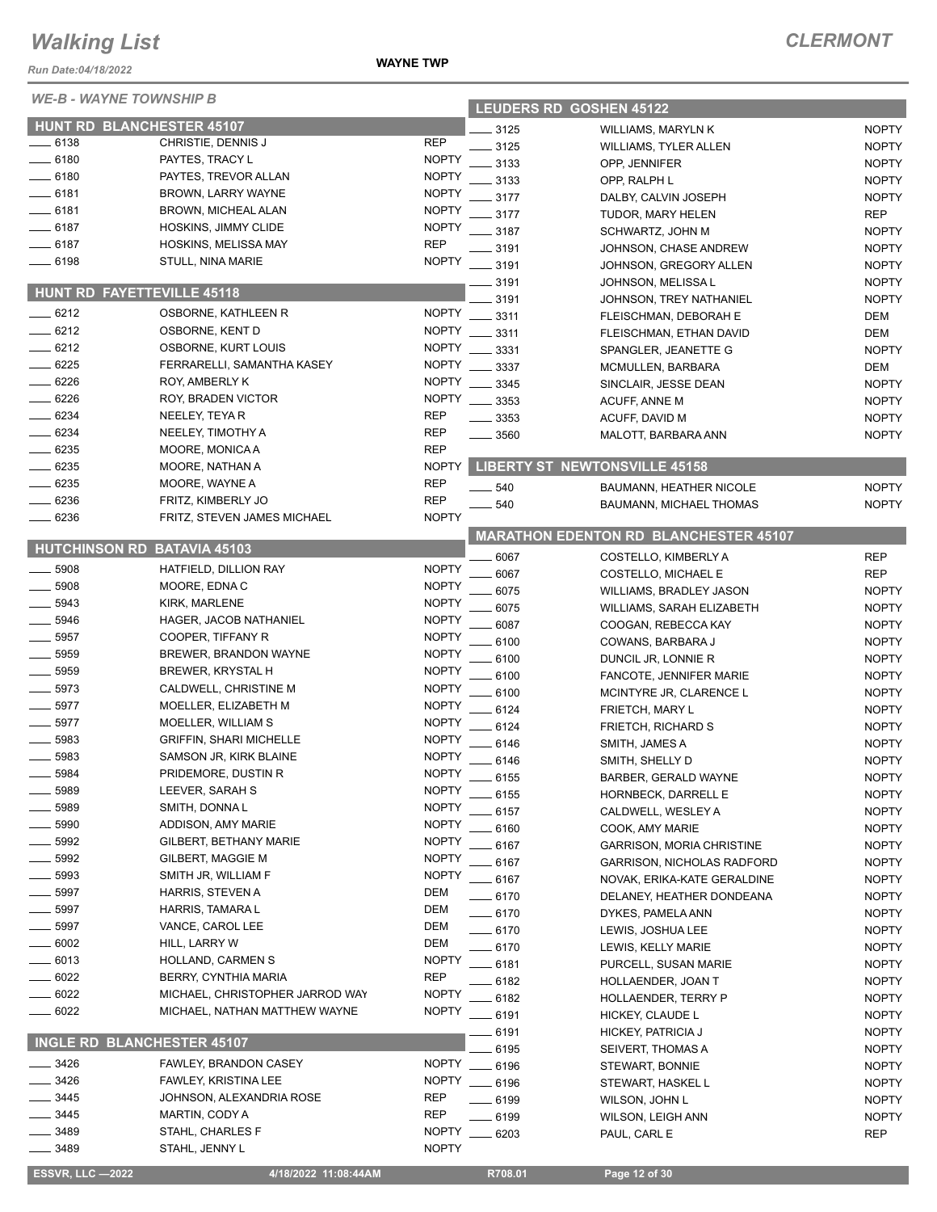*Run Date:04/18/2022*

**WAYNE TOWNSHIP B** 

| <b>WE-B - WAYNE TOWNSHIP B</b> |                                    |              | <b>LEUDERS RD GOSHEN 45122</b> |                                              |              |  |
|--------------------------------|------------------------------------|--------------|--------------------------------|----------------------------------------------|--------------|--|
|                                | <b>HUNT RD BLANCHESTER 45107</b>   |              | 3125                           | WILLIAMS, MARYLN K                           | <b>NOPTY</b> |  |
| $-6138$                        | CHRISTIE, DENNIS J                 | <b>REP</b>   | 3125                           |                                              | <b>NOPTY</b> |  |
| $-6180$                        | PAYTES, TRACY L                    | <b>NOPTY</b> | 3133                           | <b>WILLIAMS, TYLER ALLEN</b>                 | <b>NOPTY</b> |  |
| $-6180$                        | PAYTES, TREVOR ALLAN               | <b>NOPTY</b> | 3133                           | OPP, JENNIFER                                | <b>NOPTY</b> |  |
| $-6181$                        | BROWN, LARRY WAYNE                 | <b>NOPTY</b> | 3177                           | OPP, RALPH L                                 |              |  |
| $-6181$                        | BROWN, MICHEAL ALAN                | <b>NOPTY</b> |                                | DALBY, CALVIN JOSEPH                         | <b>NOPTY</b> |  |
| $-6187$                        | HOSKINS, JIMMY CLIDE               | <b>NOPTY</b> | 3177                           | TUDOR, MARY HELEN                            | <b>REP</b>   |  |
| _ 6187                         | <b>HOSKINS, MELISSA MAY</b>        | <b>REP</b>   | 3187                           | SCHWARTZ, JOHN M                             | <b>NOPTY</b> |  |
| 6198                           | STULL, NINA MARIE                  | <b>NOPTY</b> | 3191                           | JOHNSON, CHASE ANDREW                        | <b>NOPTY</b> |  |
|                                |                                    |              | 3191                           | JOHNSON, GREGORY ALLEN                       | <b>NOPTY</b> |  |
|                                | <b>HUNT RD FAYETTEVILLE 45118</b>  |              | 3191                           | JOHNSON, MELISSA L                           | <b>NOPTY</b> |  |
|                                |                                    | <b>NOPTY</b> | 3191                           | JOHNSON, TREY NATHANIEL                      | <b>NOPTY</b> |  |
| $-6212$                        | OSBORNE, KATHLEEN R                |              | 3311                           | FLEISCHMAN, DEBORAH E                        | DEM          |  |
| $-6212$                        | OSBORNE, KENT D                    | <b>NOPTY</b> | 3311                           | FLEISCHMAN, ETHAN DAVID                      | <b>DEM</b>   |  |
| $-6212$                        | OSBORNE, KURT LOUIS                | <b>NOPTY</b> | 3331                           | SPANGLER, JEANETTE G                         | <b>NOPTY</b> |  |
| $- 6225$                       | FERRARELLI, SAMANTHA KASEY         | <b>NOPTY</b> | 3337                           | MCMULLEN, BARBARA                            | DEM          |  |
| 6226                           | ROY, AMBERLY K                     | <b>NOPTY</b> | 3345                           | SINCLAIR, JESSE DEAN                         | <b>NOPTY</b> |  |
| $-6226$                        | ROY, BRADEN VICTOR                 | <b>NOPTY</b> | 3353                           | ACUFF, ANNE M                                | <b>NOPTY</b> |  |
| $-6234$                        | NEELEY, TEYAR                      | <b>REP</b>   | 3353                           | ACUFF, DAVID M                               | <b>NOPTY</b> |  |
| $-6234$                        | NEELEY, TIMOTHY A                  | <b>REP</b>   | $-3560$                        | MALOTT, BARBARA ANN                          | <b>NOPTY</b> |  |
| $-6235$                        | MOORE, MONICA A                    | <b>REP</b>   |                                |                                              |              |  |
| $-6235$                        | MOORE, NATHAN A                    | <b>NOPTY</b> |                                | <b>LIBERTY ST NEWTONSVILLE 45158</b>         |              |  |
| 6235                           | MOORE, WAYNE A                     | <b>REP</b>   | $-540$                         | BAUMANN, HEATHER NICOLE                      | <b>NOPTY</b> |  |
| 6236                           | FRITZ, KIMBERLY JO                 | <b>REP</b>   | 540                            | <b>BAUMANN, MICHAEL THOMAS</b>               | <b>NOPTY</b> |  |
| 6236                           | FRITZ, STEVEN JAMES MICHAEL        | <b>NOPTY</b> |                                |                                              |              |  |
|                                |                                    |              |                                | <b>MARATHON EDENTON RD BLANCHESTER 45107</b> |              |  |
|                                | <b>HUTCHINSON RD BATAVIA 45103</b> |              | 6067                           | COSTELLO, KIMBERLY A                         | <b>REP</b>   |  |
| 5908                           | HATFIELD, DILLION RAY              | <b>NOPTY</b> | 6067                           | COSTELLO, MICHAEL E                          | <b>REP</b>   |  |
| 5908                           | MOORE, EDNA C                      | <b>NOPTY</b> | 6075                           | WILLIAMS, BRADLEY JASON                      | <b>NOPTY</b> |  |
| 5943                           | KIRK, MARLENE                      | <b>NOPTY</b> | 6075                           | WILLIAMS, SARAH ELIZABETH                    | <b>NOPTY</b> |  |
| 5946                           | HAGER, JACOB NATHANIEL             | <b>NOPTY</b> | 6087                           | COOGAN, REBECCA KAY                          | <b>NOPTY</b> |  |
| 5957                           | COOPER, TIFFANY R                  | <b>NOPTY</b> | 6100                           | COWANS, BARBARA J                            | <b>NOPTY</b> |  |
| 5959                           | BREWER, BRANDON WAYNE              | <b>NOPTY</b> | 6100                           | DUNCIL JR, LONNIE R                          | <b>NOPTY</b> |  |
| 5959                           | <b>BREWER, KRYSTAL H</b>           | <b>NOPTY</b> | 6100                           | FANCOTE, JENNIFER MARIE                      | <b>NOPTY</b> |  |
| 5973                           | CALDWELL, CHRISTINE M              | <b>NOPTY</b> | 6100                           | MCINTYRE JR, CLARENCE L                      | <b>NOPTY</b> |  |
| 5977                           | MOELLER, ELIZABETH M               | <b>NOPTY</b> | 6124                           | FRIETCH, MARY L                              | <b>NOPTY</b> |  |
| 5977                           | MOELLER, WILLIAM S                 | <b>NOPTY</b> | 6124                           | <b>FRIETCH, RICHARD S</b>                    | <b>NOPTY</b> |  |
| 5983                           | <b>GRIFFIN, SHARI MICHELLE</b>     | <b>NOPTY</b> | 6146                           | SMITH, JAMES A                               | <b>NOPTY</b> |  |
| 5983                           | SAMSON JR, KIRK BLAINE             | <b>NOPTY</b> | 6146                           | SMITH, SHELLY D                              | <b>NOPTY</b> |  |
| 5984                           | PRIDEMORE, DUSTIN R                | <b>NOPTY</b> | 6155                           | BARBER, GERALD WAYNE                         | <b>NOPTY</b> |  |
| 5989                           | LEEVER, SARAH S                    | <b>NOPTY</b> | 6155                           | <b>HORNBECK, DARRELL E</b>                   | <b>NOPTY</b> |  |
| 5989                           | SMITH, DONNAL                      | <b>NOPTY</b> | 6157                           | CALDWELL, WESLEY A                           | <b>NOPTY</b> |  |
| 5990                           | ADDISON, AMY MARIE                 | <b>NOPTY</b> | 6160                           | COOK, AMY MARIE                              | <b>NOPTY</b> |  |
| 5992                           | GILBERT, BETHANY MARIE             | <b>NOPTY</b> | 6167                           | <b>GARRISON, MORIA CHRISTINE</b>             | <b>NOPTY</b> |  |
| 5992                           | GILBERT, MAGGIE M                  | <b>NOPTY</b> | 6167                           | <b>GARRISON, NICHOLAS RADFORD</b>            | <b>NOPTY</b> |  |
| 5993                           | SMITH JR, WILLIAM F                | <b>NOPTY</b> | - 6167                         | NOVAK, ERIKA-KATE GERALDINE                  | <b>NOPTY</b> |  |
| 5997                           | <b>HARRIS, STEVEN A</b>            | <b>DEM</b>   | __ 6170                        | DELANEY, HEATHER DONDEANA                    | <b>NOPTY</b> |  |
| 5997                           | HARRIS, TAMARA L                   | DEM          | $-6170$                        | DYKES, PAMELA ANN                            | <b>NOPTY</b> |  |
| 5997                           | VANCE, CAROL LEE                   | DEM          | $-6170$                        | LEWIS, JOSHUA LEE                            | <b>NOPTY</b> |  |
| 6002                           | HILL, LARRY W                      | DEM          | $-6170$                        | LEWIS, KELLY MARIE                           | <b>NOPTY</b> |  |
| 6013                           | HOLLAND, CARMEN S                  | <b>NOPTY</b> | 6181                           | PURCELL, SUSAN MARIE                         | <b>NOPTY</b> |  |
| 6022                           | BERRY, CYNTHIA MARIA               | <b>REP</b>   | 6182                           | HOLLAENDER, JOAN T                           | <b>NOPTY</b> |  |
| 6022                           | MICHAEL, CHRISTOPHER JARROD WAY    | <b>NOPTY</b> | 6182                           | HOLLAENDER, TERRY P                          | <b>NOPTY</b> |  |
| 6022                           | MICHAEL, NATHAN MATTHEW WAYNE      | <b>NOPTY</b> | .6191                          | HICKEY, CLAUDE L                             | <b>NOPTY</b> |  |
|                                |                                    |              | 6191                           | HICKEY, PATRICIA J                           | <b>NOPTY</b> |  |
|                                | INGLE RD BLANCHESTER 45107         |              | 6195                           |                                              | <b>NOPTY</b> |  |
| 3426                           | FAWLEY, BRANDON CASEY              | <b>NOPTY</b> | $-6196$                        | SEIVERT, THOMAS A<br>STEWART, BONNIE         | <b>NOPTY</b> |  |
| 3426                           | FAWLEY, KRISTINA LEE               | <b>NOPTY</b> | $-6196$                        |                                              | <b>NOPTY</b> |  |
| 3445                           | JOHNSON, ALEXANDRIA ROSE           | REP          |                                | STEWART, HASKEL L                            |              |  |
| 3445                           | MARTIN, CODY A                     | REP          | .6199                          | WILSON, JOHN L                               | <b>NOPTY</b> |  |
| 3489                           | STAHL, CHARLES F                   | <b>NOPTY</b> | $-6199$                        | <b>WILSON, LEIGH ANN</b>                     | <b>NOPTY</b> |  |
| 3489                           | STAHL, JENNY L                     | <b>NOPTY</b> | $-6203$                        | PAUL, CARL E                                 | <b>REP</b>   |  |
|                                |                                    |              |                                |                                              |              |  |

 **ESSVR, LLC —2022 4/18/2022 11:08:44AM R708.01 Page 12 of 30**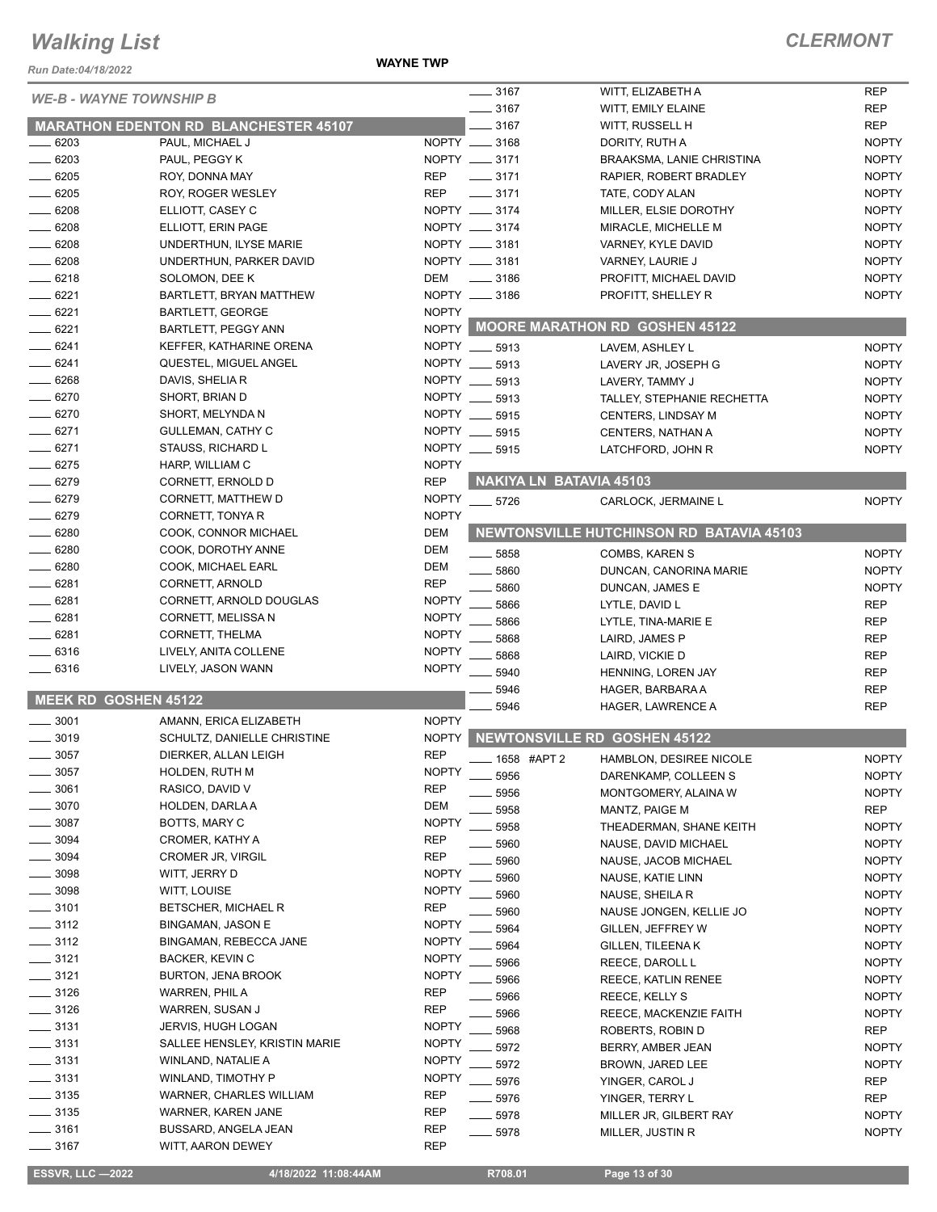*Run Date:04/18/2022*

#### **WAYNE TWP**

|                                |                                              |              | $- 3167$           |                                | WITT, ELIZABETH A                          | <b>REP</b>   |
|--------------------------------|----------------------------------------------|--------------|--------------------|--------------------------------|--------------------------------------------|--------------|
| <b>WE-B - WAYNE TOWNSHIP B</b> |                                              |              | $- 3167$           |                                | WITT, EMILY ELAINE                         | <b>REP</b>   |
|                                | <b>MARATHON EDENTON RD BLANCHESTER 45107</b> |              | $- 3167$           |                                | WITT, RUSSELL H                            | <b>REP</b>   |
| $- 6203$                       | PAUL, MICHAEL J                              |              | NOPTY __ 3168      |                                | DORITY, RUTH A                             | <b>NOPTY</b> |
| $-6203$                        | PAUL, PEGGY K                                |              | NOPTY __ 3171      |                                | <b>BRAAKSMA, LANIE CHRISTINA</b>           | <b>NOPTY</b> |
| $-6205$                        | ROY, DONNA MAY                               | <b>REP</b>   | $- 3171$           |                                | RAPIER. ROBERT BRADLEY                     | <b>NOPTY</b> |
| $-6205$                        | ROY, ROGER WESLEY                            | <b>REP</b>   | $- 3171$           |                                | TATE, CODY ALAN                            | <b>NOPTY</b> |
| $-6208$                        | ELLIOTT, CASEY C                             |              | NOPTY __ 3174      |                                | MILLER, ELSIE DOROTHY                      | <b>NOPTY</b> |
| $- 6208$                       | ELLIOTT, ERIN PAGE                           |              | NOPTY __ 3174      |                                | MIRACLE, MICHELLE M                        | <b>NOPTY</b> |
| 6208                           | UNDERTHUN, ILYSE MARIE                       |              | NOPTY __ 3181      |                                | VARNEY, KYLE DAVID                         | <b>NOPTY</b> |
| $- 6208$                       | UNDERTHUN, PARKER DAVID                      |              | NOPTY __ 3181      |                                |                                            | <b>NOPTY</b> |
| $-6218$                        |                                              | DEM          | $\frac{1}{2}$ 3186 |                                | VARNEY, LAURIE J<br>PROFITT, MICHAEL DAVID | <b>NOPTY</b> |
| $-6221$                        | SOLOMON, DEE K                               |              | NOPTY __ 3186      |                                |                                            | <b>NOPTY</b> |
| $-6221$                        | BARTLETT, BRYAN MATTHEW                      | <b>NOPTY</b> |                    |                                | PROFITT, SHELLEY R                         |              |
| $- 6221$                       | <b>BARTLETT, GEORGE</b>                      |              |                    |                                | NOPTY MOORE MARATHON RD GOSHEN 45122       |              |
|                                | BARTLETT, PEGGY ANN                          |              |                    |                                |                                            |              |
| $-6241$                        | KEFFER, KATHARINE ORENA                      |              | NOPTY __ 5913      |                                | LAVEM, ASHLEY L                            | <b>NOPTY</b> |
| $-6241$                        | QUESTEL, MIGUEL ANGEL                        |              | NOPTY __ 5913      |                                | LAVERY JR, JOSEPH G                        | <b>NOPTY</b> |
| $-6268$                        | DAVIS, SHELIA R                              |              | NOPTY __ 5913      |                                | LAVERY, TAMMY J                            | <b>NOPTY</b> |
| $-6270$                        | SHORT, BRIAN D                               |              | NOPTY __ 5913      |                                | TALLEY, STEPHANIE RECHETTA                 | <b>NOPTY</b> |
| $-6270$                        | SHORT, MELYNDA N                             |              | NOPTY __ 5915      |                                | <b>CENTERS, LINDSAY M</b>                  | <b>NOPTY</b> |
| $-6271$                        | GULLEMAN, CATHY C                            |              | NOPTY __ 5915      |                                | CENTERS, NATHAN A                          | <b>NOPTY</b> |
| $-6271$                        | STAUSS, RICHARD L                            |              | NOPTY __ 5915      |                                | LATCHFORD, JOHN R                          | <b>NOPTY</b> |
| $- 6275$                       | HARP, WILLIAM C                              | <b>NOPTY</b> |                    |                                |                                            |              |
| $- 6279$                       | CORNETT, ERNOLD D                            | <b>REP</b>   |                    | <b>NAKIYA LN BATAVIA 45103</b> |                                            |              |
| $-6279$                        | CORNETT, MATTHEW D                           | <b>NOPTY</b> | $- 5726$           |                                | CARLOCK, JERMAINE L                        | <b>NOPTY</b> |
| $- 6279$                       | CORNETT, TONYA R                             | <b>NOPTY</b> |                    |                                |                                            |              |
| $-6280$                        | COOK, CONNOR MICHAEL                         | <b>DEM</b>   |                    |                                | NEWTONSVILLE HUTCHINSON RD BATAVIA 45103   |              |
| $- 6280$                       | COOK, DOROTHY ANNE                           | <b>DEM</b>   | $- 5858$           |                                | COMBS, KAREN S                             | <b>NOPTY</b> |
| $- 6280$                       | COOK, MICHAEL EARL                           | <b>DEM</b>   | $-5860$            |                                | DUNCAN, CANORINA MARIE                     | <b>NOPTY</b> |
| 6281                           | CORNETT, ARNOLD                              | <b>REP</b>   | 5860               |                                | DUNCAN, JAMES E                            | <b>NOPTY</b> |
| 6281                           | CORNETT, ARNOLD DOUGLAS                      | <b>NOPTY</b> | 5866               |                                | LYTLE, DAVID L                             | <b>REP</b>   |
| 6281                           | CORNETT, MELISSA N                           | <b>NOPTY</b> | 5866               |                                | LYTLE, TINA-MARIE E                        | <b>REP</b>   |
| $-6281$                        | CORNETT, THELMA                              | <b>NOPTY</b> | 5868               |                                | LAIRD, JAMES P                             | <b>REP</b>   |
| $-6316$                        | LIVELY, ANITA COLLENE                        | <b>NOPTY</b> | 5868               |                                | LAIRD, VICKIE D                            | <b>REP</b>   |
| $-6316$                        | LIVELY, JASON WANN                           | <b>NOPTY</b> | 5940               |                                | HENNING, LOREN JAY                         | <b>REP</b>   |
|                                |                                              |              | 5946               |                                | HAGER, BARBARA A                           | <b>REP</b>   |
| MEEK RD GOSHEN 45122           |                                              |              | 5946               |                                | HAGER, LAWRENCE A                          | <b>REP</b>   |
| $-3001$                        | AMANN, ERICA ELIZABETH                       | <b>NOPTY</b> |                    |                                |                                            |              |
| 3019                           | SCHULTZ, DANIELLE CHRISTINE                  | <b>NOPTY</b> |                    |                                | <b>NEWTONSVILLE RD GOSHEN 45122</b>        |              |
| $-3057$                        | DIERKER, ALLAN LEIGH                         | <b>REP</b>   |                    | 1658 #APT 2                    | HAMBLON, DESIREE NICOLE                    | <b>NOPTY</b> |
| 3057                           | HOLDEN, RUTH M                               | <b>NOPTY</b> | 5956               |                                | DARENKAMP, COLLEEN S                       | <b>NOPTY</b> |
| 3061                           | RASICO, DAVID V                              | <b>REP</b>   | 5956               |                                | MONTGOMERY, ALAINA W                       | <b>NOPTY</b> |
| 3070                           | HOLDEN, DARLA A                              | <b>DEM</b>   | 5958               |                                | MANTZ, PAIGE M                             | REP          |
| 3087                           | BOTTS, MARY C                                | <b>NOPTY</b> | 5958               |                                | THEADERMAN, SHANE KEITH                    | <b>NOPTY</b> |
| 3094                           | CROMER, KATHY A                              | <b>REP</b>   | 5960               |                                | NAUSE, DAVID MICHAEL                       | <b>NOPTY</b> |
| 3094                           | CROMER JR, VIRGIL                            | <b>REP</b>   | 5960               |                                | NAUSE, JACOB MICHAEL                       | <b>NOPTY</b> |
| $-3098$                        | WITT, JERRY D                                | <b>NOPTY</b> | 5960               |                                | NAUSE, KATIE LINN                          | <b>NOPTY</b> |
| $-3098$                        | WITT, LOUISE                                 | <b>NOPTY</b> | 5960               |                                | NAUSE, SHEILA R                            | <b>NOPTY</b> |
| $-3101$                        | BETSCHER, MICHAEL R                          | <b>REP</b>   | 5960               |                                | NAUSE JONGEN, KELLIE JO                    | <b>NOPTY</b> |
| $\frac{1}{2}$ 3112             | BINGAMAN, JASON E                            | <b>NOPTY</b> | 5964               |                                | GILLEN, JEFFREY W                          | <b>NOPTY</b> |
| $-3112$                        | BINGAMAN, REBECCA JANE                       | <b>NOPTY</b> | 5964               |                                | GILLEN, TILEENA K                          | <b>NOPTY</b> |
| $-3121$                        | <b>BACKER, KEVIN C</b>                       | <b>NOPTY</b> | 5966               |                                | REECE, DAROLL L                            | <b>NOPTY</b> |
| $-3121$                        | <b>BURTON, JENA BROOK</b>                    | <b>NOPTY</b> | 5966               |                                | REECE, KATLIN RENEE                        | <b>NOPTY</b> |
| $-3126$                        | WARREN, PHIL A                               | <b>REP</b>   | 5966               |                                | REECE, KELLY S                             | <b>NOPTY</b> |
| $- 3126$                       | WARREN, SUSAN J                              | <b>REP</b>   | 5966               |                                | REECE, MACKENZIE FAITH                     | <b>NOPTY</b> |
| $-3131$                        | JERVIS, HUGH LOGAN                           | <b>NOPTY</b> | 5968               |                                | ROBERTS, ROBIN D                           | <b>REP</b>   |
| $\frac{1}{2}$ 3131             | SALLEE HENSLEY, KRISTIN MARIE                | <b>NOPTY</b> | 5972               |                                | BERRY, AMBER JEAN                          | <b>NOPTY</b> |
| —— 3131                        | WINLAND, NATALIE A                           | <b>NOPTY</b> | 5972               |                                | BROWN, JARED LEE                           | <b>NOPTY</b> |
| $-3131$                        | WINLAND, TIMOTHY P                           | <b>NOPTY</b> | 5976               |                                | YINGER, CAROL J                            | REP          |
| $\frac{1}{2}$ 3135             | WARNER, CHARLES WILLIAM                      | <b>REP</b>   | _ 5976             |                                | YINGER, TERRY L                            | REP          |
| $-3135$                        | WARNER, KAREN JANE                           | REP          | 5978               |                                | MILLER JR, GILBERT RAY                     | <b>NOPTY</b> |
| $- 3161$                       | BUSSARD, ANGELA JEAN                         | <b>REP</b>   | 5978               |                                | MILLER, JUSTIN R                           | <b>NOPTY</b> |
| __ 3167                        | WITT, AARON DEWEY                            | <b>REP</b>   |                    |                                |                                            |              |
|                                |                                              |              |                    |                                |                                            |              |

 **ESSVR, LLC —2022 4/18/2022 11:08:44AM R708.01 Page 13 of 30**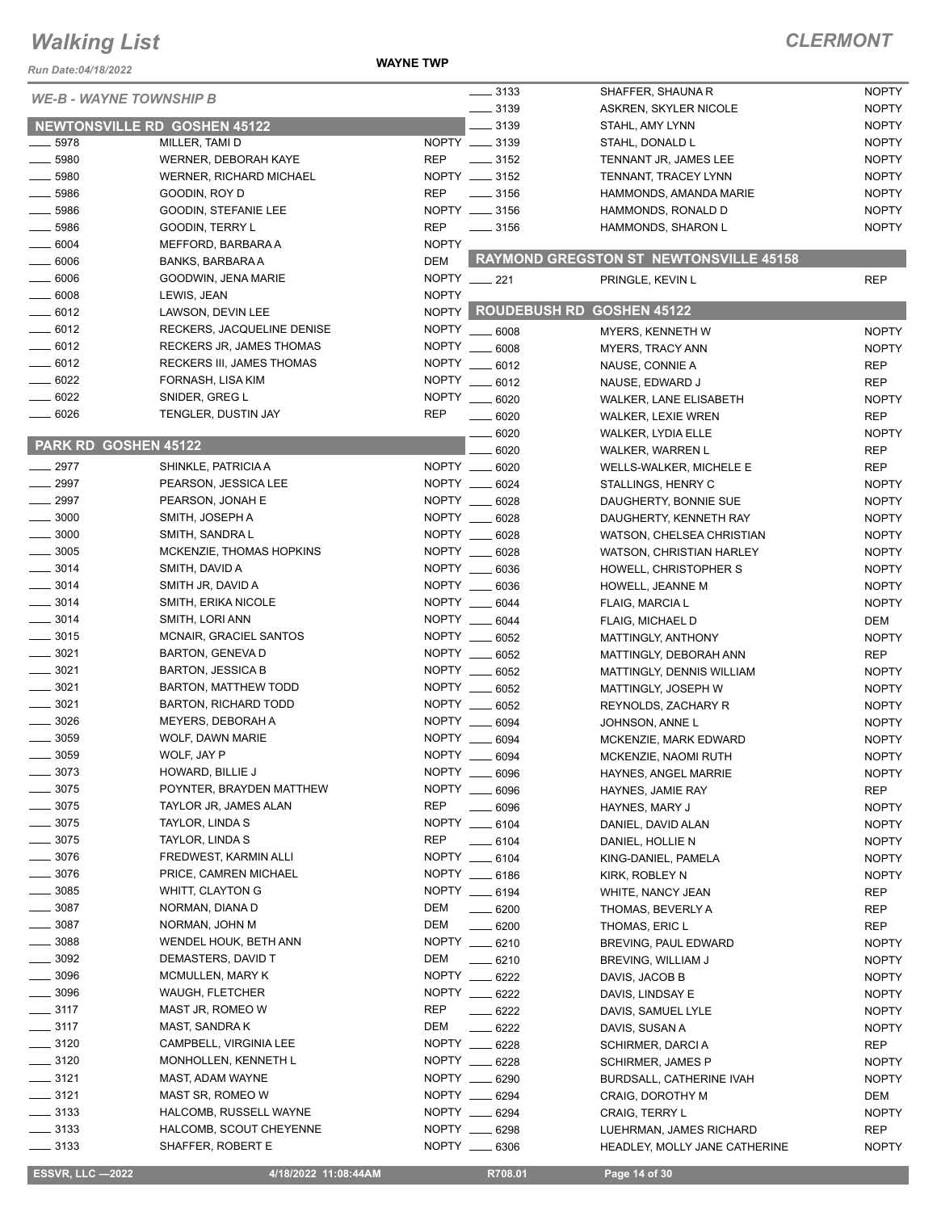#### **WAYNE TWP**

| $- 3133$<br><b>NOPTY</b><br>SHAFFER, SHAUNA R<br><b>WE-B - WAYNE TOWNSHIP B</b><br>$\frac{1}{2}$ 3139<br><b>NOPTY</b><br>ASKREN, SKYLER NICOLE<br><b>NEWTONSVILLE RD GOSHEN 45122</b><br>$\frac{1}{2}$ 3139<br><b>NOPTY</b><br>STAHL, AMY LYNN<br>NOPTY __ 3139<br><b>NOPTY</b><br>$\frac{1}{2}$ 5978<br>MILLER, TAMI D<br>STAHL, DONALD L<br>$-5980$<br><b>REP</b><br>$\frac{1}{2}$ 3152<br><b>NOPTY</b><br>WERNER, DEBORAH KAYE<br>TENNANT JR, JAMES LEE<br>$\frac{1}{2}$ 5980<br>NOPTY __ 3152<br><b>WERNER, RICHARD MICHAEL</b><br><b>NOPTY</b><br>TENNANT, TRACEY LYNN<br>$-5986$<br><b>REP</b><br>$\frac{1}{2}$ 3156<br><b>NOPTY</b><br>GOODIN, ROY D<br>HAMMONDS, AMANDA MARIE<br>NOPTY __ 3156<br><b>NOPTY</b><br>$\frac{1}{2}$ 5986<br>GOODIN, STEFANIE LEE<br>HAMMONDS, RONALD D<br>5986<br><b>REP</b><br>$\frac{1}{2}$ 3156<br>HAMMONDS, SHARON L<br><b>NOPTY</b><br>GOODIN, TERRY L<br>$- 6004$<br><b>NOPTY</b><br>MEFFORD, BARBARA A<br><b>RAYMOND GREGSTON ST NEWTONSVILLE 45158</b><br><b>DEM</b><br>$\frac{1}{2}$ 6006<br><b>BANKS, BARBARA A</b><br>$-6006$<br>NOPTY __ 221<br>GOODWIN, JENA MARIE<br>PRINGLE, KEVIN L<br><b>REP</b><br><b>NOPTY</b><br>$- 6008$<br>LEWIS, JEAN<br>NOPTY ROUDEBUSH RD GOSHEN 45122<br>$\frac{6012}{2}$<br>LAWSON, DEVIN LEE<br>$- 6012$<br><b>NOPTY</b><br>RECKERS, JACQUELINE DENISE<br><b>NOPTY</b><br>$\frac{1}{2}$ 6008<br><b>MYERS, KENNETH W</b><br>$-6012$<br><b>NOPTY</b><br>RECKERS JR, JAMES THOMAS<br>$-6008$<br><b>NOPTY</b><br><b>MYERS, TRACY ANN</b><br>$-6012$<br><b>RECKERS III, JAMES THOMAS</b><br>NOPTY<br>$-6012$<br><b>REP</b><br>NAUSE, CONNIE A<br>$- 6022$<br>FORNASH, LISA KIM<br>NOPTY __ 6012<br>NAUSE, EDWARD J<br><b>REP</b><br>6022<br><b>NOPTY</b><br>SNIDER, GREG L<br>6020<br><b>NOPTY</b><br><b>WALKER, LANE ELISABETH</b><br>$-6026$<br><b>REP</b><br>TENGLER, DUSTIN JAY<br>$- 6020$<br><b>REP</b><br><b>WALKER, LEXIE WREN</b><br>6020<br><b>NOPTY</b><br>WALKER, LYDIA ELLE<br>PARK RD GOSHEN 45122<br><b>REP</b><br>6020<br>WALKER, WARREN L<br>NOPTY __ 6020<br>$\sim$ 2977<br>SHINKLE, PATRICIA A<br><b>REP</b><br><b>WELLS-WALKER, MICHELE E</b><br>2997<br>NOPTY __ 6024<br>PEARSON, JESSICA LEE<br><b>NOPTY</b><br>STALLINGS, HENRY C<br>$-2997$<br>NOPTY __ 6028<br>PEARSON, JONAH E<br><b>NOPTY</b><br>DAUGHERTY, BONNIE SUE<br>$\frac{1}{2}$ 3000<br>SMITH, JOSEPH A<br>NOPTY ___<br>6028<br><b>NOPTY</b><br>DAUGHERTY, KENNETH RAY<br>$\frac{1}{2}$ 3000<br>NOPTY __ 6028<br>SMITH, SANDRA L<br><b>NOPTY</b><br>WATSON, CHELSEA CHRISTIAN<br>$= 3005$<br>NOPTY __ 6028<br>MCKENZIE, THOMAS HOPKINS<br><b>NOPTY</b><br>WATSON, CHRISTIAN HARLEY<br>$\frac{1}{2}$ 3014<br>NOPTY __ 6036<br>SMITH, DAVID A<br><b>NOPTY</b><br>HOWELL, CHRISTOPHER S<br>$\frac{1}{2}$ 3014<br>NOPTY __ 6036<br>SMITH JR, DAVID A<br><b>NOPTY</b><br>HOWELL, JEANNE M<br>$\frac{1}{2}$ 3014<br>NOPTY __ 6044<br>SMITH, ERIKA NICOLE<br><b>NOPTY</b><br>FLAIG, MARCIA L<br>$- 3014$<br>NOPTY __ 6044<br>SMITH, LORI ANN<br>DEM<br>FLAIG, MICHAEL D<br>$-3015$<br>NOPTY __ 6052<br>MCNAIR, GRACIEL SANTOS<br><b>NOPTY</b><br>MATTINGLY, ANTHONY<br>3021<br>NOPTY __ 6052<br><b>BARTON, GENEVA D</b><br><b>REP</b><br>MATTINGLY, DEBORAH ANN<br>$\frac{1}{2}$ 3021<br>NOPTY __ 6052<br><b>BARTON, JESSICA B</b><br><b>NOPTY</b><br>MATTINGLY, DENNIS WILLIAM<br>$- 3021$<br>NOPTY __ 6052<br>BARTON, MATTHEW TODD<br><b>NOPTY</b><br>MATTINGLY, JOSEPH W<br>$- 3021$<br>NOPTY __ 6052<br><b>BARTON, RICHARD TODD</b><br><b>NOPTY</b><br>REYNOLDS, ZACHARY R<br>3026<br>MEYERS, DEBORAH A<br>NOPTY __ 6094<br><b>NOPTY</b><br>JOHNSON, ANNE L<br>3059<br><b>NOPTY</b><br>WOLF, DAWN MARIE<br><b>NOPTY</b><br>6094<br>MCKENZIE, MARK EDWARD<br>3059<br>WOLF, JAY P<br>NOPTY __ 6094<br><b>NOPTY</b><br>MCKENZIE, NAOMI RUTH<br>3073<br>NOPTY __ 6096<br>HOWARD, BILLIE J<br>HAYNES, ANGEL MARRIE<br><b>NOPTY</b><br>3075<br>NOPTY __ 6096<br>POYNTER, BRAYDEN MATTHEW<br>REP<br>HAYNES, JAMIE RAY<br>3075<br>TAYLOR JR, JAMES ALAN<br>REP<br>$- 6096$<br><b>NOPTY</b><br>HAYNES, MARY J<br>3075<br>TAYLOR, LINDA S<br>NOPTY __ 6104<br><b>NOPTY</b><br>DANIEL, DAVID ALAN<br>3075<br><b>REP</b><br>TAYLOR, LINDA S<br>$- 6104$<br><b>NOPTY</b><br>DANIEL, HOLLIE N<br>$-3076$<br>NOPTY __ 6104<br>FREDWEST, KARMIN ALLI<br><b>NOPTY</b><br>KING-DANIEL, PAMELA<br>$-3076$<br>NOPTY __ 6186<br>PRICE, CAMREN MICHAEL<br>KIRK, ROBLEY N<br><b>NOPTY</b><br>NOPTY __ 6194<br>$= 3085$<br>WHITT, CLAYTON G<br>WHITE, NANCY JEAN<br>REP<br>$-3087$<br>NORMAN, DIANA D<br>DEM<br>$- 6200$<br><b>REP</b><br>THOMAS, BEVERLY A<br>3087<br>NORMAN, JOHN M<br>DEM<br>$- 6200$<br>REP<br>THOMAS, ERIC L<br>3088<br>WENDEL HOUK, BETH ANN<br>NOPTY __ 6210<br><b>NOPTY</b><br>BREVING, PAUL EDWARD<br>3092<br>DEM<br>DEMASTERS, DAVID T<br>$-6210$<br>BREVING, WILLIAM J<br><b>NOPTY</b><br>NOPTY __ 6222<br>3096<br><b>MCMULLEN, MARY K</b><br><b>NOPTY</b><br>DAVIS, JACOB B<br>3096<br>NOPTY __ 6222<br>WAUGH, FLETCHER<br>DAVIS, LINDSAY E<br><b>NOPTY</b><br>$= 3117$<br>REP<br>MAST JR, ROMEO W<br>$-6222$<br><b>NOPTY</b><br>DAVIS, SAMUEL LYLE<br>$- 3117$<br>MAST, SANDRA K<br>DEM<br>$- 6222$<br><b>NOPTY</b><br>DAVIS, SUSAN A<br>$\frac{1}{2}$ 3120<br>NOPTY __ 6228<br>CAMPBELL, VIRGINIA LEE<br>REP<br>SCHIRMER, DARCI A<br>$\frac{1}{2}$ 3120<br>MONHOLLEN, KENNETH L<br>NOPTY __ 6228<br><b>NOPTY</b><br><b>SCHIRMER, JAMES P</b><br>$\frac{1}{2}$ 3121<br>MAST, ADAM WAYNE<br>NOPTY __ 6290<br><b>NOPTY</b><br>BURDSALL, CATHERINE IVAH<br>$\frac{1}{2}$ 3121<br>NOPTY __ 6294<br>MAST SR, ROMEO W<br>DEM<br>CRAIG, DOROTHY M<br>$\frac{1}{2}$ 3133<br>NOPTY __ 6294<br>HALCOMB, RUSSELL WAYNE<br><b>NOPTY</b><br><b>CRAIG, TERRY L</b><br>$\frac{1}{2}$ 3133<br>NOPTY __ 6298<br>HALCOMB, SCOUT CHEYENNE<br>REP<br>LUEHRMAN, JAMES RICHARD<br>$\frac{1}{2}$ 3133<br>SHAFFER, ROBERT E<br>NOPTY __ 6306<br><b>NOPTY</b><br>HEADLEY, MOLLY JANE CATHERINE<br><b>ESSVR, LLC -2022</b><br>R708.01<br>4/18/2022 11:08:44AM<br>Page 14 of 30 | Run Date:04/18/2022 |  | <b>WAYNE TWP</b> |  |  |
|----------------------------------------------------------------------------------------------------------------------------------------------------------------------------------------------------------------------------------------------------------------------------------------------------------------------------------------------------------------------------------------------------------------------------------------------------------------------------------------------------------------------------------------------------------------------------------------------------------------------------------------------------------------------------------------------------------------------------------------------------------------------------------------------------------------------------------------------------------------------------------------------------------------------------------------------------------------------------------------------------------------------------------------------------------------------------------------------------------------------------------------------------------------------------------------------------------------------------------------------------------------------------------------------------------------------------------------------------------------------------------------------------------------------------------------------------------------------------------------------------------------------------------------------------------------------------------------------------------------------------------------------------------------------------------------------------------------------------------------------------------------------------------------------------------------------------------------------------------------------------------------------------------------------------------------------------------------------------------------------------------------------------------------------------------------------------------------------------------------------------------------------------------------------------------------------------------------------------------------------------------------------------------------------------------------------------------------------------------------------------------------------------------------------------------------------------------------------------------------------------------------------------------------------------------------------------------------------------------------------------------------------------------------------------------------------------------------------------------------------------------------------------------------------------------------------------------------------------------------------------------------------------------------------------------------------------------------------------------------------------------------------------------------------------------------------------------------------------------------------------------------------------------------------------------------------------------------------------------------------------------------------------------------------------------------------------------------------------------------------------------------------------------------------------------------------------------------------------------------------------------------------------------------------------------------------------------------------------------------------------------------------------------------------------------------------------------------------------------------------------------------------------------------------------------------------------------------------------------------------------------------------------------------------------------------------------------------------------------------------------------------------------------------------------------------------------------------------------------------------------------------------------------------------------------------------------------------------------------------------------------------------------------------------------------------------------------------------------------------------------------------------------------------------------------------------------------------------------------------------------------------------------------------------------------------------------------------------------------------------------------------------------------------------------------------------------------------------------------------------------------------------------------------------------------------------------------------------------------------------------------------------------------------------------------------------------------------------------------------------------------------------------------------------------------------------------------------------------------------------------------------------------------------------------------------------------------------------------------------------------------------------------------------------------------------------------------------------------------------------------------------------------------------------------------------------------------------------------------------------------------------------------------------------------------------------------------------------------------------------------------------------------------------------------------------------------------------------------------------------------------------------------------------------------------------------------------------------------------------------------------------------------------------------------------------------------------------------------------------------------------------------|---------------------|--|------------------|--|--|
|                                                                                                                                                                                                                                                                                                                                                                                                                                                                                                                                                                                                                                                                                                                                                                                                                                                                                                                                                                                                                                                                                                                                                                                                                                                                                                                                                                                                                                                                                                                                                                                                                                                                                                                                                                                                                                                                                                                                                                                                                                                                                                                                                                                                                                                                                                                                                                                                                                                                                                                                                                                                                                                                                                                                                                                                                                                                                                                                                                                                                                                                                                                                                                                                                                                                                                                                                                                                                                                                                                                                                                                                                                                                                                                                                                                                                                                                                                                                                                                                                                                                                                                                                                                                                                                                                                                                                                                                                                                                                                                                                                                                                                                                                                                                                                                                                                                                                                                                                                                                                                                                                                                                                                                                                                                                                                                                                                                                                                                                                                                                                                                                                                                                                                                                                                                                                                                                                                                                                                                                                      |                     |  |                  |  |  |
|                                                                                                                                                                                                                                                                                                                                                                                                                                                                                                                                                                                                                                                                                                                                                                                                                                                                                                                                                                                                                                                                                                                                                                                                                                                                                                                                                                                                                                                                                                                                                                                                                                                                                                                                                                                                                                                                                                                                                                                                                                                                                                                                                                                                                                                                                                                                                                                                                                                                                                                                                                                                                                                                                                                                                                                                                                                                                                                                                                                                                                                                                                                                                                                                                                                                                                                                                                                                                                                                                                                                                                                                                                                                                                                                                                                                                                                                                                                                                                                                                                                                                                                                                                                                                                                                                                                                                                                                                                                                                                                                                                                                                                                                                                                                                                                                                                                                                                                                                                                                                                                                                                                                                                                                                                                                                                                                                                                                                                                                                                                                                                                                                                                                                                                                                                                                                                                                                                                                                                                                                      |                     |  |                  |  |  |
|                                                                                                                                                                                                                                                                                                                                                                                                                                                                                                                                                                                                                                                                                                                                                                                                                                                                                                                                                                                                                                                                                                                                                                                                                                                                                                                                                                                                                                                                                                                                                                                                                                                                                                                                                                                                                                                                                                                                                                                                                                                                                                                                                                                                                                                                                                                                                                                                                                                                                                                                                                                                                                                                                                                                                                                                                                                                                                                                                                                                                                                                                                                                                                                                                                                                                                                                                                                                                                                                                                                                                                                                                                                                                                                                                                                                                                                                                                                                                                                                                                                                                                                                                                                                                                                                                                                                                                                                                                                                                                                                                                                                                                                                                                                                                                                                                                                                                                                                                                                                                                                                                                                                                                                                                                                                                                                                                                                                                                                                                                                                                                                                                                                                                                                                                                                                                                                                                                                                                                                                                      |                     |  |                  |  |  |
|                                                                                                                                                                                                                                                                                                                                                                                                                                                                                                                                                                                                                                                                                                                                                                                                                                                                                                                                                                                                                                                                                                                                                                                                                                                                                                                                                                                                                                                                                                                                                                                                                                                                                                                                                                                                                                                                                                                                                                                                                                                                                                                                                                                                                                                                                                                                                                                                                                                                                                                                                                                                                                                                                                                                                                                                                                                                                                                                                                                                                                                                                                                                                                                                                                                                                                                                                                                                                                                                                                                                                                                                                                                                                                                                                                                                                                                                                                                                                                                                                                                                                                                                                                                                                                                                                                                                                                                                                                                                                                                                                                                                                                                                                                                                                                                                                                                                                                                                                                                                                                                                                                                                                                                                                                                                                                                                                                                                                                                                                                                                                                                                                                                                                                                                                                                                                                                                                                                                                                                                                      |                     |  |                  |  |  |
|                                                                                                                                                                                                                                                                                                                                                                                                                                                                                                                                                                                                                                                                                                                                                                                                                                                                                                                                                                                                                                                                                                                                                                                                                                                                                                                                                                                                                                                                                                                                                                                                                                                                                                                                                                                                                                                                                                                                                                                                                                                                                                                                                                                                                                                                                                                                                                                                                                                                                                                                                                                                                                                                                                                                                                                                                                                                                                                                                                                                                                                                                                                                                                                                                                                                                                                                                                                                                                                                                                                                                                                                                                                                                                                                                                                                                                                                                                                                                                                                                                                                                                                                                                                                                                                                                                                                                                                                                                                                                                                                                                                                                                                                                                                                                                                                                                                                                                                                                                                                                                                                                                                                                                                                                                                                                                                                                                                                                                                                                                                                                                                                                                                                                                                                                                                                                                                                                                                                                                                                                      |                     |  |                  |  |  |
|                                                                                                                                                                                                                                                                                                                                                                                                                                                                                                                                                                                                                                                                                                                                                                                                                                                                                                                                                                                                                                                                                                                                                                                                                                                                                                                                                                                                                                                                                                                                                                                                                                                                                                                                                                                                                                                                                                                                                                                                                                                                                                                                                                                                                                                                                                                                                                                                                                                                                                                                                                                                                                                                                                                                                                                                                                                                                                                                                                                                                                                                                                                                                                                                                                                                                                                                                                                                                                                                                                                                                                                                                                                                                                                                                                                                                                                                                                                                                                                                                                                                                                                                                                                                                                                                                                                                                                                                                                                                                                                                                                                                                                                                                                                                                                                                                                                                                                                                                                                                                                                                                                                                                                                                                                                                                                                                                                                                                                                                                                                                                                                                                                                                                                                                                                                                                                                                                                                                                                                                                      |                     |  |                  |  |  |
|                                                                                                                                                                                                                                                                                                                                                                                                                                                                                                                                                                                                                                                                                                                                                                                                                                                                                                                                                                                                                                                                                                                                                                                                                                                                                                                                                                                                                                                                                                                                                                                                                                                                                                                                                                                                                                                                                                                                                                                                                                                                                                                                                                                                                                                                                                                                                                                                                                                                                                                                                                                                                                                                                                                                                                                                                                                                                                                                                                                                                                                                                                                                                                                                                                                                                                                                                                                                                                                                                                                                                                                                                                                                                                                                                                                                                                                                                                                                                                                                                                                                                                                                                                                                                                                                                                                                                                                                                                                                                                                                                                                                                                                                                                                                                                                                                                                                                                                                                                                                                                                                                                                                                                                                                                                                                                                                                                                                                                                                                                                                                                                                                                                                                                                                                                                                                                                                                                                                                                                                                      |                     |  |                  |  |  |
|                                                                                                                                                                                                                                                                                                                                                                                                                                                                                                                                                                                                                                                                                                                                                                                                                                                                                                                                                                                                                                                                                                                                                                                                                                                                                                                                                                                                                                                                                                                                                                                                                                                                                                                                                                                                                                                                                                                                                                                                                                                                                                                                                                                                                                                                                                                                                                                                                                                                                                                                                                                                                                                                                                                                                                                                                                                                                                                                                                                                                                                                                                                                                                                                                                                                                                                                                                                                                                                                                                                                                                                                                                                                                                                                                                                                                                                                                                                                                                                                                                                                                                                                                                                                                                                                                                                                                                                                                                                                                                                                                                                                                                                                                                                                                                                                                                                                                                                                                                                                                                                                                                                                                                                                                                                                                                                                                                                                                                                                                                                                                                                                                                                                                                                                                                                                                                                                                                                                                                                                                      |                     |  |                  |  |  |
|                                                                                                                                                                                                                                                                                                                                                                                                                                                                                                                                                                                                                                                                                                                                                                                                                                                                                                                                                                                                                                                                                                                                                                                                                                                                                                                                                                                                                                                                                                                                                                                                                                                                                                                                                                                                                                                                                                                                                                                                                                                                                                                                                                                                                                                                                                                                                                                                                                                                                                                                                                                                                                                                                                                                                                                                                                                                                                                                                                                                                                                                                                                                                                                                                                                                                                                                                                                                                                                                                                                                                                                                                                                                                                                                                                                                                                                                                                                                                                                                                                                                                                                                                                                                                                                                                                                                                                                                                                                                                                                                                                                                                                                                                                                                                                                                                                                                                                                                                                                                                                                                                                                                                                                                                                                                                                                                                                                                                                                                                                                                                                                                                                                                                                                                                                                                                                                                                                                                                                                                                      |                     |  |                  |  |  |
|                                                                                                                                                                                                                                                                                                                                                                                                                                                                                                                                                                                                                                                                                                                                                                                                                                                                                                                                                                                                                                                                                                                                                                                                                                                                                                                                                                                                                                                                                                                                                                                                                                                                                                                                                                                                                                                                                                                                                                                                                                                                                                                                                                                                                                                                                                                                                                                                                                                                                                                                                                                                                                                                                                                                                                                                                                                                                                                                                                                                                                                                                                                                                                                                                                                                                                                                                                                                                                                                                                                                                                                                                                                                                                                                                                                                                                                                                                                                                                                                                                                                                                                                                                                                                                                                                                                                                                                                                                                                                                                                                                                                                                                                                                                                                                                                                                                                                                                                                                                                                                                                                                                                                                                                                                                                                                                                                                                                                                                                                                                                                                                                                                                                                                                                                                                                                                                                                                                                                                                                                      |                     |  |                  |  |  |
|                                                                                                                                                                                                                                                                                                                                                                                                                                                                                                                                                                                                                                                                                                                                                                                                                                                                                                                                                                                                                                                                                                                                                                                                                                                                                                                                                                                                                                                                                                                                                                                                                                                                                                                                                                                                                                                                                                                                                                                                                                                                                                                                                                                                                                                                                                                                                                                                                                                                                                                                                                                                                                                                                                                                                                                                                                                                                                                                                                                                                                                                                                                                                                                                                                                                                                                                                                                                                                                                                                                                                                                                                                                                                                                                                                                                                                                                                                                                                                                                                                                                                                                                                                                                                                                                                                                                                                                                                                                                                                                                                                                                                                                                                                                                                                                                                                                                                                                                                                                                                                                                                                                                                                                                                                                                                                                                                                                                                                                                                                                                                                                                                                                                                                                                                                                                                                                                                                                                                                                                                      |                     |  |                  |  |  |
|                                                                                                                                                                                                                                                                                                                                                                                                                                                                                                                                                                                                                                                                                                                                                                                                                                                                                                                                                                                                                                                                                                                                                                                                                                                                                                                                                                                                                                                                                                                                                                                                                                                                                                                                                                                                                                                                                                                                                                                                                                                                                                                                                                                                                                                                                                                                                                                                                                                                                                                                                                                                                                                                                                                                                                                                                                                                                                                                                                                                                                                                                                                                                                                                                                                                                                                                                                                                                                                                                                                                                                                                                                                                                                                                                                                                                                                                                                                                                                                                                                                                                                                                                                                                                                                                                                                                                                                                                                                                                                                                                                                                                                                                                                                                                                                                                                                                                                                                                                                                                                                                                                                                                                                                                                                                                                                                                                                                                                                                                                                                                                                                                                                                                                                                                                                                                                                                                                                                                                                                                      |                     |  |                  |  |  |
|                                                                                                                                                                                                                                                                                                                                                                                                                                                                                                                                                                                                                                                                                                                                                                                                                                                                                                                                                                                                                                                                                                                                                                                                                                                                                                                                                                                                                                                                                                                                                                                                                                                                                                                                                                                                                                                                                                                                                                                                                                                                                                                                                                                                                                                                                                                                                                                                                                                                                                                                                                                                                                                                                                                                                                                                                                                                                                                                                                                                                                                                                                                                                                                                                                                                                                                                                                                                                                                                                                                                                                                                                                                                                                                                                                                                                                                                                                                                                                                                                                                                                                                                                                                                                                                                                                                                                                                                                                                                                                                                                                                                                                                                                                                                                                                                                                                                                                                                                                                                                                                                                                                                                                                                                                                                                                                                                                                                                                                                                                                                                                                                                                                                                                                                                                                                                                                                                                                                                                                                                      |                     |  |                  |  |  |
|                                                                                                                                                                                                                                                                                                                                                                                                                                                                                                                                                                                                                                                                                                                                                                                                                                                                                                                                                                                                                                                                                                                                                                                                                                                                                                                                                                                                                                                                                                                                                                                                                                                                                                                                                                                                                                                                                                                                                                                                                                                                                                                                                                                                                                                                                                                                                                                                                                                                                                                                                                                                                                                                                                                                                                                                                                                                                                                                                                                                                                                                                                                                                                                                                                                                                                                                                                                                                                                                                                                                                                                                                                                                                                                                                                                                                                                                                                                                                                                                                                                                                                                                                                                                                                                                                                                                                                                                                                                                                                                                                                                                                                                                                                                                                                                                                                                                                                                                                                                                                                                                                                                                                                                                                                                                                                                                                                                                                                                                                                                                                                                                                                                                                                                                                                                                                                                                                                                                                                                                                      |                     |  |                  |  |  |
|                                                                                                                                                                                                                                                                                                                                                                                                                                                                                                                                                                                                                                                                                                                                                                                                                                                                                                                                                                                                                                                                                                                                                                                                                                                                                                                                                                                                                                                                                                                                                                                                                                                                                                                                                                                                                                                                                                                                                                                                                                                                                                                                                                                                                                                                                                                                                                                                                                                                                                                                                                                                                                                                                                                                                                                                                                                                                                                                                                                                                                                                                                                                                                                                                                                                                                                                                                                                                                                                                                                                                                                                                                                                                                                                                                                                                                                                                                                                                                                                                                                                                                                                                                                                                                                                                                                                                                                                                                                                                                                                                                                                                                                                                                                                                                                                                                                                                                                                                                                                                                                                                                                                                                                                                                                                                                                                                                                                                                                                                                                                                                                                                                                                                                                                                                                                                                                                                                                                                                                                                      |                     |  |                  |  |  |
|                                                                                                                                                                                                                                                                                                                                                                                                                                                                                                                                                                                                                                                                                                                                                                                                                                                                                                                                                                                                                                                                                                                                                                                                                                                                                                                                                                                                                                                                                                                                                                                                                                                                                                                                                                                                                                                                                                                                                                                                                                                                                                                                                                                                                                                                                                                                                                                                                                                                                                                                                                                                                                                                                                                                                                                                                                                                                                                                                                                                                                                                                                                                                                                                                                                                                                                                                                                                                                                                                                                                                                                                                                                                                                                                                                                                                                                                                                                                                                                                                                                                                                                                                                                                                                                                                                                                                                                                                                                                                                                                                                                                                                                                                                                                                                                                                                                                                                                                                                                                                                                                                                                                                                                                                                                                                                                                                                                                                                                                                                                                                                                                                                                                                                                                                                                                                                                                                                                                                                                                                      |                     |  |                  |  |  |
|                                                                                                                                                                                                                                                                                                                                                                                                                                                                                                                                                                                                                                                                                                                                                                                                                                                                                                                                                                                                                                                                                                                                                                                                                                                                                                                                                                                                                                                                                                                                                                                                                                                                                                                                                                                                                                                                                                                                                                                                                                                                                                                                                                                                                                                                                                                                                                                                                                                                                                                                                                                                                                                                                                                                                                                                                                                                                                                                                                                                                                                                                                                                                                                                                                                                                                                                                                                                                                                                                                                                                                                                                                                                                                                                                                                                                                                                                                                                                                                                                                                                                                                                                                                                                                                                                                                                                                                                                                                                                                                                                                                                                                                                                                                                                                                                                                                                                                                                                                                                                                                                                                                                                                                                                                                                                                                                                                                                                                                                                                                                                                                                                                                                                                                                                                                                                                                                                                                                                                                                                      |                     |  |                  |  |  |
|                                                                                                                                                                                                                                                                                                                                                                                                                                                                                                                                                                                                                                                                                                                                                                                                                                                                                                                                                                                                                                                                                                                                                                                                                                                                                                                                                                                                                                                                                                                                                                                                                                                                                                                                                                                                                                                                                                                                                                                                                                                                                                                                                                                                                                                                                                                                                                                                                                                                                                                                                                                                                                                                                                                                                                                                                                                                                                                                                                                                                                                                                                                                                                                                                                                                                                                                                                                                                                                                                                                                                                                                                                                                                                                                                                                                                                                                                                                                                                                                                                                                                                                                                                                                                                                                                                                                                                                                                                                                                                                                                                                                                                                                                                                                                                                                                                                                                                                                                                                                                                                                                                                                                                                                                                                                                                                                                                                                                                                                                                                                                                                                                                                                                                                                                                                                                                                                                                                                                                                                                      |                     |  |                  |  |  |
|                                                                                                                                                                                                                                                                                                                                                                                                                                                                                                                                                                                                                                                                                                                                                                                                                                                                                                                                                                                                                                                                                                                                                                                                                                                                                                                                                                                                                                                                                                                                                                                                                                                                                                                                                                                                                                                                                                                                                                                                                                                                                                                                                                                                                                                                                                                                                                                                                                                                                                                                                                                                                                                                                                                                                                                                                                                                                                                                                                                                                                                                                                                                                                                                                                                                                                                                                                                                                                                                                                                                                                                                                                                                                                                                                                                                                                                                                                                                                                                                                                                                                                                                                                                                                                                                                                                                                                                                                                                                                                                                                                                                                                                                                                                                                                                                                                                                                                                                                                                                                                                                                                                                                                                                                                                                                                                                                                                                                                                                                                                                                                                                                                                                                                                                                                                                                                                                                                                                                                                                                      |                     |  |                  |  |  |
|                                                                                                                                                                                                                                                                                                                                                                                                                                                                                                                                                                                                                                                                                                                                                                                                                                                                                                                                                                                                                                                                                                                                                                                                                                                                                                                                                                                                                                                                                                                                                                                                                                                                                                                                                                                                                                                                                                                                                                                                                                                                                                                                                                                                                                                                                                                                                                                                                                                                                                                                                                                                                                                                                                                                                                                                                                                                                                                                                                                                                                                                                                                                                                                                                                                                                                                                                                                                                                                                                                                                                                                                                                                                                                                                                                                                                                                                                                                                                                                                                                                                                                                                                                                                                                                                                                                                                                                                                                                                                                                                                                                                                                                                                                                                                                                                                                                                                                                                                                                                                                                                                                                                                                                                                                                                                                                                                                                                                                                                                                                                                                                                                                                                                                                                                                                                                                                                                                                                                                                                                      |                     |  |                  |  |  |
|                                                                                                                                                                                                                                                                                                                                                                                                                                                                                                                                                                                                                                                                                                                                                                                                                                                                                                                                                                                                                                                                                                                                                                                                                                                                                                                                                                                                                                                                                                                                                                                                                                                                                                                                                                                                                                                                                                                                                                                                                                                                                                                                                                                                                                                                                                                                                                                                                                                                                                                                                                                                                                                                                                                                                                                                                                                                                                                                                                                                                                                                                                                                                                                                                                                                                                                                                                                                                                                                                                                                                                                                                                                                                                                                                                                                                                                                                                                                                                                                                                                                                                                                                                                                                                                                                                                                                                                                                                                                                                                                                                                                                                                                                                                                                                                                                                                                                                                                                                                                                                                                                                                                                                                                                                                                                                                                                                                                                                                                                                                                                                                                                                                                                                                                                                                                                                                                                                                                                                                                                      |                     |  |                  |  |  |
|                                                                                                                                                                                                                                                                                                                                                                                                                                                                                                                                                                                                                                                                                                                                                                                                                                                                                                                                                                                                                                                                                                                                                                                                                                                                                                                                                                                                                                                                                                                                                                                                                                                                                                                                                                                                                                                                                                                                                                                                                                                                                                                                                                                                                                                                                                                                                                                                                                                                                                                                                                                                                                                                                                                                                                                                                                                                                                                                                                                                                                                                                                                                                                                                                                                                                                                                                                                                                                                                                                                                                                                                                                                                                                                                                                                                                                                                                                                                                                                                                                                                                                                                                                                                                                                                                                                                                                                                                                                                                                                                                                                                                                                                                                                                                                                                                                                                                                                                                                                                                                                                                                                                                                                                                                                                                                                                                                                                                                                                                                                                                                                                                                                                                                                                                                                                                                                                                                                                                                                                                      |                     |  |                  |  |  |
|                                                                                                                                                                                                                                                                                                                                                                                                                                                                                                                                                                                                                                                                                                                                                                                                                                                                                                                                                                                                                                                                                                                                                                                                                                                                                                                                                                                                                                                                                                                                                                                                                                                                                                                                                                                                                                                                                                                                                                                                                                                                                                                                                                                                                                                                                                                                                                                                                                                                                                                                                                                                                                                                                                                                                                                                                                                                                                                                                                                                                                                                                                                                                                                                                                                                                                                                                                                                                                                                                                                                                                                                                                                                                                                                                                                                                                                                                                                                                                                                                                                                                                                                                                                                                                                                                                                                                                                                                                                                                                                                                                                                                                                                                                                                                                                                                                                                                                                                                                                                                                                                                                                                                                                                                                                                                                                                                                                                                                                                                                                                                                                                                                                                                                                                                                                                                                                                                                                                                                                                                      |                     |  |                  |  |  |
|                                                                                                                                                                                                                                                                                                                                                                                                                                                                                                                                                                                                                                                                                                                                                                                                                                                                                                                                                                                                                                                                                                                                                                                                                                                                                                                                                                                                                                                                                                                                                                                                                                                                                                                                                                                                                                                                                                                                                                                                                                                                                                                                                                                                                                                                                                                                                                                                                                                                                                                                                                                                                                                                                                                                                                                                                                                                                                                                                                                                                                                                                                                                                                                                                                                                                                                                                                                                                                                                                                                                                                                                                                                                                                                                                                                                                                                                                                                                                                                                                                                                                                                                                                                                                                                                                                                                                                                                                                                                                                                                                                                                                                                                                                                                                                                                                                                                                                                                                                                                                                                                                                                                                                                                                                                                                                                                                                                                                                                                                                                                                                                                                                                                                                                                                                                                                                                                                                                                                                                                                      |                     |  |                  |  |  |
|                                                                                                                                                                                                                                                                                                                                                                                                                                                                                                                                                                                                                                                                                                                                                                                                                                                                                                                                                                                                                                                                                                                                                                                                                                                                                                                                                                                                                                                                                                                                                                                                                                                                                                                                                                                                                                                                                                                                                                                                                                                                                                                                                                                                                                                                                                                                                                                                                                                                                                                                                                                                                                                                                                                                                                                                                                                                                                                                                                                                                                                                                                                                                                                                                                                                                                                                                                                                                                                                                                                                                                                                                                                                                                                                                                                                                                                                                                                                                                                                                                                                                                                                                                                                                                                                                                                                                                                                                                                                                                                                                                                                                                                                                                                                                                                                                                                                                                                                                                                                                                                                                                                                                                                                                                                                                                                                                                                                                                                                                                                                                                                                                                                                                                                                                                                                                                                                                                                                                                                                                      |                     |  |                  |  |  |
|                                                                                                                                                                                                                                                                                                                                                                                                                                                                                                                                                                                                                                                                                                                                                                                                                                                                                                                                                                                                                                                                                                                                                                                                                                                                                                                                                                                                                                                                                                                                                                                                                                                                                                                                                                                                                                                                                                                                                                                                                                                                                                                                                                                                                                                                                                                                                                                                                                                                                                                                                                                                                                                                                                                                                                                                                                                                                                                                                                                                                                                                                                                                                                                                                                                                                                                                                                                                                                                                                                                                                                                                                                                                                                                                                                                                                                                                                                                                                                                                                                                                                                                                                                                                                                                                                                                                                                                                                                                                                                                                                                                                                                                                                                                                                                                                                                                                                                                                                                                                                                                                                                                                                                                                                                                                                                                                                                                                                                                                                                                                                                                                                                                                                                                                                                                                                                                                                                                                                                                                                      |                     |  |                  |  |  |
|                                                                                                                                                                                                                                                                                                                                                                                                                                                                                                                                                                                                                                                                                                                                                                                                                                                                                                                                                                                                                                                                                                                                                                                                                                                                                                                                                                                                                                                                                                                                                                                                                                                                                                                                                                                                                                                                                                                                                                                                                                                                                                                                                                                                                                                                                                                                                                                                                                                                                                                                                                                                                                                                                                                                                                                                                                                                                                                                                                                                                                                                                                                                                                                                                                                                                                                                                                                                                                                                                                                                                                                                                                                                                                                                                                                                                                                                                                                                                                                                                                                                                                                                                                                                                                                                                                                                                                                                                                                                                                                                                                                                                                                                                                                                                                                                                                                                                                                                                                                                                                                                                                                                                                                                                                                                                                                                                                                                                                                                                                                                                                                                                                                                                                                                                                                                                                                                                                                                                                                                                      |                     |  |                  |  |  |
|                                                                                                                                                                                                                                                                                                                                                                                                                                                                                                                                                                                                                                                                                                                                                                                                                                                                                                                                                                                                                                                                                                                                                                                                                                                                                                                                                                                                                                                                                                                                                                                                                                                                                                                                                                                                                                                                                                                                                                                                                                                                                                                                                                                                                                                                                                                                                                                                                                                                                                                                                                                                                                                                                                                                                                                                                                                                                                                                                                                                                                                                                                                                                                                                                                                                                                                                                                                                                                                                                                                                                                                                                                                                                                                                                                                                                                                                                                                                                                                                                                                                                                                                                                                                                                                                                                                                                                                                                                                                                                                                                                                                                                                                                                                                                                                                                                                                                                                                                                                                                                                                                                                                                                                                                                                                                                                                                                                                                                                                                                                                                                                                                                                                                                                                                                                                                                                                                                                                                                                                                      |                     |  |                  |  |  |
|                                                                                                                                                                                                                                                                                                                                                                                                                                                                                                                                                                                                                                                                                                                                                                                                                                                                                                                                                                                                                                                                                                                                                                                                                                                                                                                                                                                                                                                                                                                                                                                                                                                                                                                                                                                                                                                                                                                                                                                                                                                                                                                                                                                                                                                                                                                                                                                                                                                                                                                                                                                                                                                                                                                                                                                                                                                                                                                                                                                                                                                                                                                                                                                                                                                                                                                                                                                                                                                                                                                                                                                                                                                                                                                                                                                                                                                                                                                                                                                                                                                                                                                                                                                                                                                                                                                                                                                                                                                                                                                                                                                                                                                                                                                                                                                                                                                                                                                                                                                                                                                                                                                                                                                                                                                                                                                                                                                                                                                                                                                                                                                                                                                                                                                                                                                                                                                                                                                                                                                                                      |                     |  |                  |  |  |
|                                                                                                                                                                                                                                                                                                                                                                                                                                                                                                                                                                                                                                                                                                                                                                                                                                                                                                                                                                                                                                                                                                                                                                                                                                                                                                                                                                                                                                                                                                                                                                                                                                                                                                                                                                                                                                                                                                                                                                                                                                                                                                                                                                                                                                                                                                                                                                                                                                                                                                                                                                                                                                                                                                                                                                                                                                                                                                                                                                                                                                                                                                                                                                                                                                                                                                                                                                                                                                                                                                                                                                                                                                                                                                                                                                                                                                                                                                                                                                                                                                                                                                                                                                                                                                                                                                                                                                                                                                                                                                                                                                                                                                                                                                                                                                                                                                                                                                                                                                                                                                                                                                                                                                                                                                                                                                                                                                                                                                                                                                                                                                                                                                                                                                                                                                                                                                                                                                                                                                                                                      |                     |  |                  |  |  |
|                                                                                                                                                                                                                                                                                                                                                                                                                                                                                                                                                                                                                                                                                                                                                                                                                                                                                                                                                                                                                                                                                                                                                                                                                                                                                                                                                                                                                                                                                                                                                                                                                                                                                                                                                                                                                                                                                                                                                                                                                                                                                                                                                                                                                                                                                                                                                                                                                                                                                                                                                                                                                                                                                                                                                                                                                                                                                                                                                                                                                                                                                                                                                                                                                                                                                                                                                                                                                                                                                                                                                                                                                                                                                                                                                                                                                                                                                                                                                                                                                                                                                                                                                                                                                                                                                                                                                                                                                                                                                                                                                                                                                                                                                                                                                                                                                                                                                                                                                                                                                                                                                                                                                                                                                                                                                                                                                                                                                                                                                                                                                                                                                                                                                                                                                                                                                                                                                                                                                                                                                      |                     |  |                  |  |  |
|                                                                                                                                                                                                                                                                                                                                                                                                                                                                                                                                                                                                                                                                                                                                                                                                                                                                                                                                                                                                                                                                                                                                                                                                                                                                                                                                                                                                                                                                                                                                                                                                                                                                                                                                                                                                                                                                                                                                                                                                                                                                                                                                                                                                                                                                                                                                                                                                                                                                                                                                                                                                                                                                                                                                                                                                                                                                                                                                                                                                                                                                                                                                                                                                                                                                                                                                                                                                                                                                                                                                                                                                                                                                                                                                                                                                                                                                                                                                                                                                                                                                                                                                                                                                                                                                                                                                                                                                                                                                                                                                                                                                                                                                                                                                                                                                                                                                                                                                                                                                                                                                                                                                                                                                                                                                                                                                                                                                                                                                                                                                                                                                                                                                                                                                                                                                                                                                                                                                                                                                                      |                     |  |                  |  |  |
|                                                                                                                                                                                                                                                                                                                                                                                                                                                                                                                                                                                                                                                                                                                                                                                                                                                                                                                                                                                                                                                                                                                                                                                                                                                                                                                                                                                                                                                                                                                                                                                                                                                                                                                                                                                                                                                                                                                                                                                                                                                                                                                                                                                                                                                                                                                                                                                                                                                                                                                                                                                                                                                                                                                                                                                                                                                                                                                                                                                                                                                                                                                                                                                                                                                                                                                                                                                                                                                                                                                                                                                                                                                                                                                                                                                                                                                                                                                                                                                                                                                                                                                                                                                                                                                                                                                                                                                                                                                                                                                                                                                                                                                                                                                                                                                                                                                                                                                                                                                                                                                                                                                                                                                                                                                                                                                                                                                                                                                                                                                                                                                                                                                                                                                                                                                                                                                                                                                                                                                                                      |                     |  |                  |  |  |
|                                                                                                                                                                                                                                                                                                                                                                                                                                                                                                                                                                                                                                                                                                                                                                                                                                                                                                                                                                                                                                                                                                                                                                                                                                                                                                                                                                                                                                                                                                                                                                                                                                                                                                                                                                                                                                                                                                                                                                                                                                                                                                                                                                                                                                                                                                                                                                                                                                                                                                                                                                                                                                                                                                                                                                                                                                                                                                                                                                                                                                                                                                                                                                                                                                                                                                                                                                                                                                                                                                                                                                                                                                                                                                                                                                                                                                                                                                                                                                                                                                                                                                                                                                                                                                                                                                                                                                                                                                                                                                                                                                                                                                                                                                                                                                                                                                                                                                                                                                                                                                                                                                                                                                                                                                                                                                                                                                                                                                                                                                                                                                                                                                                                                                                                                                                                                                                                                                                                                                                                                      |                     |  |                  |  |  |
|                                                                                                                                                                                                                                                                                                                                                                                                                                                                                                                                                                                                                                                                                                                                                                                                                                                                                                                                                                                                                                                                                                                                                                                                                                                                                                                                                                                                                                                                                                                                                                                                                                                                                                                                                                                                                                                                                                                                                                                                                                                                                                                                                                                                                                                                                                                                                                                                                                                                                                                                                                                                                                                                                                                                                                                                                                                                                                                                                                                                                                                                                                                                                                                                                                                                                                                                                                                                                                                                                                                                                                                                                                                                                                                                                                                                                                                                                                                                                                                                                                                                                                                                                                                                                                                                                                                                                                                                                                                                                                                                                                                                                                                                                                                                                                                                                                                                                                                                                                                                                                                                                                                                                                                                                                                                                                                                                                                                                                                                                                                                                                                                                                                                                                                                                                                                                                                                                                                                                                                                                      |                     |  |                  |  |  |
|                                                                                                                                                                                                                                                                                                                                                                                                                                                                                                                                                                                                                                                                                                                                                                                                                                                                                                                                                                                                                                                                                                                                                                                                                                                                                                                                                                                                                                                                                                                                                                                                                                                                                                                                                                                                                                                                                                                                                                                                                                                                                                                                                                                                                                                                                                                                                                                                                                                                                                                                                                                                                                                                                                                                                                                                                                                                                                                                                                                                                                                                                                                                                                                                                                                                                                                                                                                                                                                                                                                                                                                                                                                                                                                                                                                                                                                                                                                                                                                                                                                                                                                                                                                                                                                                                                                                                                                                                                                                                                                                                                                                                                                                                                                                                                                                                                                                                                                                                                                                                                                                                                                                                                                                                                                                                                                                                                                                                                                                                                                                                                                                                                                                                                                                                                                                                                                                                                                                                                                                                      |                     |  |                  |  |  |
|                                                                                                                                                                                                                                                                                                                                                                                                                                                                                                                                                                                                                                                                                                                                                                                                                                                                                                                                                                                                                                                                                                                                                                                                                                                                                                                                                                                                                                                                                                                                                                                                                                                                                                                                                                                                                                                                                                                                                                                                                                                                                                                                                                                                                                                                                                                                                                                                                                                                                                                                                                                                                                                                                                                                                                                                                                                                                                                                                                                                                                                                                                                                                                                                                                                                                                                                                                                                                                                                                                                                                                                                                                                                                                                                                                                                                                                                                                                                                                                                                                                                                                                                                                                                                                                                                                                                                                                                                                                                                                                                                                                                                                                                                                                                                                                                                                                                                                                                                                                                                                                                                                                                                                                                                                                                                                                                                                                                                                                                                                                                                                                                                                                                                                                                                                                                                                                                                                                                                                                                                      |                     |  |                  |  |  |
|                                                                                                                                                                                                                                                                                                                                                                                                                                                                                                                                                                                                                                                                                                                                                                                                                                                                                                                                                                                                                                                                                                                                                                                                                                                                                                                                                                                                                                                                                                                                                                                                                                                                                                                                                                                                                                                                                                                                                                                                                                                                                                                                                                                                                                                                                                                                                                                                                                                                                                                                                                                                                                                                                                                                                                                                                                                                                                                                                                                                                                                                                                                                                                                                                                                                                                                                                                                                                                                                                                                                                                                                                                                                                                                                                                                                                                                                                                                                                                                                                                                                                                                                                                                                                                                                                                                                                                                                                                                                                                                                                                                                                                                                                                                                                                                                                                                                                                                                                                                                                                                                                                                                                                                                                                                                                                                                                                                                                                                                                                                                                                                                                                                                                                                                                                                                                                                                                                                                                                                                                      |                     |  |                  |  |  |
|                                                                                                                                                                                                                                                                                                                                                                                                                                                                                                                                                                                                                                                                                                                                                                                                                                                                                                                                                                                                                                                                                                                                                                                                                                                                                                                                                                                                                                                                                                                                                                                                                                                                                                                                                                                                                                                                                                                                                                                                                                                                                                                                                                                                                                                                                                                                                                                                                                                                                                                                                                                                                                                                                                                                                                                                                                                                                                                                                                                                                                                                                                                                                                                                                                                                                                                                                                                                                                                                                                                                                                                                                                                                                                                                                                                                                                                                                                                                                                                                                                                                                                                                                                                                                                                                                                                                                                                                                                                                                                                                                                                                                                                                                                                                                                                                                                                                                                                                                                                                                                                                                                                                                                                                                                                                                                                                                                                                                                                                                                                                                                                                                                                                                                                                                                                                                                                                                                                                                                                                                      |                     |  |                  |  |  |
|                                                                                                                                                                                                                                                                                                                                                                                                                                                                                                                                                                                                                                                                                                                                                                                                                                                                                                                                                                                                                                                                                                                                                                                                                                                                                                                                                                                                                                                                                                                                                                                                                                                                                                                                                                                                                                                                                                                                                                                                                                                                                                                                                                                                                                                                                                                                                                                                                                                                                                                                                                                                                                                                                                                                                                                                                                                                                                                                                                                                                                                                                                                                                                                                                                                                                                                                                                                                                                                                                                                                                                                                                                                                                                                                                                                                                                                                                                                                                                                                                                                                                                                                                                                                                                                                                                                                                                                                                                                                                                                                                                                                                                                                                                                                                                                                                                                                                                                                                                                                                                                                                                                                                                                                                                                                                                                                                                                                                                                                                                                                                                                                                                                                                                                                                                                                                                                                                                                                                                                                                      |                     |  |                  |  |  |
|                                                                                                                                                                                                                                                                                                                                                                                                                                                                                                                                                                                                                                                                                                                                                                                                                                                                                                                                                                                                                                                                                                                                                                                                                                                                                                                                                                                                                                                                                                                                                                                                                                                                                                                                                                                                                                                                                                                                                                                                                                                                                                                                                                                                                                                                                                                                                                                                                                                                                                                                                                                                                                                                                                                                                                                                                                                                                                                                                                                                                                                                                                                                                                                                                                                                                                                                                                                                                                                                                                                                                                                                                                                                                                                                                                                                                                                                                                                                                                                                                                                                                                                                                                                                                                                                                                                                                                                                                                                                                                                                                                                                                                                                                                                                                                                                                                                                                                                                                                                                                                                                                                                                                                                                                                                                                                                                                                                                                                                                                                                                                                                                                                                                                                                                                                                                                                                                                                                                                                                                                      |                     |  |                  |  |  |
|                                                                                                                                                                                                                                                                                                                                                                                                                                                                                                                                                                                                                                                                                                                                                                                                                                                                                                                                                                                                                                                                                                                                                                                                                                                                                                                                                                                                                                                                                                                                                                                                                                                                                                                                                                                                                                                                                                                                                                                                                                                                                                                                                                                                                                                                                                                                                                                                                                                                                                                                                                                                                                                                                                                                                                                                                                                                                                                                                                                                                                                                                                                                                                                                                                                                                                                                                                                                                                                                                                                                                                                                                                                                                                                                                                                                                                                                                                                                                                                                                                                                                                                                                                                                                                                                                                                                                                                                                                                                                                                                                                                                                                                                                                                                                                                                                                                                                                                                                                                                                                                                                                                                                                                                                                                                                                                                                                                                                                                                                                                                                                                                                                                                                                                                                                                                                                                                                                                                                                                                                      |                     |  |                  |  |  |
|                                                                                                                                                                                                                                                                                                                                                                                                                                                                                                                                                                                                                                                                                                                                                                                                                                                                                                                                                                                                                                                                                                                                                                                                                                                                                                                                                                                                                                                                                                                                                                                                                                                                                                                                                                                                                                                                                                                                                                                                                                                                                                                                                                                                                                                                                                                                                                                                                                                                                                                                                                                                                                                                                                                                                                                                                                                                                                                                                                                                                                                                                                                                                                                                                                                                                                                                                                                                                                                                                                                                                                                                                                                                                                                                                                                                                                                                                                                                                                                                                                                                                                                                                                                                                                                                                                                                                                                                                                                                                                                                                                                                                                                                                                                                                                                                                                                                                                                                                                                                                                                                                                                                                                                                                                                                                                                                                                                                                                                                                                                                                                                                                                                                                                                                                                                                                                                                                                                                                                                                                      |                     |  |                  |  |  |
|                                                                                                                                                                                                                                                                                                                                                                                                                                                                                                                                                                                                                                                                                                                                                                                                                                                                                                                                                                                                                                                                                                                                                                                                                                                                                                                                                                                                                                                                                                                                                                                                                                                                                                                                                                                                                                                                                                                                                                                                                                                                                                                                                                                                                                                                                                                                                                                                                                                                                                                                                                                                                                                                                                                                                                                                                                                                                                                                                                                                                                                                                                                                                                                                                                                                                                                                                                                                                                                                                                                                                                                                                                                                                                                                                                                                                                                                                                                                                                                                                                                                                                                                                                                                                                                                                                                                                                                                                                                                                                                                                                                                                                                                                                                                                                                                                                                                                                                                                                                                                                                                                                                                                                                                                                                                                                                                                                                                                                                                                                                                                                                                                                                                                                                                                                                                                                                                                                                                                                                                                      |                     |  |                  |  |  |
|                                                                                                                                                                                                                                                                                                                                                                                                                                                                                                                                                                                                                                                                                                                                                                                                                                                                                                                                                                                                                                                                                                                                                                                                                                                                                                                                                                                                                                                                                                                                                                                                                                                                                                                                                                                                                                                                                                                                                                                                                                                                                                                                                                                                                                                                                                                                                                                                                                                                                                                                                                                                                                                                                                                                                                                                                                                                                                                                                                                                                                                                                                                                                                                                                                                                                                                                                                                                                                                                                                                                                                                                                                                                                                                                                                                                                                                                                                                                                                                                                                                                                                                                                                                                                                                                                                                                                                                                                                                                                                                                                                                                                                                                                                                                                                                                                                                                                                                                                                                                                                                                                                                                                                                                                                                                                                                                                                                                                                                                                                                                                                                                                                                                                                                                                                                                                                                                                                                                                                                                                      |                     |  |                  |  |  |
|                                                                                                                                                                                                                                                                                                                                                                                                                                                                                                                                                                                                                                                                                                                                                                                                                                                                                                                                                                                                                                                                                                                                                                                                                                                                                                                                                                                                                                                                                                                                                                                                                                                                                                                                                                                                                                                                                                                                                                                                                                                                                                                                                                                                                                                                                                                                                                                                                                                                                                                                                                                                                                                                                                                                                                                                                                                                                                                                                                                                                                                                                                                                                                                                                                                                                                                                                                                                                                                                                                                                                                                                                                                                                                                                                                                                                                                                                                                                                                                                                                                                                                                                                                                                                                                                                                                                                                                                                                                                                                                                                                                                                                                                                                                                                                                                                                                                                                                                                                                                                                                                                                                                                                                                                                                                                                                                                                                                                                                                                                                                                                                                                                                                                                                                                                                                                                                                                                                                                                                                                      |                     |  |                  |  |  |
|                                                                                                                                                                                                                                                                                                                                                                                                                                                                                                                                                                                                                                                                                                                                                                                                                                                                                                                                                                                                                                                                                                                                                                                                                                                                                                                                                                                                                                                                                                                                                                                                                                                                                                                                                                                                                                                                                                                                                                                                                                                                                                                                                                                                                                                                                                                                                                                                                                                                                                                                                                                                                                                                                                                                                                                                                                                                                                                                                                                                                                                                                                                                                                                                                                                                                                                                                                                                                                                                                                                                                                                                                                                                                                                                                                                                                                                                                                                                                                                                                                                                                                                                                                                                                                                                                                                                                                                                                                                                                                                                                                                                                                                                                                                                                                                                                                                                                                                                                                                                                                                                                                                                                                                                                                                                                                                                                                                                                                                                                                                                                                                                                                                                                                                                                                                                                                                                                                                                                                                                                      |                     |  |                  |  |  |
|                                                                                                                                                                                                                                                                                                                                                                                                                                                                                                                                                                                                                                                                                                                                                                                                                                                                                                                                                                                                                                                                                                                                                                                                                                                                                                                                                                                                                                                                                                                                                                                                                                                                                                                                                                                                                                                                                                                                                                                                                                                                                                                                                                                                                                                                                                                                                                                                                                                                                                                                                                                                                                                                                                                                                                                                                                                                                                                                                                                                                                                                                                                                                                                                                                                                                                                                                                                                                                                                                                                                                                                                                                                                                                                                                                                                                                                                                                                                                                                                                                                                                                                                                                                                                                                                                                                                                                                                                                                                                                                                                                                                                                                                                                                                                                                                                                                                                                                                                                                                                                                                                                                                                                                                                                                                                                                                                                                                                                                                                                                                                                                                                                                                                                                                                                                                                                                                                                                                                                                                                      |                     |  |                  |  |  |
|                                                                                                                                                                                                                                                                                                                                                                                                                                                                                                                                                                                                                                                                                                                                                                                                                                                                                                                                                                                                                                                                                                                                                                                                                                                                                                                                                                                                                                                                                                                                                                                                                                                                                                                                                                                                                                                                                                                                                                                                                                                                                                                                                                                                                                                                                                                                                                                                                                                                                                                                                                                                                                                                                                                                                                                                                                                                                                                                                                                                                                                                                                                                                                                                                                                                                                                                                                                                                                                                                                                                                                                                                                                                                                                                                                                                                                                                                                                                                                                                                                                                                                                                                                                                                                                                                                                                                                                                                                                                                                                                                                                                                                                                                                                                                                                                                                                                                                                                                                                                                                                                                                                                                                                                                                                                                                                                                                                                                                                                                                                                                                                                                                                                                                                                                                                                                                                                                                                                                                                                                      |                     |  |                  |  |  |
|                                                                                                                                                                                                                                                                                                                                                                                                                                                                                                                                                                                                                                                                                                                                                                                                                                                                                                                                                                                                                                                                                                                                                                                                                                                                                                                                                                                                                                                                                                                                                                                                                                                                                                                                                                                                                                                                                                                                                                                                                                                                                                                                                                                                                                                                                                                                                                                                                                                                                                                                                                                                                                                                                                                                                                                                                                                                                                                                                                                                                                                                                                                                                                                                                                                                                                                                                                                                                                                                                                                                                                                                                                                                                                                                                                                                                                                                                                                                                                                                                                                                                                                                                                                                                                                                                                                                                                                                                                                                                                                                                                                                                                                                                                                                                                                                                                                                                                                                                                                                                                                                                                                                                                                                                                                                                                                                                                                                                                                                                                                                                                                                                                                                                                                                                                                                                                                                                                                                                                                                                      |                     |  |                  |  |  |
|                                                                                                                                                                                                                                                                                                                                                                                                                                                                                                                                                                                                                                                                                                                                                                                                                                                                                                                                                                                                                                                                                                                                                                                                                                                                                                                                                                                                                                                                                                                                                                                                                                                                                                                                                                                                                                                                                                                                                                                                                                                                                                                                                                                                                                                                                                                                                                                                                                                                                                                                                                                                                                                                                                                                                                                                                                                                                                                                                                                                                                                                                                                                                                                                                                                                                                                                                                                                                                                                                                                                                                                                                                                                                                                                                                                                                                                                                                                                                                                                                                                                                                                                                                                                                                                                                                                                                                                                                                                                                                                                                                                                                                                                                                                                                                                                                                                                                                                                                                                                                                                                                                                                                                                                                                                                                                                                                                                                                                                                                                                                                                                                                                                                                                                                                                                                                                                                                                                                                                                                                      |                     |  |                  |  |  |
|                                                                                                                                                                                                                                                                                                                                                                                                                                                                                                                                                                                                                                                                                                                                                                                                                                                                                                                                                                                                                                                                                                                                                                                                                                                                                                                                                                                                                                                                                                                                                                                                                                                                                                                                                                                                                                                                                                                                                                                                                                                                                                                                                                                                                                                                                                                                                                                                                                                                                                                                                                                                                                                                                                                                                                                                                                                                                                                                                                                                                                                                                                                                                                                                                                                                                                                                                                                                                                                                                                                                                                                                                                                                                                                                                                                                                                                                                                                                                                                                                                                                                                                                                                                                                                                                                                                                                                                                                                                                                                                                                                                                                                                                                                                                                                                                                                                                                                                                                                                                                                                                                                                                                                                                                                                                                                                                                                                                                                                                                                                                                                                                                                                                                                                                                                                                                                                                                                                                                                                                                      |                     |  |                  |  |  |
|                                                                                                                                                                                                                                                                                                                                                                                                                                                                                                                                                                                                                                                                                                                                                                                                                                                                                                                                                                                                                                                                                                                                                                                                                                                                                                                                                                                                                                                                                                                                                                                                                                                                                                                                                                                                                                                                                                                                                                                                                                                                                                                                                                                                                                                                                                                                                                                                                                                                                                                                                                                                                                                                                                                                                                                                                                                                                                                                                                                                                                                                                                                                                                                                                                                                                                                                                                                                                                                                                                                                                                                                                                                                                                                                                                                                                                                                                                                                                                                                                                                                                                                                                                                                                                                                                                                                                                                                                                                                                                                                                                                                                                                                                                                                                                                                                                                                                                                                                                                                                                                                                                                                                                                                                                                                                                                                                                                                                                                                                                                                                                                                                                                                                                                                                                                                                                                                                                                                                                                                                      |                     |  |                  |  |  |
|                                                                                                                                                                                                                                                                                                                                                                                                                                                                                                                                                                                                                                                                                                                                                                                                                                                                                                                                                                                                                                                                                                                                                                                                                                                                                                                                                                                                                                                                                                                                                                                                                                                                                                                                                                                                                                                                                                                                                                                                                                                                                                                                                                                                                                                                                                                                                                                                                                                                                                                                                                                                                                                                                                                                                                                                                                                                                                                                                                                                                                                                                                                                                                                                                                                                                                                                                                                                                                                                                                                                                                                                                                                                                                                                                                                                                                                                                                                                                                                                                                                                                                                                                                                                                                                                                                                                                                                                                                                                                                                                                                                                                                                                                                                                                                                                                                                                                                                                                                                                                                                                                                                                                                                                                                                                                                                                                                                                                                                                                                                                                                                                                                                                                                                                                                                                                                                                                                                                                                                                                      |                     |  |                  |  |  |
|                                                                                                                                                                                                                                                                                                                                                                                                                                                                                                                                                                                                                                                                                                                                                                                                                                                                                                                                                                                                                                                                                                                                                                                                                                                                                                                                                                                                                                                                                                                                                                                                                                                                                                                                                                                                                                                                                                                                                                                                                                                                                                                                                                                                                                                                                                                                                                                                                                                                                                                                                                                                                                                                                                                                                                                                                                                                                                                                                                                                                                                                                                                                                                                                                                                                                                                                                                                                                                                                                                                                                                                                                                                                                                                                                                                                                                                                                                                                                                                                                                                                                                                                                                                                                                                                                                                                                                                                                                                                                                                                                                                                                                                                                                                                                                                                                                                                                                                                                                                                                                                                                                                                                                                                                                                                                                                                                                                                                                                                                                                                                                                                                                                                                                                                                                                                                                                                                                                                                                                                                      |                     |  |                  |  |  |
|                                                                                                                                                                                                                                                                                                                                                                                                                                                                                                                                                                                                                                                                                                                                                                                                                                                                                                                                                                                                                                                                                                                                                                                                                                                                                                                                                                                                                                                                                                                                                                                                                                                                                                                                                                                                                                                                                                                                                                                                                                                                                                                                                                                                                                                                                                                                                                                                                                                                                                                                                                                                                                                                                                                                                                                                                                                                                                                                                                                                                                                                                                                                                                                                                                                                                                                                                                                                                                                                                                                                                                                                                                                                                                                                                                                                                                                                                                                                                                                                                                                                                                                                                                                                                                                                                                                                                                                                                                                                                                                                                                                                                                                                                                                                                                                                                                                                                                                                                                                                                                                                                                                                                                                                                                                                                                                                                                                                                                                                                                                                                                                                                                                                                                                                                                                                                                                                                                                                                                                                                      |                     |  |                  |  |  |
|                                                                                                                                                                                                                                                                                                                                                                                                                                                                                                                                                                                                                                                                                                                                                                                                                                                                                                                                                                                                                                                                                                                                                                                                                                                                                                                                                                                                                                                                                                                                                                                                                                                                                                                                                                                                                                                                                                                                                                                                                                                                                                                                                                                                                                                                                                                                                                                                                                                                                                                                                                                                                                                                                                                                                                                                                                                                                                                                                                                                                                                                                                                                                                                                                                                                                                                                                                                                                                                                                                                                                                                                                                                                                                                                                                                                                                                                                                                                                                                                                                                                                                                                                                                                                                                                                                                                                                                                                                                                                                                                                                                                                                                                                                                                                                                                                                                                                                                                                                                                                                                                                                                                                                                                                                                                                                                                                                                                                                                                                                                                                                                                                                                                                                                                                                                                                                                                                                                                                                                                                      |                     |  |                  |  |  |
|                                                                                                                                                                                                                                                                                                                                                                                                                                                                                                                                                                                                                                                                                                                                                                                                                                                                                                                                                                                                                                                                                                                                                                                                                                                                                                                                                                                                                                                                                                                                                                                                                                                                                                                                                                                                                                                                                                                                                                                                                                                                                                                                                                                                                                                                                                                                                                                                                                                                                                                                                                                                                                                                                                                                                                                                                                                                                                                                                                                                                                                                                                                                                                                                                                                                                                                                                                                                                                                                                                                                                                                                                                                                                                                                                                                                                                                                                                                                                                                                                                                                                                                                                                                                                                                                                                                                                                                                                                                                                                                                                                                                                                                                                                                                                                                                                                                                                                                                                                                                                                                                                                                                                                                                                                                                                                                                                                                                                                                                                                                                                                                                                                                                                                                                                                                                                                                                                                                                                                                                                      |                     |  |                  |  |  |
|                                                                                                                                                                                                                                                                                                                                                                                                                                                                                                                                                                                                                                                                                                                                                                                                                                                                                                                                                                                                                                                                                                                                                                                                                                                                                                                                                                                                                                                                                                                                                                                                                                                                                                                                                                                                                                                                                                                                                                                                                                                                                                                                                                                                                                                                                                                                                                                                                                                                                                                                                                                                                                                                                                                                                                                                                                                                                                                                                                                                                                                                                                                                                                                                                                                                                                                                                                                                                                                                                                                                                                                                                                                                                                                                                                                                                                                                                                                                                                                                                                                                                                                                                                                                                                                                                                                                                                                                                                                                                                                                                                                                                                                                                                                                                                                                                                                                                                                                                                                                                                                                                                                                                                                                                                                                                                                                                                                                                                                                                                                                                                                                                                                                                                                                                                                                                                                                                                                                                                                                                      |                     |  |                  |  |  |
|                                                                                                                                                                                                                                                                                                                                                                                                                                                                                                                                                                                                                                                                                                                                                                                                                                                                                                                                                                                                                                                                                                                                                                                                                                                                                                                                                                                                                                                                                                                                                                                                                                                                                                                                                                                                                                                                                                                                                                                                                                                                                                                                                                                                                                                                                                                                                                                                                                                                                                                                                                                                                                                                                                                                                                                                                                                                                                                                                                                                                                                                                                                                                                                                                                                                                                                                                                                                                                                                                                                                                                                                                                                                                                                                                                                                                                                                                                                                                                                                                                                                                                                                                                                                                                                                                                                                                                                                                                                                                                                                                                                                                                                                                                                                                                                                                                                                                                                                                                                                                                                                                                                                                                                                                                                                                                                                                                                                                                                                                                                                                                                                                                                                                                                                                                                                                                                                                                                                                                                                                      |                     |  |                  |  |  |
|                                                                                                                                                                                                                                                                                                                                                                                                                                                                                                                                                                                                                                                                                                                                                                                                                                                                                                                                                                                                                                                                                                                                                                                                                                                                                                                                                                                                                                                                                                                                                                                                                                                                                                                                                                                                                                                                                                                                                                                                                                                                                                                                                                                                                                                                                                                                                                                                                                                                                                                                                                                                                                                                                                                                                                                                                                                                                                                                                                                                                                                                                                                                                                                                                                                                                                                                                                                                                                                                                                                                                                                                                                                                                                                                                                                                                                                                                                                                                                                                                                                                                                                                                                                                                                                                                                                                                                                                                                                                                                                                                                                                                                                                                                                                                                                                                                                                                                                                                                                                                                                                                                                                                                                                                                                                                                                                                                                                                                                                                                                                                                                                                                                                                                                                                                                                                                                                                                                                                                                                                      |                     |  |                  |  |  |
|                                                                                                                                                                                                                                                                                                                                                                                                                                                                                                                                                                                                                                                                                                                                                                                                                                                                                                                                                                                                                                                                                                                                                                                                                                                                                                                                                                                                                                                                                                                                                                                                                                                                                                                                                                                                                                                                                                                                                                                                                                                                                                                                                                                                                                                                                                                                                                                                                                                                                                                                                                                                                                                                                                                                                                                                                                                                                                                                                                                                                                                                                                                                                                                                                                                                                                                                                                                                                                                                                                                                                                                                                                                                                                                                                                                                                                                                                                                                                                                                                                                                                                                                                                                                                                                                                                                                                                                                                                                                                                                                                                                                                                                                                                                                                                                                                                                                                                                                                                                                                                                                                                                                                                                                                                                                                                                                                                                                                                                                                                                                                                                                                                                                                                                                                                                                                                                                                                                                                                                                                      |                     |  |                  |  |  |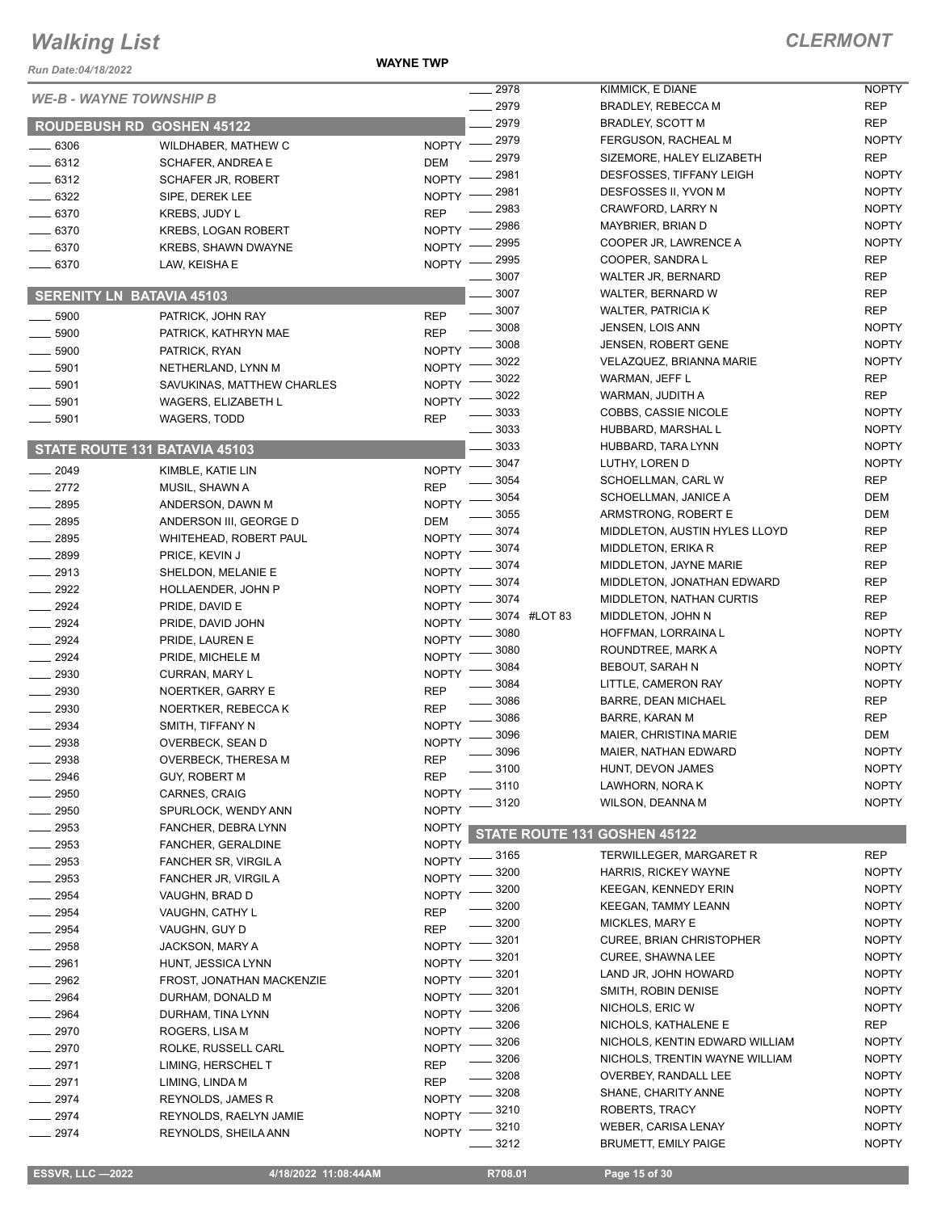**WAYNE TWP**

|              |                                         |                          | 2978         |              | KIMMICK, E DIANE                         | <b>NOPTY</b>                 |
|--------------|-----------------------------------------|--------------------------|--------------|--------------|------------------------------------------|------------------------------|
|              | <b>WE-B - WAYNE TOWNSHIP B</b>          |                          | 2979         |              | <b>BRADLEY, REBECCA M</b>                | <b>REP</b>                   |
|              | <b>ROUDEBUSH RD GOSHEN 45122</b>        |                          | 2979         |              | BRADLEY, SCOTT M                         | <b>REP</b>                   |
| $-6306$      | WILDHABER, MATHEW C                     | NOPTY -2979              |              |              | FERGUSON, RACHEAL M                      | <b>NOPTY</b>                 |
| $-6312$      | SCHAFER, ANDREA E                       | <b>DEM</b>               | 2979         |              | SIZEMORE, HALEY ELIZABETH                | <b>REP</b>                   |
| $-6312$      | <b>SCHAFER JR, ROBERT</b>               | <b>NOPTY</b>             | 2981         |              | DESFOSSES, TIFFANY LEIGH                 | <b>NOPTY</b>                 |
| . 6322       | SIPE, DEREK LEE                         | <b>NOPTY</b>             | 2981         |              | DESFOSSES II, YVON M                     | <b>NOPTY</b>                 |
| $-6370$      | KREBS, JUDY L                           | <b>REP</b>               | 2983         |              | CRAWFORD, LARRY N                        | <b>NOPTY</b>                 |
| $-6370$      | <b>KREBS, LOGAN ROBERT</b>              | <b>NOPTY</b>             | 2986         |              | MAYBRIER, BRIAN D                        | <b>NOPTY</b>                 |
| . 6370       | <b>KREBS, SHAWN DWAYNE</b>              | <b>NOPTY</b>             | 2995         |              | COOPER JR, LAWRENCE A                    | <b>NOPTY</b>                 |
| $-6370$      | LAW, KEISHA E                           | <b>NOPTY</b>             | 2995         |              | COOPER, SANDRA L                         | <b>REP</b>                   |
|              |                                         |                          | 3007         |              | <b>WALTER JR, BERNARD</b>                | <b>REP</b>                   |
|              | <b>SERENITY LN BATAVIA 45103</b>        |                          | 3007         |              | WALTER, BERNARD W                        | <b>REP</b>                   |
| $-5900$      | PATRICK, JOHN RAY                       | <b>REP</b>               | 3007         |              | <b>WALTER, PATRICIA K</b>                | <b>REP</b>                   |
| $-5900$      | PATRICK, KATHRYN MAE                    | <b>REP</b>               | 3008         |              | <b>JENSEN, LOIS ANN</b>                  | <b>NOPTY</b>                 |
| 5900         | PATRICK, RYAN                           | <b>NOPTY</b>             | 3008         |              | <b>JENSEN, ROBERT GENE</b>               | <b>NOPTY</b>                 |
| $-5901$      | NETHERLAND, LYNN M                      | <b>NOPTY</b>             | 3022         |              | VELAZQUEZ, BRIANNA MARIE                 | <b>NOPTY</b>                 |
| 5901         | SAVUKINAS, MATTHEW CHARLES              | <b>NOPTY</b>             | 3022         |              | WARMAN, JEFF L                           | <b>REP</b>                   |
| 5901         | <b>WAGERS, ELIZABETH L</b>              | <b>NOPTY</b>             | 3022         |              | WARMAN, JUDITH A                         | <b>REP</b>                   |
| 5901         | <b>WAGERS, TODD</b>                     | <b>REP</b>               | 3033         |              | COBBS, CASSIE NICOLE                     | <b>NOPTY</b>                 |
|              |                                         |                          | 3033<br>3033 |              | HUBBARD, MARSHAL L<br>HUBBARD, TARA LYNN | <b>NOPTY</b><br><b>NOPTY</b> |
|              | STATE ROUTE 131 BATAVIA 45103           |                          | 3047         |              | LUTHY, LOREN D                           | <b>NOPTY</b>                 |
| 2049         | KIMBLE, KATIE LIN                       | <b>NOPTY</b>             | 3054         |              | SCHOELLMAN, CARL W                       | <b>REP</b>                   |
| 2772         | MUSIL, SHAWN A                          | <b>REP</b>               | 3054         |              | SCHOELLMAN, JANICE A                     | <b>DEM</b>                   |
| $-2895$      | ANDERSON, DAWN M                        | <b>NOPTY</b>             | 3055         |              | ARMSTRONG, ROBERT E                      | <b>DEM</b>                   |
| 2895         | ANDERSON III, GEORGE D                  | DEM                      | 3074         |              | MIDDLETON, AUSTIN HYLES LLOYD            | <b>REP</b>                   |
| 2895         | WHITEHEAD, ROBERT PAUL                  | <b>NOPTY</b>             | 3074         |              | MIDDLETON, ERIKA R                       | <b>REP</b>                   |
| $-2899$      | PRICE, KEVIN J                          | <b>NOPTY</b>             | 3074         |              | MIDDLETON, JAYNE MARIE                   | <b>REP</b>                   |
| 2913         | SHELDON, MELANIE E                      | <b>NOPTY</b>             | 3074         |              | MIDDLETON, JONATHAN EDWARD               | <b>REP</b>                   |
| $-2922$      | HOLLAENDER, JOHN P                      | <b>NOPTY</b>             | 3074         |              | <b>MIDDLETON, NATHAN CURTIS</b>          | <b>REP</b>                   |
| 2924         | PRIDE, DAVID E                          | <b>NOPTY</b>             |              | 3074 #LOT 83 | MIDDLETON, JOHN N                        | <b>REP</b>                   |
| 2924         | PRIDE, DAVID JOHN                       | <b>NOPTY</b>             | 3080         |              | HOFFMAN, LORRAINA L                      | <b>NOPTY</b>                 |
| 2924         | PRIDE, LAUREN E                         | <b>NOPTY</b>             | 3080         |              | ROUNDTREE, MARK A                        | <b>NOPTY</b>                 |
| 2924         | PRIDE, MICHELE M                        | <b>NOPTY</b>             | 3084         |              | BEBOUT, SARAH N                          | <b>NOPTY</b>                 |
| . 2930       | CURRAN, MARY L                          | <b>NOPTY</b>             | 3084         |              | LITTLE, CAMERON RAY                      | <b>NOPTY</b>                 |
| 2930         | NOERTKER, GARRY E                       | <b>REP</b><br><b>REP</b> | 3086         |              | <b>BARRE, DEAN MICHAEL</b>               | <b>REP</b>                   |
| 2930<br>2934 | NOERTKER, REBECCA K<br>SMITH, TIFFANY N | <b>NOPTY</b>             | 3086         |              | BARRE, KARAN M                           | <b>REP</b>                   |
| 2938         | OVERBECK, SEAN D                        | <b>NOPTY</b>             | 3096         |              | MAIER, CHRISTINA MARIE                   | <b>DEM</b>                   |
| 2938         | OVERBECK, THERESA M                     | <b>REP</b>               | 3096         |              | MAIER, NATHAN EDWARD                     | <b>NOPTY</b>                 |
| 2946         | GUY, ROBERT M                           | <b>REP</b>               | 3100         |              | HUNT, DEVON JAMES                        | <b>NOPTY</b>                 |
| 2950         | CARNES, CRAIG                           | <b>NOPTY</b>             | 3110         |              | LAWHORN, NORA K                          | <b>NOPTY</b>                 |
| 2950         | SPURLOCK, WENDY ANN                     | <b>NOPTY</b>             | 3120         |              | WILSON, DEANNA M                         | <b>NOPTY</b>                 |
| 2953         | FANCHER, DEBRA LYNN                     | <b>NOPTY</b>             |              |              |                                          |                              |
| 2953         | FANCHER, GERALDINE                      | <b>NOPTY</b>             |              |              | STATE ROUTE 131 GOSHEN 45122             |                              |
| 2953         | FANCHER SR, VIRGIL A                    | <b>NOPTY</b>             | . 3165       |              | TERWILLEGER, MARGARET R                  | <b>REP</b>                   |
| 2953         | FANCHER JR, VIRGILA                     | <b>NOPTY</b>             | 3200         |              | HARRIS, RICKEY WAYNE                     | <b>NOPTY</b>                 |
| $-2954$      | VAUGHN, BRAD D                          | <b>NOPTY</b>             | 3200         |              | <b>KEEGAN, KENNEDY ERIN</b>              | <b>NOPTY</b>                 |
| 2954         | VAUGHN, CATHY L                         | <b>REP</b>               | 3200         |              | KEEGAN, TAMMY LEANN                      | <b>NOPTY</b>                 |
| 2954         | VAUGHN, GUY D                           | <b>REP</b>               | 3200         |              | MICKLES, MARY E                          | <b>NOPTY</b>                 |
| 2958         | JACKSON, MARY A                         | <b>NOPTY</b>             | 3201         |              | <b>CUREE, BRIAN CHRISTOPHER</b>          | <b>NOPTY</b>                 |
| 2961         | HUNT, JESSICA LYNN                      | <b>NOPTY</b>             | 3201         |              | <b>CUREE, SHAWNA LEE</b>                 | <b>NOPTY</b>                 |
| 2962         | FROST, JONATHAN MACKENZIE               | <b>NOPTY</b>             | 3201         |              | LAND JR, JOHN HOWARD                     | <b>NOPTY</b>                 |
| 2964         | DURHAM, DONALD M                        | <b>NOPTY</b>             | 3201         |              | SMITH, ROBIN DENISE                      | <b>NOPTY</b>                 |
| 2964         | DURHAM, TINA LYNN                       | <b>NOPTY</b>             | 3206         |              | NICHOLS, ERIC W                          | <b>NOPTY</b>                 |
| 2970         | ROGERS, LISA M                          | <b>NOPTY</b>             | 3206         |              | NICHOLS, KATHALENE E                     | <b>REP</b>                   |
| 2970         | ROLKE, RUSSELL CARL                     | <b>NOPTY</b>             | 3206         |              | NICHOLS, KENTIN EDWARD WILLIAM           | <b>NOPTY</b>                 |
| 2971         | LIMING, HERSCHEL T                      | <b>REP</b>               | 3206         |              | NICHOLS, TRENTIN WAYNE WILLIAM           | <b>NOPTY</b>                 |
| 2971         | LIMING, LINDA M                         | <b>REP</b>               | 3208         |              | OVERBEY, RANDALL LEE                     | <b>NOPTY</b>                 |
| 2974         | <b>REYNOLDS, JAMES R</b>                | <b>NOPTY</b>             | 3208         |              | SHANE, CHARITY ANNE                      | <b>NOPTY</b>                 |
| 2974         | REYNOLDS, RAELYN JAMIE                  | <b>NOPTY</b>             | 3210         |              | ROBERTS, TRACY                           | <b>NOPTY</b>                 |
| 2974         | REYNOLDS, SHEILA ANN                    | <b>NOPTY</b>             | 3210         |              | WEBER, CARISA LENAY                      | <b>NOPTY</b>                 |
|              |                                         |                          | 3212         |              | <b>BRUMETT, EMILY PAIGE</b>              | <b>NOPTY</b>                 |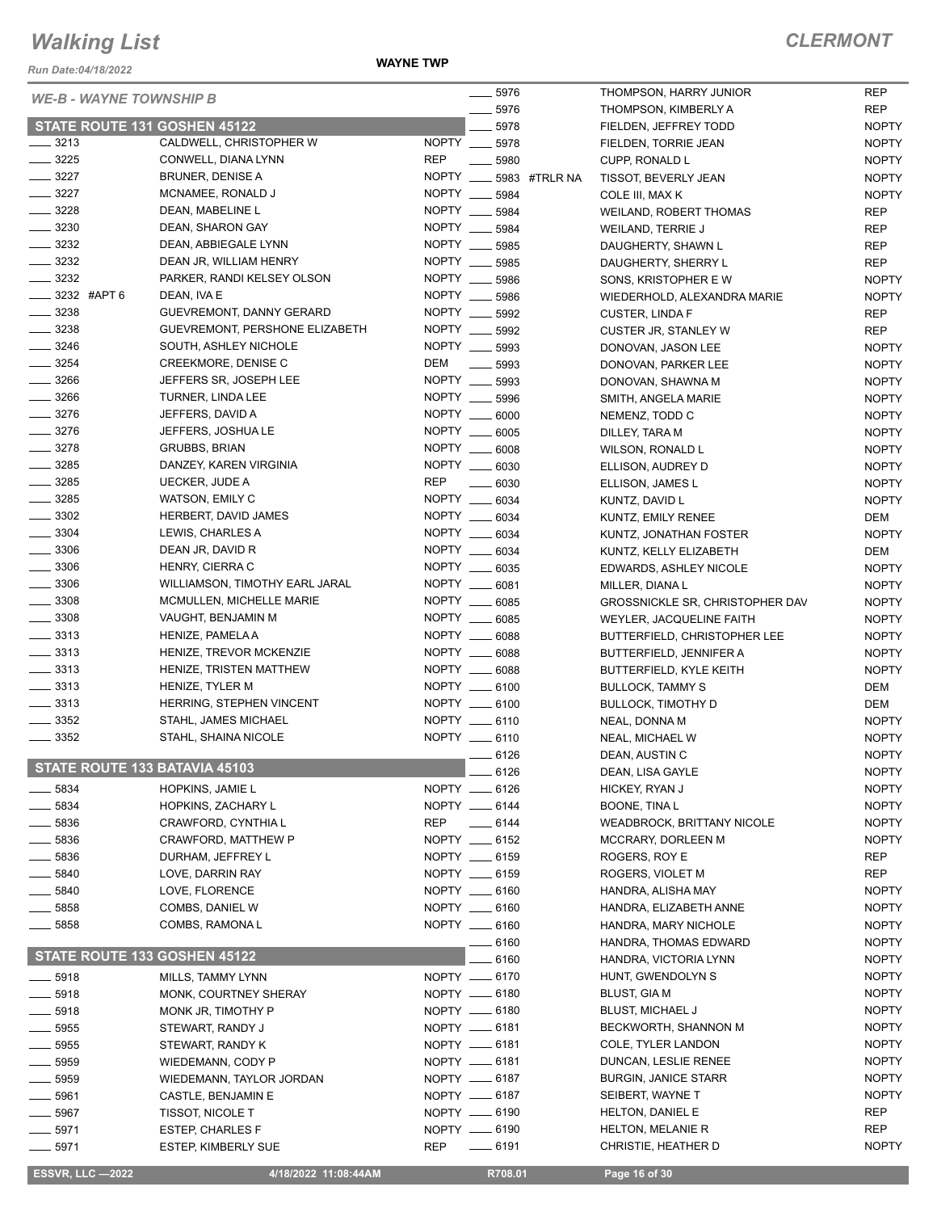*Run Date:04/18/2022*

**WAYNE TWP**

#### *CLERMONT*

| <b>WE-B - WAYNE TOWNSHIP B</b>           |                                              |                                | $- 5976$                  | THOMPSON, HARRY JUNIOR                 | <b>REP</b>   |
|------------------------------------------|----------------------------------------------|--------------------------------|---------------------------|----------------------------------------|--------------|
|                                          |                                              |                                | $-5976$                   | THOMPSON, KIMBERLY A                   | <b>REP</b>   |
|                                          | STATE ROUTE 131 GOSHEN 45122                 |                                | 5978                      | FIELDEN, JEFFREY TODD                  | <b>NOPTY</b> |
| $- 3213$                                 | CALDWELL, CHRISTOPHER W                      | NOPTY __ 5978                  |                           | FIELDEN, TORRIE JEAN                   | <b>NOPTY</b> |
| $- 3225$                                 | CONWELL, DIANA LYNN                          | <b>REP</b>                     | 5980                      | CUPP, RONALD L                         | <b>NOPTY</b> |
| $- 3227$                                 | <b>BRUNER, DENISE A</b>                      |                                | NOPTY _____ 5983 #TRLR NA | TISSOT, BEVERLY JEAN                   | <b>NOPTY</b> |
| $- 3227$                                 | MCNAMEE, RONALD J                            | NOPTY __ 5984                  |                           | COLE III, MAX K                        | <b>NOPTY</b> |
| $\frac{3228}{2}$                         | DEAN, MABELINE L                             | NOPTY __ 5984                  |                           | WEILAND, ROBERT THOMAS                 | <b>REP</b>   |
| $\frac{1}{2}$ 3230                       | DEAN, SHARON GAY                             | NOPTY __ 5984                  |                           | WEILAND, TERRIE J                      | <b>REP</b>   |
| $\frac{1}{2}$ 3232                       | DEAN, ABBIEGALE LYNN                         | NOPTY __ 5985                  |                           | DAUGHERTY, SHAWN L                     | REP          |
| $\frac{1}{2}$ 3232                       | DEAN JR, WILLIAM HENRY                       | NOPTY __ 5985                  |                           | DAUGHERTY, SHERRY L                    | REP          |
| $\frac{1}{2}$ 3232                       | PARKER, RANDI KELSEY OLSON                   | NOPTY __ 5986                  |                           | SONS, KRISTOPHER E W                   | <b>NOPTY</b> |
| $\frac{1}{2}$ 3232 #APT 6                | DEAN, IVA E                                  | NOPTY __ 5986                  |                           | WIEDERHOLD, ALEXANDRA MARIE            | <b>NOPTY</b> |
| $\frac{1}{2}$ 3238                       | GUEVREMONT, DANNY GERARD                     | NOPTY __ 5992                  |                           | <b>CUSTER, LINDA F</b>                 | REP          |
| $\equiv$ 3238                            | GUEVREMONT, PERSHONE ELIZABETH               | NOPTY __ 5992                  |                           | CUSTER JR, STANLEY W                   | <b>REP</b>   |
| $- 3246$                                 | SOUTH, ASHLEY NICHOLE                        | NOPTY __ 5993                  |                           | DONOVAN, JASON LEE                     | <b>NOPTY</b> |
| $- 3254$                                 | CREEKMORE, DENISE C                          | DEM                            | $\frac{1}{2}$ 5993        | DONOVAN, PARKER LEE                    | <b>NOPTY</b> |
| $- 3266$                                 | JEFFERS SR, JOSEPH LEE                       | NOPTY __ 5993                  |                           | DONOVAN, SHAWNA M                      | <b>NOPTY</b> |
| $\frac{1}{2}$ 3266                       | TURNER, LINDA LEE                            | NOPTY __ 5996                  |                           | SMITH, ANGELA MARIE                    | <b>NOPTY</b> |
| $- 3276$                                 | JEFFERS, DAVID A                             | NOPTY __ 6000                  |                           | NEMENZ, TODD C                         | <b>NOPTY</b> |
| $- 3276$                                 | JEFFERS, JOSHUA LE                           | NOPTY __ 6005                  |                           | DILLEY, TARA M                         | <b>NOPTY</b> |
| $- 3278$                                 | <b>GRUBBS, BRIAN</b>                         | NOPTY __ 6008                  |                           | WILSON, RONALD L                       | <b>NOPTY</b> |
| $\frac{1}{2}$ 3285                       | DANZEY, KAREN VIRGINIA                       | NOPTY __ 6030                  |                           | ELLISON, AUDREY D                      | <b>NOPTY</b> |
| $\frac{1}{2}$ 3285                       | UECKER, JUDE A                               | <b>REP</b>                     | $- 6030$                  | ELLISON, JAMES L                       | <b>NOPTY</b> |
| $- 3285$                                 | WATSON, EMILY C                              | NOPTY __ 6034                  |                           | KUNTZ, DAVID L                         | <b>NOPTY</b> |
| $\frac{1}{2}$ 3302                       | HERBERT, DAVID JAMES                         | NOPTY __ 6034                  |                           | KUNTZ, EMILY RENEE                     | DEM          |
| $\frac{1}{2}$ 3304                       | LEWIS, CHARLES A                             | NOPTY __ 6034                  |                           | KUNTZ, JONATHAN FOSTER                 | <b>NOPTY</b> |
| $\frac{1}{2}$ 3306                       | DEAN JR, DAVID R                             | NOPTY __ 6034                  |                           | KUNTZ, KELLY ELIZABETH                 | DEM          |
| $\frac{1}{2}$ 3306                       | HENRY, CIERRA C                              | NOPTY __ 6035                  |                           | EDWARDS, ASHLEY NICOLE                 | <b>NOPTY</b> |
| __ 3306                                  | WILLIAMSON, TIMOTHY EARL JARAL               | NOPTY __ 6081                  |                           | MILLER, DIANA L                        | <b>NOPTY</b> |
| $\frac{1}{2}$ 3308                       | MCMULLEN, MICHELLE MARIE                     | NOPTY __ 6085                  |                           | <b>GROSSNICKLE SR, CHRISTOPHER DAV</b> | <b>NOPTY</b> |
| $\frac{1}{2}$ 3308                       | VAUGHT, BENJAMIN M                           | NOPTY __ 6085                  |                           | WEYLER, JACQUELINE FAITH               | <b>NOPTY</b> |
| $\frac{3313}{2}$                         | HENIZE, PAMELA A                             | NOPTY __ 6088                  |                           | BUTTERFIELD, CHRISTOPHER LEE           | <b>NOPTY</b> |
| $\frac{1}{2}$ 3313                       | HENIZE, TREVOR MCKENZIE                      | NOPTY __ 6088                  |                           | BUTTERFIELD, JENNIFER A                | <b>NOPTY</b> |
| $\frac{1}{2}$ 3313                       | HENIZE, TRISTEN MATTHEW                      | NOPTY __ 6088                  |                           | BUTTERFIELD, KYLE KEITH                | <b>NOPTY</b> |
| $\frac{1}{2}$ 3313                       | HENIZE, TYLER M                              | NOPTY __ 6100                  |                           | <b>BULLOCK, TAMMY S</b>                | DEM          |
| $\frac{1}{2}$ 3313                       | HERRING, STEPHEN VINCENT                     | NOPTY __ 6100                  |                           | <b>BULLOCK, TIMOTHY D</b>              | DEM          |
| $\frac{1}{2}$ 3352<br>$\frac{1}{2}$ 3352 | STAHL, JAMES MICHAEL<br>STAHL, SHAINA NICOLE | NOPTY __ 6110<br>NOPTY __ 6110 |                           | NEAL, DONNA M                          | <b>NOPTY</b> |
|                                          |                                              |                                |                           | NEAL, MICHAEL W                        | <b>NOPTY</b> |
| STATE ROUTE 133 BATAVIA 45103            |                                              |                                | $-6126$                   | DEAN, AUSTIN C                         | <b>NOPTY</b> |
|                                          |                                              |                                | - 6126                    | DEAN, LISA GAYLE                       | <b>NOPTY</b> |
| 5834                                     | HOPKINS, JAMIE L                             | NOPTY __ 6126                  |                           | HICKEY, RYAN J                         | <b>NOPTY</b> |
| 5834                                     | HOPKINS, ZACHARY L                           | NOPTY __ 6144                  |                           | <b>BOONE, TINA L</b>                   | <b>NOPTY</b> |
| 5836                                     | CRAWFORD, CYNTHIA L                          | REP                            | $-6144$                   | <b>WEADBROCK, BRITTANY NICOLE</b>      | <b>NOPTY</b> |
| $-5836$                                  | CRAWFORD, MATTHEW P                          | NOPTY __ 6152<br>NOPTY __ 6159 |                           | MCCRARY, DORLEEN M                     | <b>NOPTY</b> |
| _ 5836                                   | DURHAM, JEFFREY L                            |                                |                           | ROGERS, ROY E                          | REP          |
| $\frac{1}{2}$ 5840                       | LOVE, DARRIN RAY                             | NOPTY __ 6159                  |                           | ROGERS, VIOLET M                       | REP          |
| $=$ 5840                                 | LOVE, FLORENCE                               | NOPTY __ 6160                  |                           | HANDRA, ALISHA MAY                     | <b>NOPTY</b> |
| $\_5858$                                 | COMBS, DANIEL W                              | NOPTY __ 6160                  |                           | HANDRA, ELIZABETH ANNE                 | <b>NOPTY</b> |
| $- 5858$                                 | COMBS, RAMONA L                              | NOPTY __ 6160                  |                           | HANDRA, MARY NICHOLE                   | <b>NOPTY</b> |
|                                          | STATE ROUTE 133 GOSHEN 45122                 |                                | $=$ 6160                  | HANDRA, THOMAS EDWARD                  | <b>NOPTY</b> |
|                                          |                                              |                                | 6160                      | HANDRA, VICTORIA LYNN                  | <b>NOPTY</b> |
| $-5918$                                  | MILLS, TAMMY LYNN                            | NOPTY -6170                    |                           | HUNT, GWENDOLYN S                      | <b>NOPTY</b> |
| $-5918$                                  | MONK, COURTNEY SHERAY                        | NOPTY __ 6180                  |                           | BLUST, GIA M                           | <b>NOPTY</b> |
| __ 5918                                  | MONK JR, TIMOTHY P                           | NOPTY __ 6180                  |                           | <b>BLUST, MICHAEL J</b>                | <b>NOPTY</b> |
| $-5955$                                  | STEWART, RANDY J                             | NOPTY __ 6181                  |                           | BECKWORTH, SHANNON M                   | <b>NOPTY</b> |
| 5955                                     | STEWART, RANDY K                             | NOPTY __ 6181                  |                           | COLE, TYLER LANDON                     | <b>NOPTY</b> |
| ____ 5959                                | WIEDEMANN, CODY P                            | $NOPTY$ __ 6181                |                           | DUNCAN, LESLIE RENEE                   | <b>NOPTY</b> |
| . 5959                                   | WIEDEMANN, TAYLOR JORDAN                     | NOPTY __ 6187                  |                           | <b>BURGIN, JANICE STARR</b>            | <b>NOPTY</b> |
| _ 5961                                   | CASTLE, BENJAMIN E                           | NOPTY __ 6187                  |                           | SEIBERT, WAYNE T                       | <b>NOPTY</b> |
| $-5967$                                  | <b>TISSOT, NICOLE T</b>                      | NOPTY -6190                    |                           | <b>HELTON, DANIEL E</b>                | REP          |
| 5971                                     | <b>ESTEP, CHARLES F</b>                      | NOPTY __ 6190                  |                           | <b>HELTON, MELANIE R</b>               | REP          |
| $-5971$                                  | <b>ESTEP, KIMBERLY SUE</b>                   | <b>REP</b>                     | $\frac{1}{2}$ 6191        | CHRISTIE, HEATHER D                    | <b>NOPTY</b> |
|                                          |                                              |                                |                           |                                        |              |

**ESSVR, LLC -2022 4/18/2022 11:08:44AM** R708.01 **Page 16 of 30**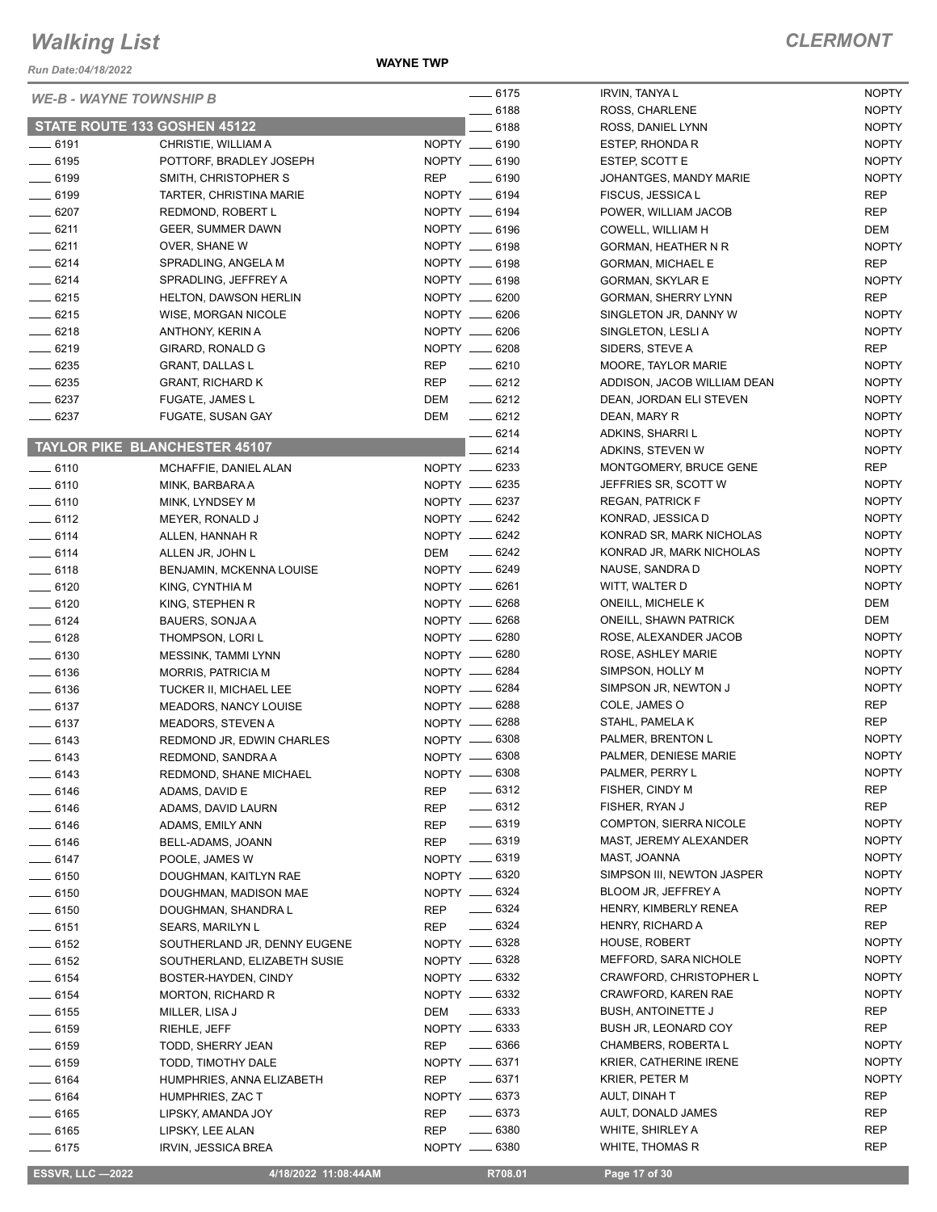**WAYNE TWP**

|                    | <b>WE-B - WAYNE TOWNSHIP B</b>       | $-6175$                          | <b>IRVIN, TANYA L</b>         | <b>NOPTY</b> |
|--------------------|--------------------------------------|----------------------------------|-------------------------------|--------------|
|                    |                                      | $-6188$                          | ROSS, CHARLENE                | <b>NOPTY</b> |
|                    | STATE ROUTE 133 GOSHEN 45122         | 6188                             | ROSS, DANIEL LYNN             | <b>NOPTY</b> |
| $- 6191$           | CHRISTIE, WILLIAM A                  | NOPTY __ 6190                    | ESTEP, RHONDA R               | <b>NOPTY</b> |
| $- 6195$           | POTTORF, BRADLEY JOSEPH              | NOPTY __ 6190                    | ESTEP, SCOTT E                | <b>NOPTY</b> |
| $-6199$            | SMITH, CHRISTOPHER S                 | REP<br>$\frac{1}{2}$ 6190        | JOHANTGES, MANDY MARIE        | <b>NOPTY</b> |
| $- 6199$           | TARTER, CHRISTINA MARIE              | NOPTY __ 6194                    | FISCUS, JESSICA L             | <b>REP</b>   |
| $- 6207$           | REDMOND, ROBERT L                    | NOPTY __ 6194                    | POWER, WILLIAM JACOB          | <b>REP</b>   |
| $-6211$            | <b>GEER, SUMMER DAWN</b>             | NOPTY __ 6196                    | COWELL, WILLIAM H             | DEM          |
| $-6211$            | OVER, SHANE W                        | NOPTY __ 6198                    | GORMAN, HEATHER N R           | <b>NOPTY</b> |
| $-6214$            | SPRADLING, ANGELA M                  | NOPTY __ 6198                    | <b>GORMAN, MICHAEL E</b>      | <b>REP</b>   |
| $-6214$            | SPRADLING, JEFFREY A                 | NOPTY __ 6198                    | <b>GORMAN, SKYLAR E</b>       | <b>NOPTY</b> |
| $-6215$            | <b>HELTON, DAWSON HERLIN</b>         | NOPTY __ 6200                    | GORMAN, SHERRY LYNN           | <b>REP</b>   |
| $-6215$            | WISE, MORGAN NICOLE                  | NOPTY __ 6206                    | SINGLETON JR, DANNY W         | <b>NOPTY</b> |
| $-6218$            | ANTHONY, KERIN A                     | NOPTY __ 6206                    | SINGLETON, LESLIA             | <b>NOPTY</b> |
| $-6219$            | GIRARD, RONALD G                     | NOPTY __ 6208                    | SIDERS, STEVE A               | <b>REP</b>   |
| $- 6235$           | <b>GRANT, DALLAS L</b>               | <b>REP</b><br>$- 6210$           | MOORE, TAYLOR MARIE           | <b>NOPTY</b> |
| $- 6235$           | <b>GRANT, RICHARD K</b>              | REP<br>$-6212$                   | ADDISON, JACOB WILLIAM DEAN   | <b>NOPTY</b> |
| $- 6237$           | <b>FUGATE, JAMES L</b>               | DEM<br>$-6212$                   | DEAN, JORDAN ELI STEVEN       | <b>NOPTY</b> |
| $- 6237$           | FUGATE, SUSAN GAY                    | DEM<br>$-6212$                   | DEAN, MARY R                  | <b>NOPTY</b> |
|                    |                                      | $-6214$                          | ADKINS, SHARRI L              | <b>NOPTY</b> |
|                    | <b>TAYLOR PIKE BLANCHESTER 45107</b> | 6214                             | ADKINS, STEVEN W              | <b>NOPTY</b> |
| $- 6110$           | MCHAFFIE, DANIEL ALAN                | NOPTY __ 6233                    | MONTGOMERY, BRUCE GENE        | <b>REP</b>   |
| $- 6110$           | MINK, BARBARA A                      | NOPTY -6235                      | JEFFRIES SR, SCOTT W          | <b>NOPTY</b> |
| $- 6110$           | MINK, LYNDSEY M                      | NOPTY -6237                      | <b>REGAN, PATRICK F</b>       | <b>NOPTY</b> |
| $-6112$            | MEYER, RONALD J                      | NOPTY -6242                      | KONRAD, JESSICA D             | <b>NOPTY</b> |
| $-6114$            | ALLEN, HANNAH R                      | NOPTY __ 6242                    | KONRAD SR, MARK NICHOLAS      | <b>NOPTY</b> |
| $-6114$            | ALLEN JR, JOHN L                     | DEM __ 6242                      | KONRAD JR, MARK NICHOLAS      | <b>NOPTY</b> |
| $-6118$            | BENJAMIN, MCKENNA LOUISE             | NOPTY -6249                      | NAUSE, SANDRA D               | <b>NOPTY</b> |
| $-6120$            | KING, CYNTHIA M                      | NOPTY -6261                      | WITT, WALTER D                | <b>NOPTY</b> |
| $-6120$            | KING, STEPHEN R                      | NOPTY __ 6268                    | ONEILL, MICHELE K             | DEM          |
| $-6124$            | BAUERS, SONJA A                      | NOPTY __ 6268                    | <b>ONEILL, SHAWN PATRICK</b>  | DEM          |
| $-6128$            | THOMPSON, LORI L                     | NOPTY __ 6280                    | ROSE, ALEXANDER JACOB         | <b>NOPTY</b> |
| $-6130$            | MESSINK, TAMMI LYNN                  | NOPTY -6280                      | ROSE, ASHLEY MARIE            | <b>NOPTY</b> |
| $-6136$            | <b>MORRIS, PATRICIA M</b>            | NOPTY -6284                      | SIMPSON, HOLLY M              | <b>NOPTY</b> |
| $-6136$            | TUCKER II, MICHAEL LEE               | NOPTY -6284                      | SIMPSON JR, NEWTON J          | <b>NOPTY</b> |
| $- 6137$           | <b>MEADORS, NANCY LOUISE</b>         | NOPTY -6288                      | COLE, JAMES O                 | <b>REP</b>   |
| $-6137$            | <b>MEADORS, STEVEN A</b>             | NOPTY __ 6288                    | STAHL, PAMELA K               | <b>REP</b>   |
| $-6143$            | REDMOND JR, EDWIN CHARLES            | NOPTY __ 6308                    | PALMER, BRENTON L             | <b>NOPTY</b> |
| $- 6143$           | REDMOND, SANDRA A                    | NOPTY -6308                      | PALMER, DENIESE MARIE         | <b>NOPTY</b> |
| $\frac{1}{2}$ 6143 | REDMOND, SHANE MICHAEL               | NOPTY __ 6308                    | PALMER, PERRY L               | <b>NOPTY</b> |
| $-6146$            | ADAMS, DAVID E                       | $- 6312$<br><b>REP</b>           | FISHER, CINDY M               | <b>REP</b>   |
| $-6146$            | ADAMS, DAVID LAURN                   | $- 6312$<br>REP                  | FISHER, RYAN J                | <b>REP</b>   |
| $- 6146$           | ADAMS, EMILY ANN                     | <b>REP</b><br>$- 6319$           | <b>COMPTON, SIERRA NICOLE</b> | <b>NOPTY</b> |
| $-6146$            | BELL-ADAMS, JOANN                    | $- 6319$<br>REP                  | MAST, JEREMY ALEXANDER        | <b>NOPTY</b> |
| $- 6147$           | POOLE, JAMES W                       | NOPTY __ 6319                    | MAST, JOANNA                  | <b>NOPTY</b> |
| $\frac{1}{2}$ 6150 | DOUGHMAN, KAITLYN RAE                | NOPTY __ 6320                    | SIMPSON III, NEWTON JASPER    | <b>NOPTY</b> |
| $-6150$            | DOUGHMAN, MADISON MAE                | NOPTY __ 6324                    | BLOOM JR, JEFFREY A           | <b>NOPTY</b> |
| $-6150$            | DOUGHMAN, SHANDRA L                  | $-6324$<br>REP                   | HENRY, KIMBERLY RENEA         | REP          |
| $-6151$            | <b>SEARS, MARILYN L</b>              | $- 6324$<br><b>REP</b>           | HENRY, RICHARD A              | <b>REP</b>   |
| $- 6152$           | SOUTHERLAND JR, DENNY EUGENE         | NOPTY __ 6328                    | <b>HOUSE, ROBERT</b>          | <b>NOPTY</b> |
| $-6152$            | SOUTHERLAND, ELIZABETH SUSIE         | NOPTY __ 6328                    | MEFFORD, SARA NICHOLE         | <b>NOPTY</b> |
| $-6154$            | BOSTER-HAYDEN, CINDY                 | NOPTY __ 6332                    | CRAWFORD, CHRISTOPHER L       | <b>NOPTY</b> |
| $-6154$            | <b>MORTON, RICHARD R</b>             | NOPTY __ 6332                    | CRAWFORD, KAREN RAE           | <b>NOPTY</b> |
| $- 6155$           | MILLER, LISA J                       | $- 6333$<br>DEM                  | <b>BUSH, ANTOINETTE J</b>     | <b>REP</b>   |
| $- 6159$           | RIEHLE, JEFF                         | NOPTY __ 6333                    | BUSH JR, LEONARD COY          | <b>REP</b>   |
| $- 6159$           | TODD, SHERRY JEAN                    | $- 6366$<br>REP                  | CHAMBERS, ROBERTA L           | <b>NOPTY</b> |
| $- 6159$           | TODD, TIMOTHY DALE                   | NOPTY __ 6371                    | KRIER, CATHERINE IRENE        | <b>NOPTY</b> |
| $-6164$            | HUMPHRIES, ANNA ELIZABETH            | $-6371$<br><b>REP</b>            | KRIER, PETER M                | <b>NOPTY</b> |
| $- 6164$           | HUMPHRIES, ZAC T                     | NOPTY __ 6373                    | AULT, DINAH T                 | <b>REP</b>   |
| $- 6165$           | LIPSKY, AMANDA JOY                   | ____ 6373<br><b>REP</b>          | AULT, DONALD JAMES            | REP          |
| ____ 6165          | LIPSKY, LEE ALAN                     | $\frac{1}{2}$ 6380<br><b>REP</b> | WHITE, SHIRLEY A              | <b>REP</b>   |
| $-6175$            | <b>IRVIN, JESSICA BREA</b>           | NOPTY __ 6380                    | WHITE, THOMAS R               | <b>REP</b>   |
|                    |                                      |                                  |                               |              |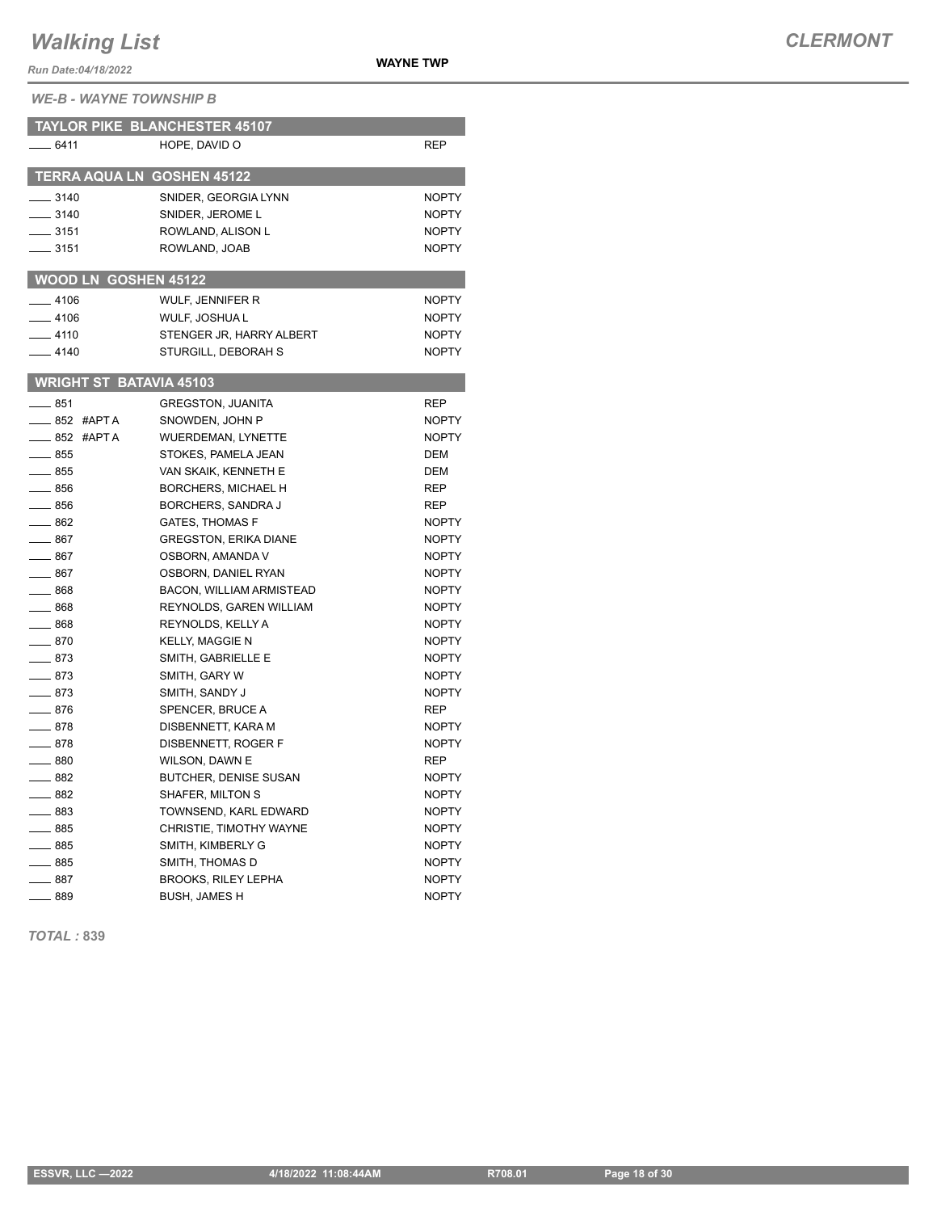*Run Date:04/18/2022*

**WAYNE TWP**

*WE-B - WAYNE TOWNSHIP B*

|                                   | <b>TAYLOR PIKE BLANCHESTER 45107</b> |              |
|-----------------------------------|--------------------------------------|--------------|
| $-6411$                           | HOPE, DAVID O                        | <b>REP</b>   |
|                                   |                                      |              |
| <b>TERRA AQUA LN GOSHEN 45122</b> |                                      |              |
| __ 3140                           | SNIDER, GEORGIA LYNN                 | <b>NOPTY</b> |
| $-3140$                           | SNIDER, JEROME L                     | <b>NOPTY</b> |
| $\frac{1}{2}$ 3151                | ROWLAND, ALISON L                    | <b>NOPTY</b> |
| ____ 3151                         | ROWLAND, JOAB                        | <b>NOPTY</b> |
| <b>WOOD LN GOSHEN 45122</b>       |                                      |              |
| $-4106$                           | WULF, JENNIFER R                     | <b>NOPTY</b> |
| $-4106$                           | WULF, JOSHUA L                       | <b>NOPTY</b> |
| $-4110$                           | STENGER JR, HARRY ALBERT             | <b>NOPTY</b> |
| $-4140$                           | STURGILL, DEBORAH S                  | <b>NOPTY</b> |
|                                   |                                      |              |
| <b>WRIGHT ST BATAVIA 45103</b>    |                                      |              |
| — 851                             | <b>GREGSTON, JUANITA</b>             | <b>REP</b>   |
| __ 852 #APT A                     | SNOWDEN, JOHN P                      | <b>NOPTY</b> |
| $-852$ #APTA                      | <b>WUERDEMAN, LYNETTE</b>            | <b>NOPTY</b> |
| $\equiv$ 855                      | STOKES, PAMELA JEAN                  | <b>DEM</b>   |
| $\equiv$ 855                      | VAN SKAIK, KENNETH E                 | DEM          |
| $-856$                            | <b>BORCHERS, MICHAEL H</b>           | REP          |
| ____ 856                          | BORCHERS, SANDRA J                   | REP          |
| $-862$                            | <b>GATES, THOMAS F</b>               | <b>NOPTY</b> |
| $-867$                            | <b>GREGSTON, ERIKA DIANE</b>         | <b>NOPTY</b> |
| $\equiv$ 867                      | OSBORN, AMANDA V                     | <b>NOPTY</b> |
| $-867$                            | OSBORN, DANIEL RYAN                  | <b>NOPTY</b> |
| $\_\_868$                         | <b>BACON, WILLIAM ARMISTEAD</b>      | <b>NOPTY</b> |
| $=$ 868                           | REYNOLDS, GAREN WILLIAM              | <b>NOPTY</b> |
| $-868$                            | REYNOLDS, KELLY A                    | <b>NOPTY</b> |
| $-870$                            | <b>KELLY, MAGGIE N</b>               | <b>NOPTY</b> |
| $-873$                            | SMITH. GABRIELLE E                   | <b>NOPTY</b> |
| $-873$                            | SMITH, GARY W                        | <b>NOPTY</b> |
| $-873$                            | SMITH, SANDY J                       | <b>NOPTY</b> |
| ____ 876                          | SPENCER, BRUCE A                     | REP          |
| $=$ 878                           | DISBENNETT, KARA M                   | <b>NOPTY</b> |
| $-878$                            | DISBENNETT, ROGER F                  | <b>NOPTY</b> |
| $\equiv$ 880                      | WILSON, DAWN E                       | <b>REP</b>   |
| $\equiv$ 882                      | BUTCHER, DENISE SUSAN                | <b>NOPTY</b> |
| __ 882                            | SHAFER, MILTON S                     | <b>NOPTY</b> |
| $-883$                            | TOWNSEND, KARL EDWARD                | <b>NOPTY</b> |
| $-885$                            | CHRISTIE, TIMOTHY WAYNE              | <b>NOPTY</b> |
| $-885$                            | SMITH, KIMBERLY G                    | <b>NOPTY</b> |
| ____ 885                          | SMITH, THOMAS D                      | <b>NOPTY</b> |
| $-887$                            | <b>BROOKS, RILEY LEPHA</b>           | <b>NOPTY</b> |
| - 889                             | <b>BUSH, JAMES H</b>                 | <b>NOPTY</b> |

*TOTAL :* **839**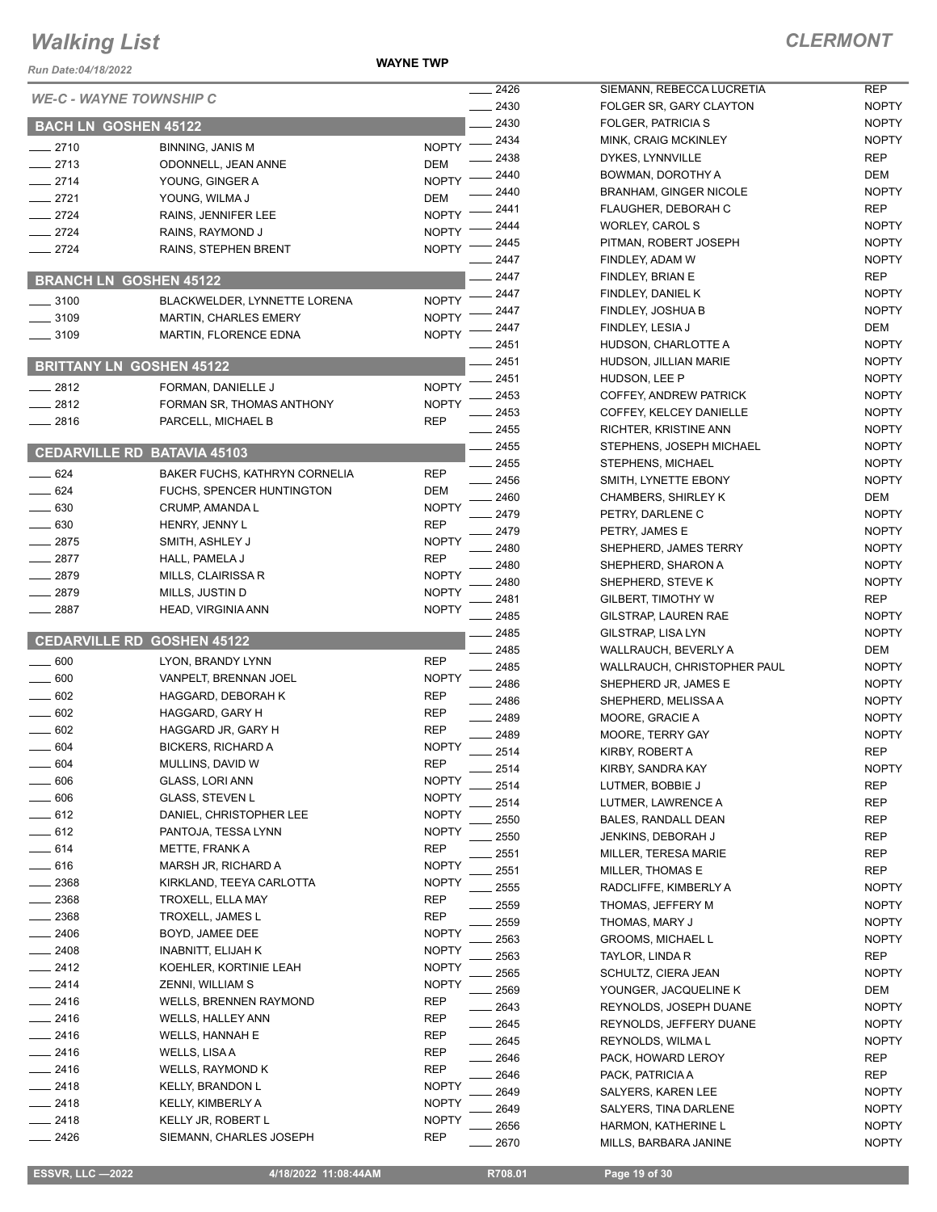**WAYNE TWP**

| Run Date:04/18/2022         |                                     |              |              |                              |
|-----------------------------|-------------------------------------|--------------|--------------|------------------------------|
|                             | <b>WE-C - WAYNE TOWNSHIP C</b>      |              | 2426         | <b>SIEMA</b>                 |
|                             |                                     |              | 2430<br>2430 | <b>FOLGE</b><br><b>FOLGE</b> |
| <b>BACH LN GOSHEN 45122</b> |                                     |              | 2434         | MINK,                        |
| $-2710$                     | <b>BINNING, JANIS M</b>             | <b>NOPTY</b> | 2438         | <b>DYKES</b>                 |
| $-2713$                     | ODONNELL, JEAN ANNE                 | DEM          | 2440         | <b>BOWM</b>                  |
| $-2714$                     | YOUNG, GINGER A                     | <b>NOPTY</b> | 2440         | <b>BRANH</b>                 |
| $-2721$                     | YOUNG, WILMA J                      | DEM          | 2441         | <b>FLAUG</b>                 |
| $-2724$                     | RAINS, JENNIFER LEE                 | <b>NOPTY</b> | 2444         | <b>WORLI</b>                 |
| $-2724$                     | RAINS, RAYMOND J                    | <b>NOPTY</b> | 2445         | <b>PITMAI</b>                |
| $-2724$                     | RAINS, STEPHEN BRENT                | <b>NOPTY</b> | 2447         | <b>FINDLE</b>                |
|                             | <b>BRANCH LN GOSHEN 45122</b>       |              | 2447         | <b>FINDLE</b>                |
|                             |                                     |              | 2447         | <b>FINDLE</b>                |
| $\frac{1}{2}$ 3100          | <b>BLACKWELDER, LYNNETTE LORENA</b> | <b>NOPTY</b> | 2447         | <b>FINDLE</b>                |
| $- 3109$                    | <b>MARTIN, CHARLES EMERY</b>        | <b>NOPTY</b> | 2447         | <b>FINDLE</b>                |
| $-3109$                     | MARTIN, FLORENCE EDNA               | <b>NOPTY</b> | 2451         | <b>HUDSC</b>                 |
|                             | <b>BRITTANY LN GOSHEN 45122</b>     |              | 2451         | <b>HUDSC</b>                 |
|                             |                                     |              | 2451         | <b>HUDSO</b>                 |
| $-2812$                     | FORMAN, DANIELLE J                  | <b>NOPTY</b> | 2453         | <b>COFFE</b>                 |
| $-2812$                     | FORMAN SR, THOMAS ANTHONY           | <b>NOPTY</b> | 2453         | <b>COFFE</b>                 |
| $-2816$                     | PARCELL, MICHAEL B                  | REP          | 2455         | <b>RICHTI</b>                |
|                             | <b>CEDARVILLE RD BATAVIA 45103</b>  |              | 2455         | <b>STEPH</b>                 |
|                             |                                     |              | 2455         | STEPH                        |
| $- 624$                     | BAKER FUCHS, KATHRYN CORNELIA       | <b>REP</b>   | 2456         | SMITH.                       |
| $\equiv$ 624                | FUCHS, SPENCER HUNTINGTON           | DEM          | 2460         | <b>CHAME</b>                 |
| $-630$                      | CRUMP, AMANDA L                     | <b>NOPTY</b> | 2479         | <b>PETRY</b>                 |
| $\equiv$ 630                | HENRY, JENNY L                      | <b>REP</b>   | 2479         | <b>PETRY</b>                 |
| $-2875$                     | SMITH, ASHLEY J                     | <b>NOPTY</b> | 2480         | <b>SHEPH</b>                 |
| $-2877$                     | HALL, PAMELA J                      | <b>REP</b>   | 2480         | <b>SHEPH</b>                 |
| $-2879$                     | MILLS, CLAIRISSA R                  | <b>NOPTY</b> | 2480         | <b>SHEPH</b>                 |
| $-2879$                     | MILLS, JUSTIN D                     | <b>NOPTY</b> | 2481         | <b>GILBEF</b>                |
| $-2887$                     | HEAD, VIRGINIA ANN                  | <b>NOPTY</b> | 2485         | <b>GILSTF</b>                |
|                             | <b>CEDARVILLE RD GOSHEN 45122</b>   |              | 2485         | <b>GILSTF</b>                |
| $\equiv$ 600                | LYON, BRANDY LYNN                   | <b>REP</b>   | 2485         | WALLR                        |
| $-600$                      | VANPELT, BRENNAN JOEL               | <b>NOPTY</b> | 2485         | <b>WALLR</b>                 |
| $-602$                      | HAGGARD, DEBORAH K                  | REP          | 2486         | <b>SHEPH</b>                 |
| 602                         | HAGGARD, GARY H                     | <b>REP</b>   | 2486         | <b>SHEPH</b>                 |
| $-602$                      | HAGGARD JR, GARY H                  | <b>REP</b>   | 2489         | <b>MOOR</b>                  |
| 604                         | <b>BICKERS, RICHARD A</b>           | <b>NOPTY</b> | 2489         | <b>MOOR</b>                  |
| 604                         | MULLINS, DAVID W                    | REP          | 2514         | KIRBY,                       |
| $-606$                      | GLASS, LORI ANN                     | NOPTY        | 2514         | KIRBY,                       |
| $-606$                      | <b>GLASS, STEVEN L</b>              | <b>NOPTY</b> | 2514         | <b>LUTME</b>                 |
| $-612$                      | DANIEL, CHRISTOPHER LEE             | <b>NOPTY</b> | 2514         | LUTME                        |
| $-612$                      | PANTOJA, TESSA LYNN                 | <b>NOPTY</b> | 2550         | <b>BALES</b>                 |
| $-614$                      | METTE, FRANK A                      | REP          | 2550         | <b>JENKIN</b>                |
| $-616$                      | MARSH JR, RICHARD A                 | NOPTY        | 2551         | <b>MILLEF</b>                |
| 2368                        | KIRKLAND, TEEYA CARLOTTA            | <b>NOPTY</b> | 2551         | <b>MILLEF</b>                |
| $-2368$                     | TROXELL, ELLA MAY                   | REP          | 2555         | RADCL                        |
| $-2368$                     | TROXELL, JAMES L                    | REP          | 2559         | <b>THOMA</b>                 |
| - 2406                      | BOYD, JAMEE DEE                     | <b>NOPTY</b> | 2559         | <b>THOMA</b>                 |
| $-2408$                     | <b>INABNITT, ELIJAH K</b>           | NOPTY        | 2563         | <b>GROOI</b>                 |
| $-2412$                     | KOEHLER, KORTINIE LEAH              | NOPTY        | 2563         | <b>TAYLO</b>                 |
| $-2414$                     | ZENNI, WILLIAM S                    | <b>NOPTY</b> | 2565         | SCHUL                        |
| $-2416$                     | <b>WELLS, BRENNEN RAYMOND</b>       | REP          | 2569         | <b>YOUN</b>                  |
| _ 2416                      | <b>WELLS, HALLEY ANN</b>            | REP          | 2643         | <b>REYNO</b>                 |
| $-2416$                     | WELLS, HANNAH E                     | REP          | 2645         | <b>REYNO</b>                 |
| _ 2416                      | WELLS, LISA A                       | REP          | 2645         | <b>REYNO</b>                 |
| $-2416$                     | WELLS, RAYMOND K                    | REP          | 2646         | PACK,                        |
| $-2418$                     | <b>KELLY, BRANDON L</b>             | NOPTY        | 2646         | PACK,                        |
| _ 2418                      | KELLY, KIMBERLY A                   | <b>NOPTY</b> | 2649         | SALYE                        |
| $-2418$                     | KELLY JR, ROBERT L                  | NOPTY        | 2649         | SALYE                        |
| 2426                        | SIEMANN, CHARLES JOSEPH             | REP          | 2656         | <b>HARM</b>                  |
|                             |                                     |              | 2670         | MILLS,                       |

| $\frac{1}{2426}$   | SIEMANN, REBECCA LUCRETIA               | REP               |
|--------------------|-----------------------------------------|-------------------|
| $-2430$            | FOLGER SR, GARY CLAYTON                 | <b>NOPTY</b>      |
| $-2430$            | FOLGER, PATRICIA S                      | <b>NOPTY</b>      |
| $-2434$            | MINK, CRAIG MCKINLEY                    | <b>NOPTY</b>      |
| $-2438$            | DYKES, LYNNVILLE                        | <b>REP</b>        |
| $-2440$            | BOWMAN, DOROTHY A                       | DEM               |
| $-2440$            | <b>BRANHAM, GINGER NICOLE</b>           | <b>NOPTY</b>      |
| __ 2441            | FLAUGHER, DEBORAH C                     | REP               |
| $-2444$            | WORLEY, CAROL S                         | <b>NOPTY</b>      |
| $-2445$            | PITMAN, ROBERT JOSEPH                   | <b>NOPTY</b>      |
| __ 2447            | FINDLEY, ADAM W                         | <b>NOPTY</b>      |
| $-2447$            | FINDLEY, BRIAN E                        | <b>REP</b>        |
| __ 2447            | FINDLEY, DANIEL K                       | <b>NOPTY</b>      |
| $-2447$            | FINDLEY, JOSHUA B                       | <b>NOPTY</b>      |
| $-2447$            | FINDLEY, LESIA J                        | DEM               |
| __ 2451            | HUDSON, CHARLOTTE A                     | <b>NOPTY</b>      |
| $-2451$            | HUDSON, JILLIAN MARIE                   | <b>NOPTY</b>      |
| $-2451$            | HUDSON, LEE P                           | <b>NOPTY</b>      |
| $-2453$            | COFFEY, ANDREW PATRICK                  | <b>NOPTY</b>      |
| $-2453$            | COFFEY, KELCEY DANIELLE                 | <b>NOPTY</b>      |
| $-2455$            | RICHTER, KRISTINE ANN                   | <b>NOPTY</b>      |
| $-2455$            | STEPHENS, JOSEPH MICHAEL                | <b>NOPTY</b>      |
| $-2455$            | STEPHENS, MICHAEL                       | <b>NOPTY</b>      |
| $-2456$            | SMITH. LYNETTE EBONY                    | <b>NOPTY</b>      |
| $-2460$            | <b>CHAMBERS, SHIRLEY K</b>              | DEM               |
| __ 2479            | PETRY, DARLENE C                        | <b>NOPTY</b>      |
| $-2479$            |                                         | <b>NOPTY</b>      |
| __ 2480            | PETRY, JAMES E<br>SHEPHERD, JAMES TERRY | <b>NOPTY</b>      |
| __ 2480            | SHEPHERD, SHARON A                      | <b>NOPTY</b>      |
|                    | SHEPHERD, STEVE K                       | <b>NOPTY</b>      |
| __ 2480<br>$-2481$ | GILBERT, TIMOTHY W                      | <b>REP</b>        |
| _ 2485             | GILSTRAP, LAUREN RAE                    | <b>NOPTY</b>      |
| __ 2485            | GILSTRAP, LISA LYN                      | <b>NOPTY</b>      |
| __ 2485            | WALLRAUCH, BEVERLY A                    | DEM               |
| $-2485$            | WALLRAUCH, CHRISTOPHER PAUL             | <b>NOPTY</b>      |
| $-2486$            | SHEPHERD JR, JAMES E                    | <b>NOPTY</b>      |
| $-2486$            | SHEPHERD, MELISSA A                     | <b>NOPTY</b>      |
| $-2489$            | MOORE, GRACIE A                         | <b>NOPTY</b>      |
| $-2489$            | MOORE, TERRY GAY                        | <b>NOPTY</b>      |
| $-2514$            | KIRBY, ROBERT A                         | <b>REP</b>        |
| __ 2514            | KIRBY, SANDRA KAY                       | <b>NOPTY</b>      |
| $-2514$            | LUTMER. BOBBIE J                        | REP               |
| $-2514$            | LUTMER, LAWRENCE A                      | REP               |
| $= 2550$           | <b>BALES, RANDALL DEAN</b>              |                   |
| $-2550$            | JENKINS, DEBORAH J                      | <b>REP</b><br>REP |
| $\equiv$ 2551      | MILLER, TERESA MARIE                    | <b>REP</b>        |
| $-2551$            | <b>MILLER. THOMAS E</b>                 | REP               |
| $-2555$            | RADCLIFFE, KIMBERLY A                   |                   |
|                    |                                         | <b>NOPTY</b>      |
| $-2559$            | THOMAS, JEFFERY M                       | <b>NOPTY</b>      |
| $-2559$            | THOMAS, MARY J                          | <b>NOPTY</b>      |
| __ 2563            | <b>GROOMS, MICHAEL L</b>                | <b>NOPTY</b>      |
| _ 2563<br>$-2565$  | TAYLOR, LINDA R                         | <b>REP</b>        |
|                    | SCHULTZ, CIERA JEAN                     | <b>NOPTY</b>      |
| $\equiv$ 2569      | YOUNGER, JACQUELINE K                   | DEM               |
| $-2643$            | REYNOLDS, JOSEPH DUANE                  | <b>NOPTY</b>      |
| __ 2645            | REYNOLDS, JEFFERY DUANE                 | <b>NOPTY</b>      |
| $= 2645$           | REYNOLDS, WILMAL                        | <b>NOPTY</b>      |
| _ 2646             | PACK, HOWARD LEROY                      | REP               |
| _ 2646             | PACK, PATRICIA A                        | <b>REP</b>        |
| $-2649$            | SALYERS, KAREN LEE                      | <b>NOPTY</b>      |
| __ 2649            | SALYERS, TINA DARLENE                   | <b>NOPTY</b>      |
| $\equiv$ 2656      | HARMON, KATHERINE L                     | <b>NOPTY</b>      |
| 2670               | MILLS, BARBARA JANINE                   | <b>NOPTY</b>      |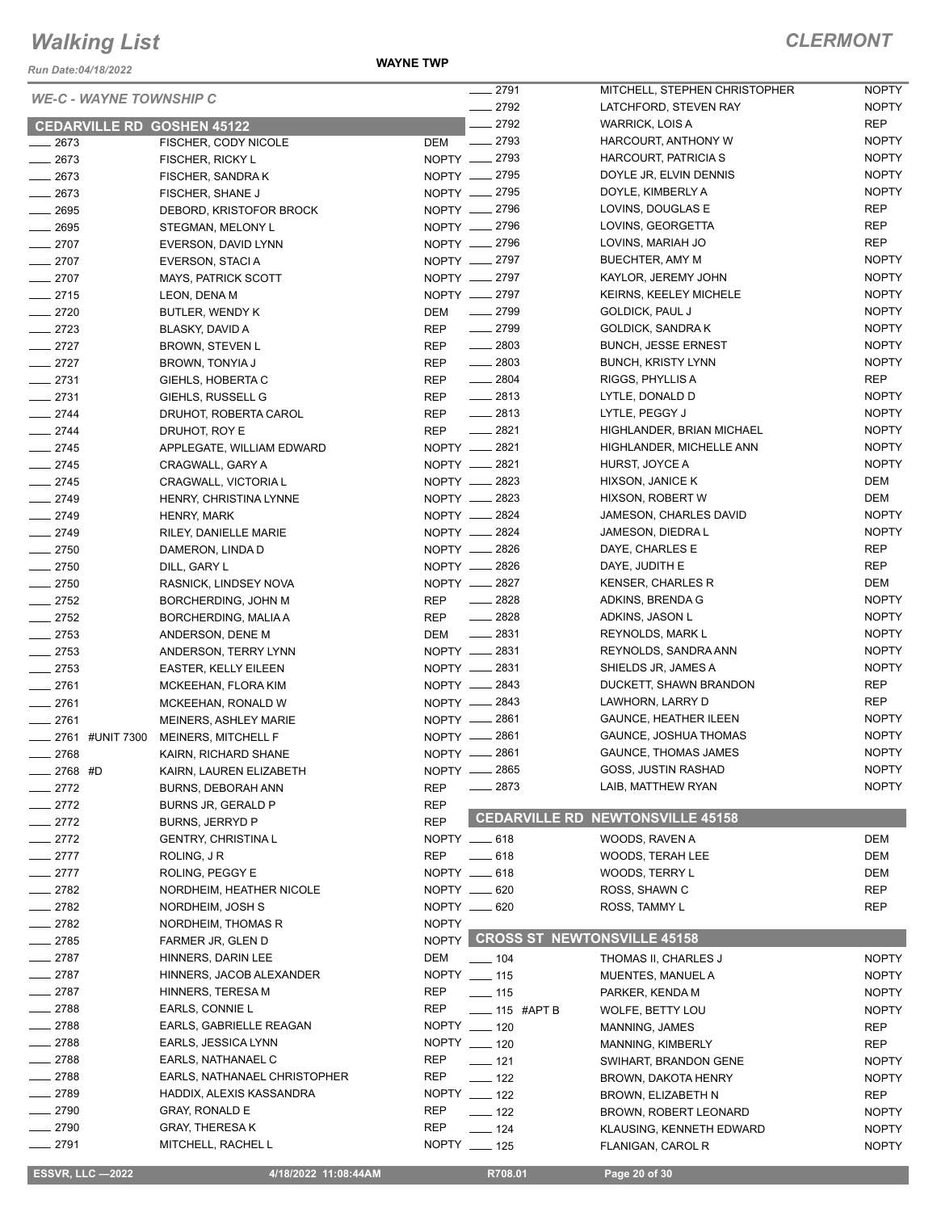*Run Date:04/18/2022*

#### **WAYNE TWP**

| <b>WE-C - WAYNE TOWNSHIP C</b>    |                              |              | $-2791$                           | MITCHELL, STEPHEN CHRISTOPHER | <b>NOPTY</b>               |
|-----------------------------------|------------------------------|--------------|-----------------------------------|-------------------------------|----------------------------|
|                                   |                              |              | $-2792$                           | LATCHFORD, STEVEN RAY         | <b>NOPTY</b>               |
| <b>CEDARVILLE RD GOSHEN 45122</b> |                              |              | 2792<br>$-2793$                   | WARRICK, LOIS A               | <b>REP</b><br><b>NOPTY</b> |
| $-2673$                           | FISCHER, CODY NICOLE         | <b>DEM</b>   | NOPTY -2793                       | HARCOURT, ANTHONY W           | <b>NOPTY</b>               |
| $-2673$                           | FISCHER, RICKY L             |              |                                   | HARCOURT, PATRICIA S          | <b>NOPTY</b>               |
| $-2673$                           | FISCHER, SANDRA K            |              | NOPTY __ 2795<br>NOPTY __ 2795    | DOYLE JR, ELVIN DENNIS        | <b>NOPTY</b>               |
| $-2673$                           | FISCHER, SHANE J             |              | NOPTY 2796                        | DOYLE, KIMBERLY A             |                            |
| $\frac{1}{2695}$                  | DEBORD, KRISTOFOR BROCK      |              |                                   | LOVINS, DOUGLAS E             | <b>REP</b>                 |
| $-2695$                           | STEGMAN, MELONY L            |              | NOPTY __ 2796                     | LOVINS, GEORGETTA             | <b>REP</b>                 |
| $-2707$                           | EVERSON, DAVID LYNN          |              | NOPTY __ 2796                     | LOVINS, MARIAH JO             | <b>REP</b>                 |
| $-2707$                           | EVERSON, STACI A             |              | NOPTY __ 2797                     | <b>BUECHTER, AMY M</b>        | <b>NOPTY</b>               |
| $-2707$                           | <b>MAYS, PATRICK SCOTT</b>   |              | NOPTY __ 2797                     | KAYLOR, JEREMY JOHN           | <b>NOPTY</b>               |
| $-2715$                           | LEON, DENA M                 |              | NOPTY __ 2797                     | <b>KEIRNS, KEELEY MICHELE</b> | <b>NOPTY</b>               |
| $-2720$                           | BUTLER, WENDY K              | DEM          | $-2799$                           | <b>GOLDICK, PAUL J</b>        | <b>NOPTY</b>               |
| $-2723$                           | BLASKY, DAVID A              | <b>REP</b>   | $-2799$                           | GOLDICK, SANDRA K             | <b>NOPTY</b>               |
| $-2727$                           | BROWN, STEVEN L              | <b>REP</b>   | $\frac{1}{2803}$                  | <b>BUNCH, JESSE ERNEST</b>    | <b>NOPTY</b>               |
| $-2727$                           | BROWN, TONYIA J              | <b>REP</b>   | $-2803$                           | <b>BUNCH, KRISTY LYNN</b>     | <b>NOPTY</b>               |
| $-2731$                           | GIEHLS, HOBERTA C            | <b>REP</b>   | $\frac{1}{2804}$                  | RIGGS, PHYLLIS A              | REP                        |
| $-2731$                           | GIEHLS, RUSSELL G            | REP          | $\frac{1}{2813}$                  | LYTLE, DONALD D               | <b>NOPTY</b>               |
| $-2744$                           | DRUHOT, ROBERTA CAROL        | REP          | $\frac{1}{2813}$                  | LYTLE, PEGGY J                | <b>NOPTY</b>               |
| $-2744$                           | DRUHOT, ROY E                | <b>REP</b>   | $-2821$                           | HIGHLANDER, BRIAN MICHAEL     | <b>NOPTY</b>               |
| $-2745$                           | APPLEGATE, WILLIAM EDWARD    |              | NOPTY -2821                       | HIGHLANDER, MICHELLE ANN      | <b>NOPTY</b>               |
| $-2745$                           | CRAGWALL, GARY A             |              | NOPTY - 2821                      | HURST, JOYCE A                | <b>NOPTY</b>               |
| $-2745$                           | CRAGWALL, VICTORIA L         |              | NOPTY __ 2823                     | HIXSON, JANICE K              | DEM                        |
| $-2749$                           | HENRY, CHRISTINA LYNNE       |              | NOPTY -2823                       | HIXSON, ROBERT W              | <b>DEM</b>                 |
| $-2749$                           | HENRY, MARK                  |              | NOPTY __ 2824                     | JAMESON, CHARLES DAVID        | <b>NOPTY</b>               |
| $-2749$                           | RILEY, DANIELLE MARIE        |              | NOPTY -2824                       | JAMESON, DIEDRA L             | <b>NOPTY</b>               |
| $-2750$                           | DAMERON, LINDA D             |              | NOPTY __ 2826                     | DAYE, CHARLES E               | <b>REP</b>                 |
| $-2750$                           | DILL, GARY L                 |              | NOPTY __ 2826                     | DAYE, JUDITH E                | <b>REP</b>                 |
| $-2750$                           | RASNICK, LINDSEY NOVA        |              | NOPTY __ 2827                     | <b>KENSER, CHARLES R</b>      | DEM                        |
| $\frac{2752}{2}$                  | BORCHERDING, JOHN M          | REP          | $-2828$                           | ADKINS, BRENDA G              | <b>NOPTY</b>               |
| $-2752$                           | BORCHERDING, MALIA A         | REP          | $-2828$                           | ADKINS, JASON L               | <b>NOPTY</b>               |
| $-2753$                           | ANDERSON, DENE M             | DEM          | $\frac{1}{2831}$                  | <b>REYNOLDS, MARK L</b>       | <b>NOPTY</b>               |
| $-2753$                           | ANDERSON, TERRY LYNN         |              | NOPTY __ 2831                     | REYNOLDS, SANDRA ANN          | <b>NOPTY</b>               |
| $-2753$                           | <b>EASTER, KELLY EILEEN</b>  |              | NOPTY -2831                       | SHIELDS JR, JAMES A           | <b>NOPTY</b>               |
| $-2761$                           | MCKEEHAN, FLORA KIM          |              | NOPTY __ 2843                     | DUCKETT, SHAWN BRANDON        | <b>REP</b>                 |
| $-2761$                           | MCKEEHAN, RONALD W           |              | NOPTY -2843                       | LAWHORN, LARRY D              | <b>REP</b>                 |
| $-2761$                           | MEINERS, ASHLEY MARIE        |              | NOPTY __ 2861                     | <b>GAUNCE, HEATHER ILEEN</b>  | <b>NOPTY</b>               |
| 2761 #UNIT 7300                   | MEINERS, MITCHELL F          |              | NOPTY __ 2861                     | GAUNCE, JOSHUA THOMAS         | <b>NOPTY</b>               |
| $-2768$                           | KAIRN, RICHARD SHANE         | NOPTY -      | 2861                              | <b>GAUNCE, THOMAS JAMES</b>   | <b>NOPTY</b>               |
| 2768 #D                           | KAIRN, LAUREN ELIZABETH      | NOPTY -      | 2865                              | GOSS, JUSTIN RASHAD           | <b>NOPTY</b>               |
| $-2772$                           | BURNS, DEBORAH ANN           | <b>REP</b>   | $-2873$                           | LAIB, MATTHEW RYAN            | <b>NOPTY</b>               |
| $-2772$                           | BURNS JR, GERALD P           | <b>REP</b>   |                                   |                               |                            |
| $-2772$                           | BURNS, JERRYD P              | <b>REP</b>   | <b>CEDARVILLE RD</b>              | <b>NEWTONSVILLE 45158</b>     |                            |
| $-2772$                           | <b>GENTRY, CHRISTINAL</b>    |              | NOPTY __ 618                      | WOODS, RAVEN A                | DEM                        |
| $-2777$                           | ROLING, JR                   | REP          | $-618$                            | <b>WOODS, TERAH LEE</b>       | DEM                        |
| $=$ 2777                          | ROLING, PEGGY E              |              | NOPTY __ 618                      | WOODS, TERRY L                | DEM                        |
| $-2782$                           | NORDHEIM, HEATHER NICOLE     |              | NOPTY __ 620                      | ROSS, SHAWN C                 | <b>REP</b>                 |
| $-2782$                           | NORDHEIM, JOSH S             |              | NOPTY __ 620                      | ROSS, TAMMY L                 | <b>REP</b>                 |
| $-2782$                           | NORDHEIM, THOMAS R           | <b>NOPTY</b> |                                   |                               |                            |
| $-2785$                           | FARMER JR, GLEN D            |              | NOPTY CROSS ST NEWTONSVILLE 45158 |                               |                            |
| $-2787$                           | HINNERS, DARIN LEE           | DEM          | $- 104$                           | THOMAS II, CHARLES J          | <b>NOPTY</b>               |
| $-2787$                           | HINNERS, JACOB ALEXANDER     |              | NOPTY __ 115                      | MUENTES, MANUEL A             | <b>NOPTY</b>               |
| $-2787$                           | HINNERS, TERESA M            | <b>REP</b>   | $\frac{1}{2}$ 115                 | PARKER, KENDA M               | <b>NOPTY</b>               |
| $-2788$                           | EARLS, CONNIE L              | REP          | -44PT B                           | WOLFE, BETTY LOU              | <b>NOPTY</b>               |
| $-2788$                           | EARLS, GABRIELLE REAGAN      |              | NOPTY __ 120                      | MANNING, JAMES                | <b>REP</b>                 |
| $= 2788$                          | EARLS, JESSICA LYNN          |              | NOPTY __ 120                      | MANNING, KIMBERLY             | REP                        |
| $-2788$                           | EARLS, NATHANAEL C           | <b>REP</b>   | $- 121$                           | SWIHART, BRANDON GENE         | <b>NOPTY</b>               |
| $-2788$                           | EARLS, NATHANAEL CHRISTOPHER | <b>REP</b>   | $-$ 122                           | BROWN, DAKOTA HENRY           | <b>NOPTY</b>               |
| $-2789$                           | HADDIX, ALEXIS KASSANDRA     |              | NOPTY __ 122                      | BROWN, ELIZABETH N            | REP                        |
| $-2790$                           | GRAY, RONALD E               | <b>REP</b>   | $\frac{1}{2}$ 122                 | <b>BROWN, ROBERT LEONARD</b>  | <b>NOPTY</b>               |
| $-2790$                           | <b>GRAY, THERESA K</b>       | <b>REP</b>   | $\frac{1}{2}$ 124                 | KLAUSING, KENNETH EDWARD      | <b>NOPTY</b>               |
| $-2791$                           | MITCHELL, RACHEL L           |              | NOPTY __ 125                      | FLANIGAN, CAROL R             | <b>NOPTY</b>               |
|                                   |                              |              |                                   |                               |                            |
| <b>ESSVR, LLC -2022</b>           | 4/18/2022 11:08:44AM         |              | R708.01                           | Page 20 of 30                 |                            |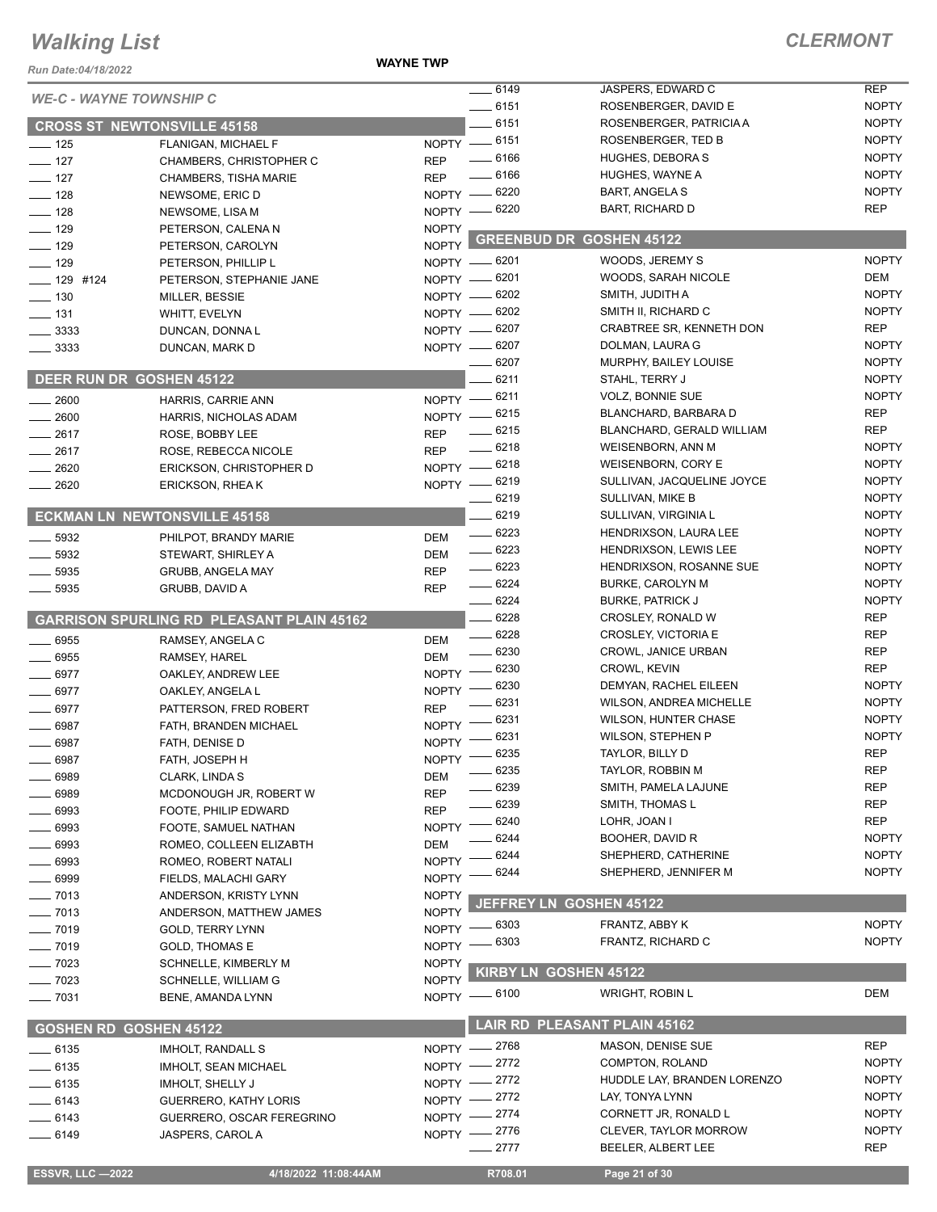#### **WAYNE TWP**

| Run Date:04/18/2022                |                                                    | <b>WAYNE TWP</b>             |                             |                                                         |                              |
|------------------------------------|----------------------------------------------------|------------------------------|-----------------------------|---------------------------------------------------------|------------------------------|
| <b>WE-C - WAYNE TOWNSHIP C</b>     |                                                    |                              | 6149                        | JASPERS, EDWARD C                                       | <b>REP</b>                   |
|                                    |                                                    |                              | $- 6151$                    | ROSENBERGER, DAVID E                                    | <b>NOPTY</b>                 |
| <b>CROSS ST NEWTONSVILLE 45158</b> |                                                    |                              | $-6151$                     | ROSENBERGER, PATRICIA A                                 | <b>NOPTY</b>                 |
| $\frac{1}{2}$ 125                  | FLANIGAN, MICHAEL F                                |                              | NOPTY -6151                 | ROSENBERGER, TED B                                      | <b>NOPTY</b>                 |
| $-127$                             | <b>CHAMBERS, CHRISTOPHER C</b>                     | <b>REP</b>                   | $- 6166$                    | <b>HUGHES, DEBORA S</b>                                 | <b>NOPTY</b>                 |
| $\frac{1}{2}$ 127                  | <b>CHAMBERS, TISHA MARIE</b>                       | <b>REP</b>                   | $- 6166$                    | HUGHES, WAYNE A                                         | <b>NOPTY</b>                 |
| $-128$                             | NEWSOME, ERIC D                                    |                              | NOPTY -8220                 | <b>BART, ANGELA S</b>                                   | <b>NOPTY</b><br><b>REP</b>   |
| $- 128$                            | NEWSOME, LISA M                                    |                              | NOPTY - 6220                | <b>BART, RICHARD D</b>                                  |                              |
| $\frac{1}{2}$ 129                  | PETERSON, CALENAN                                  | <b>NOPTY</b>                 |                             | <b>GREENBUD DR GOSHEN 45122</b>                         |                              |
| $-129$                             | PETERSON, CAROLYN                                  | NOPTY L                      |                             | WOODS, JEREMY S                                         | <b>NOPTY</b>                 |
| $\frac{1}{2}$ 129                  | PETERSON, PHILLIP L                                |                              | NOPTY - 6201<br>NOPTY -6201 | WOODS, SARAH NICOLE                                     | DEM                          |
| $- 129$ #124                       | PETERSON, STEPHANIE JANE                           |                              | NOPTY -8202                 | SMITH, JUDITH A                                         | <b>NOPTY</b>                 |
| $\frac{1}{2}$ 130                  | MILLER, BESSIE                                     |                              | NOPTY - 6202                | SMITH II, RICHARD C                                     | <b>NOPTY</b>                 |
| $- 131$<br>$\frac{1}{2}$ 3333      | WHITT, EVELYN                                      |                              | NOPTY -6207                 | CRABTREE SR, KENNETH DON                                | <b>REP</b>                   |
| $\frac{1}{2}$ 3333                 | DUNCAN, DONNA L<br>DUNCAN, MARK D                  |                              | NOPTY - 6207                | DOLMAN, LAURA G                                         | <b>NOPTY</b>                 |
|                                    |                                                    |                              | 6207                        | MURPHY, BAILEY LOUISE                                   | <b>NOPTY</b>                 |
| <b>DEER RUN DR GOSHEN 45122</b>    |                                                    |                              | 6211                        | STAHL, TERRY J                                          | <b>NOPTY</b>                 |
| 2600                               | HARRIS, CARRIE ANN                                 |                              | NOPTY -8211                 | <b>VOLZ, BONNIE SUE</b>                                 | <b>NOPTY</b>                 |
| 2600                               | HARRIS, NICHOLAS ADAM                              |                              | NOPTY -8215                 | BLANCHARD, BARBARA D                                    | <b>REP</b>                   |
| $-2617$                            | ROSE, BOBBY LEE                                    | <b>REP</b>                   | $-6215$                     | BLANCHARD, GERALD WILLIAM                               | <b>REP</b>                   |
| $-2617$                            | ROSE, REBECCA NICOLE                               | <b>REP</b>                   | $-6218$                     | <b>WEISENBORN, ANN M</b>                                | <b>NOPTY</b>                 |
| 2620                               | ERICKSON, CHRISTOPHER D                            |                              | NOPTY - 6218                | <b>WEISENBORN, CORY E</b>                               | <b>NOPTY</b>                 |
| 2620                               | ERICKSON, RHEAK                                    |                              | NOPTY -8219                 | SULLIVAN, JACQUELINE JOYCE                              | <b>NOPTY</b>                 |
|                                    |                                                    |                              | $- 6219$                    | SULLIVAN, MIKE B                                        | <b>NOPTY</b>                 |
|                                    | <b>ECKMAN LN NEWTONSVILLE 45158</b>                |                              | $-6219$                     | SULLIVAN, VIRGINIA L                                    | <b>NOPTY</b>                 |
| 5932                               | PHILPOT, BRANDY MARIE                              | <b>DEM</b>                   | $-6223$                     | HENDRIXSON, LAURA LEE                                   | <b>NOPTY</b>                 |
| $\frac{1}{2}$ 5932                 | STEWART, SHIRLEY A                                 | <b>DEM</b>                   | $- 6223$                    | HENDRIXSON, LEWIS LEE                                   | <b>NOPTY</b>                 |
| $-5935$                            | <b>GRUBB, ANGELA MAY</b>                           | <b>REP</b>                   | $- 6223$                    | HENDRIXSON, ROSANNE SUE                                 | <b>NOPTY</b>                 |
| 5935                               | GRUBB, DAVID A                                     | <b>REP</b>                   | $- 6224$                    | <b>BURKE, CAROLYN M</b>                                 | <b>NOPTY</b>                 |
|                                    |                                                    |                              | $- 6224$                    | <b>BURKE, PATRICK J</b>                                 | <b>NOPTY</b>                 |
|                                    | <b>GARRISON SPURLING RD PLEASANT PLAIN 45162</b>   |                              | $-6228$                     | CROSLEY, RONALD W                                       | <b>REP</b>                   |
| 6955                               | RAMSEY, ANGELA C                                   | <b>DEM</b>                   | $-6228$                     | <b>CROSLEY, VICTORIA E</b>                              | <b>REP</b>                   |
| $\frac{1}{2}$ 6955                 | RAMSEY, HAREL                                      | <b>DEM</b>                   | $- 6230$                    | CROWL, JANICE URBAN                                     | <b>REP</b>                   |
| 6977                               | OAKLEY, ANDREW LEE                                 | NOPTY -                      | $-6230$                     | CROWL, KEVIN                                            | <b>REP</b>                   |
| $-6977$                            | OAKLEY, ANGELA L                                   | $NOPTY$ –                    | 6230                        | DEMYAN, RACHEL EILEEN                                   | <b>NOPTY</b>                 |
| $- 6977$                           | PATTERSON, FRED ROBERT                             | <b>REP</b>                   | 6231<br>6231                | <b>WILSON, ANDREA MICHELLE</b>                          | <b>NOPTY</b><br><b>NOPTY</b> |
| 6987                               | FATH, BRANDEN MICHAEL                              | $NOPTY$ -                    |                             | <b>WILSON, HUNTER CHASE</b><br><b>WILSON, STEPHEN P</b> | <b>NOPTY</b>                 |
| 6987                               | FATH, DENISE D                                     |                              | NOPTY - 6231<br>$=6235$     | TAYLOR, BILLY D                                         | REP                          |
| 6987                               | FATH, JOSEPH H                                     | NOPTY -                      | 6235                        | TAYLOR, ROBBIN M                                        | <b>REP</b>                   |
| 6989                               | CLARK, LINDA S                                     | DEM                          | 6239                        | SMITH, PAMELA LAJUNE                                    | <b>REP</b>                   |
| 6989                               | MCDONOUGH JR, ROBERT W                             | <b>REP</b>                   | 6239                        | SMITH, THOMAS L                                         | <b>REP</b>                   |
| 6993                               | FOOTE, PHILIP EDWARD                               | <b>REP</b>                   | 6240                        | LOHR, JOAN I                                            | <b>REP</b>                   |
| - 6993                             | FOOTE, SAMUEL NATHAN                               | <b>NOPTY</b>                 | 6244                        | BOOHER, DAVID R                                         | <b>NOPTY</b>                 |
| 6993                               | ROMEO, COLLEEN ELIZABTH                            | <b>DEM</b>                   | 6244                        | SHEPHERD, CATHERINE                                     | <b>NOPTY</b>                 |
| 6993                               | ROMEO, ROBERT NATALI                               | <b>NOPTY</b>                 | 6244                        | SHEPHERD, JENNIFER M                                    | <b>NOPTY</b>                 |
| 6999                               | FIELDS, MALACHI GARY                               | <b>NOPTY</b>                 |                             |                                                         |                              |
| $-7013$                            | ANDERSON, KRISTY LYNN                              | <b>NOPTY</b><br><b>NOPTY</b> | <b>JEFFREY LN</b>           | <b>GOSHEN 45122</b>                                     |                              |
| $-7013$<br>$-7019$                 | ANDERSON, MATTHEW JAMES<br><b>GOLD, TERRY LYNN</b> |                              | NOPTY - 6303                | FRANTZ, ABBY K                                          | <b>NOPTY</b>                 |
| $- 7019$                           | <b>GOLD, THOMAS E</b>                              | NOPTY -                      | 6303                        | FRANTZ, RICHARD C                                       | <b>NOPTY</b>                 |
| $- 7023$                           | SCHNELLE, KIMBERLY M                               | <b>NOPTY</b>                 |                             |                                                         |                              |
| $-7023$                            | <b>SCHNELLE, WILLIAM G</b>                         | <b>NOPTY</b>                 |                             | KIRBY LN GOSHEN 45122                                   |                              |
| $\frac{1}{2}$ 7031                 | BENE, AMANDA LYNN                                  |                              | NOPTY - 6100                | <b>WRIGHT, ROBIN L</b>                                  | <b>DEM</b>                   |
|                                    |                                                    |                              |                             |                                                         |                              |
| <b>GOSHEN RD GOSHEN 45122</b>      |                                                    |                              |                             | <b>LAIR RD PLEASANT PLAIN 45162</b>                     |                              |
| __ 6135                            | <b>IMHOLT, RANDALL S</b>                           |                              | NOPTY -2768                 | <b>MASON, DENISE SUE</b>                                | <b>REP</b>                   |
| $-6135$                            | <b>IMHOLT, SEAN MICHAEL</b>                        |                              | NOPTY -2772                 | COMPTON, ROLAND                                         | <b>NOPTY</b>                 |
| $-6135$                            | <b>IMHOLT, SHELLY J</b>                            |                              | NOPTY -2772                 | HUDDLE LAY, BRANDEN LORENZO                             | <b>NOPTY</b>                 |
| $-6143$                            | <b>GUERRERO, KATHY LORIS</b>                       |                              | NOPTY -2772                 | LAY, TONYA LYNN                                         | <b>NOPTY</b>                 |
| $-6143$                            | GUERRERO, OSCAR FEREGRINO                          |                              | NOPTY -2774                 | CORNETT JR, RONALD L                                    | <b>NOPTY</b>                 |
| $-6149$                            | JASPERS, CAROL A                                   |                              | NOPTY -2776                 | <b>CLEVER, TAYLOR MORROW</b>                            | <b>NOPTY</b>                 |
|                                    |                                                    |                              | $-2777$                     | BEELER, ALBERT LEE                                      | <b>REP</b>                   |
| <b>ESSVR, LLC -2022</b>            | 4/18/2022 11:08:44AM                               |                              | R708.01                     | Page 21 of 30                                           |                              |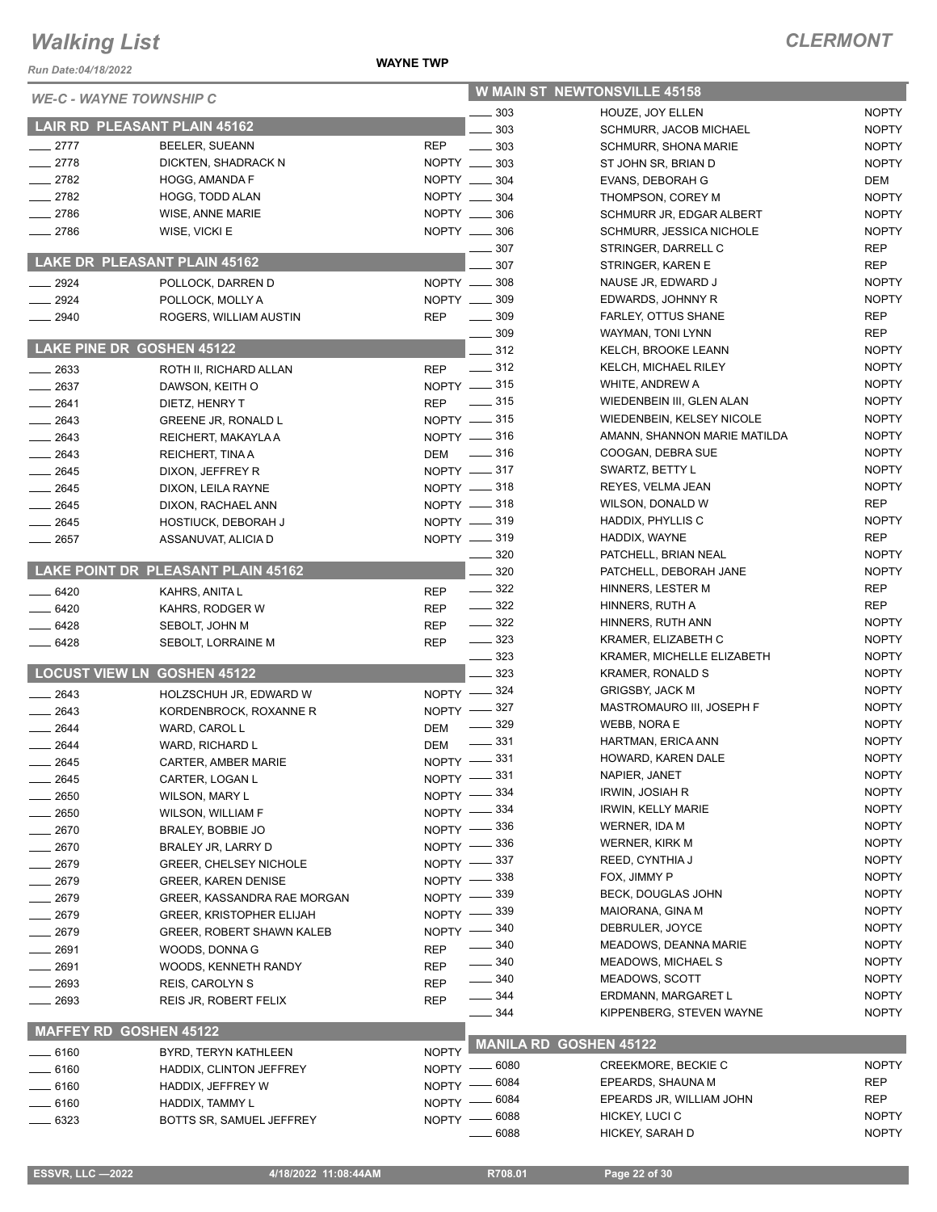**WAYNE TWP**

| <b>WE-C - WAYNE TOWNSHIP C</b>      |                                    |              |                                        | <b>W MAIN ST NEWTONSVILLE 45158</b>                 |                              |
|-------------------------------------|------------------------------------|--------------|----------------------------------------|-----------------------------------------------------|------------------------------|
|                                     |                                    |              | $-303$                                 | HOUZE. JOY ELLEN                                    | <b>NOPTY</b>                 |
| <b>LAIR RD PLEASANT PLAIN 45162</b> |                                    |              | 303                                    | SCHMURR, JACOB MICHAEL                              | <b>NOPTY</b>                 |
| $-2777$                             | BEELER, SUEANN                     | <b>REP</b>   | $\frac{1}{2}$ 303                      | <b>SCHMURR, SHONA MARIE</b>                         | <b>NOPTY</b>                 |
| $-2778$                             | DICKTEN, SHADRACK N                |              | NOPTY __ 303                           | ST JOHN SR, BRIAN D                                 | <b>NOPTY</b>                 |
| $-2782$                             | HOGG, AMANDA F                     |              | NOPTY __ 304                           | EVANS, DEBORAH G                                    | DEM                          |
| $-2782$                             | HOGG, TODD ALAN                    |              | NOPTY __ 304                           | THOMPSON, COREY M                                   | <b>NOPTY</b>                 |
| $-2786$                             | WISE, ANNE MARIE                   |              | NOPTY __ 306                           | SCHMURR JR, EDGAR ALBERT                            | <b>NOPTY</b>                 |
| 2786                                | WISE, VICKI E                      |              | NOPTY __ 306                           | SCHMURR, JESSICA NICHOLE                            | <b>NOPTY</b>                 |
|                                     |                                    |              | $-307$                                 | STRINGER, DARRELL C                                 | <b>REP</b>                   |
| LAKE DR PLEASANT PLAIN 45162        |                                    |              | 307                                    | STRINGER, KAREN E                                   | <b>REP</b>                   |
| $-2924$                             | POLLOCK, DARREN D                  |              | NOPTY __ 308                           | NAUSE JR, EDWARD J                                  | <b>NOPTY</b>                 |
| 2924                                | POLLOCK, MOLLY A                   |              | NOPTY __ 309                           | EDWARDS, JOHNNY R                                   | <b>NOPTY</b>                 |
| 2940                                | ROGERS, WILLIAM AUSTIN             | REP          | $\frac{1}{2}$ 309                      | FARLEY, OTTUS SHANE                                 | <b>REP</b>                   |
|                                     |                                    |              | $\frac{1}{2}$ 309                      | WAYMAN, TONI LYNN                                   | <b>REP</b>                   |
| <b>LAKE PINE DR GOSHEN 45122</b>    |                                    |              | 312                                    | KELCH, BROOKE LEANN                                 | <b>NOPTY</b>                 |
| $-2633$                             | ROTH II, RICHARD ALLAN             | <b>REP</b>   | $\sim$ 312                             | KELCH, MICHAEL RILEY                                | <b>NOPTY</b>                 |
| 2637                                | DAWSON, KEITH O                    |              | NOPTY -815                             | WHITE, ANDREW A                                     | <b>NOPTY</b>                 |
| $-2641$                             | DIETZ, HENRY T                     |              | REP - 315                              | WIEDENBEIN III, GLEN ALAN                           | <b>NOPTY</b>                 |
| $\frac{1}{2643}$                    | <b>GREENE JR, RONALD L</b>         |              | NOPTY -815                             | WIEDENBEIN, KELSEY NICOLE                           | <b>NOPTY</b>                 |
| 2643                                | REICHERT, MAKAYLA A                |              | $NOPTY$ = 316                          | AMANN, SHANNON MARIE MATILDA                        | <b>NOPTY</b>                 |
| 2643                                | REICHERT, TINA A                   | <b>DEM</b>   | $\frac{1}{2}$ 316                      | COOGAN, DEBRA SUE                                   | <b>NOPTY</b>                 |
| $-2645$                             | DIXON, JEFFREY R                   |              | NOPTY -817                             | SWARTZ, BETTY L                                     | <b>NOPTY</b>                 |
| $-2645$                             | DIXON, LEILA RAYNE                 |              | $NOPTY$ = 318                          | REYES, VELMA JEAN                                   | <b>NOPTY</b>                 |
| $-2645$                             | DIXON, RACHAEL ANN                 |              | NOPTY -818                             | WILSON, DONALD W                                    | <b>REP</b>                   |
| $-2645$                             | HOSTIUCK, DEBORAH J                |              | NOPTY -819                             | HADDIX, PHYLLIS C                                   | <b>NOPTY</b>                 |
| $-2657$                             | ASSANUVAT, ALICIA D                |              | $NOPTY$ = 319                          | HADDIX, WAYNE                                       | <b>REP</b>                   |
|                                     |                                    |              | $\frac{1}{2}$ 320                      | PATCHELL, BRIAN NEAL                                | <b>NOPTY</b>                 |
|                                     | LAKE POINT DR PLEASANT PLAIN 45162 |              | 320                                    | PATCHELL, DEBORAH JANE                              | <b>NOPTY</b>                 |
| $-6420$                             | KAHRS, ANITA L                     | <b>REP</b>   | $\frac{322}{2}$                        | HINNERS, LESTER M                                   | <b>REP</b>                   |
| $-6420$                             | KAHRS, RODGER W                    | REP          | $\frac{322}{2}$                        | HINNERS, RUTH A                                     | <b>REP</b>                   |
| $-6428$                             | SEBOLT, JOHN M                     | REP          | $\frac{1}{2}$ 322                      | HINNERS, RUTH ANN                                   | <b>NOPTY</b>                 |
| $-6428$                             | SEBOLT, LORRAINE M                 | <b>REP</b>   | $\frac{1}{2}$ 323                      | KRAMER, ELIZABETH C                                 | <b>NOPTY</b>                 |
|                                     |                                    |              | $\frac{1}{2}$ 323                      | KRAMER, MICHELLE ELIZABETH                          | <b>NOPTY</b>                 |
| <b>LOCUST VIEW LN GOSHEN 45122</b>  |                                    |              | $-323$                                 | KRAMER, RONALD S                                    | <b>NOPTY</b>                 |
| 2643                                | HOLZSCHUH JR, EDWARD W             |              | NOPTY -824                             | <b>GRIGSBY, JACK M</b>                              | <b>NOPTY</b>                 |
| $-2643$                             | KORDENBROCK, ROXANNE R             |              | NOPTY -827                             | MASTROMAURO III, JOSEPH F                           | <b>NOPTY</b><br><b>NOPTY</b> |
| $\frac{1}{2644}$                    | WARD, CAROL L                      | DEM          | $\frac{1}{2}$ 329<br>$\frac{1}{2}$ 331 | WEBB, NORA E                                        |                              |
| 2644                                | WARD, RICHARD L                    | <b>DEM</b>   |                                        | HARTMAN, ERICA ANN<br>HOWARD, KAREN DALE            | <b>NOPTY</b><br><b>NOPTY</b> |
| $-2645$                             | CARTER, AMBER MARIE                |              | NOPTY -831                             |                                                     | <b>NOPTY</b>                 |
| 2645                                | CARTER, LOGAN L                    |              | NOPTY -831                             | NAPIER, JANET                                       | <b>NOPTY</b>                 |
| 2650                                | <b>WILSON, MARY L</b>              |              | NOPTY -334<br>_ 334                    | <b>IRWIN, JOSIAH R</b><br><b>IRWIN, KELLY MARIE</b> | <b>NOPTY</b>                 |
| 2650                                | <b>WILSON, WILLIAM F</b>           | $NOPTY -$    | . 336                                  | WERNER, IDA M                                       | <b>NOPTY</b>                 |
| 2670                                | BRALEY, BOBBIE JO                  | NOPTY -      | . 336                                  | <b>WERNER, KIRK M</b>                               | <b>NOPTY</b>                 |
| $-2670$                             | BRALEY JR, LARRY D                 | NOPTY -      | . 337                                  | REED, CYNTHIA J                                     | <b>NOPTY</b>                 |
| 2679                                | <b>GREER, CHELSEY NICHOLE</b>      | NOPTY -      | 338                                    | FOX, JIMMY P                                        | <b>NOPTY</b>                 |
| _ 2679                              | <b>GREER, KAREN DENISE</b>         | NOPTY -      | 339                                    | BECK, DOUGLAS JOHN                                  | <b>NOPTY</b>                 |
| _ 2679                              | GREER, KASSANDRA RAE MORGAN        | <b>NOPTY</b> | . 339                                  | MAIORANA, GINA M                                    | <b>NOPTY</b>                 |
| 2679                                | <b>GREER, KRISTOPHER ELIJAH</b>    | NOPTY -      | _ 340                                  | DEBRULER, JOYCE                                     | <b>NOPTY</b>                 |
| 2679                                | <b>GREER, ROBERT SHAWN KALEB</b>   | $NOPTY -$    | 340                                    | <b>MEADOWS, DEANNA MARIE</b>                        | <b>NOPTY</b>                 |
| 2691                                | WOODS, DONNA G                     | <b>REP</b>   | $\frac{1}{2}$ 340                      | <b>MEADOWS, MICHAEL S</b>                           | <b>NOPTY</b>                 |
| 2691                                | WOODS, KENNETH RANDY               | REP          | $\frac{1}{2}$ 340                      | MEADOWS, SCOTT                                      | <b>NOPTY</b>                 |
| 2693                                | <b>REIS, CAROLYN S</b>             | <b>REP</b>   | ____ 344                               | ERDMANN, MARGARET L                                 | <b>NOPTY</b>                 |
| 2693                                | REIS JR, ROBERT FELIX              | <b>REP</b>   | $\frac{1}{2}$ 344                      | KIPPENBERG, STEVEN WAYNE                            | <b>NOPTY</b>                 |
|                                     |                                    |              |                                        |                                                     |                              |
| <b>MAFFEY RD GOSHEN 45122</b>       |                                    |              | <b>MANILA RD GOSHEN 45122</b>          |                                                     |                              |
| ____ 6160                           | BYRD, TERYN KATHLEEN               | <b>NOPTY</b> |                                        | CREEKMORE, BECKIE C                                 | <b>NOPTY</b>                 |
| _ 6160                              | HADDIX, CLINTON JEFFREY            |              | NOPTY - 6080<br>. 6084                 | EPEARDS, SHAUNA M                                   | <b>REP</b>                   |
| _ 6160                              | HADDIX, JEFFREY W                  | NOPTY -      | $-6084$                                | EPEARDS JR, WILLIAM JOHN                            | <b>REP</b>                   |
| $-6160$                             | HADDIX, TAMMY L                    | NOPTY -      | 6088                                   | HICKEY, LUCI C                                      | <b>NOPTY</b>                 |
| - 6323                              | BOTTS SR, SAMUEL JEFFREY           | $N$ OPTY $-$ | 6088                                   | HICKEY, SARAH D                                     | <b>NOPTY</b>                 |
|                                     |                                    |              |                                        |                                                     |                              |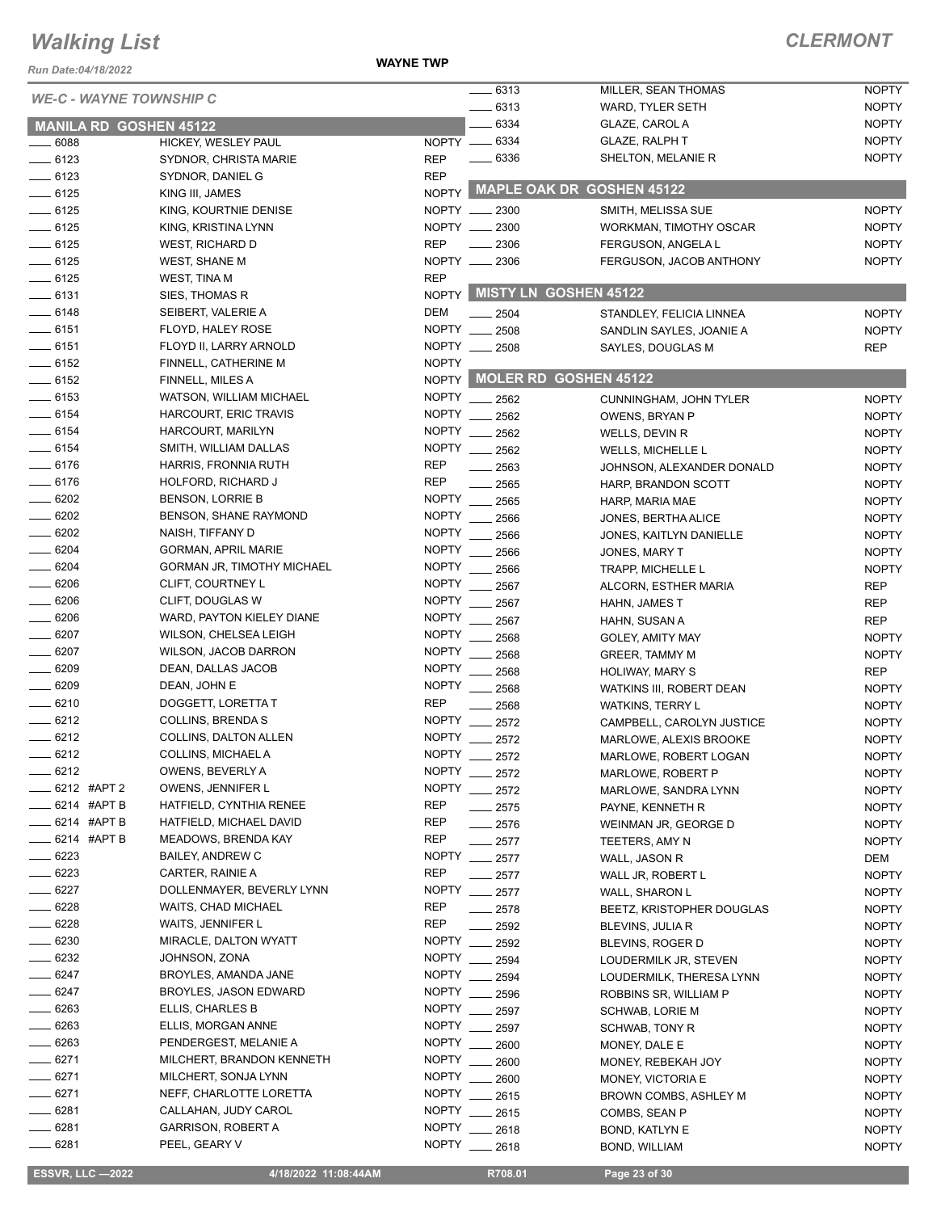*Run Date:04/18/2022*

**WAYNE TWP**

#### *CLERMONT*

| <b>WE-C - WAYNE TOWNSHIP C</b> |                                   |               | $-6313$       | MILLER, SEAN THOMAS             | <b>NOPTY</b> |
|--------------------------------|-----------------------------------|---------------|---------------|---------------------------------|--------------|
|                                |                                   |               | $- 6313$      | WARD, TYLER SETH                | <b>NOPTY</b> |
| <b>MANILA RD GOSHEN 45122</b>  |                                   |               | 6334          | GLAZE, CAROL A                  | <b>NOPTY</b> |
| $\frac{1}{2}$ 6088             | HICKEY, WESLEY PAUL               | NOPTY __ 6334 |               | <b>GLAZE, RALPH T</b>           | <b>NOPTY</b> |
| $- 6123$                       | SYDNOR, CHRISTA MARIE             | <b>REP</b>    | $- 6336$      | SHELTON, MELANIE R              | <b>NOPTY</b> |
| $- 6123$                       | SYDNOR, DANIEL G                  | <b>REP</b>    |               |                                 |              |
| $- 6125$                       | KING III, JAMES                   |               |               | NOPTY MAPLE OAK DR GOSHEN 45122 |              |
| $-6125$                        | KING, KOURTNIE DENISE             | NOPTY __ 2300 |               | SMITH, MELISSA SUE              | <b>NOPTY</b> |
| $-6125$                        | KING, KRISTINA LYNN               | NOPTY __ 2300 |               | WORKMAN, TIMOTHY OSCAR          | <b>NOPTY</b> |
| $-6125$                        | <b>WEST, RICHARD D</b>            | <b>REP</b>    | 2306          | FERGUSON, ANGELA L              | <b>NOPTY</b> |
| $\frac{1}{2}$ 6125             |                                   | NOPTY __ 2306 |               |                                 |              |
|                                | <b>WEST, SHANE M</b>              |               |               | FERGUSON, JACOB ANTHONY         | <b>NOPTY</b> |
| $-6125$                        | <b>WEST, TINA M</b>               | <b>REP</b>    |               | <b>MISTY LN GOSHEN 45122</b>    |              |
| $-6131$                        | SIES, THOMAS R                    | <b>NOPTY</b>  |               |                                 |              |
| $-6148$                        | SEIBERT, VALERIE A                | <b>DEM</b>    | $\equiv$ 2504 | STANDLEY, FELICIA LINNEA        | <b>NOPTY</b> |
| $- 6151$                       | FLOYD, HALEY ROSE                 | NOPTY __ 2508 |               | SANDLIN SAYLES, JOANIE A        | <b>NOPTY</b> |
| $-6151$                        | FLOYD II, LARRY ARNOLD            | NOPTY __ 2508 |               | SAYLES, DOUGLAS M               | <b>REP</b>   |
| $-6152$                        | FINNELL, CATHERINE M              | <b>NOPTY</b>  |               |                                 |              |
| $- 6152$                       | FINNELL, MILES A                  |               |               | NOPTY MOLER RD GOSHEN 45122     |              |
| $\frac{1}{2}$ 6153             | WATSON, WILLIAM MICHAEL           | NOPTY __ 2562 |               | CUNNINGHAM, JOHN TYLER          | <b>NOPTY</b> |
| $- 6154$                       | HARCOURT, ERIC TRAVIS             | <b>NOPTY</b>  | 2562          | OWENS, BRYAN P                  | <b>NOPTY</b> |
| $- 6154$                       | HARCOURT, MARILYN                 | <b>NOPTY</b>  | 2562          | WELLS, DEVIN R                  | <b>NOPTY</b> |
| $- 6154$                       | SMITH, WILLIAM DALLAS             | <b>NOPTY</b>  | 2562          | WELLS, MICHELLE L               | <b>NOPTY</b> |
| $- 6176$                       | HARRIS, FRONNIA RUTH              | <b>REP</b>    |               |                                 |              |
| $- 6176$                       | HOLFORD, RICHARD J                | <b>REP</b>    | 2563          | JOHNSON, ALEXANDER DONALD       | <b>NOPTY</b> |
|                                |                                   |               | 2565          | HARP, BRANDON SCOTT             | <b>NOPTY</b> |
| $- 6202$                       | <b>BENSON, LORRIE B</b>           | <b>NOPTY</b>  | 2565          | HARP, MARIA MAE                 | <b>NOPTY</b> |
| $-6202$                        | BENSON, SHANE RAYMOND             | <b>NOPTY</b>  | 2566          | JONES, BERTHA ALICE             | <b>NOPTY</b> |
| $- 6202$                       | NAISH, TIFFANY D                  | <b>NOPTY</b>  | 2566          | JONES, KAITLYN DANIELLE         | <b>NOPTY</b> |
| $- 6204$                       | <b>GORMAN, APRIL MARIE</b>        | <b>NOPTY</b>  | 2566          | JONES, MARY T                   | <b>NOPTY</b> |
| $- 6204$                       | <b>GORMAN JR, TIMOTHY MICHAEL</b> | <b>NOPTY</b>  | 2566          | <b>TRAPP, MICHELLE L</b>        | <b>NOPTY</b> |
| $- 6206$                       | <b>CLIFT, COURTNEY L</b>          | <b>NOPTY</b>  | 2567          | ALCORN, ESTHER MARIA            | <b>REP</b>   |
| $\frac{1}{2}$ 6206             | CLIFT, DOUGLAS W                  | <b>NOPTY</b>  | 2567          | HAHN, JAMES T                   | <b>REP</b>   |
| $\frac{1}{2}$ 6206             | WARD, PAYTON KIELEY DIANE         | <b>NOPTY</b>  | 2567          | HAHN, SUSAN A                   | <b>REP</b>   |
| $- 6207$                       | WILSON, CHELSEA LEIGH             | NOPTY         | 2568          | GOLEY, AMITY MAY                | <b>NOPTY</b> |
| $- 6207$                       | WILSON, JACOB DARRON              | <b>NOPTY</b>  | 2568          | <b>GREER, TAMMY M</b>           | <b>NOPTY</b> |
| $- 6209$                       | DEAN, DALLAS JACOB                | <b>NOPTY</b>  | 2568          | HOLIWAY, MARY S                 | <b>REP</b>   |
| $- 6209$                       | DEAN, JOHN E                      | <b>NOPTY</b>  | 2568          | <b>WATKINS III, ROBERT DEAN</b> | <b>NOPTY</b> |
| $-6210$                        | DOGGETT, LORETTA T                | <b>REP</b>    | 2568          | <b>WATKINS, TERRY L</b>         | <b>NOPTY</b> |
| $- 6212$                       | <b>COLLINS, BRENDA S</b>          | <b>NOPTY</b>  |               |                                 |              |
| $-6212$                        | COLLINS, DALTON ALLEN             | <b>NOPTY</b>  | 2572          | CAMPBELL, CAROLYN JUSTICE       | <b>NOPTY</b> |
| 6212                           |                                   | <b>NOPTY</b>  | 2572          | MARLOWE, ALEXIS BROOKE          | <b>NOPTY</b> |
|                                | COLLINS, MICHAEL A                |               | 2572          | MARLOWE, ROBERT LOGAN           | <b>NOPTY</b> |
| $-6212$                        | OWENS, BEVERLY A                  | NOPTY __ 2572 |               | MARLOWE, ROBERT P               | <b>NOPTY</b> |
| $-6212$ #APT 2                 | OWENS, JENNIFER L                 | <b>NOPTY</b>  | 2572          | MARLOWE, SANDRA LYNN            | <b>NOPTY</b> |
| ____ 6214 #APT B               | HATFIELD, CYNTHIA RENEE           | <b>REP</b>    | $-2575$       | PAYNE, KENNETH R                | <b>NOPTY</b> |
| $\frac{1}{2}$ 6214 #APT B      | HATFIELD, MICHAEL DAVID           | <b>REP</b>    | $-2576$       | WEINMAN JR, GEORGE D            | <b>NOPTY</b> |
| -6214 #APT B                   | MEADOWS, BRENDA KAY               | <b>REP</b>    | $\sim$ 2577   | TEETERS, AMY N                  | <b>NOPTY</b> |
| $-6223$                        | <b>BAILEY, ANDREW C</b>           | <b>NOPTY</b>  | $-2577$       | WALL, JASON R                   | DEM          |
| $-6223$                        | CARTER, RAINIE A                  | <b>REP</b>    | $-2577$       | WALL JR, ROBERT L               | <b>NOPTY</b> |
| $- 6227$                       | DOLLENMAYER, BEVERLY LYNN         | <b>NOPTY</b>  | $-2577$       | WALL, SHARON L                  | <b>NOPTY</b> |
| $- 6228$                       | WAITS, CHAD MICHAEL               | <b>REP</b>    | $-2578$       | BEETZ, KRISTOPHER DOUGLAS       | <b>NOPTY</b> |
| $-6228$                        | WAITS, JENNIFER L                 | <b>REP</b>    | 2592          | BLEVINS, JULIA R                | <b>NOPTY</b> |
| $\frac{1}{2}$ 6230             | MIRACLE, DALTON WYATT             | NOPTY __ 2592 |               | BLEVINS, ROGER D                | <b>NOPTY</b> |
| $- 6232$                       | JOHNSON, ZONA                     | NOPTY __ 2594 |               | LOUDERMILK JR, STEVEN           | <b>NOPTY</b> |
| $- 6247$                       | BROYLES, AMANDA JANE              | NOPTY __ 2594 |               |                                 |              |
|                                |                                   |               |               | LOUDERMILK, THERESA LYNN        | <b>NOPTY</b> |
| $- 6247$                       | <b>BROYLES, JASON EDWARD</b>      | NOPTY __ 2596 |               | ROBBINS SR, WILLIAM P           | <b>NOPTY</b> |
| $- 6263$                       | ELLIS, CHARLES B                  | <b>NOPTY</b>  | 2597          | <b>SCHWAB, LORIE M</b>          | <b>NOPTY</b> |
| $\frac{1}{2}$ 6263             | ELLIS, MORGAN ANNE                | <b>NOPTY</b>  | 2597          | SCHWAB, TONY R                  | <b>NOPTY</b> |
| $- 6263$                       | PENDERGEST, MELANIE A             | NOPTY __ 2600 |               | MONEY, DALE E                   | <b>NOPTY</b> |
| $- 6271$                       | MILCHERT, BRANDON KENNETH         | NOPTY __ 2600 |               | MONEY, REBEKAH JOY              | <b>NOPTY</b> |
| $-6271$                        | MILCHERT, SONJA LYNN              | NOPTY __ 2600 |               | MONEY, VICTORIA E               | <b>NOPTY</b> |
| $-6271$                        | NEFF, CHARLOTTE LORETTA           | NOPTY __ 2615 |               | BROWN COMBS, ASHLEY M           | <b>NOPTY</b> |
| $-6281$                        | CALLAHAN, JUDY CAROL              | NOPTY __ 2615 |               | COMBS, SEAN P                   | <b>NOPTY</b> |
| $-6281$                        | <b>GARRISON, ROBERT A</b>         | NOPTY __ 2618 |               | <b>BOND, KATLYN E</b>           | <b>NOPTY</b> |
| $- 6281$                       | PEEL, GEARY V                     | NOPTY __ 2618 |               | BOND, WILLIAM                   | <b>NOPTY</b> |
|                                |                                   |               |               |                                 |              |

 **ESSVR, LLC —2022 4/18/2022 11:08:44AM R708.01 Page 23 of 30**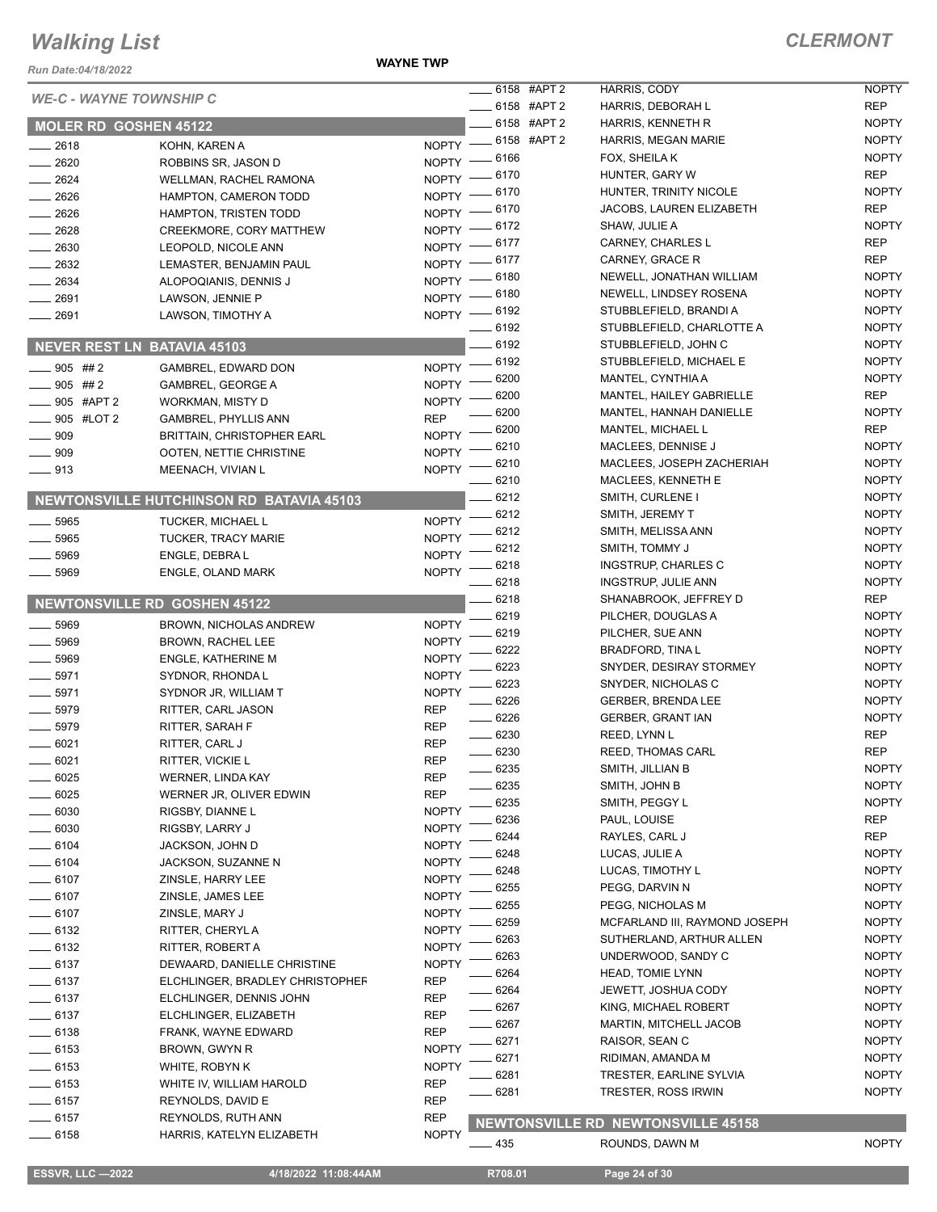*Run Date:04/18/2022*

**WAYNE TWP**

NOPTY NOPTY

| <b>WE-C - WAYNE TOWNSHIP C</b> |                                                 |                    | $\frac{1}{2}$ 6158 #APT 2 | HARRIS, CODY                              | <b>NOPTY</b> |
|--------------------------------|-------------------------------------------------|--------------------|---------------------------|-------------------------------------------|--------------|
|                                |                                                 |                    | $\equiv$ 6158 #APT 2      | HARRIS, DEBORAH L                         | <b>REP</b>   |
| <b>MOLER RD GOSHEN 45122</b>   |                                                 |                    | ____ 6158 #APT 2          | HARRIS, KENNETH R                         | <b>NOPTY</b> |
| $-2618$                        | KOHN, KAREN A                                   |                    | NOPTY -6158 #APT 2        | HARRIS, MEGAN MARIE                       | <b>NOPTY</b> |
| 2620                           | ROBBINS SR, JASON D                             | $NOPTY =$          | _ 6166                    | FOX, SHEILA K                             | <b>NOPTY</b> |
| $-2624$                        | WELLMAN, RACHEL RAMONA                          | NOPTY -6170        |                           | HUNTER, GARY W                            | <b>REP</b>   |
| $-2626$                        | HAMPTON, CAMERON TODD                           | $NOPTY =$          | $-6170$                   | HUNTER, TRINITY NICOLE                    | <b>NOPTY</b> |
| $-2626$                        | HAMPTON, TRISTEN TODD                           | NOPTY - 6170       |                           | JACOBS, LAUREN ELIZABETH                  | <b>REP</b>   |
| $-2628$                        | CREEKMORE, CORY MATTHEW                         | NOPTY - 6172       |                           | SHAW, JULIE A                             | <b>NOPTY</b> |
| $-2630$                        | LEOPOLD, NICOLE ANN                             | NOPTY - 6177       |                           | CARNEY, CHARLES L                         | REP          |
| $\frac{1}{2632}$               | LEMASTER, BENJAMIN PAUL                         | NOPTY $-$          | 6177                      | CARNEY, GRACE R                           | REP          |
| $-2634$                        | ALOPOQIANIS, DENNIS J                           | NOPTY -            | 6180                      | NEWELL, JONATHAN WILLIAM                  | <b>NOPTY</b> |
| 2691                           | LAWSON, JENNIE P                                | $NOPTY$ –          | 6180                      | NEWELL, LINDSEY ROSENA                    | <b>NOPTY</b> |
| $-2691$                        | LAWSON, TIMOTHY A                               | NOPTY - 6192       |                           | STUBBLEFIELD, BRANDI A                    | <b>NOPTY</b> |
|                                |                                                 |                    | 6192                      | STUBBLEFIELD, CHARLOTTE A                 | <b>NOPTY</b> |
|                                | <b>NEVER REST LN BATAVIA 45103</b>              |                    | 6192                      | STUBBLEFIELD, JOHN C                      | <b>NOPTY</b> |
| $-905$ ##2                     | GAMBREL, EDWARD DON                             | $NOPTY =$          | 6192                      | STUBBLEFIELD, MICHAEL E                   | <b>NOPTY</b> |
| $-905$ ##2                     | <b>GAMBREL, GEORGE A</b>                        | <b>NOPTY</b>       | 6200                      | MANTEL, CYNTHIA A                         | <b>NOPTY</b> |
| _____ 905 #APT 2               | WORKMAN, MISTY D                                | <b>NOPTY</b>       | 6200                      | MANTEL, HAILEY GABRIELLE                  | <b>REP</b>   |
| _____ 905 #LOT 2               | <b>GAMBREL, PHYLLIS ANN</b>                     | <b>REP</b>         | 6200                      | MANTEL, HANNAH DANIELLE                   | <b>NOPTY</b> |
| $\equiv$ 909                   | <b>BRITTAIN, CHRISTOPHER EARL</b>               | NOPTY <sup>-</sup> | 6200                      | MANTEL, MICHAEL L                         | REP          |
| $\equiv$ 909                   | OOTEN, NETTIE CHRISTINE                         | NOPTY <sup>-</sup> | 6210                      | MACLEES, DENNISE J                        | <b>NOPTY</b> |
| $-913$                         | MEENACH, VIVIAN L                               | $NOPTY =$          | 6210                      | MACLEES, JOSEPH ZACHERIAH                 | <b>NOPTY</b> |
|                                |                                                 |                    | 6210                      | MACLEES, KENNETH E                        | <b>NOPTY</b> |
|                                | <b>NEWTONSVILLE HUTCHINSON RD BATAVIA 45103</b> |                    | 6212                      | SMITH, CURLENE I                          | <b>NOPTY</b> |
| 5965                           | TUCKER, MICHAEL L                               | <b>NOPTY</b>       | 6212                      | SMITH, JEREMY T                           | <b>NOPTY</b> |
| $- 5965$                       | <b>TUCKER, TRACY MARIE</b>                      | <b>NOPTY</b>       | 6212                      | SMITH, MELISSA ANN                        | <b>NOPTY</b> |
| 5969                           | ENGLE, DEBRA L                                  | <b>NOPTY</b>       | 6212                      | SMITH, TOMMY J                            | <b>NOPTY</b> |
| 5969                           |                                                 | <b>NOPTY</b>       | 6218                      | INGSTRUP, CHARLES C                       | <b>NOPTY</b> |
|                                | ENGLE, OLAND MARK                               |                    | 6218                      | INGSTRUP, JULIE ANN                       | <b>NOPTY</b> |
|                                | <b>NEWTONSVILLE RD GOSHEN 45122</b>             |                    | 6218                      | SHANABROOK, JEFFREY D                     | REP          |
|                                |                                                 |                    | 6219                      | PILCHER, DOUGLAS A                        | <b>NOPTY</b> |
| $- 5969$                       | BROWN, NICHOLAS ANDREW                          | <b>NOPTY</b>       | 6219                      | PILCHER, SUE ANN                          | <b>NOPTY</b> |
| $- 5969$                       | BROWN, RACHEL LEE                               | <b>NOPTY</b>       | 6222                      | BRADFORD, TINA L                          | <b>NOPTY</b> |
| $- 5969$                       | <b>ENGLE, KATHERINE M</b>                       | <b>NOPTY</b>       | 6223                      | SNYDER, DESIRAY STORMEY                   | <b>NOPTY</b> |
| $- 5971$                       | SYDNOR, RHONDA L                                | <b>NOPTY</b>       | 6223                      | SNYDER, NICHOLAS C                        | <b>NOPTY</b> |
| 5971                           | SYDNOR JR, WILLIAM T                            | <b>NOPTY</b>       | 6226                      | <b>GERBER, BRENDA LEE</b>                 | <b>NOPTY</b> |
| 5979                           | RITTER, CARL JASON                              | <b>REP</b>         | 6226                      | GERBER, GRANT IAN                         | <b>NOPTY</b> |
| $-5979$                        | RITTER, SARAH F                                 | <b>REP</b>         | 6230                      | REED, LYNN L                              | <b>REP</b>   |
| $-6021$                        | RITTER, CARL J                                  | <b>REP</b>         | $-6230$                   | <b>REED, THOMAS CARL</b>                  | <b>REP</b>   |
| $-6021$                        | RITTER, VICKIE L                                | <b>REP</b>         | 6235                      | SMITH, JILLIAN B                          | <b>NOPTY</b> |
| 6025                           | <b>WERNER, LINDA KAY</b>                        | REP                | 6235                      | SMITH, JOHN B                             | <b>NOPTY</b> |
| 6025                           | WERNER JR, OLIVER EDWIN                         | REP                | 6235                      | SMITH, PEGGY L                            | <b>NOPTY</b> |
| 6030                           | RIGSBY, DIANNE L                                | <b>NOPTY</b>       | 6236                      | PAUL, LOUISE                              | REP          |
| 6030                           | RIGSBY, LARRY J                                 | <b>NOPTY</b>       | 6244                      | RAYLES, CARL J                            | REP          |
| $-6104$                        | JACKSON, JOHN D                                 | <b>NOPTY</b>       | 6248                      | LUCAS, JULIE A                            | <b>NOPTY</b> |
| ____ 6104                      | JACKSON, SUZANNE N                              | <b>NOPTY</b>       | 6248                      | LUCAS, TIMOTHY L                          | <b>NOPTY</b> |
| $-6107$                        | ZINSLE, HARRY LEE                               | <b>NOPTY</b>       | 6255                      | PEGG, DARVIN N                            | <b>NOPTY</b> |
| $- 6107$                       | ZINSLE, JAMES LEE                               | <b>NOPTY</b>       | 6255                      | PEGG, NICHOLAS M                          | <b>NOPTY</b> |
| $- 6107$                       | ZINSLE, MARY J                                  | <b>NOPTY</b>       | 6259                      | MCFARLAND III, RAYMOND JOSEPH             | <b>NOPTY</b> |
| — 6132                         | RITTER, CHERYL A                                | <b>NOPTY</b>       | 6263                      | SUTHERLAND, ARTHUR ALLEN                  | <b>NOPTY</b> |
| ___ 6132                       | RITTER, ROBERT A                                | <b>NOPTY</b>       | 6263                      | UNDERWOOD, SANDY C                        | <b>NOPTY</b> |
| $-6137$                        | DEWAARD, DANIELLE CHRISTINE                     | <b>NOPTY</b>       | 6264                      | <b>HEAD, TOMIE LYNN</b>                   | <b>NOPTY</b> |
| $-6137$                        | ELCHLINGER, BRADLEY CHRISTOPHEF                 | REP                | 6264                      | JEWETT, JOSHUA CODY                       | <b>NOPTY</b> |
| $-6137$                        | ELCHLINGER, DENNIS JOHN                         | REP                | 6267                      | KING, MICHAEL ROBERT                      | <b>NOPTY</b> |
| $- 6137$                       | ELCHLINGER, ELIZABETH                           | <b>REP</b>         | 6267                      | MARTIN, MITCHELL JACOB                    | <b>NOPTY</b> |
| $\frac{1}{2}$ 6138             | FRANK, WAYNE EDWARD                             | REP                | 6271                      | RAISOR, SEAN C                            | <b>NOPTY</b> |
| —— 6153                        | BROWN, GWYN R                                   | <b>NOPTY</b>       | 6271                      | RIDIMAN, AMANDA M                         | <b>NOPTY</b> |
| —— 6153                        | WHITE, ROBYN K                                  | <b>NOPTY</b>       | 6281                      | TRESTER, EARLINE SYLVIA                   | <b>NOPTY</b> |
| $-6153$                        | WHITE IV, WILLIAM HAROLD                        | <b>REP</b>         | 6281                      | TRESTER, ROSS IRWIN                       | <b>NOPTY</b> |
| $-6157$                        | REYNOLDS, DAVID E                               | <b>REP</b>         |                           |                                           |              |
| $-6157$                        | REYNOLDS, RUTH ANN                              | <b>REP</b>         |                           | <b>NEWTONSVILLE RD NEWTONSVILLE 45158</b> |              |
| $-6158$                        | HARRIS, KATELYN ELIZABETH                       | <b>NOPTY</b>       |                           |                                           |              |
|                                |                                                 |                    | — 435                     | ROUNDS, DAWN M                            | <b>NOPTY</b> |

 **ESSVR, LLC —2022 4/18/2022 11:08:44AM R708.01 Page 24 of 30**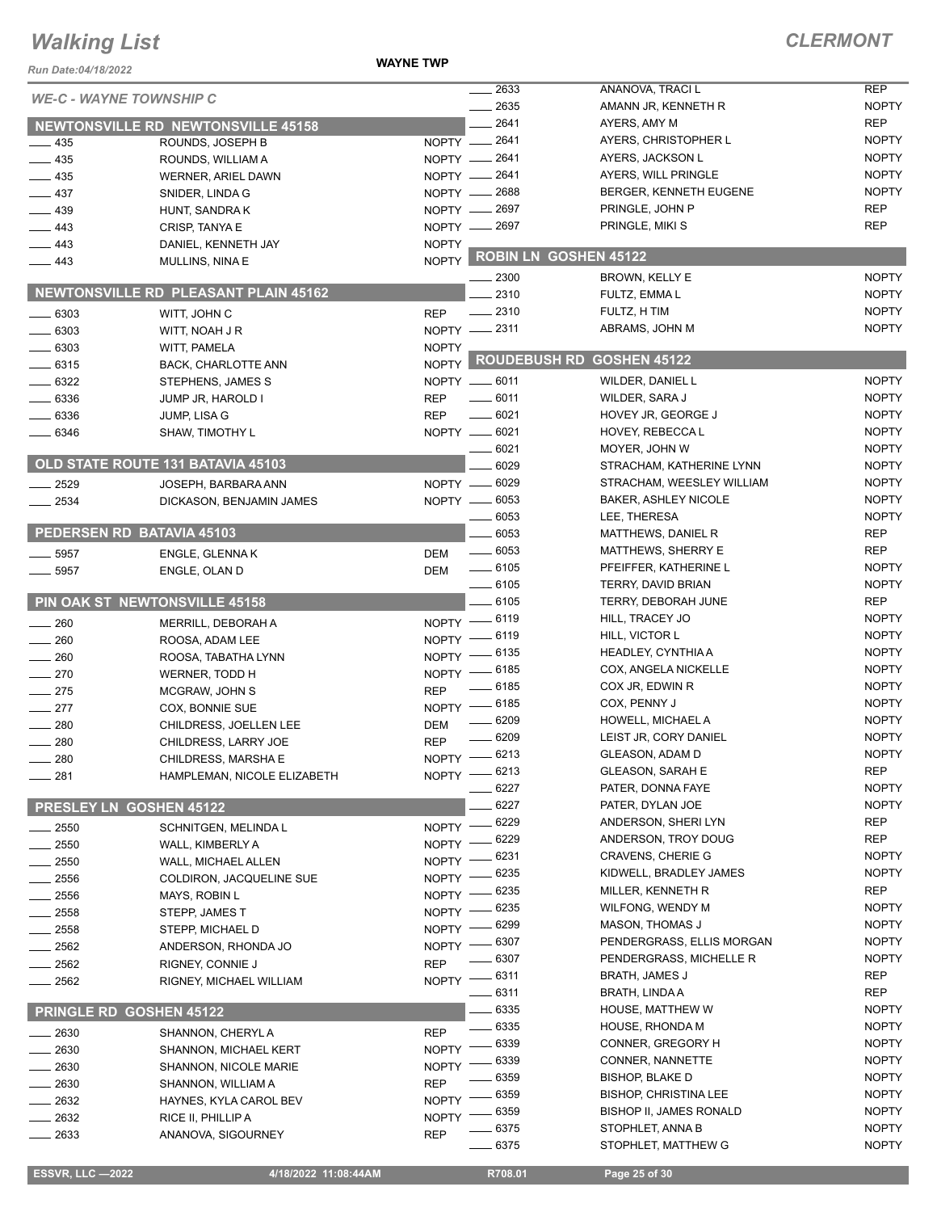#### **WAYNE TWP**

#### *CLERMONT*

| Run Date:04/18/2022            |                                             |              |                              |                                                         |                              |
|--------------------------------|---------------------------------------------|--------------|------------------------------|---------------------------------------------------------|------------------------------|
| <b>WE-C - WAYNE TOWNSHIP C</b> |                                             |              | 2633                         | ANANOVA, TRACI L                                        | <b>REP</b>                   |
|                                |                                             |              | 2635                         | AMANN JR, KENNETH R                                     | <b>NOPTY</b>                 |
|                                | <b>NEWTONSVILLE RD NEWTONSVILLE 45158</b>   |              | 2641                         | AYERS, AMY M                                            | <b>REP</b>                   |
| 435                            | ROUNDS, JOSEPH B                            | NOPTY -      | 2641                         | AYERS, CHRISTOPHER L                                    | <b>NOPTY</b>                 |
| 435                            | ROUNDS, WILLIAM A                           |              | NOPTY - 2641                 | AYERS, JACKSON L                                        | <b>NOPTY</b><br><b>NOPTY</b> |
| $-435$                         | WERNER, ARIEL DAWN                          |              | NOPTY - 2641                 | AYERS, WILL PRINGLE                                     | <b>NOPTY</b>                 |
| 437                            | SNIDER, LINDA G                             |              | NOPTY - 2688<br>NOPTY - 2697 | BERGER, KENNETH EUGENE<br>PRINGLE, JOHN P               | <b>REP</b>                   |
| $-439$<br>$-443$               | HUNT, SANDRA K                              |              | NOPTY - 2697                 | PRINGLE, MIKI S                                         | <b>REP</b>                   |
| $-443$                         | CRISP, TANYA E                              | <b>NOPTY</b> |                              |                                                         |                              |
| $-443$                         | DANIEL, KENNETH JAY<br>MULLINS, NINA E      | NOPTY        |                              | ROBIN LN GOSHEN 45122                                   |                              |
|                                |                                             |              | 2300                         | BROWN, KELLY E                                          | <b>NOPTY</b>                 |
|                                | <b>NEWTONSVILLE RD PLEASANT PLAIN 45162</b> |              | 2310                         | FULTZ, EMMA L                                           | <b>NOPTY</b>                 |
| .6303                          | WITT, JOHN C                                | <b>REP</b>   | 2310                         | FULTZ, H TIM                                            | <b>NOPTY</b>                 |
| .6303                          | WITT, NOAH J R                              |              | NOPTY -2311                  | ABRAMS, JOHN M                                          | <b>NOPTY</b>                 |
| - 6303                         | WITT, PAMELA                                | <b>NOPTY</b> |                              |                                                         |                              |
| $-6315$                        | BACK, CHARLOTTE ANN                         |              | NOPTY ROUDEBUSH RD           | <b>GOSHEN 45122</b>                                     |                              |
| $-6322$                        | STEPHENS, JAMES S                           |              | NOPTY __ 6011                | WILDER, DANIEL L                                        | <b>NOPTY</b>                 |
| 6336                           | JUMP JR, HAROLD I                           | <b>REP</b>   | $-6011$                      | WILDER, SARA J                                          | <b>NOPTY</b>                 |
| 6336                           | JUMP, LISA G                                | <b>REP</b>   | 6021                         | HOVEY JR, GEORGE J                                      | <b>NOPTY</b>                 |
| 6346                           | SHAW, TIMOTHY L                             |              | NOPTY __ 6021                | HOVEY, REBECCA L                                        | <b>NOPTY</b>                 |
|                                |                                             |              | 6021                         | MOYER, JOHN W                                           | <b>NOPTY</b>                 |
|                                | OLD STATE ROUTE 131 BATAVIA 45103           |              | 6029                         | STRACHAM, KATHERINE LYNN                                | <b>NOPTY</b>                 |
| 2529                           | JOSEPH, BARBARA ANN                         | NOPTY -      | 6029                         | STRACHAM, WEESLEY WILLIAM                               | <b>NOPTY</b>                 |
| $-2534$                        | DICKASON, BENJAMIN JAMES                    |              | NOPTY -6053                  | <b>BAKER, ASHLEY NICOLE</b>                             | <b>NOPTY</b>                 |
|                                |                                             |              | 6053                         | LEE, THERESA                                            | <b>NOPTY</b>                 |
|                                | PEDERSEN RD BATAVIA 45103                   |              | 6053                         | MATTHEWS, DANIEL R                                      | <b>REP</b>                   |
| 5957                           | ENGLE, GLENNA K                             | <b>DEM</b>   | $\frac{1}{2}$ 6053           | MATTHEWS, SHERRY E                                      | <b>REP</b>                   |
| 5957                           | ENGLE, OLAN D                               | <b>DEM</b>   | $\frac{1}{2}$ 6105           | PFEIFFER, KATHERINE L                                   | <b>NOPTY</b>                 |
|                                |                                             |              | $- 6105$                     | TERRY, DAVID BRIAN                                      | <b>NOPTY</b>                 |
|                                | <b>PIN OAK ST NEWTONSVILLE 45158</b>        |              | 6105                         | TERRY, DEBORAH JUNE                                     | <b>REP</b>                   |
| 260                            | MERRILL, DEBORAH A                          |              | NOPTY - 6119                 | HILL, TRACEY JO                                         | <b>NOPTY</b>                 |
| 260                            | ROOSA, ADAM LEE                             |              | NOPTY - 6119                 | HILL, VICTOR L                                          | <b>NOPTY</b>                 |
| 260                            | ROOSA, TABATHA LYNN                         | $NOPTY -$    | _ 6135                       | HEADLEY, CYNTHIA A                                      | <b>NOPTY</b>                 |
| 270                            | WERNER, TODD H                              |              | NOPTY - 6185                 | COX, ANGELA NICKELLE                                    | <b>NOPTY</b>                 |
| $-275$                         | MCGRAW, JOHN S                              | <b>REP</b>   | $\frac{1}{2}$ 6185           | COX JR, EDWIN R                                         | <b>NOPTY</b>                 |
| $-277$                         | COX, BONNIE SUE                             |              | NOPTY -6185                  | COX, PENNY J                                            | <b>NOPTY</b>                 |
| 280                            | CHILDRESS, JOELLEN LEE                      | <b>DEM</b>   | $- 6209$                     | HOWELL, MICHAEL A                                       | <b>NOPTY</b>                 |
| $-280$                         | CHILDRESS, LARRY JOE                        | <b>REP</b>   | 6209                         | LEIST JR, CORY DANIEL                                   | <b>NOPTY</b>                 |
| 280                            | CHILDRESS, MARSHA E                         |              | NOPTY -8213                  | GLEASON, ADAM D                                         | <b>NOPTY</b>                 |
| $\equiv$ 281                   | HAMPLEMAN, NICOLE ELIZABETH                 |              | NOPTY - 6213                 | <b>GLEASON, SARAH E</b>                                 | <b>REP</b>                   |
|                                |                                             |              | $-6227$                      | PATER, DONNA FAYE                                       | <b>NOPTY</b>                 |
|                                | PRESLEY LN GOSHEN 45122                     |              | 6227                         | PATER, DYLAN JOE                                        | <b>NOPTY</b>                 |
| $=2550$                        | SCHNITGEN, MELINDA L                        | NOPTY -      | 6229                         | ANDERSON, SHERI LYN                                     | <b>REP</b>                   |
| $= 2550$                       | WALL, KIMBERLY A                            | NOPTY -      | 6229                         | ANDERSON, TROY DOUG                                     | <b>REP</b>                   |
| $=$ 2550                       | WALL, MICHAEL ALLEN                         | NOPTY -      | 6231                         | <b>CRAVENS, CHERIE G</b>                                | <b>NOPTY</b>                 |
| $-2556$                        | COLDIRON, JACQUELINE SUE                    | <b>NOPTY</b> | 6235                         | KIDWELL, BRADLEY JAMES                                  | <b>NOPTY</b>                 |
| 2556                           | MAYS, ROBIN L                               | <b>NOPTY</b> | 6235                         | MILLER, KENNETH R                                       | <b>REP</b>                   |
| 2558                           | STEPP, JAMES T                              | <b>NOPTY</b> | 6235<br>6299                 | WILFONG, WENDY M                                        | <b>NOPTY</b>                 |
| 2558                           | STEPP, MICHAEL D                            | <b>NOPTY</b> |                              | <b>MASON, THOMAS J</b>                                  | <b>NOPTY</b>                 |
| 2562                           | ANDERSON, RHONDA JO                         | <b>NOPTY</b> | 6307                         | PENDERGRASS, ELLIS MORGAN                               | <b>NOPTY</b>                 |
| 2562                           | RIGNEY, CONNIE J                            | <b>REP</b>   | 6307                         | PENDERGRASS, MICHELLE R                                 | <b>NOPTY</b>                 |
| 2562                           | RIGNEY, MICHAEL WILLIAM                     |              | NOPTY -8311                  | BRATH, JAMES J                                          | <b>REP</b>                   |
|                                |                                             |              | 6311                         | BRATH, LINDA A                                          | <b>REP</b><br><b>NOPTY</b>   |
|                                | <b>PRINGLE RD GOSHEN 45122</b>              |              | 6335<br>6335                 | HOUSE, MATTHEW W                                        | <b>NOPTY</b>                 |
| 2630                           | SHANNON, CHERYL A                           | <b>REP</b>   |                              | HOUSE, RHONDA M                                         |                              |
| 2630                           | SHANNON, MICHAEL KERT                       | <b>NOPTY</b> | 6339                         | CONNER, GREGORY H                                       | <b>NOPTY</b><br><b>NOPTY</b> |
| $-2630$                        | SHANNON, NICOLE MARIE                       | <b>NOPTY</b> | 6339<br>6359                 | CONNER, NANNETTE                                        | <b>NOPTY</b>                 |
| . 2630                         | SHANNON, WILLIAM A                          | <b>REP</b>   |                              | BISHOP, BLAKE D                                         | <b>NOPTY</b>                 |
| - 2632                         | HAYNES, KYLA CAROL BEV                      | <b>NOPTY</b> | 6359<br>6359                 | <b>BISHOP, CHRISTINA LEE</b><br>BISHOP II, JAMES RONALD | <b>NOPTY</b>                 |
| 2632                           | RICE II, PHILLIP A                          | <b>NOPTY</b> |                              | STOPHLET, ANNA B                                        | <b>NOPTY</b>                 |
| 2633                           | ANANOVA, SIGOURNEY                          | <b>REP</b>   | 6375<br>$-6375$              | STOPHLET, MATTHEW G                                     | <b>NOPTY</b>                 |
|                                |                                             |              |                              |                                                         |                              |

 **ESSVR, LLC —2022 4/18/2022 11:08:44AM R708.01 Page 25 of 30**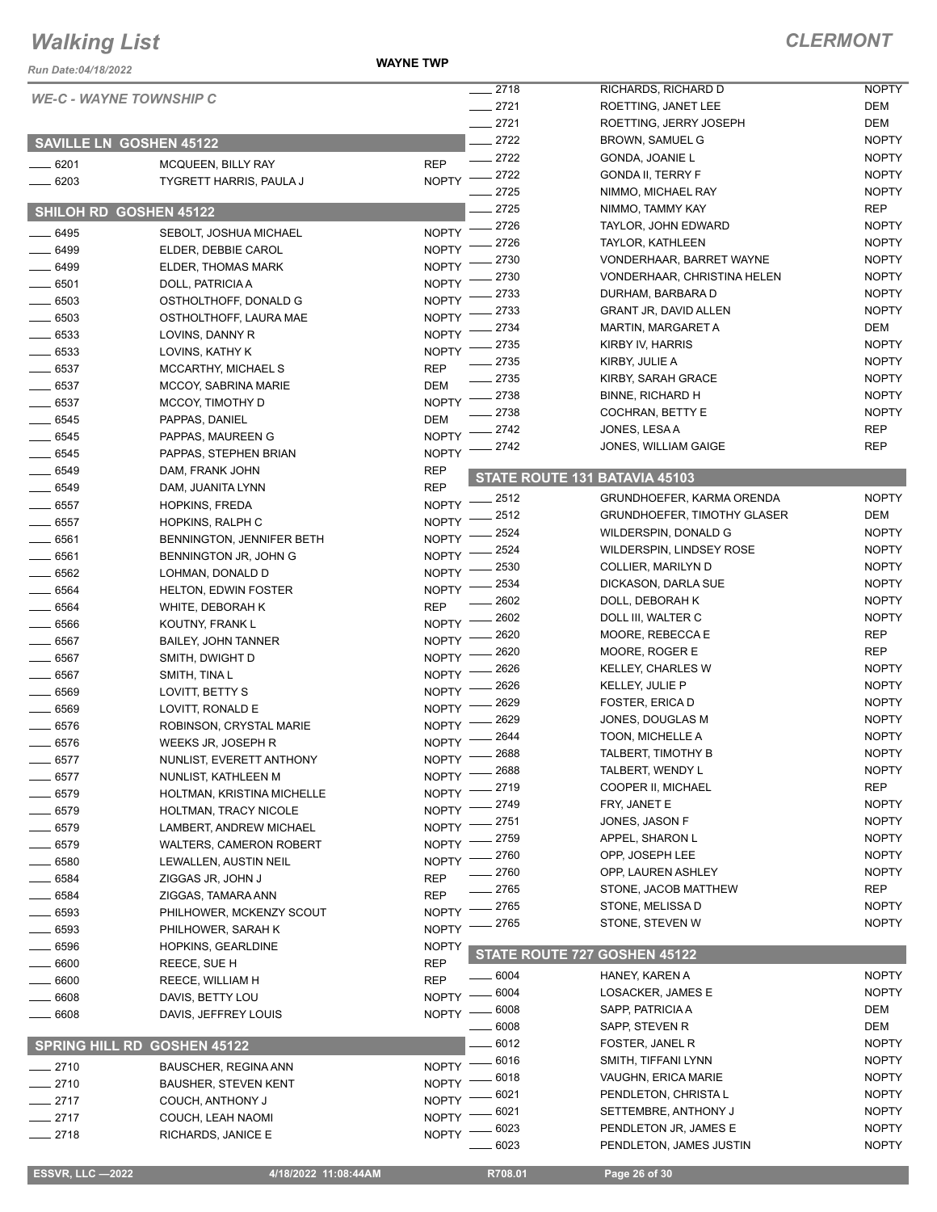**WAYNE TWP**

| Run Date:04/18/2022            |                                                         | <b>WAYNE TWP</b>             |                        |                                                     |                              |
|--------------------------------|---------------------------------------------------------|------------------------------|------------------------|-----------------------------------------------------|------------------------------|
| <b>WE-C - WAYNE TOWNSHIP C</b> |                                                         |                              | 2718                   | RICHARDS, RICHARD D                                 | <b>NOPTY</b>                 |
|                                |                                                         |                              | $-2721$                | ROETTING, JANET LEE                                 | DEM                          |
|                                |                                                         |                              | 2721                   | ROETTING, JERRY JOSEPH                              | <b>DEM</b>                   |
| <b>SAVILLE LN GOSHEN 45122</b> |                                                         |                              | 2722                   | <b>BROWN, SAMUEL G</b>                              | <b>NOPTY</b>                 |
| $- 6201$                       | MCQUEEN, BILLY RAY                                      | <b>REP</b>                   | 2722                   | GONDA, JOANIE L                                     | <b>NOPTY</b>                 |
| $-6203$                        | TYGRETT HARRIS, PAULA J                                 | <b>NOPTY</b>                 | 2722                   | <b>GONDA II, TERRY F</b>                            | <b>NOPTY</b>                 |
|                                |                                                         |                              | 2725                   | NIMMO, MICHAEL RAY                                  | <b>NOPTY</b>                 |
| SHILOH RD GOSHEN 45122         |                                                         |                              | 2725                   | NIMMO, TAMMY KAY                                    | <b>REP</b>                   |
| 6495                           | SEBOLT, JOSHUA MICHAEL                                  | <b>NOPTY</b>                 | 2726<br>2726           | TAYLOR, JOHN EDWARD                                 | <b>NOPTY</b><br><b>NOPTY</b> |
| 6499                           | ELDER, DEBBIE CAROL                                     | <b>NOPTY</b>                 | 2730                   | <b>TAYLOR, KATHLEEN</b><br>VONDERHAAR, BARRET WAYNE | <b>NOPTY</b>                 |
| 6499                           | ELDER, THOMAS MARK                                      | <b>NOPTY</b>                 | 2730                   | VONDERHAAR, CHRISTINA HELEN                         | <b>NOPTY</b>                 |
| 6501                           | DOLL, PATRICIA A                                        | <b>NOPTY</b>                 | 2733                   | DURHAM, BARBARA D                                   | <b>NOPTY</b>                 |
| 6503                           | OSTHOLTHOFF, DONALD G                                   | <b>NOPTY</b>                 | 2733                   | <b>GRANT JR, DAVID ALLEN</b>                        | <b>NOPTY</b>                 |
| 6503                           | OSTHOLTHOFF, LAURA MAE                                  | <b>NOPTY</b>                 | 2734                   | <b>MARTIN, MARGARET A</b>                           | DEM                          |
| .6533                          | LOVINS, DANNY R                                         | <b>NOPTY</b>                 | 2735                   | KIRBY IV, HARRIS                                    | <b>NOPTY</b>                 |
| $- 6533$                       | LOVINS, KATHY K                                         | <b>NOPTY</b>                 | 2735                   | KIRBY, JULIE A                                      | <b>NOPTY</b>                 |
| 6537                           | MCCARTHY, MICHAEL S                                     | <b>REP</b>                   | 2735                   | KIRBY, SARAH GRACE                                  | <b>NOPTY</b>                 |
| $-6537$                        | <b>MCCOY, SABRINA MARIE</b>                             | DEM<br><b>NOPTY</b>          | 2738                   | <b>BINNE, RICHARD H</b>                             | <b>NOPTY</b>                 |
| 6537<br>6545                   | MCCOY, TIMOTHY D                                        | DEM                          | 2738                   | COCHRAN, BETTY E                                    | <b>NOPTY</b>                 |
| 6545                           | PAPPAS, DANIEL<br>PAPPAS, MAUREEN G                     | <b>NOPTY</b>                 | 2742                   | JONES, LESA A                                       | <b>REP</b>                   |
| 6545                           | PAPPAS, STEPHEN BRIAN                                   | <b>NOPTY</b>                 | 2742                   | JONES, WILLIAM GAIGE                                | <b>REP</b>                   |
| 6549                           | DAM, FRANK JOHN                                         | <b>REP</b>                   |                        |                                                     |                              |
| 6549                           | DAM, JUANITA LYNN                                       | <b>REP</b>                   |                        | STATE ROUTE 131 BATAVIA 45103                       |                              |
| 6557                           | <b>HOPKINS, FREDA</b>                                   | <b>NOPTY</b>                 | 2512                   | GRUNDHOEFER, KARMA ORENDA                           | <b>NOPTY</b>                 |
| 6557                           | HOPKINS, RALPH C                                        | <b>NOPTY</b>                 | 2512                   | <b>GRUNDHOEFER, TIMOTHY GLASER</b>                  | <b>DEM</b>                   |
| 6561                           | BENNINGTON, JENNIFER BETH                               | <b>NOPTY</b>                 | 2524                   | WILDERSPIN, DONALD G                                | <b>NOPTY</b>                 |
| $-6561$                        | BENNINGTON JR, JOHN G                                   | <b>NOPTY</b>                 | 2524                   | WILDERSPIN, LINDSEY ROSE                            | <b>NOPTY</b>                 |
| 6562                           | LOHMAN, DONALD D                                        | <b>NOPTY</b>                 | 2530                   | COLLIER, MARILYN D                                  | <b>NOPTY</b>                 |
| 6564                           | HELTON, EDWIN FOSTER                                    | <b>NOPTY</b>                 | 2534                   | DICKASON, DARLA SUE                                 | <b>NOPTY</b>                 |
| 6564                           | WHITE, DEBORAH K                                        | <b>REP</b>                   | 2602                   | DOLL, DEBORAH K                                     | <b>NOPTY</b>                 |
| 6566                           | KOUTNY, FRANK L                                         | <b>NOPTY</b>                 | 2602                   | DOLL III, WALTER C                                  | <b>NOPTY</b>                 |
| 6567                           | <b>BAILEY, JOHN TANNER</b>                              | <b>NOPTY</b>                 | 2620                   | MOORE, REBECCA E                                    | <b>REP</b>                   |
| 6567                           | SMITH, DWIGHT D                                         | <b>NOPTY</b>                 | 2620                   | MOORE, ROGER E                                      | <b>REP</b>                   |
| 6567                           | SMITH, TINA L                                           | <b>NOPTY</b>                 | 2626<br>2626           | <b>KELLEY, CHARLES W</b>                            | <b>NOPTY</b><br><b>NOPTY</b> |
| 6569                           | LOVITT, BETTY S                                         | <b>NOPTY</b>                 | 2629                   | KELLEY, JULIE P<br><b>FOSTER, ERICA D</b>           | <b>NOPTY</b>                 |
| 6569                           | LOVITT, RONALD E                                        | <b>NOPTY</b>                 | 2629                   | JONES, DOUGLAS M                                    | <b>NOPTY</b>                 |
| 6576                           | ROBINSON, CRYSTAL MARIE                                 | <b>NOPTY</b>                 | 2644                   | TOON, MICHELLE A                                    | <b>NOPTY</b>                 |
| 6576                           | WEEKS JR, JOSEPH R                                      | <b>NOPTY</b>                 | 2688                   | TALBERT, TIMOTHY B                                  | <b>NOPTY</b>                 |
| 6577                           | NUNLIST, EVERETT ANTHONY                                | <b>NOPTY</b>                 | 2688                   | TALBERT, WENDY L                                    | <b>NOPTY</b>                 |
| 6577                           | NUNLIST, KATHLEEN M                                     | <b>NOPTY</b>                 | 2719                   | <b>COOPER II, MICHAEL</b>                           | <b>REP</b>                   |
| 6579                           | HOLTMAN, KRISTINA MICHELLE                              | <b>NOPTY</b>                 | 2749                   | FRY, JANET E                                        | <b>NOPTY</b>                 |
| 6579                           | HOLTMAN, TRACY NICOLE                                   | <b>NOPTY</b><br><b>NOPTY</b> | 2751                   | JONES, JASON F                                      | <b>NOPTY</b>                 |
| 6579<br>6579                   | LAMBERT, ANDREW MICHAEL                                 | <b>NOPTY</b>                 | 2759                   | APPEL, SHARON L                                     | <b>NOPTY</b>                 |
| 6580                           | <b>WALTERS, CAMERON ROBERT</b><br>LEWALLEN, AUSTIN NEIL | <b>NOPTY</b>                 | 2760                   | OPP, JOSEPH LEE                                     | <b>NOPTY</b>                 |
| 6584                           | ZIGGAS JR, JOHN J                                       | <b>REP</b>                   | 2760                   | OPP, LAUREN ASHLEY                                  | <b>NOPTY</b>                 |
| $-6584$                        | ZIGGAS, TAMARA ANN                                      | <b>REP</b>                   | 2765                   | STONE, JACOB MATTHEW                                | <b>REP</b>                   |
| 6593                           | PHILHOWER, MCKENZY SCOUT                                | <b>NOPTY</b>                 | 2765                   | STONE, MELISSA D                                    | <b>NOPTY</b>                 |
| 6593                           | PHILHOWER, SARAH K                                      | <b>NOPTY</b>                 | 2765                   | STONE, STEVEN W                                     | <b>NOPTY</b>                 |
| 6596                           | <b>HOPKINS, GEARLDINE</b>                               | <b>NOPTY</b>                 |                        |                                                     |                              |
| 6600                           | REECE, SUE H                                            | <b>REP</b>                   | <b>STATE ROUTE 727</b> | <b>GOSHEN 45122</b>                                 |                              |
| 6600                           | REECE, WILLIAM H                                        | <b>REP</b>                   | 6004                   | HANEY, KAREN A                                      | <b>NOPTY</b>                 |
| 6608                           | DAVIS, BETTY LOU                                        | <b>NOPTY</b>                 | 6004                   | LOSACKER, JAMES E                                   | <b>NOPTY</b>                 |
| 6608                           | DAVIS, JEFFREY LOUIS                                    | <b>NOPTY</b>                 | 6008                   | SAPP, PATRICIA A                                    | DEM                          |
|                                |                                                         |                              | 6008                   | SAPP, STEVEN R                                      | DEM                          |
| <b>SPRING HILL RD</b>          | <b>GOSHEN 45122</b>                                     |                              | 6012                   | FOSTER, JANEL R                                     | <b>NOPTY</b>                 |
| $-2710$                        | <b>BAUSCHER, REGINA ANN</b>                             | <b>NOPTY</b>                 | 6016                   | SMITH, TIFFANI LYNN                                 | <b>NOPTY</b>                 |
| $-2710$                        | <b>BAUSHER, STEVEN KENT</b>                             | <b>NOPTY</b>                 | 6018                   | VAUGHN, ERICA MARIE                                 | <b>NOPTY</b>                 |
| $-2717$                        | COUCH, ANTHONY J                                        | <b>NOPTY</b>                 | 6021                   | PENDLETON, CHRISTA L                                | <b>NOPTY</b>                 |
| $-2717$                        | COUCH, LEAH NAOMI                                       | <b>NOPTY</b>                 | 6021                   | SETTEMBRE, ANTHONY J                                | <b>NOPTY</b>                 |
| 2718                           | RICHARDS, JANICE E                                      | <b>NOPTY</b>                 | 6023                   | PENDLETON JR, JAMES E                               | <b>NOPTY</b>                 |
|                                |                                                         |                              | 6023                   | PENDLETON, JAMES JUSTIN                             | <b>NOPTY</b>                 |
| <b>ESSVR, LLC -2022</b>        | 4/18/2022 11:08:44AM                                    |                              | R708.01                | Page 26 of 30                                       |                              |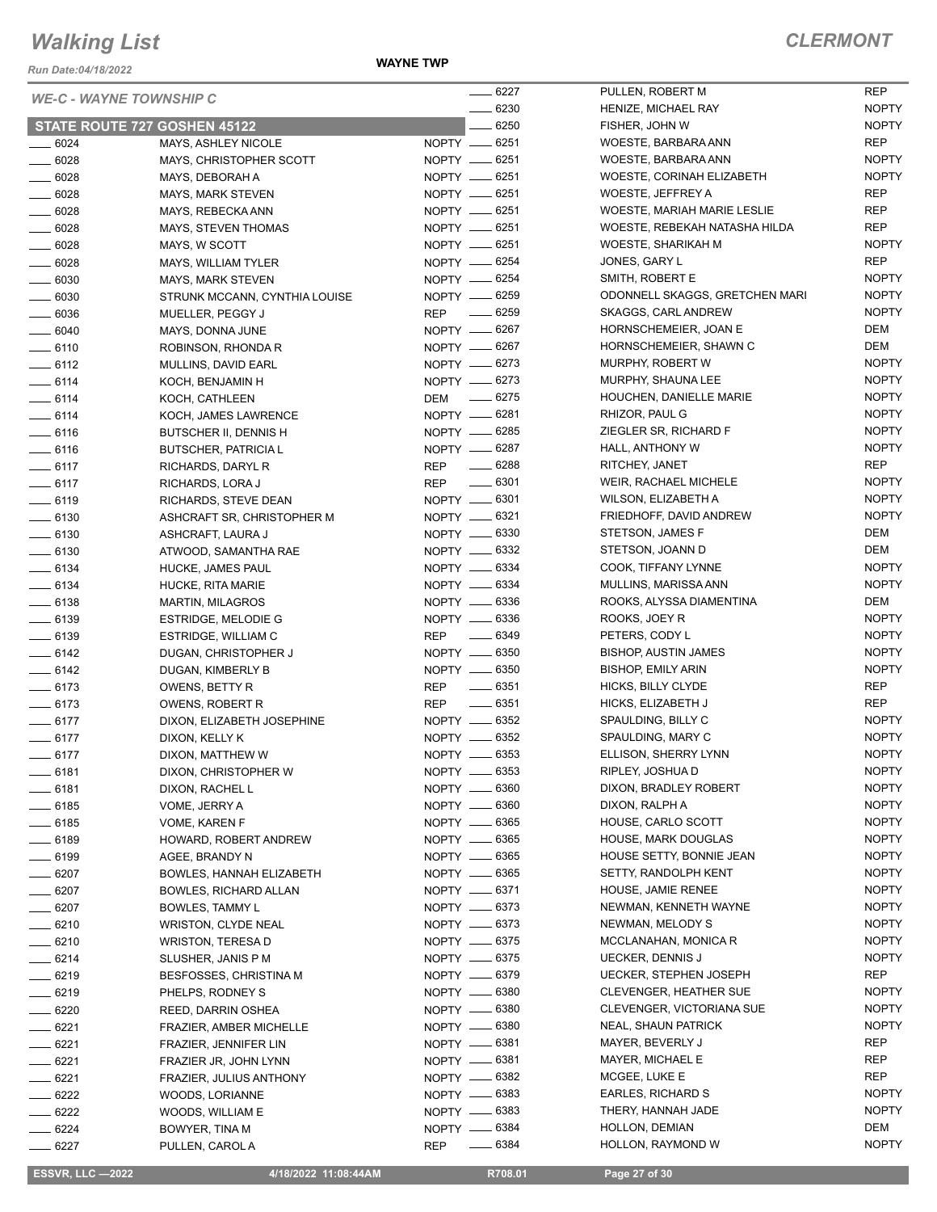*Run Date:04/18/2022*

#### **WAYNE TWP**

| <b>WE-C - WAYNE TOWNSHIP C</b> |                                            |     | $-6227$                        |
|--------------------------------|--------------------------------------------|-----|--------------------------------|
|                                |                                            |     | $\equiv$ 6230                  |
|                                | <b>STATE ROUTE 727 GOSHEN 45122</b>        |     | $- 6250$                       |
| — 6024                         | MAYS, ASHLEY NICOLE                        |     | NOPTY __ 6251                  |
| $-6028$                        | MAYS, CHRISTOPHER SCOTT                    |     | NOPTY __ 6251                  |
| __ 6028<br>__ 6028             | MAYS, DEBORAH A                            |     | NOPTY __ 6251<br>NOPTY __ 6251 |
| $=6028$                        | MAYS, MARK STEVEN<br>MAYS, REBECKA ANN     |     | NOPTY -6251                    |
| $-6028$                        | MAYS, STEVEN THOMAS                        |     | NOPTY __ 6251                  |
| __ 6028                        | MAYS, W SCOTT                              |     | NOPTY -6251                    |
| $-6028$                        | MAYS, WILLIAM TYLER                        |     | NOPTY -6254                    |
| $-6030$                        | MAYS, MARK STEVEN                          |     | NOPTY __ 6254                  |
| $-6030$                        | STRUNK MCCANN, CYNTHIA LOUISE              |     | NOPTY -6259                    |
| __ 6036                        | MUELLER, PEGGY J                           |     | REP __ 6259                    |
| $\equiv$ 6040                  | MAYS, DONNA JUNE                           |     | NOPTY __ 6267                  |
| $-6110$                        | ROBINSON, RHONDA R                         |     | NOPTY -6267                    |
| $-6112$                        | MULLINS, DAVID EARL                        |     | NOPTY __ 6273                  |
| $- 6114$                       | KOCH, BENJAMIN H                           |     | NOPTY <u>__</u> 6273           |
| ___ 6114                       | KOCH, CATHLEEN                             | DEM | $\sim$ 6275                    |
| $-6114$                        | KOCH, JAMES LAWRENCE                       |     | NOPTY <u>_</u> 6281            |
| $=6116$                        | BUTSCHER II. DENNIS H                      |     | NOPTY -6285                    |
| ____ 6116                      | <b>BUTSCHER, PATRICIA L</b>                |     | NOPTY __ 6287                  |
| $-6117$                        | <b>RICHARDS, DARYL R</b>                   |     | REP -6288                      |
| $-6117$                        | RICHARDS, LORA J                           |     | REP __ 6301                    |
| ____ 6119                      | RICHARDS, STEVE DEAN                       |     | NOPTY <u>__</u> 6301           |
| $-6130$                        | ASHCRAFT SR, CHRISTOPHER M                 |     | NOPTY -6321                    |
| ___ 6130                       | ASHCRAFT, LAURA J                          |     | NOPTY __ 6330<br>NOPTY -6332   |
| $-6130$<br>$-6134$             | ATWOOD, SAMANTHA RAE                       |     | NOPTY __ 6334                  |
| ___ 6134                       | HUCKE, JAMES PAUL                          |     | NOPTY -6334                    |
| $-6138$                        | HUCKE, RITA MARIE<br>MARTIN, MILAGROS      |     | NOPTY -6336                    |
| $-6139$                        | <b>ESTRIDGE, MELODIE G</b>                 |     | NOPTY __ 6336                  |
| __ 6139                        | ESTRIDGE, WILLIAM C                        |     | REP 	 — 6349                   |
| __ 6142                        | DUGAN, CHRISTOPHER J                       |     | NOPTY __ 6350                  |
| ____ 6142                      | DUGAN, KIMBERLY B                          |     | NOPTY __ 6350                  |
| $-6173$                        | OWENS, BETTY R                             |     | REP 	 — 6351                   |
| $-6173$                        | <b>OWENS, ROBERT R</b>                     |     | REP __ 6351                    |
| $-6177$                        | DIXON, ELIZABETH JOSEPHINE                 |     | NOPTY -6352                    |
| $-6177$                        | DIXON, KELLY K                             |     | NOPTY __ 6352                  |
| $-6177$                        | DIXON, MATTHEW W                           |     | NOPTY __ 6353                  |
| _ 6181                         | DIXON, CHRISTOPHER W                       |     | NOPTY -6353                    |
| ____ 6181                      | DIXON, RACHEL L                            |     | NOPTY __ 6360                  |
| $-6185$                        | VOME, JERRY A                              |     | NOPTY __ 6360                  |
| $-6185$                        | VOME, KAREN F                              |     | NOPTY __ 6365                  |
| ____ 6189                      | HOWARD, ROBERT ANDREW                      |     | NOPTY __ 6365<br>NOPTY __ 6365 |
| $-6199$                        | AGEE, BRANDY N<br>BOWLES, HANNAH ELIZABETH |     | NOPTY __ 6365                  |
| ___ 6207<br>$-6207$            | BOWLES, RICHARD ALLAN                      |     | NOPTY -6371                    |
| $-6207$                        | BOWLES, TAMMY L                            |     | NOPTY __ 6373                  |
| ____ 6210                      | <b>WRISTON, CLYDE NEAL</b>                 |     | NOPTY __ 6373                  |
| $-6210$                        | WRISTON, TERESA D                          |     | NOPTY __ 6375                  |
| $-6214$                        | SLUSHER, JANIS P M                         |     | NOPTY __ 6375                  |
| — 6219                         | BESFOSSES, CHRISTINA M                     |     | NOPTY -6379                    |
| __ 6219                        | PHELPS, RODNEY S                           |     | NOPTY __ 6380                  |
| $-6220$                        | REED, DARRIN OSHEA                         |     | NOPTY -6380                    |
| __ 6221                        | FRAZIER, AMBER MICHELLE                    |     | NOPTY __ 6380                  |
| $-6221$                        | FRAZIER, JENNIFER LIN                      |     | NOPTY __ 6381                  |
| — 6221                         | FRAZIER JR, JOHN LYNN                      |     | NOPTY -6381                    |
| ___ 6221                       | FRAZIER, JULIUS ANTHONY                    |     | NOPTY __ 6382                  |
| __ 6222                        | WOODS, LORIANNE                            |     | NOPTY __ 6383                  |
| _ 6222                         | WOODS, WILLIAM E                           |     | NOPTY __ 6383                  |
| $-6224$                        | BOWYER, TINA M                             |     | NOPTY __ 6384                  |
| _ 6227                         | PULLEN, CAROL A                            |     | REP -6384                      |

| . 6227  | PULLEN, ROBERT M               | <b>REP</b>   |
|---------|--------------------------------|--------------|
| . 6230  | HENIZE, MICHAEL RAY            | <b>NOPTY</b> |
| $-6250$ | FISHER, JOHN W                 | <b>NOPTY</b> |
| . 6251  | WOESTE, BARBARA ANN            | REP          |
| . 6251  | WOESTE, BARBARA ANN            | <b>NOPTY</b> |
| . 6251  | WOESTE, CORINAH ELIZABETH      | <b>NOPTY</b> |
| . 6251  | WOESTE, JEFFREY A              | REP          |
| . 6251  | WOESTE, MARIAH MARIE LESLIE    | <b>REP</b>   |
| .6251   | WOESTE, REBEKAH NATASHA HILDA  |              |
|         |                                | <b>REP</b>   |
| . 6251  | WOESTE, SHARIKAH M             | <b>NOPTY</b> |
| . 6254  | JONES, GARY L                  | REP          |
| . 6254  | SMITH, ROBERT E                | <b>NOPTY</b> |
| . 6259  | ODONNELL SKAGGS, GRETCHEN MARI | <b>NOPTY</b> |
| . 6259  | SKAGGS, CARL ANDREW            | <b>NOPTY</b> |
| . 6267  | HORNSCHEMEIER, JOAN E          | DEM          |
| . 6267  | HORNSCHEMEIER, SHAWN C         | DEM          |
| . 6273  | MURPHY, ROBERT W               | <b>NOPTY</b> |
| . 6273  | MURPHY, SHAUNA LEE             | <b>NOPTY</b> |
| . 6275  | HOUCHEN, DANIELLE MARIE        | <b>NOPTY</b> |
| . 6281  | RHIZOR, PAUL G                 | <b>NOPTY</b> |
| . 6285  | ZIEGLER SR, RICHARD F          | <b>NOPTY</b> |
| $-6287$ | HALL, ANTHONY W                | <b>NOPTY</b> |
| $-6288$ | RITCHEY, JANET                 | <b>REP</b>   |
| . 6301  | WEIR, RACHAEL MICHELE          | <b>NOPTY</b> |
| . 6301  | WILSON, ELIZABETH A            | <b>NOPTY</b> |
| . 6321  | FRIEDHOFF, DAVID ANDREW        | <b>NOPTY</b> |
| . 6330  | STETSON, JAMES F               | DEM          |
| . 6332  | STETSON, JOANN D               | DEM          |
| . 6334  | COOK, TIFFANY LYNNE            | <b>NOPTY</b> |
| . 6334  | MULLINS, MARISSA ANN           | <b>NOPTY</b> |
| . 6336  | ROOKS, ALYSSA DIAMENTINA       | DEM          |
| . 6336  | ROOKS, JOEY R                  | <b>NOPTY</b> |
| . 6349  | PETERS, CODY L                 | <b>NOPTY</b> |
| . 6350  | <b>BISHOP, AUSTIN JAMES</b>    | <b>NOPTY</b> |
| . 6350  | <b>BISHOP, EMILY ARIN</b>      | <b>NOPTY</b> |
| . 6351  | HICKS, BILLY CLYDE             | REP          |
| . 6351  | HICKS, ELIZABETH J             | <b>REP</b>   |
| . 6352  | SPAULDING, BILLY C             | <b>NOPTY</b> |
| $-6352$ | SPAULDING, MARY C              | <b>NOPTY</b> |
|         |                                | <b>NOPTY</b> |
| . 6353  | ELLISON, SHERRY LYNN           |              |
| . 6353  | RIPLEY, JOSHUA D               | <b>NOPTY</b> |
| . 6360  | DIXON, BRADLEY ROBERT          | <b>NOPTY</b> |
| . 6360  | DIXON, RALPH A                 | NOPTY        |
| . 6365  | HOUSE, CARLO SCOTT             | <b>NOPTY</b> |
| . 6365  | <b>HOUSE, MARK DOUGLAS</b>     | NOPTY        |
| . 6365  | HOUSE SETTY, BONNIE JEAN       | <b>NOPTY</b> |
| . 6365  | <b>SETTY, RANDOLPH KENT</b>    | <b>NOPTY</b> |
| . 6371  | <b>HOUSE, JAMIE RENEE</b>      | <b>NOPTY</b> |
| . 6373  | NEWMAN, KENNETH WAYNE          | <b>NOPTY</b> |
| . 6373  | NEWMAN, MELODY S               | <b>NOPTY</b> |
| . 6375  | MCCLANAHAN, MONICA R           | <b>NOPTY</b> |
| . 6375  | <b>UECKER, DENNIS J</b>        | <b>NOPTY</b> |
| . 6379  | <b>UECKER, STEPHEN JOSEPH</b>  | REP          |
| . 6380  | <b>CLEVENGER, HEATHER SUE</b>  | <b>NOPTY</b> |
| . 6380  | CLEVENGER, VICTORIANA SUE      | <b>NOPTY</b> |
| .6380   | <b>NEAL, SHAUN PATRICK</b>     | <b>NOPTY</b> |
| . 6381  | MAYER, BEVERLY J               | <b>REP</b>   |
| . 6381  | MAYER, MICHAEL E               | REP          |
| . 6382  | MCGEE, LUKE E                  | REP          |
| . 6383  | EARLES, RICHARD S              | <b>NOPTY</b> |
| . 6383  | THERY, HANNAH JADE             | <b>NOPTY</b> |
| . 6384  | HOLLON, DEMIAN                 | DEM          |
| . 6384  | HOLLON, RAYMOND W              | <b>NOPTY</b> |
|         |                                |              |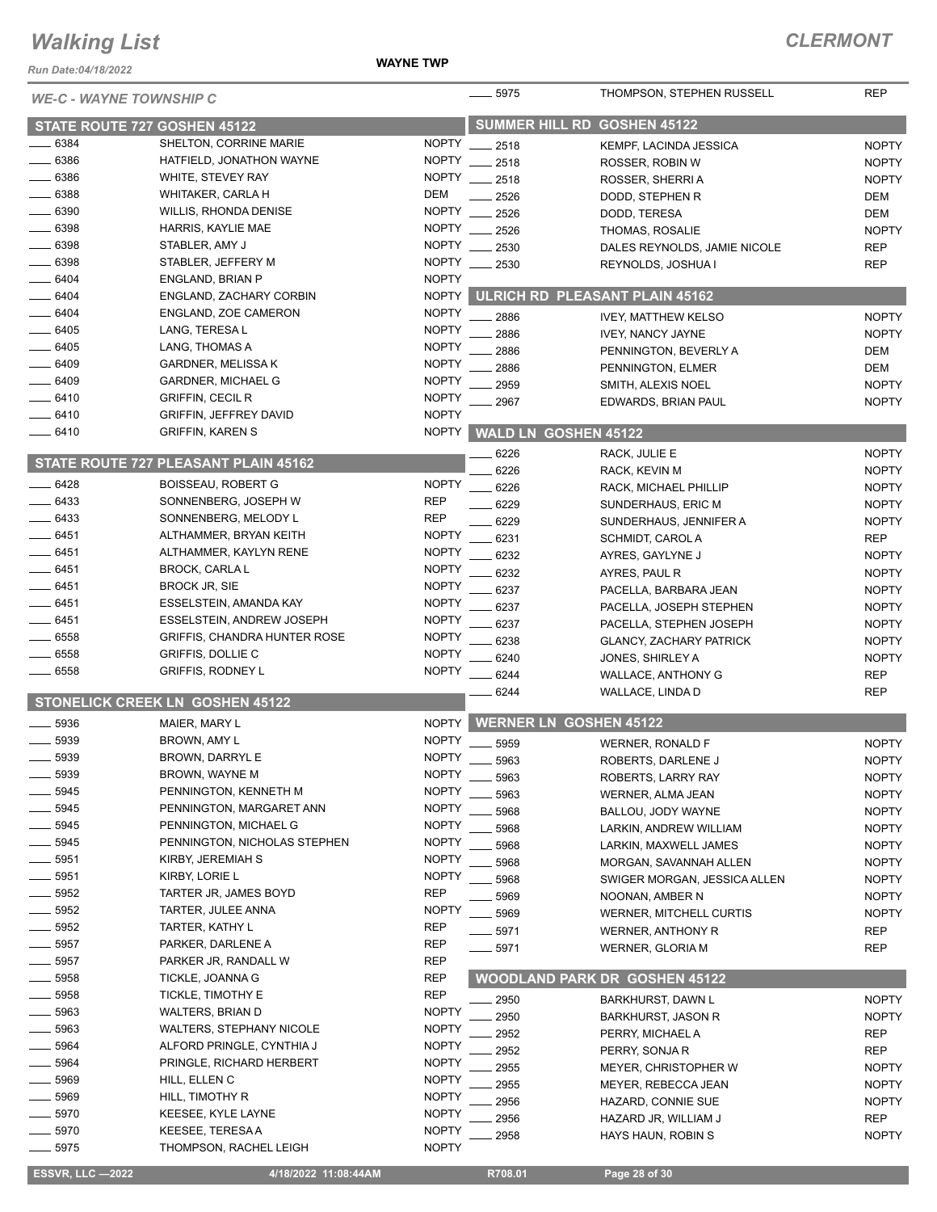*Run Date:04/18/2022*

#### **WAYNE TWP**

| <b>WE-C - WAYNE TOWNSHIP C</b> |                                      |                       | $-5975$             | THOMPSON, STEPHEN RUSSELL            | <b>REP</b>   |
|--------------------------------|--------------------------------------|-----------------------|---------------------|--------------------------------------|--------------|
| STATE ROUTE 727 GOSHEN 45122   |                                      | <b>SUMMER HILL RD</b> | <b>GOSHEN 45122</b> |                                      |              |
| 6384                           | SHELTON, CORRINE MARIE               | <b>NOPTY</b>          | 2518                | KEMPF, LACINDA JESSICA               | <b>NOPTY</b> |
| 6386                           | HATFIELD, JONATHON WAYNE             | <b>NOPTY</b>          | 2518                | ROSSER, ROBIN W                      | <b>NOPTY</b> |
| 6386                           | WHITE, STEVEY RAY                    | <b>NOPTY</b>          | 2518                | ROSSER, SHERRI A                     | <b>NOPTY</b> |
| 6388                           | WHITAKER, CARLA H                    | <b>DEM</b>            | 2526                | DODD, STEPHEN R                      | <b>DEM</b>   |
| _ 6390                         | <b>WILLIS, RHONDA DENISE</b>         | <b>NOPTY</b>          | 2526                | DODD, TERESA                         | <b>DEM</b>   |
| $-6398$                        | HARRIS, KAYLIE MAE                   | <b>NOPTY</b>          | 2526                | THOMAS, ROSALIE                      | <b>NOPTY</b> |
| 6398                           | STABLER, AMY J                       | <b>NOPTY</b>          | 2530                | DALES REYNOLDS, JAMIE NICOLE         | <b>REP</b>   |
| 6398                           | STABLER, JEFFERY M                   | <b>NOPTY</b>          | 2530                | REYNOLDS, JOSHUA I                   | <b>REP</b>   |
| 6404                           | ENGLAND, BRIAN P                     | <b>NOPTY</b>          |                     |                                      |              |
| 6404                           | ENGLAND, ZACHARY CORBIN              | <b>NOPTY</b>          |                     | ULRICH RD PLEASANT PLAIN 45162       |              |
| 6404                           | ENGLAND, ZOE CAMERON                 | <b>NOPTY</b>          |                     |                                      |              |
| 6405                           | LANG, TERESA L                       | <b>NOPTY</b>          | 2886                | <b>IVEY, MATTHEW KELSO</b>           | <b>NOPTY</b> |
| 6405                           | LANG, THOMAS A                       | <b>NOPTY</b>          | 2886                | <b>IVEY, NANCY JAYNE</b>             | <b>NOPTY</b> |
| 6409                           | <b>GARDNER, MELISSA K</b>            | <b>NOPTY</b>          | 2886                | PENNINGTON, BEVERLY A                | DEM          |
| 6409                           |                                      | <b>NOPTY</b>          | 2886                | PENNINGTON, ELMER                    | DEM          |
|                                | <b>GARDNER, MICHAEL G</b>            |                       | 2959                | SMITH, ALEXIS NOEL                   | <b>NOPTY</b> |
| 6410                           | <b>GRIFFIN, CECIL R</b>              | <b>NOPTY</b>          | 2967                | EDWARDS, BRIAN PAUL                  | <b>NOPTY</b> |
| 6410                           | <b>GRIFFIN, JEFFREY DAVID</b>        | <b>NOPTY</b>          |                     |                                      |              |
| 6410                           | <b>GRIFFIN, KAREN S</b>              | <b>NOPTY</b>          |                     | <b>WALD LN GOSHEN 45122</b>          |              |
|                                | STATE ROUTE 727 PLEASANT PLAIN 45162 |                       | 6226                | RACK, JULIE E                        | <b>NOPTY</b> |
|                                |                                      |                       | 6226                | RACK, KEVIN M                        | <b>NOPTY</b> |
| $-6428$                        | <b>BOISSEAU, ROBERT G</b>            | <b>NOPTY</b>          | 6226                | RACK, MICHAEL PHILLIP                | <b>NOPTY</b> |
| $-6433$                        | SONNENBERG, JOSEPH W                 | <b>REP</b>            | 6229                | SUNDERHAUS, ERIC M                   | <b>NOPTY</b> |
| 6433                           | SONNENBERG, MELODY L                 | <b>REP</b>            | 6229                | SUNDERHAUS, JENNIFER A               | <b>NOPTY</b> |
| 6451                           | ALTHAMMER, BRYAN KEITH               | <b>NOPTY</b>          | 6231                | SCHMIDT, CAROL A                     | <b>REP</b>   |
| 6451                           | ALTHAMMER, KAYLYN RENE               | <b>NOPTY</b>          | 6232                | AYRES, GAYLYNE J                     | <b>NOPTY</b> |
| 6451                           | <b>BROCK, CARLA L</b>                | <b>NOPTY</b>          | 6232                | AYRES, PAUL R                        | <b>NOPTY</b> |
| 6451                           | <b>BROCK JR, SIE</b>                 | <b>NOPTY</b>          | 6237                | PACELLA, BARBARA JEAN                | <b>NOPTY</b> |
| 6451                           | ESSELSTEIN, AMANDA KAY               | <b>NOPTY</b>          | 6237                | PACELLA, JOSEPH STEPHEN              | <b>NOPTY</b> |
| 6451                           | <b>ESSELSTEIN, ANDREW JOSEPH</b>     | <b>NOPTY</b>          | 6237                | PACELLA, STEPHEN JOSEPH              | <b>NOPTY</b> |
| 6558                           | <b>GRIFFIS, CHANDRA HUNTER ROSE</b>  | <b>NOPTY</b>          | 6238                | <b>GLANCY, ZACHARY PATRICK</b>       | <b>NOPTY</b> |
| 6558                           | <b>GRIFFIS, DOLLIE C</b>             | <b>NOPTY</b>          | 6240                | JONES, SHIRLEY A                     | <b>NOPTY</b> |
| 6558                           | <b>GRIFFIS, RODNEY L</b>             | <b>NOPTY</b>          | 6244                | <b>WALLACE, ANTHONY G</b>            | <b>REP</b>   |
|                                |                                      |                       | 6244                | WALLACE, LINDA D                     | <b>REP</b>   |
|                                | STONELICK CREEK LN GOSHEN 45122      |                       |                     |                                      |              |
| 5936                           | MAIER, MARY L                        | <b>NOPTY</b>          |                     | <b>WERNER LN GOSHEN 45122</b>        |              |
| 5939                           | BROWN, AMY L                         | <b>NOPTY</b>          | 5959                | WERNER, RONALD F                     | <b>NOPTY</b> |
| 5939                           | <b>BROWN, DARRYL E</b>               | <b>NOPTY</b>          | 5963                | ROBERTS, DARLENE J                   | <b>NOPTY</b> |
| 5939                           | BROWN, WAYNE M                       | <b>NOPTY</b>          | 5963                | ROBERTS, LARRY RAY                   | <b>NOPTY</b> |
| 5945                           | PENNINGTON, KENNETH M                | <b>NOPTY</b>          | 5963                | WERNER, ALMA JEAN                    | <b>NOPTY</b> |
| 5945                           | PENNINGTON, MARGARET ANN             | <b>NOPTY</b>          | 5968                | BALLOU, JODY WAYNE                   | <b>NOPTY</b> |
| 5945                           | PENNINGTON, MICHAEL G                | <b>NOPTY</b>          | 5968                | LARKIN, ANDREW WILLIAM               | <b>NOPTY</b> |
| 5945                           | PENNINGTON, NICHOLAS STEPHEN         | <b>NOPTY</b>          | 5968                | LARKIN, MAXWELL JAMES                | <b>NOPTY</b> |
| 5951                           | KIRBY, JEREMIAH S                    | <b>NOPTY</b>          | 5968                | MORGAN, SAVANNAH ALLEN               | <b>NOPTY</b> |
| 5951                           | KIRBY, LORIE L                       | <b>NOPTY</b>          | 5968                | SWIGER MORGAN, JESSICA ALLEN         | <b>NOPTY</b> |
| 5952                           | TARTER JR, JAMES BOYD                | <b>REP</b>            | 5969                | NOONAN, AMBER N                      | <b>NOPTY</b> |
| 5952                           | TARTER, JULEE ANNA                   | <b>NOPTY</b>          | 5969                | <b>WERNER, MITCHELL CURTIS</b>       | <b>NOPTY</b> |
| 5952                           | TARTER, KATHY L                      | <b>REP</b>            | 5971                | <b>WERNER, ANTHONY R</b>             | <b>REP</b>   |
| 5957                           | PARKER, DARLENE A                    | <b>REP</b>            | $-5971$             | <b>WERNER, GLORIA M</b>              | <b>REP</b>   |
| 5957                           | PARKER JR, RANDALL W                 | <b>REP</b>            |                     |                                      |              |
| 5958                           | TICKLE, JOANNA G                     | <b>REP</b>            |                     | <b>WOODLAND PARK DR GOSHEN 45122</b> |              |
| 5958                           | TICKLE, TIMOTHY E                    | <b>REP</b>            | 2950                | BARKHURST, DAWN L                    | <b>NOPTY</b> |
| 5963                           | <b>WALTERS, BRIAN D</b>              | <b>NOPTY</b>          | 2950                | <b>BARKHURST, JASON R</b>            | <b>NOPTY</b> |
| 5963                           | <b>WALTERS, STEPHANY NICOLE</b>      | <b>NOPTY</b>          |                     |                                      |              |
| 5964                           | ALFORD PRINGLE, CYNTHIA J            | <b>NOPTY</b>          | 2952                | PERRY, MICHAEL A                     | <b>REP</b>   |
| 5964                           | PRINGLE, RICHARD HERBERT             | <b>NOPTY</b>          | 2952                | PERRY, SONJA R                       | <b>REP</b>   |
| 5969                           | HILL, ELLEN C                        | <b>NOPTY</b>          | 2955                | MEYER, CHRISTOPHER W                 | <b>NOPTY</b> |
| 5969                           | HILL, TIMOTHY R                      | <b>NOPTY</b>          | 2955                | MEYER, REBECCA JEAN                  | <b>NOPTY</b> |
| 5970                           | KEESEE, KYLE LAYNE                   | <b>NOPTY</b>          | 2956                | HAZARD, CONNIE SUE                   | <b>NOPTY</b> |
| 5970                           | <b>KEESEE, TERESA A</b>              | <b>NOPTY</b>          | 2956                | HAZARD JR, WILLIAM J                 | <b>REP</b>   |
| 5975                           | THOMPSON, RACHEL LEIGH               | <b>NOPTY</b>          | 2958                | HAYS HAUN, ROBIN S                   | <b>NOPTY</b> |
|                                |                                      |                       |                     |                                      |              |
| <b>ESSVR, LLC -2022</b>        | 4/18/2022 11:08:44AM                 |                       | R708.01             | Page 28 of 30                        |              |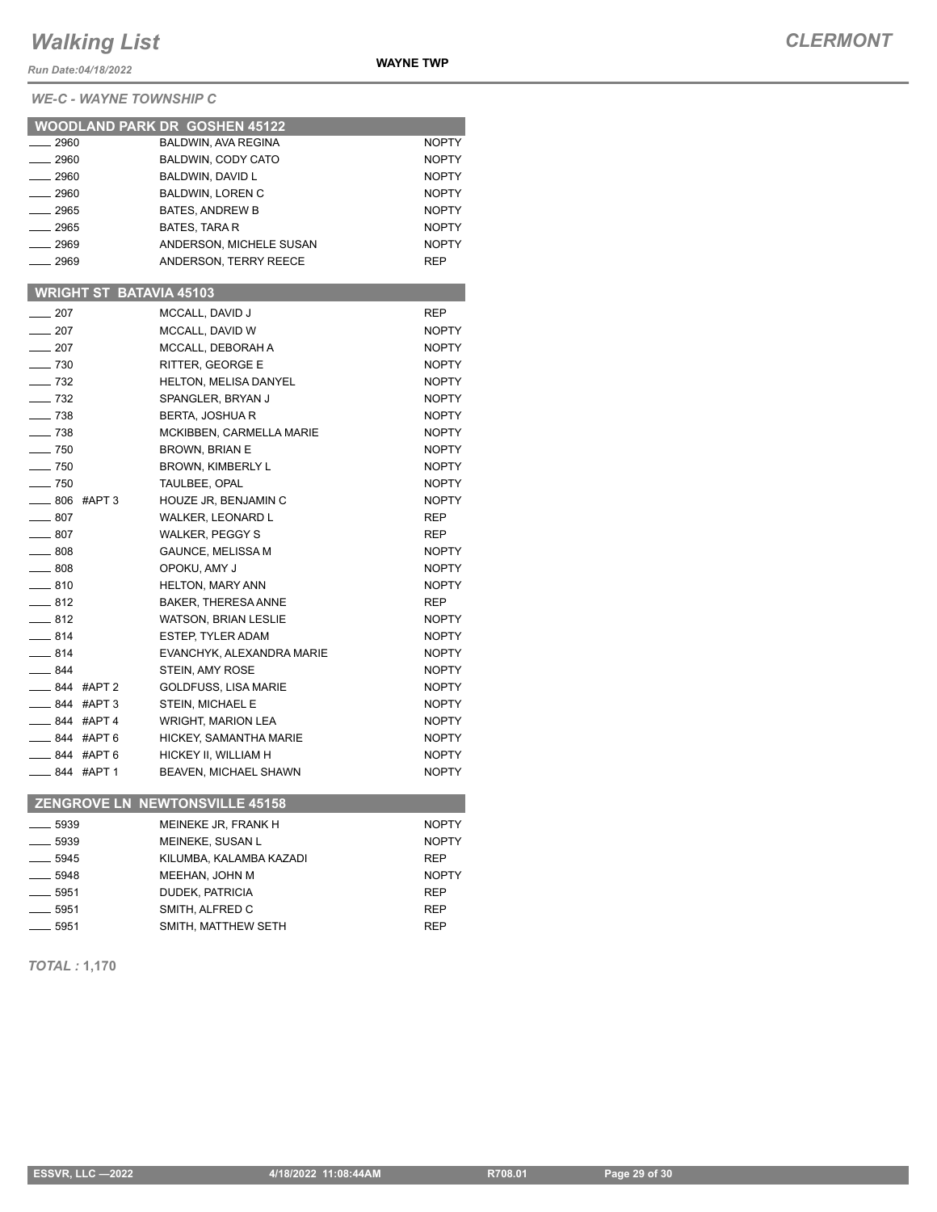*Run Date:04/18/2022*

*WE-C - WAYNE TOWNSHIP C*

|                                | <b>WOODLAND PARK DR GOSHEN 45122</b> |              |
|--------------------------------|--------------------------------------|--------------|
| $-2960$                        | <b>BALDWIN, AVA REGINA</b>           | <b>NOPTY</b> |
| $-2960$                        | <b>BALDWIN, CODY CATO</b>            | <b>NOPTY</b> |
| $-2960$                        | BALDWIN, DAVID L                     | <b>NOPTY</b> |
| $\frac{1}{2960}$               | <b>BALDWIN, LOREN C</b>              | <b>NOPTY</b> |
| $- 2965$                       | <b>BATES, ANDREW B</b>               | <b>NOPTY</b> |
| $-2965$                        | <b>BATES, TARA R</b>                 | <b>NOPTY</b> |
| $-2969$                        | ANDERSON, MICHELE SUSAN              | <b>NOPTY</b> |
| $-2969$                        | ANDERSON, TERRY REECE                | <b>REP</b>   |
|                                |                                      |              |
| <b>WRIGHT ST BATAVIA 45103</b> |                                      |              |
| $\equiv$ 207                   | MCCALL, DAVID J                      | REP          |
| $\sim$ 207                     | MCCALL, DAVID W                      | <b>NOPTY</b> |
| $-207$                         | MCCALL, DEBORAH A                    | <b>NOPTY</b> |
| $\sim$ 730                     | RITTER, GEORGE E                     | <b>NOPTY</b> |
| $- 732$                        | <b>HELTON, MELISA DANYEL</b>         | <b>NOPTY</b> |
| $-$ 732                        | SPANGLER, BRYAN J                    | <b>NOPTY</b> |
| $- 738$                        | <b>BERTA, JOSHUA R</b>               | <b>NOPTY</b> |
| $- 738$                        | MCKIBBEN, CARMELLA MARIE             | <b>NOPTY</b> |
| $- 750$                        | <b>BROWN, BRIAN E</b>                | <b>NOPTY</b> |
| $\sim$ 750                     | <b>BROWN, KIMBERLY L</b>             | <b>NOPTY</b> |
| $-750$                         | <b>TAULBEE, OPAL</b>                 | <b>NOPTY</b> |
| ____ 806 #APT 3                | HOUZE JR, BENJAMIN C                 | <b>NOPTY</b> |
| $\frac{1}{2}$ 807              | <b>WALKER, LEONARD L</b>             | <b>REP</b>   |
| $\equiv$ 807                   | <b>WALKER, PEGGY S</b>               | <b>REP</b>   |
| $\equiv$ 808                   | <b>GAUNCE, MELISSA M</b>             | <b>NOPTY</b> |
| $\frac{1}{2}$ 808              | OPOKU, AMY J                         | <b>NOPTY</b> |
| $-810$                         | <b>HELTON, MARY ANN</b>              | <b>NOPTY</b> |
| $-812$                         | BAKER, THERESA ANNE                  | <b>REP</b>   |
| $-812$                         | <b>WATSON, BRIAN LESLIE</b>          | <b>NOPTY</b> |
| $= 814$                        | <b>ESTEP, TYLER ADAM</b>             | <b>NOPTY</b> |
| $-814$                         | EVANCHYK, ALEXANDRA MARIE            | <b>NOPTY</b> |
| $-844$                         | STEIN, AMY ROSE                      | <b>NOPTY</b> |
| -844 #APT 2                    | <b>GOLDFUSS, LISA MARIE</b>          | <b>NOPTY</b> |
| $\frac{1}{2}$ 844 #APT 3       | STEIN, MICHAEL E                     | <b>NOPTY</b> |
| $-844$ #APT 4                  | <b>WRIGHT, MARION LEA</b>            | <b>NOPTY</b> |
| $-844$ #APT 6                  | HICKEY, SAMANTHA MARIE               | <b>NOPTY</b> |
| —— 844 #APT 6                  | HICKEY II, WILLIAM H                 | <b>NOPTY</b> |
| $- 844$ #APT 1                 | <b>BEAVEN, MICHAEL SHAWN</b>         | <b>NOPTY</b> |
|                                |                                      |              |
|                                | ZENGROVE LN NEWTONSVILLE 45158       |              |

| $\frac{1}{2}$ 5939 | MEINEKE JR, FRANK H     | <b>NOPTY</b> |
|--------------------|-------------------------|--------------|
| $\frac{1}{2}$ 5939 | MEINEKE, SUSAN L        | <b>NOPTY</b> |
| $-5945$            | KILUMBA. KALAMBA KAZADI | <b>REP</b>   |
| $- 5948$           | MEEHAN, JOHN M          | <b>NOPTY</b> |
| $\frac{1}{2}$ 5951 | DUDEK, PATRICIA         | <b>REP</b>   |
| $\frac{1}{2}$ 5951 | SMITH, ALFRED C         | <b>REP</b>   |
| 5951<br>$\sim$     | SMITH, MATTHEW SETH     | <b>REP</b>   |

*TOTAL :* **1,170**